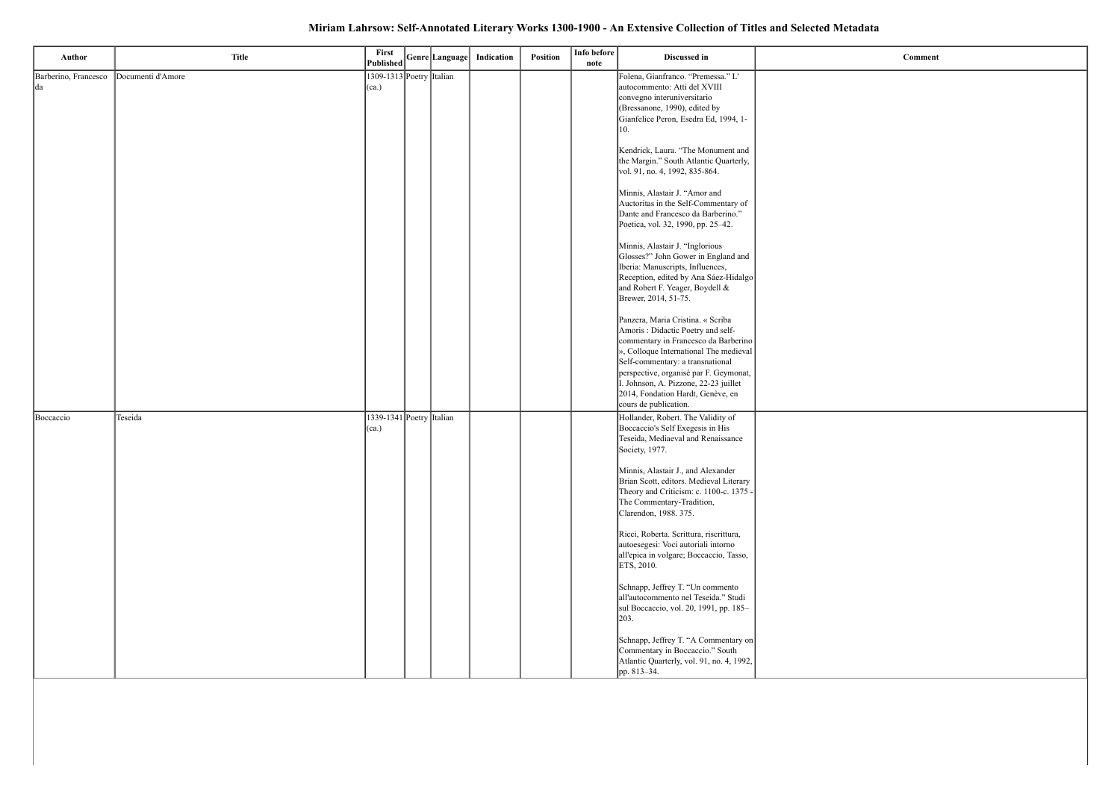# Miriam Lahrsow: Self-Annotated Literary Works 1300-1900 - An Extensive Collection of Titles and Selected Metadata

| Author                     | <b>Title</b>      | First<br>Published                    | Genre Language | Indication | Position | Info before<br>note | Discussed in                                                                                                                                                                                                                                                                                                         |  |
|----------------------------|-------------------|---------------------------------------|----------------|------------|----------|---------------------|----------------------------------------------------------------------------------------------------------------------------------------------------------------------------------------------------------------------------------------------------------------------------------------------------------------------|--|
| Barberino, Francesco<br>da | Documenti d'Amore | 1309-1313 Poetry Italian<br>$ $ (ca.) |                |            |          |                     | Folena, Gianfranco. "Premessa." L'<br>autocommento: Atti del XVIII<br>convegno interuniversitario<br>(Bressanone, 1990), edited by<br>Gianfelice Peron, Esedra Ed, 1994, 1-<br>10.                                                                                                                                   |  |
|                            |                   |                                       |                |            |          |                     | Kendrick, Laura. "The Monument and<br>the Margin." South Atlantic Quarterly,<br>vol. 91, no. 4, 1992, 835-864.                                                                                                                                                                                                       |  |
|                            |                   |                                       |                |            |          |                     | Minnis, Alastair J. "Amor and<br>Auctoritas in the Self-Commentary of<br>Dante and Francesco da Barberino."<br>Poetica, vol. 32, 1990, pp. 25-42.                                                                                                                                                                    |  |
|                            |                   |                                       |                |            |          |                     | Minnis, Alastair J. "Inglorious<br>Glosses?" John Gower in England and<br>Iberia: Manuscripts, Influences,<br>Reception, edited by Ana Sáez-Hidalgo<br>and Robert F. Yeager, Boydell &<br>Brewer, 2014, 51-75.                                                                                                       |  |
|                            |                   |                                       |                |            |          |                     | Panzera, Maria Cristina. « Scriba<br>Amoris: Didactic Poetry and self-<br>commentary in Francesco da Barberino<br>», Colloque International The medieval<br>Self-commentary: a transnational<br>perspective, organisé par F. Geymonat,<br>I. Johnson, A. Pizzone, 22-23 juillet<br>2014, Fondation Hardt, Genève, en |  |
| Boccaccio                  | Teseida           | 1339-1341 Poetry Italian<br>$ $ (ca.) |                |            |          |                     | cours de publication.<br>Hollander, Robert. The Validity of<br>Boccaccio's Self Exegesis in His<br>Teseida, Mediaeval and Renaissance<br>Society, 1977.                                                                                                                                                              |  |
|                            |                   |                                       |                |            |          |                     | Minnis, Alastair J., and Alexander<br>Brian Scott, editors. Medieval Literary<br>Theory and Criticism: c. 1100-c. 1375 -<br>The Commentary-Tradition,<br>Clarendon, 1988. 375.                                                                                                                                       |  |
|                            |                   |                                       |                |            |          |                     | Ricci, Roberta. Scrittura, riscrittura,<br>autoesegesi: Voci autoriali intorno<br>all'epica in volgare; Boccaccio, Tasso,<br>ETS, 2010.                                                                                                                                                                              |  |
|                            |                   |                                       |                |            |          |                     | Schnapp, Jeffrey T. "Un commento<br>all'autocommento nel Teseida." Studi<br>sul Boccaccio, vol. 20, 1991, pp. 185-<br> 203.                                                                                                                                                                                          |  |
|                            |                   |                                       |                |            |          |                     | Schnapp, Jeffrey T. "A Commentary on<br>Commentary in Boccaccio." South<br>Atlantic Quarterly, vol. 91, no. 4, 1992,<br>pp. 813-34.                                                                                                                                                                                  |  |

 $Comment$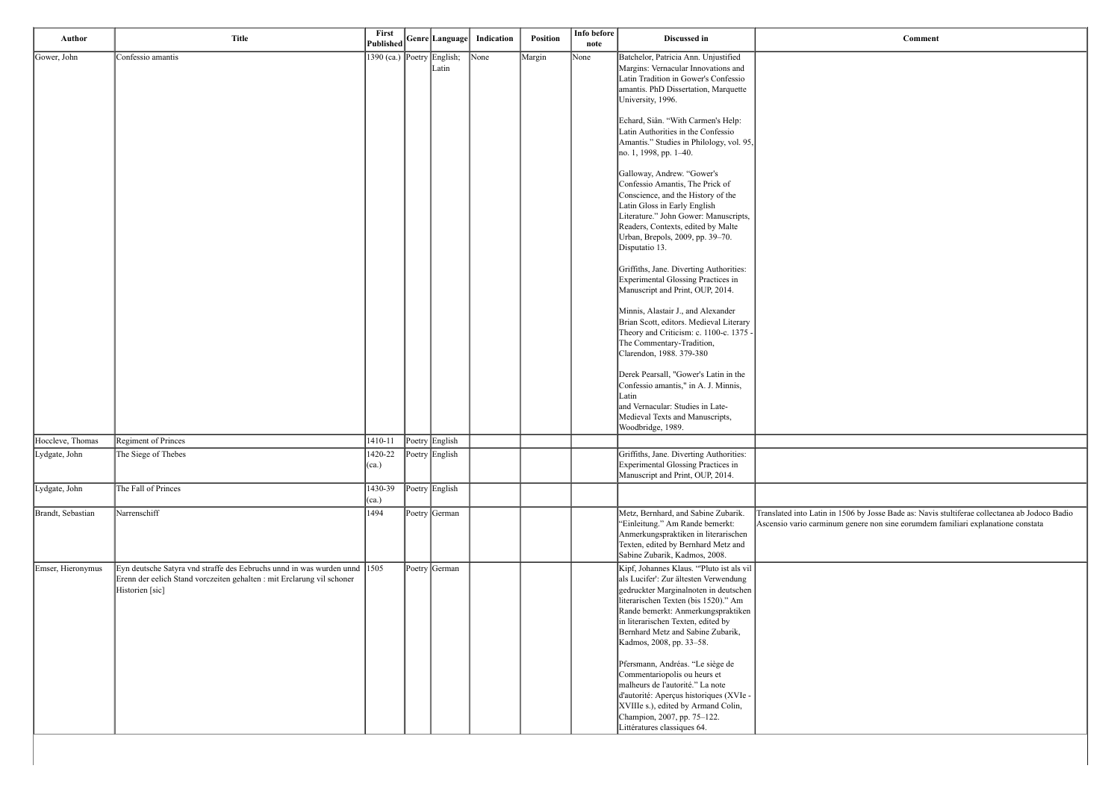| Author            | <b>Title</b>                                                                                                                                                           | <b>First</b><br>Published  |                | Genre Language  Indication | <b>Position</b> | Info before<br>note | Discussed in                                                                                                                                                                                                                                                                                                    | Comment                                                                                                   |
|-------------------|------------------------------------------------------------------------------------------------------------------------------------------------------------------------|----------------------------|----------------|----------------------------|-----------------|---------------------|-----------------------------------------------------------------------------------------------------------------------------------------------------------------------------------------------------------------------------------------------------------------------------------------------------------------|-----------------------------------------------------------------------------------------------------------|
| Gower, John       | Confessio amantis                                                                                                                                                      | 1390 (ca.) Poetry English; | Latin          | $\vert$ None               | Margin          | None                | Batchelor, Patricia Ann. Unjustified<br>Margins: Vernacular Innovations and<br>Latin Tradition in Gower's Confessio<br>amantis. PhD Dissertation, Marquette<br>University, 1996.                                                                                                                                |                                                                                                           |
|                   |                                                                                                                                                                        |                            |                |                            |                 |                     | Echard, Siân. "With Carmen's Help:<br>Latin Authorities in the Confessio<br>Amantis." Studies in Philology, vol. 95,<br>no. 1, 1998, pp. 1–40.                                                                                                                                                                  |                                                                                                           |
|                   |                                                                                                                                                                        |                            |                |                            |                 |                     | Galloway, Andrew. "Gower's<br>Confessio Amantis, The Prick of<br>Conscience, and the History of the<br>Latin Gloss in Early English<br>Literature." John Gower: Manuscripts,<br>Readers, Contexts, edited by Malte<br>Urban, Brepols, 2009, pp. 39-70.<br>Disputatio 13.                                        |                                                                                                           |
|                   |                                                                                                                                                                        |                            |                |                            |                 |                     | Griffiths, Jane. Diverting Authorities:<br>Experimental Glossing Practices in<br>Manuscript and Print, OUP, 2014.                                                                                                                                                                                               |                                                                                                           |
|                   |                                                                                                                                                                        |                            |                |                            |                 |                     | Minnis, Alastair J., and Alexander<br>Brian Scott, editors. Medieval Literary<br>Theory and Criticism: c. 1100-c. 1375 -<br>The Commentary-Tradition,<br>Clarendon, 1988. 379-380                                                                                                                               |                                                                                                           |
|                   |                                                                                                                                                                        |                            |                |                            |                 |                     | Derek Pearsall, "Gower's Latin in the<br>Confessio amantis," in A. J. Minnis,<br>Latin<br>and Vernacular: Studies in Late-<br>Medieval Texts and Manuscripts,                                                                                                                                                   |                                                                                                           |
| Hoccleve, Thomas  | Regiment of Princes                                                                                                                                                    | 1410-11                    | Poetry English |                            |                 |                     | Woodbridge, 1989.                                                                                                                                                                                                                                                                                               |                                                                                                           |
| Lydgate, John     | The Siege of Thebes                                                                                                                                                    | 1420-22<br>$ $ (ca.)       | Poetry English |                            |                 |                     | Griffiths, Jane. Diverting Authorities:<br>Experimental Glossing Practices in<br>Manuscript and Print, OUP, 2014.                                                                                                                                                                                               |                                                                                                           |
| Lydgate, John     | The Fall of Princes                                                                                                                                                    | 1430-39<br>(ca.)           | Poetry English |                            |                 |                     |                                                                                                                                                                                                                                                                                                                 |                                                                                                           |
| Brandt, Sebastian | Narrenschiff                                                                                                                                                           | 1494                       | Poetry German  |                            |                 |                     | Metz, Bernhard, and Sabine Zubarik.<br>"Einleitung." Am Rande bemerkt:<br>Anmerkungspraktiken in literarischen<br>Texten, edited by Bernhard Metz and<br>Sabine Zubarik, Kadmos, 2008.                                                                                                                          | Translated into Latin in 1506 by Josse Bade as: Navis<br>Ascensio vario carminum genere non sine eorumdem |
| Emser, Hieronymus | Eyn deutsche Satyra vnd straffe des Eebruchs unnd in was wurden unnd 1505<br>Erenn der eelich Stand vorczeiten gehalten : mit Erclarung vil schoner<br>Historien [sic] |                            | Poetry German  |                            |                 |                     | Kipf, Johannes Klaus. "Pluto ist als vil<br>als Lucifer': Zur ältesten Verwendung<br>gedruckter Marginalnoten in deutschen<br>literarischen Texten (bis 1520)." Am<br>Rande bemerkt: Anmerkungspraktiken<br>in literarischen Texten, edited by<br>Bernhard Metz and Sabine Zubarik,<br>Kadmos, 2008, pp. 33-58. |                                                                                                           |
|                   |                                                                                                                                                                        |                            |                |                            |                 |                     | Pfersmann, Andréas. "Le siège de<br>Commentariopolis ou heurs et<br>malheurs de l'autorité." La note<br>d'autorité: Aperçus historiques (XVIe -<br>XVIIIe s.), edited by Armand Colin,<br>Champion, 2007, pp. 75-122.<br>Littératures classiques 64.                                                            |                                                                                                           |

in 1506 by Josse Bade as: Navis stultiferae collectanea ab Jodoco Badio num genere non sine eorumdem familiari explanatione constata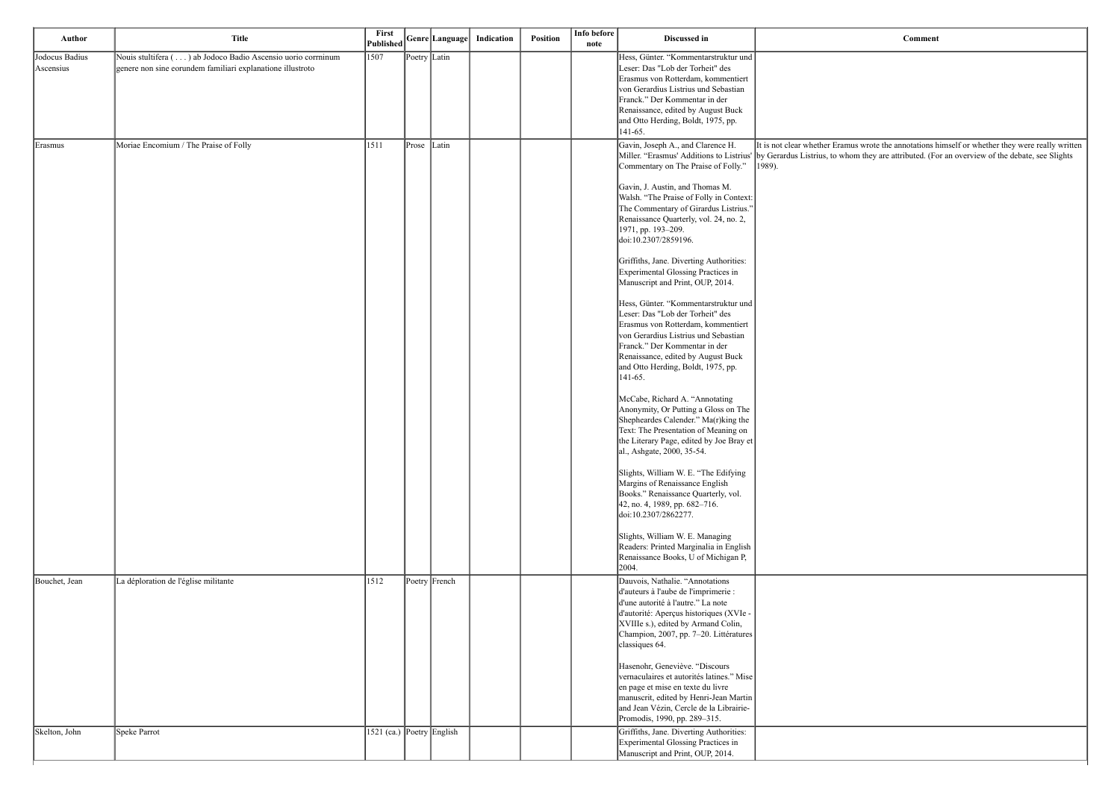amus wrote the annotations himself or whether they were really written whom they are attributed. (For an overview of the debate, see Slights

| <b>Author</b>               | <b>Title</b>                                                                                                               | First<br>Published        |              | Genre Language | Indication | <b>Position</b> | Info before<br>note | Discussed in                                                                                                                                                                                                                                                                                                                                                                                                                                                                                                                                                                                                                                                                                                                                                                                                                                                                                                                                                                                                                                                                                                                                                                                                                                                                                |                                                                      |
|-----------------------------|----------------------------------------------------------------------------------------------------------------------------|---------------------------|--------------|----------------|------------|-----------------|---------------------|---------------------------------------------------------------------------------------------------------------------------------------------------------------------------------------------------------------------------------------------------------------------------------------------------------------------------------------------------------------------------------------------------------------------------------------------------------------------------------------------------------------------------------------------------------------------------------------------------------------------------------------------------------------------------------------------------------------------------------------------------------------------------------------------------------------------------------------------------------------------------------------------------------------------------------------------------------------------------------------------------------------------------------------------------------------------------------------------------------------------------------------------------------------------------------------------------------------------------------------------------------------------------------------------|----------------------------------------------------------------------|
| Jodocus Badius<br>Ascensius | Nouis stultifera () ab Jodoco Badio Ascensio uorio corrninum<br>genere non sine eorundem familiari explanatione illustroto | 1507                      | Poetry Latin |                |            |                 |                     | Hess, Günter. "Kommentarstruktur und<br>Leser: Das "Lob der Torheit" des<br>Erasmus von Rotterdam, kommentiert<br>von Gerardius Listrius und Sebastian<br>Franck." Der Kommentar in der<br>Renaissance, edited by August Buck<br>and Otto Herding, Boldt, 1975, pp.<br>$ 141-65.$                                                                                                                                                                                                                                                                                                                                                                                                                                                                                                                                                                                                                                                                                                                                                                                                                                                                                                                                                                                                           |                                                                      |
| Erasmus                     | Moriae Encomium / The Praise of Folly                                                                                      | 1511                      | Prose        | Latin          |            |                 |                     | Gavin, Joseph A., and Clarence H.<br>Miller. "Erasmus' Additions to Listrius'<br>Commentary on The Praise of Folly."<br>Gavin, J. Austin, and Thomas M.<br>Walsh. "The Praise of Folly in Context:<br>The Commentary of Girardus Listrius."<br>Renaissance Quarterly, vol. 24, no. 2,<br>1971, pp. 193-209.<br>doi:10.2307/2859196.<br>Griffiths, Jane. Diverting Authorities:<br>Experimental Glossing Practices in<br>Manuscript and Print, OUP, 2014.<br>Hess, Günter. "Kommentarstruktur und<br>Leser: Das "Lob der Torheit" des<br>Erasmus von Rotterdam, kommentiert<br>von Gerardius Listrius und Sebastian<br>Franck." Der Kommentar in der<br>Renaissance, edited by August Buck<br>and Otto Herding, Boldt, 1975, pp.<br>$ 141-65.$<br>McCabe, Richard A. "Annotating<br>Anonymity, Or Putting a Gloss on The<br>Shepheardes Calender." Ma(r)king the<br>Text: The Presentation of Meaning on<br>the Literary Page, edited by Joe Bray et<br>al., Ashgate, 2000, 35-54.<br>Slights, William W. E. "The Edifying<br>Margins of Renaissance English<br>Books." Renaissance Quarterly, vol.<br>$42$ , no. 4, 1989, pp. 682–716.<br>doi:10.2307/2862277.<br>Slights, William W. E. Managing<br>Readers: Printed Marginalia in English<br>Renaissance Books, U of Michigan P,<br>2004. | It is not clear whether Era<br>by Gerardus Listrius, to w<br> 1989). |
| Bouchet, Jean               | La déploration de l'église militante                                                                                       | 1512                      |              | Poetry French  |            |                 |                     | Dauvois, Nathalie. "Annotations<br>d'auteurs à l'aube de l'imprimerie :<br>d'une autorité à l'autre." La note<br>d'autorité: Aperçus historiques (XVIe -<br>XVIIIe s.), edited by Armand Colin,<br>Champion, 2007, pp. 7-20. Littératures<br>classiques 64.<br>Hasenohr, Geneviève. "Discours<br>vernaculaires et autorités latines." Mise<br>en page et mise en texte du livre<br>manuscrit, edited by Henri-Jean Martin<br>and Jean Vézin, Cercle de la Librairie-<br>Promodis, 1990, pp. 289-315.                                                                                                                                                                                                                                                                                                                                                                                                                                                                                                                                                                                                                                                                                                                                                                                        |                                                                      |
| Skelton, John               | Speke Parrot                                                                                                               | 1521 (ca.) Poetry English |              |                |            |                 |                     | Griffiths, Jane. Diverting Authorities:<br>Experimental Glossing Practices in<br>Manuscript and Print, OUP, 2014.                                                                                                                                                                                                                                                                                                                                                                                                                                                                                                                                                                                                                                                                                                                                                                                                                                                                                                                                                                                                                                                                                                                                                                           |                                                                      |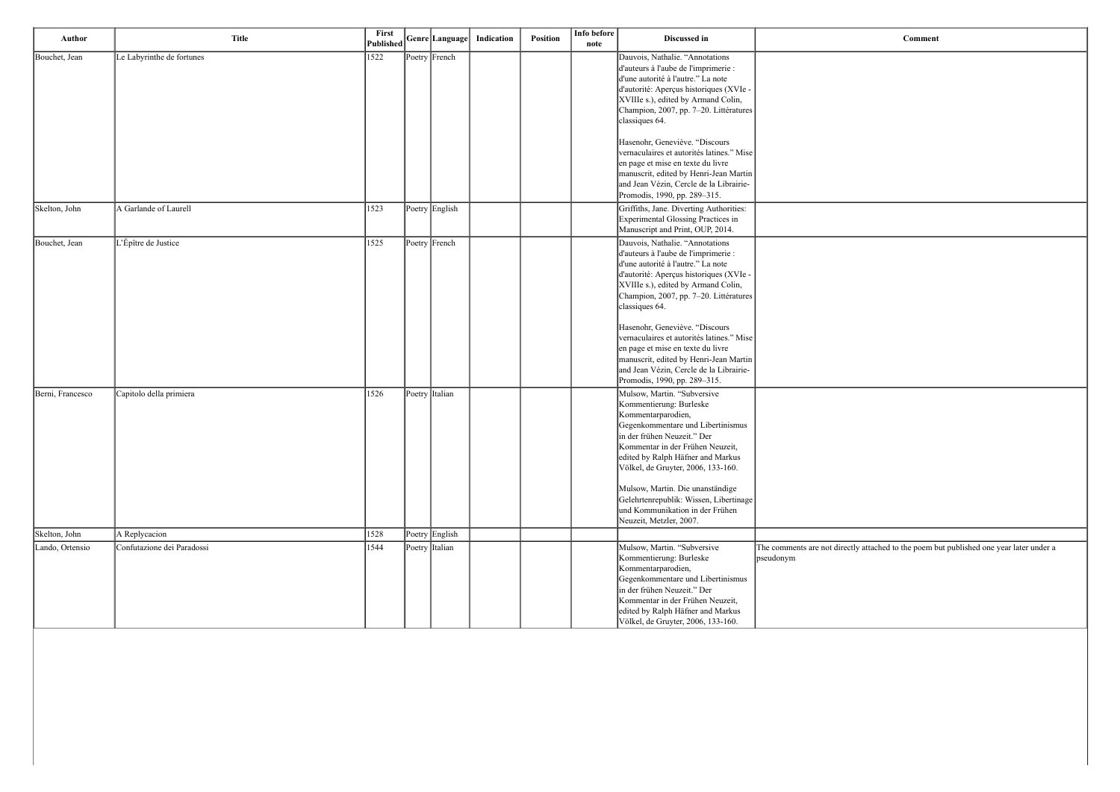| <b>Comment</b>                                                                                       |
|------------------------------------------------------------------------------------------------------|
|                                                                                                      |
|                                                                                                      |
|                                                                                                      |
|                                                                                                      |
|                                                                                                      |
|                                                                                                      |
|                                                                                                      |
|                                                                                                      |
|                                                                                                      |
|                                                                                                      |
|                                                                                                      |
|                                                                                                      |
|                                                                                                      |
|                                                                                                      |
|                                                                                                      |
|                                                                                                      |
|                                                                                                      |
|                                                                                                      |
|                                                                                                      |
|                                                                                                      |
|                                                                                                      |
|                                                                                                      |
|                                                                                                      |
|                                                                                                      |
|                                                                                                      |
| The comments are not directly attached to the poem but published one year later under a<br>pseudonym |
|                                                                                                      |
|                                                                                                      |

| Author           | <b>Title</b>               | First<br><b>Published</b> |                | Genre Language | Indication | Position | Info before<br>note | Discussed in                                                                                                                                                                                                                                                                                                                                                                                                                                                                                                                             | Comment                                                           |
|------------------|----------------------------|---------------------------|----------------|----------------|------------|----------|---------------------|------------------------------------------------------------------------------------------------------------------------------------------------------------------------------------------------------------------------------------------------------------------------------------------------------------------------------------------------------------------------------------------------------------------------------------------------------------------------------------------------------------------------------------------|-------------------------------------------------------------------|
| Bouchet, Jean    | Le Labyrinthe de fortunes  | 1522                      |                | Poetry French  |            |          |                     | Dauvois, Nathalie. "Annotations<br>d'auteurs à l'aube de l'imprimerie :<br>d'une autorité à l'autre." La note<br>d'autorité: Aperçus historiques (XVIe -<br>XVIIIe s.), edited by Armand Colin,<br>Champion, 2007, pp. 7-20. Littératures<br>classiques 64.<br>Hasenohr, Geneviève. "Discours<br>vernaculaires et autorités latines." Mise<br>en page et mise en texte du livre<br>manuscrit, edited by Henri-Jean Martin<br>and Jean Vézin, Cercle de la Librairie-                                                                     |                                                                   |
| Skelton, John    | A Garlande of Laurell      | 1523                      |                | Poetry English |            |          |                     | Promodis, 1990, pp. 289-315.<br>Griffiths, Jane. Diverting Authorities:<br>Experimental Glossing Practices in                                                                                                                                                                                                                                                                                                                                                                                                                            |                                                                   |
| Bouchet, Jean    | L'Épître de Justice        | 1525                      |                | Poetry French  |            |          |                     | Manuscript and Print, OUP, 2014.<br>Dauvois, Nathalie. "Annotations<br>d'auteurs à l'aube de l'imprimerie :<br>d'une autorité à l'autre." La note<br>d'autorité: Aperçus historiques (XVIe -<br>XVIIIe s.), edited by Armand Colin,<br>Champion, 2007, pp. 7-20. Littératures<br>classiques 64.<br>Hasenohr, Geneviève. "Discours<br>vernaculaires et autorités latines." Mise<br>en page et mise en texte du livre<br>manuscrit, edited by Henri-Jean Martin<br>and Jean Vézin, Cercle de la Librairie-<br>Promodis, 1990, pp. 289-315. |                                                                   |
| Berni, Francesco | Capitolo della primiera    | 1526                      | Poetry Italian |                |            |          |                     | Mulsow, Martin. "Subversive<br>Kommentierung: Burleske<br>Kommentarparodien,<br>Gegenkommentare und Libertinismus<br>in der frühen Neuzeit." Der<br>Kommentar in der Frühen Neuzeit,<br>edited by Ralph Häfner and Markus<br>Völkel, de Gruyter, 2006, 133-160.<br>Mulsow, Martin. Die unanständige<br>Gelehrtenrepublik: Wissen, Libertinage<br>und Kommunikation in der Frühen<br>Neuzeit, Metzler, 2007.                                                                                                                              |                                                                   |
| Skelton, John    | A Replycacion              | 1528                      |                | Poetry English |            |          |                     |                                                                                                                                                                                                                                                                                                                                                                                                                                                                                                                                          |                                                                   |
| Lando, Ortensio  | Confutazione dei Paradossi | 1544                      |                | Poetry Italian |            |          |                     | Mulsow, Martin. "Subversive<br>Kommentierung: Burleske<br>Kommentarparodien,<br>Gegenkommentare und Libertinismus<br>in der frühen Neuzeit." Der<br>Kommentar in der Frühen Neuzeit,<br>edited by Ralph Häfner and Markus<br>Völkel, de Gruyter, 2006, 133-160.                                                                                                                                                                                                                                                                          | The comments are not directly attached to the poem b<br>pseudonym |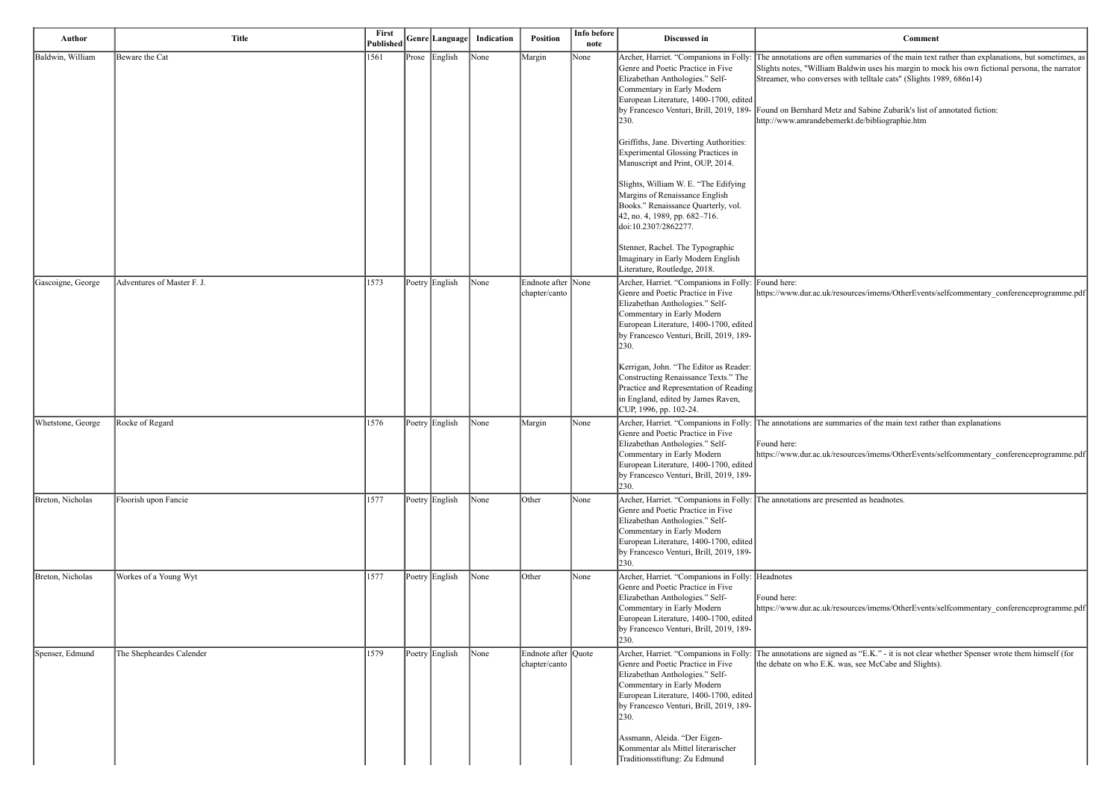I summaries of the main text rather than explanations, but sometimes, as aldwin uses his margin to mock his own fictional persona, the narrator with telltale cats" (Slights 1989, 686n14)

and Sabine Zubarik's list of annotated fiction: erkt.de/bibliographie.htm

 $h_{\text{sources}}/m_{\text{ems}}/O$ therEvents/selfcommentary\_conferenceprogramme.pdf

maries of the main text rather than explanations

 $h_{\text{sources}}/m_{\text{ems}}/O$ therEvents/selfcommentary\_conferenceprogramme.pdf

ented as headnotes.

 $h_{\text{sources}}/$ imems/OtherEvents/selfcommentary\_conferenceprogramme.pdf

ed as "E.K." - it is not clear whether Spenser wrote them himself (for vas, see McCabe and Slights).

| Author            | <b>Title</b>               | First<br>Published | Genre Language | Indication | <b>Position</b>                      | Info before<br>note | Discussed in                                                                                                                                                                                                                                                                                                                                                                                                                          |                                                                                                                                        |
|-------------------|----------------------------|--------------------|----------------|------------|--------------------------------------|---------------------|---------------------------------------------------------------------------------------------------------------------------------------------------------------------------------------------------------------------------------------------------------------------------------------------------------------------------------------------------------------------------------------------------------------------------------------|----------------------------------------------------------------------------------------------------------------------------------------|
| Baldwin, William  | Beware the Cat             | 1561               | Prose English  | None       | Margin                               | None                | Archer, Harriet. "Companions in Folly<br>Genre and Poetic Practice in Five<br>Elizabethan Anthologies." Self-<br>Commentary in Early Modern<br>European Literature, 1400-1700, edited<br>by Francesco Venturi, Brill, 2019, 189-<br>230.                                                                                                                                                                                              | The annotations are often<br>Slights notes, "William Ba<br>Streamer, who converses<br>Found on Bernhard Metz<br>http://www.amrandebeme |
|                   |                            |                    |                |            |                                      |                     | Griffiths, Jane. Diverting Authorities:<br><b>Experimental Glossing Practices in</b><br>Manuscript and Print, OUP, 2014.<br>Slights, William W. E. "The Edifying<br>Margins of Renaissance English<br>Books." Renaissance Quarterly, vol.<br>42, no. 4, 1989, pp. 682–716.<br>doi:10.2307/2862277.<br>Stenner, Rachel. The Typographic<br>Imaginary in Early Modern English<br>Literature, Routledge, 2018.                           |                                                                                                                                        |
| Gascoigne, George | Adventures of Master F. J. | 1573               | Poetry English | None       | Endnote after None<br>chapter/canto  |                     | Archer, Harriet. "Companions in Folly:<br>Genre and Poetic Practice in Five<br>Elizabethan Anthologies." Self-<br>Commentary in Early Modern<br>European Literature, 1400-1700, edited<br>by Francesco Venturi, Brill, 2019, 189-<br>230.<br>Kerrigan, John. "The Editor as Reader:<br>Constructing Renaissance Texts." The<br>Practice and Representation of Reading<br>in England, edited by James Raven,<br>CUP, 1996, pp. 102-24. | Found here:<br>https://www.dur.ac.uk/res                                                                                               |
| Whetstone, George | Rocke of Regard            | 1576               | Poetry English | None       | Margin                               | None                | Archer, Harriet. "Companions in Folly:<br>Genre and Poetic Practice in Five<br>Elizabethan Anthologies." Self-<br>Commentary in Early Modern<br>European Literature, 1400-1700, edited<br>by Francesco Venturi, Brill, 2019, 189-<br>230.                                                                                                                                                                                             | The annotations are sumn<br>Found here:<br>https://www.dur.ac.uk/res                                                                   |
| Breton, Nicholas  | Floorish upon Fancie       | 1577               | Poetry English | None       | Other                                | None                | Archer, Harriet. "Companions in Folly:<br>Genre and Poetic Practice in Five<br>Elizabethan Anthologies." Self-<br>Commentary in Early Modern<br>European Literature, 1400-1700, edited<br>by Francesco Venturi, Brill, 2019, 189-<br>230.                                                                                                                                                                                             | The annotations are prese                                                                                                              |
| Breton, Nicholas  | Workes of a Young Wyt      | 1577               | Poetry English | None       | Other                                | None                | Archer, Harriet. "Companions in Folly: Headnotes<br>Genre and Poetic Practice in Five<br>Elizabethan Anthologies." Self-<br>Commentary in Early Modern<br>European Literature, 1400-1700, edited<br>by Francesco Venturi, Brill, 2019, 189-<br>230.                                                                                                                                                                                   | Found here:<br>https://www.dur.ac.uk/res                                                                                               |
| Spenser, Edmund   | The Shepheardes Calender   | 1579               | Poetry English | None       | Endnote after Quote<br>chapter/canto |                     | Archer, Harriet. "Companions in Folly:<br>Genre and Poetic Practice in Five<br>Elizabethan Anthologies." Self-<br>Commentary in Early Modern<br>European Literature, 1400-1700, edited<br>by Francesco Venturi, Brill, 2019, 189-<br>230.<br>Assmann, Aleida. "Der Eigen-<br>Kommentar als Mittel literarischer<br>Traditionsstiftung: Zu Edmund                                                                                      | The annotations are signe<br>the debate on who E.K. w                                                                                  |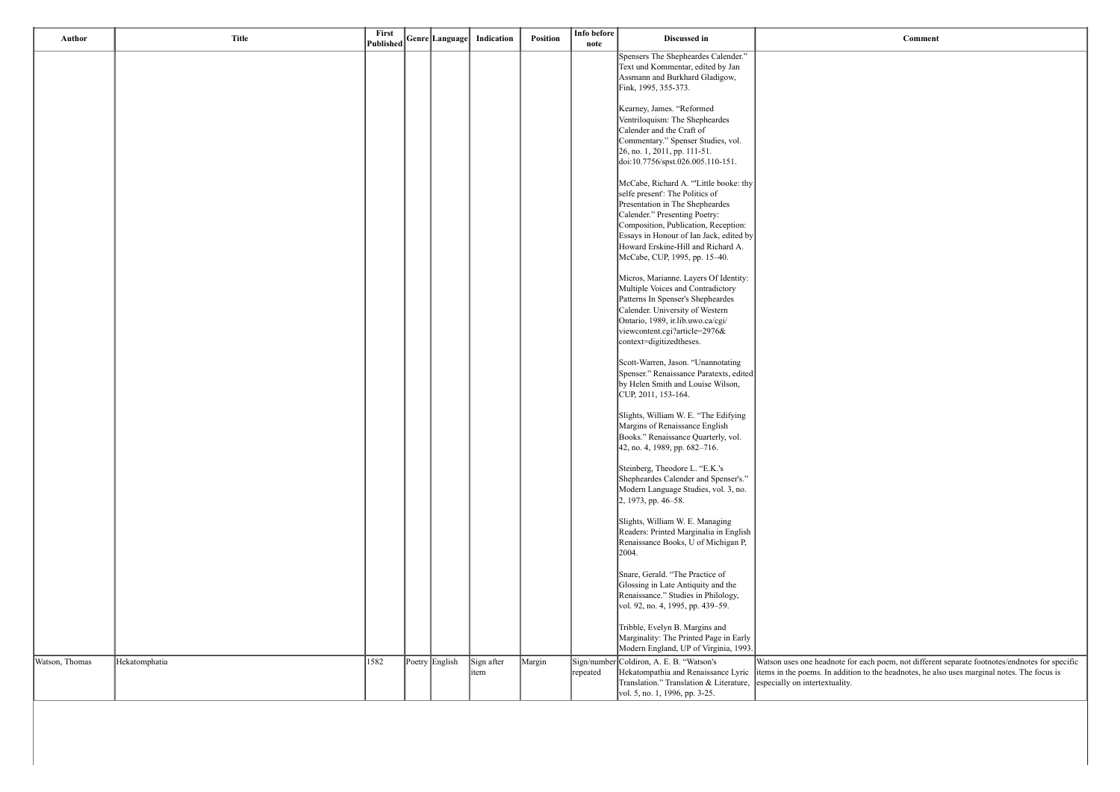dnote for each poem, not different separate footnotes/endnotes for specific In addition to the headnotes, he also uses marginal notes. The focus is xtuality.

| Author         | <b>Title</b>  | First<br><b>Published</b> | Genre Language | Indication          | Position | Info before<br>note | Discussed in                                                                                                                                                                                                                                                                                           |                                                                          |
|----------------|---------------|---------------------------|----------------|---------------------|----------|---------------------|--------------------------------------------------------------------------------------------------------------------------------------------------------------------------------------------------------------------------------------------------------------------------------------------------------|--------------------------------------------------------------------------|
|                |               |                           |                |                     |          |                     | Spensers The Shepheardes Calender."<br>Text und Kommentar, edited by Jan<br>Assmann and Burkhard Gladigow,<br>Fink, 1995, 355-373.                                                                                                                                                                     |                                                                          |
|                |               |                           |                |                     |          |                     | Kearney, James. "Reformed<br>Ventriloquism: The Shepheardes<br>Calender and the Craft of<br>Commentary." Spenser Studies, vol.<br>26, no. 1, 2011, pp. 111-51.<br>doi:10.7756/spst.026.005.110-151.                                                                                                    |                                                                          |
|                |               |                           |                |                     |          |                     | McCabe, Richard A. "Little booke: thy<br>selfe present': The Politics of<br>Presentation in The Shepheardes<br>Calender." Presenting Poetry:<br>Composition, Publication, Reception:<br>Essays in Honour of Ian Jack, edited by<br>Howard Erskine-Hill and Richard A.<br>McCabe, CUP, 1995, pp. 15-40. |                                                                          |
|                |               |                           |                |                     |          |                     | Micros, Marianne. Layers Of Identity:<br>Multiple Voices and Contradictory<br>Patterns In Spenser's Shepheardes<br>Calender. University of Western<br>Ontario, 1989, ir.lib.uwo.ca/cgi/<br>viewcontent.cgi?article=2976&<br>context=digitizedtheses.                                                   |                                                                          |
|                |               |                           |                |                     |          |                     | Scott-Warren, Jason. "Unannotating<br>Spenser." Renaissance Paratexts, edited<br>by Helen Smith and Louise Wilson,<br>CUP, 2011, 153-164.                                                                                                                                                              |                                                                          |
|                |               |                           |                |                     |          |                     | Slights, William W. E. "The Edifying<br>Margins of Renaissance English<br>Books." Renaissance Quarterly, vol.<br>42, no. 4, 1989, pp. 682-716.                                                                                                                                                         |                                                                          |
|                |               |                           |                |                     |          |                     | Steinberg, Theodore L. "E.K.'s<br>Shepheardes Calender and Spenser's."<br>Modern Language Studies, vol. 3, no.<br>2, 1973, pp. 46–58.                                                                                                                                                                  |                                                                          |
|                |               |                           |                |                     |          |                     | Slights, William W. E. Managing<br>Readers: Printed Marginalia in English<br>Renaissance Books, U of Michigan P,<br>2004.                                                                                                                                                                              |                                                                          |
|                |               |                           |                |                     |          |                     | Snare, Gerald. "The Practice of<br>Glossing in Late Antiquity and the<br>Renaissance." Studies in Philology,<br>vol. 92, no. 4, 1995, pp. 439-59.                                                                                                                                                      |                                                                          |
|                |               |                           |                |                     |          |                     | Tribble, Evelyn B. Margins and<br>Marginality: The Printed Page in Early<br>Modern England, UP of Virginia, 1993.                                                                                                                                                                                      |                                                                          |
| Watson, Thomas | Hekatomphatia | 1582                      | Poetry English | Sign after<br>litem | Margin   | repeated            | Sign/number Coldiron, A. E. B. "Watson's<br>Hekatompathia and Renaissance Lyric<br>Translation." Translation & Literature,<br>vol. 5, no. 1, 1996, pp. 3-25.                                                                                                                                           | Watson uses one head<br>items in the poems. In<br>especially on intertex |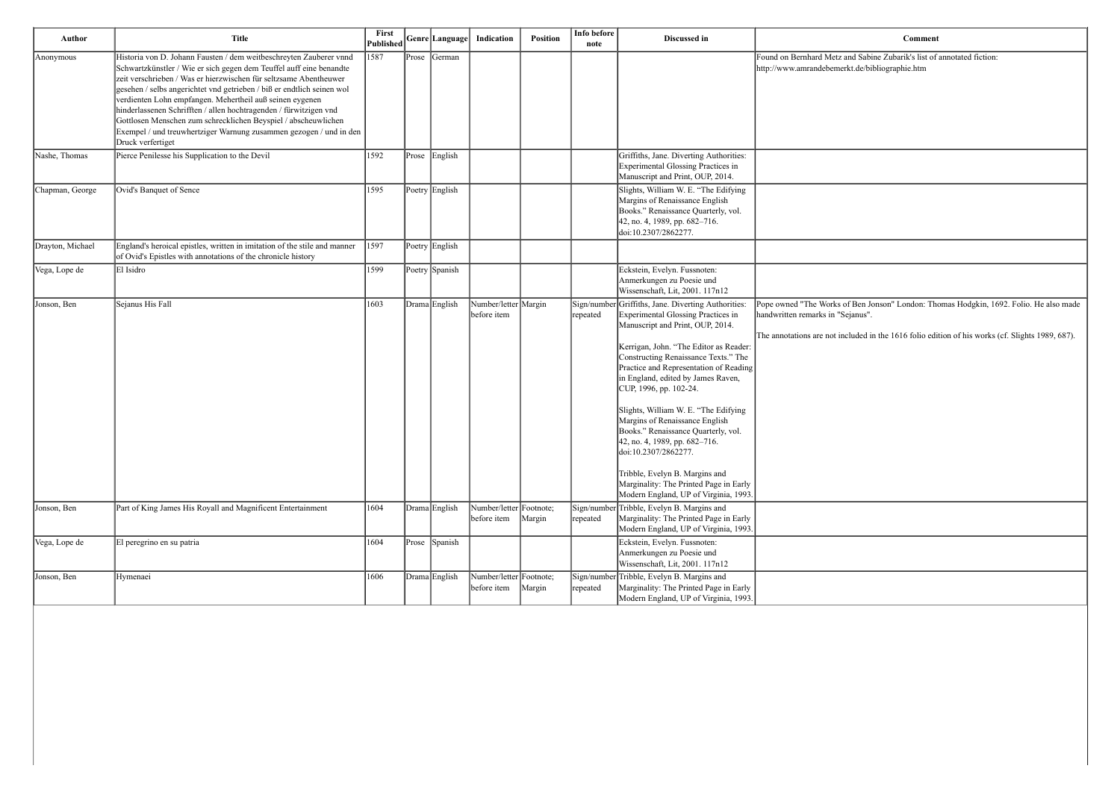| Author           | <b>Title</b>                                                                                                                                                                                                                                                                                                                                                                                                                                                                                                                                                                           | First<br>Published |       |                | Genre Language   Indication            | Position | Info before<br>note     | Discussed in                                                                                                                                                                                                                                                                                                                                                                                                                                                                                                                                                                                                            | Comment                                                                                                                                         |
|------------------|----------------------------------------------------------------------------------------------------------------------------------------------------------------------------------------------------------------------------------------------------------------------------------------------------------------------------------------------------------------------------------------------------------------------------------------------------------------------------------------------------------------------------------------------------------------------------------------|--------------------|-------|----------------|----------------------------------------|----------|-------------------------|-------------------------------------------------------------------------------------------------------------------------------------------------------------------------------------------------------------------------------------------------------------------------------------------------------------------------------------------------------------------------------------------------------------------------------------------------------------------------------------------------------------------------------------------------------------------------------------------------------------------------|-------------------------------------------------------------------------------------------------------------------------------------------------|
| Anonymous        | Historia von D. Johann Fausten / dem weitbeschreyten Zauberer vnnd<br>Schwartzkünstler / Wie er sich gegen dem Teuffel auff eine benandte<br>zeit verschrieben / Was er hierzwischen für seltzsame Abentheuwer<br>gesehen / selbs angerichtet vnd getrieben / biß er endtlich seinen wol<br>verdienten Lohn empfangen. Mehertheil auß seinen eygenen<br>hinderlassenen Schrifften / allen hochtragenden / fürwitzigen vnd<br>Gottlosen Menschen zum schrecklichen Beyspiel / abscheuwlichen<br>Exempel / und treuwhertziger Warnung zusammen gezogen / und in den<br>Druck verfertiget | 1587               | Prose | German         |                                        |          |                         |                                                                                                                                                                                                                                                                                                                                                                                                                                                                                                                                                                                                                         | Found on Bernhard Metz and Sabine Zubarik's list of<br>http://www.amrandebemerkt.de/bibliographie.htm                                           |
| Nashe, Thomas    | Pierce Penilesse his Supplication to the Devil                                                                                                                                                                                                                                                                                                                                                                                                                                                                                                                                         | 1592               |       | Prose English  |                                        |          |                         | Griffiths, Jane. Diverting Authorities:<br>Experimental Glossing Practices in<br>Manuscript and Print, OUP, 2014.                                                                                                                                                                                                                                                                                                                                                                                                                                                                                                       |                                                                                                                                                 |
| Chapman, George  | Ovid's Banquet of Sence                                                                                                                                                                                                                                                                                                                                                                                                                                                                                                                                                                | 1595               |       | Poetry English |                                        |          |                         | Slights, William W. E. "The Edifying<br>Margins of Renaissance English<br>Books." Renaissance Quarterly, vol.<br>42, no. 4, 1989, pp. 682-716.<br>doi:10.2307/2862277.                                                                                                                                                                                                                                                                                                                                                                                                                                                  |                                                                                                                                                 |
| Drayton, Michael | England's heroical epistles, written in imitation of the stile and manner<br>of Ovid's Epistles with annotations of the chronicle history                                                                                                                                                                                                                                                                                                                                                                                                                                              | 1597               |       | Poetry English |                                        |          |                         |                                                                                                                                                                                                                                                                                                                                                                                                                                                                                                                                                                                                                         |                                                                                                                                                 |
| Vega, Lope de    | El Isidro                                                                                                                                                                                                                                                                                                                                                                                                                                                                                                                                                                              | 1599               |       | Poetry Spanish |                                        |          |                         | Eckstein, Evelyn. Fussnoten:<br>Anmerkungen zu Poesie und<br>Wissenschaft, Lit, 2001. 117n12                                                                                                                                                                                                                                                                                                                                                                                                                                                                                                                            |                                                                                                                                                 |
| Jonson, Ben      | Sejanus His Fall                                                                                                                                                                                                                                                                                                                                                                                                                                                                                                                                                                       | 1603               |       | Drama English  | Number/letter Margin<br>before item    |          | repeated                | Sign/number Griffiths, Jane. Diverting Authorities:<br>Experimental Glossing Practices in<br>Manuscript and Print, OUP, 2014.<br>Kerrigan, John. "The Editor as Reader:<br>Constructing Renaissance Texts." The<br>Practice and Representation of Reading<br>in England, edited by James Raven,<br>CUP, 1996, pp. 102-24.<br>Slights, William W. E. "The Edifying<br>Margins of Renaissance English<br>Books." Renaissance Quarterly, vol.<br>42, no. 4, 1989, pp. 682-716.<br>doi:10.2307/2862277.<br>Tribble, Evelyn B. Margins and<br>Marginality: The Printed Page in Early<br>Modern England, UP of Virginia, 1993 | Pope owned "The Works of Ben Jonson" London: The<br>handwritten remarks in "Sejanus".<br>The annotations are not included in the 1616 folio edi |
| Jonson, Ben      | Part of King James His Royall and Magnificent Entertainment                                                                                                                                                                                                                                                                                                                                                                                                                                                                                                                            | 1604               |       | Drama English  | Number/letter Footnote;<br>before item | Margin   | repeated                | Sign/number Tribble, Evelyn B. Margins and<br>Marginality: The Printed Page in Early<br>Modern England, UP of Virginia, 1993.                                                                                                                                                                                                                                                                                                                                                                                                                                                                                           |                                                                                                                                                 |
| Vega, Lope de    | El peregrino en su patria                                                                                                                                                                                                                                                                                                                                                                                                                                                                                                                                                              | 1604               |       | Prose Spanish  |                                        |          |                         | Eckstein, Evelyn. Fussnoten:<br>Anmerkungen zu Poesie und<br>Wissenschaft, Lit, 2001. 117n12                                                                                                                                                                                                                                                                                                                                                                                                                                                                                                                            |                                                                                                                                                 |
| Jonson, Ben      | Hymenaei                                                                                                                                                                                                                                                                                                                                                                                                                                                                                                                                                                               | 1606               |       | Drama English  | Number/letter Footnote;<br>before item | Margin   | Sign/number<br>repeated | Tribble, Evelyn B. Margins and<br>Marginality: The Printed Page in Early<br>Modern England, UP of Virginia, 1993.                                                                                                                                                                                                                                                                                                                                                                                                                                                                                                       |                                                                                                                                                 |

| Comment |  |
|---------|--|

and Sabine Zubarik's list of annotated fiction: erkt.de/bibliographie.htm

of Ben Jonson" London: Thomas Hodgkin, 1692. Folio. He also made Sejanus".

ncluded in the 1616 folio edition of his works (cf. Slights 1989, 687).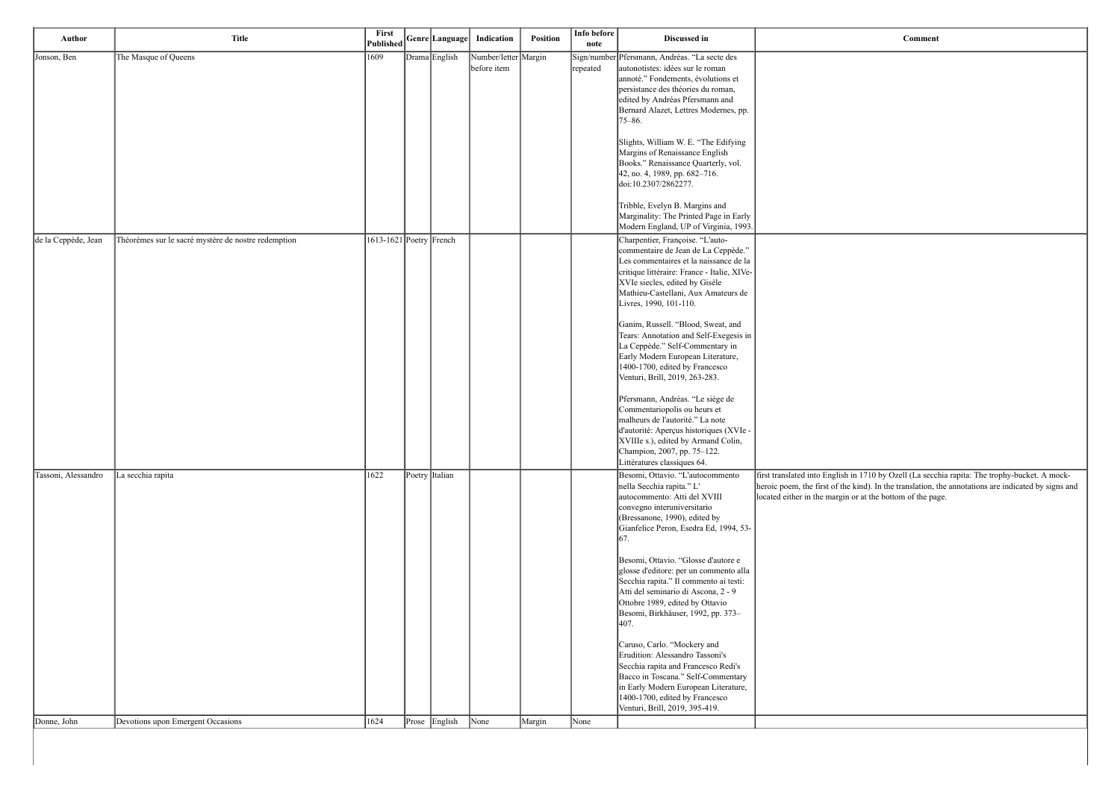first translated into English in 1710 by Ozell (La secchia rapita: The trophy-bucket. A mockheroic poem, the first of the kind). In the translation, the annotations are indicated by signs and hargin or at the bottom of the page.

| Author              | <b>Title</b>                                        | First<br><b>Published</b>   | Genre Language | Indication                          | <b>Position</b> | Info before<br>note | Discussed in                                                                                                                                                                                                                                                        |                                                                                   |
|---------------------|-----------------------------------------------------|-----------------------------|----------------|-------------------------------------|-----------------|---------------------|---------------------------------------------------------------------------------------------------------------------------------------------------------------------------------------------------------------------------------------------------------------------|-----------------------------------------------------------------------------------|
| Jonson, Ben         | The Masque of Queens                                | 1609                        | Drama English  | Number/letter Margin<br>before item |                 | repeated            | Sign/number Pfersmann, Andréas. "La secte des<br>autonotistes: idées sur le roman<br>annoté." Fondements, évolutions et<br>persistance des théories du roman,<br>edited by Andréas Pfersmann and<br>Bernard Alazet, Lettres Modernes, pp.<br>$75 - 86.$             |                                                                                   |
|                     |                                                     |                             |                |                                     |                 |                     | Slights, William W. E. "The Edifying<br>Margins of Renaissance English<br>Books." Renaissance Quarterly, vol.<br>42, no. 4, 1989, pp. 682-716.<br>doi:10.2307/2862277.                                                                                              |                                                                                   |
|                     |                                                     |                             |                |                                     |                 |                     | Tribble, Evelyn B. Margins and<br>Marginality: The Printed Page in Early<br>Modern England, UP of Virginia, 1993.                                                                                                                                                   |                                                                                   |
| de la Ceppède, Jean | Théorèmes sur le sacré mystère de nostre redemption | $1613 - 1621$ Poetry French |                |                                     |                 |                     | Charpentier, Françoise. "L'auto-<br>commentaire de Jean de La Ceppède."<br>Les commentaires et la naissance de la<br>critique littéraire: France - Italie, XIVe-<br>XVIe siecles, edited by Gisèle<br>Mathieu-Castellani, Aux Amateurs de<br>Livres, 1990, 101-110. |                                                                                   |
|                     |                                                     |                             |                |                                     |                 |                     | Ganim, Russell. "Blood, Sweat, and<br>Tears: Annotation and Self-Exegesis in<br>La Ceppède." Self-Commentary in<br>Early Modern European Literature,<br>1400-1700, edited by Francesco<br>Venturi, Brill, 2019, 263-283.                                            |                                                                                   |
|                     |                                                     |                             |                |                                     |                 |                     | Pfersmann, Andréas. "Le siège de<br>Commentariopolis ou heurs et<br>malheurs de l'autorité." La note<br>d'autorité: Aperçus historiques (XVIe -<br>XVIIIe s.), edited by Armand Colin,<br>Champion, 2007, pp. 75-122.<br>Littératures classiques 64.                |                                                                                   |
| Tassoni, Alessandro | La secchia rapita                                   | 1622                        | Poetry Italian |                                     |                 |                     | Besomi, Ottavio. "L'autocommento<br>nella Secchia rapita." L'<br>autocommento: Atti del XVIII<br>convegno interuniversitario<br>(Bressanone, 1990), edited by<br>Gianfelice Peron, Esedra Ed, 1994, 53-<br>67.                                                      | first translated into Eng<br>heroic poem, the first o<br>located either in the ma |
|                     |                                                     |                             |                |                                     |                 |                     | Besomi, Ottavio. "Glosse d'autore e<br>glosse d'editore: per un commento alla<br>Secchia rapita." Il commento ai testi:<br>Atti del seminario di Ascona, 2 - 9<br>Ottobre 1989, edited by Ottavio<br>Besomi, Birkhäuser, 1992, pp. 373-<br>407.                     |                                                                                   |
|                     |                                                     |                             |                |                                     |                 |                     | Caruso, Carlo. "Mockery and<br>Erudition: Alessandro Tassoni's<br>Secchia rapita and Francesco Redi's<br>Bacco in Toscana." Self-Commentary<br>in Early Modern European Literature,<br>1400-1700, edited by Francesco<br>Venturi, Brill, 2019, 395-419.             |                                                                                   |
| Donne, John         | Devotions upon Emergent Occasions                   | 1624                        | Prose English  | $\sqrt{\frac{1}{2}}$                | Margin          | None                |                                                                                                                                                                                                                                                                     |                                                                                   |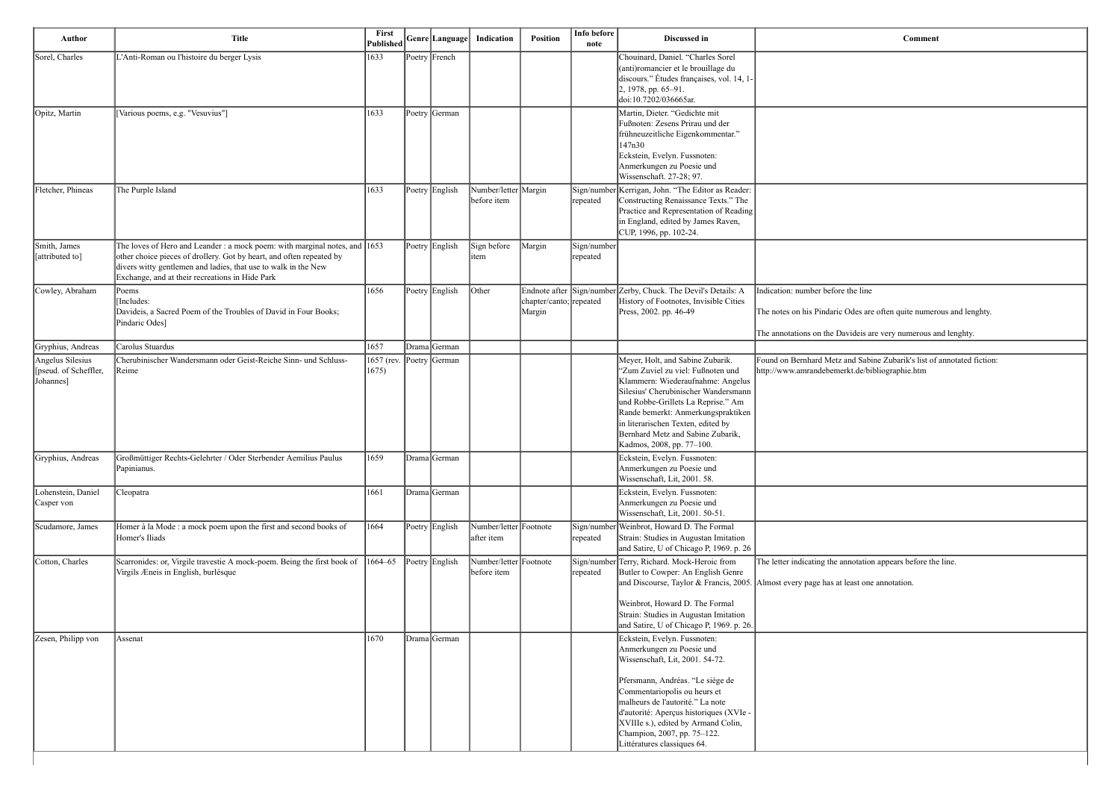| Author                                                  | <b>Title</b>                                                                                                                                                                                                                                                                      | First<br><b>Published</b> | Genre Language        | Indication                            | Position                          | Info before<br>note     | Discussed in                                                                                                                                                                                                                                                                                                                                         | Comment                                                                                                                                             |
|---------------------------------------------------------|-----------------------------------------------------------------------------------------------------------------------------------------------------------------------------------------------------------------------------------------------------------------------------------|---------------------------|-----------------------|---------------------------------------|-----------------------------------|-------------------------|------------------------------------------------------------------------------------------------------------------------------------------------------------------------------------------------------------------------------------------------------------------------------------------------------------------------------------------------------|-----------------------------------------------------------------------------------------------------------------------------------------------------|
| Sorel, Charles                                          | L'Anti-Roman ou l'histoire du berger Lysis                                                                                                                                                                                                                                        | 1633                      | Poetry French         |                                       |                                   |                         | Chouinard, Daniel. "Charles Sorel<br>(anti)romancier et le brouillage du<br>discours." Études françaises, vol. 14, 1-<br>2, 1978, pp. 65-91.<br>doi:10.7202/036665ar.                                                                                                                                                                                |                                                                                                                                                     |
| Opitz, Martin                                           | [Various poems, e.g. "Vesuvius"]                                                                                                                                                                                                                                                  | 1633                      | Poetry German         |                                       |                                   |                         | Martin, Dieter. "Gedichte mit<br>Fußnoten: Zesens Prirau und der<br>frühneuzeitliche Eigenkommentar."<br>147n30<br>Eckstein, Evelyn. Fussnoten:<br>Anmerkungen zu Poesie und<br>Wissenschaft. 27-28; 97.                                                                                                                                             |                                                                                                                                                     |
| Fletcher, Phineas                                       | The Purple Island                                                                                                                                                                                                                                                                 | 1633                      | Poetry English        | Number/letter Margin<br>before item   |                                   | repeated                | Sign/number Kerrigan, John. "The Editor as Reader:<br>Constructing Renaissance Texts." The<br>Practice and Representation of Reading<br>in England, edited by James Raven,<br>CUP, 1996, pp. 102-24.                                                                                                                                                 |                                                                                                                                                     |
| Smith, James<br>attributed to]                          | The loves of Hero and Leander : a mock poem: with marginal notes, and $ 1653\rangle$<br>other choice pieces of drollery. Got by heart, and often repeated by<br>divers witty gentlemen and ladies, that use to walk in the New<br>Exchange, and at their recreations in Hide Park |                           | Poetry English        | Sign before<br>item                   | Margin                            | Sign/number<br>repeated |                                                                                                                                                                                                                                                                                                                                                      |                                                                                                                                                     |
| Cowley, Abraham                                         | Poems<br>Includes:<br>Davideis, a Sacred Poem of the Troubles of David in Four Books;<br>Pindaric Odes]                                                                                                                                                                           | 1656                      | Poetry English        | Other                                 | chapter/canto; repeated<br>Margin |                         | Endnote after Sign/number Zerby, Chuck. The Devil's Details: A<br>History of Footnotes, Invisible Cities<br>Press, 2002. pp. 46-49                                                                                                                                                                                                                   | Indication: number before the line<br>The notes on his Pindaric Odes are often quite numero<br>The annotations on the Davideis are very numerous ar |
| Gryphius, Andreas                                       | Carolus Stuardus                                                                                                                                                                                                                                                                  | 1657                      | Drama German          |                                       |                                   |                         |                                                                                                                                                                                                                                                                                                                                                      |                                                                                                                                                     |
| Angelus Silesius<br>[pseud. of Scheffler,<br>[Johannes] | Cherubinischer Wandersmann oder Geist-Reiche Sinn- und Schluss-<br>Reime                                                                                                                                                                                                          | 1657 (rev.<br>1675)       | $\vert$ Poetry German |                                       |                                   |                         | Meyer, Holt, and Sabine Zubarik.<br>"Zum Zuviel zu viel: Fußnoten und<br>Klammern: Wiederaufnahme: Angelus<br>Silesius' Cherubinischer Wandersmann<br>und Robbe-Grillets La Reprise." Am<br>Rande bemerkt: Anmerkungspraktiken<br>in literarischen Texten, edited by<br>Bernhard Metz and Sabine Zubarik,<br>Kadmos, 2008, pp. 77-100.               | Found on Bernhard Metz and Sabine Zubarik's list of<br>http://www.amrandebemerkt.de/bibliographie.htm                                               |
| Gryphius, Andreas                                       | Großmüttiger Rechts-Gelehrter / Oder Sterbender Aemilius Paulus<br>Papinianus.                                                                                                                                                                                                    | 1659                      | Drama German          |                                       |                                   |                         | Eckstein, Evelyn. Fussnoten:<br>Anmerkungen zu Poesie und<br>Wissenschaft, Lit, 2001. 58.                                                                                                                                                                                                                                                            |                                                                                                                                                     |
| Lohenstein, Daniel<br>Casper von                        | Cleopatra                                                                                                                                                                                                                                                                         | 1661                      | Drama German          |                                       |                                   |                         | Eckstein, Evelyn. Fussnoten:<br>Anmerkungen zu Poesie und<br>Wissenschaft, Lit, 2001. 50-51.                                                                                                                                                                                                                                                         |                                                                                                                                                     |
| Scudamore, James                                        | Homer à la Mode : a mock poem upon the first and second books of<br>Homer's Iliads                                                                                                                                                                                                | 1664                      | Poetry English        | Number/letter Footnote<br>after item  |                                   | Sign/number<br>repeated | Weinbrot, Howard D. The Formal<br>Strain: Studies in Augustan Imitation<br>and Satire, U of Chicago P, 1969. p. 26                                                                                                                                                                                                                                   |                                                                                                                                                     |
| Cotton, Charles                                         | Scarronides: or, Virgile travestie A mock-poem. Being the first book of<br>Virgils Æneis in English, burlésque                                                                                                                                                                    | $1664 - 65$               | Poetry English        | Number/letter Footnote<br>before item |                                   | repeated                | Sign/number Terry, Richard. Mock-Heroic from<br>Butler to Cowper: An English Genre<br>and Discourse, Taylor & Francis, 2005.<br>Weinbrot, Howard D. The Formal<br>Strain: Studies in Augustan Imitation<br>and Satire, U of Chicago P, 1969. p. 26.                                                                                                  | The letter indicating the annotation appears before the<br>Almost every page has at least one annotation.                                           |
| Zesen, Philipp von                                      | Assenat                                                                                                                                                                                                                                                                           | 1670                      | Drama German          |                                       |                                   |                         | Eckstein, Evelyn. Fussnoten:<br>Anmerkungen zu Poesie und<br>Wissenschaft, Lit, 2001. 54-72.<br>Pfersmann, Andréas. "Le siège de<br>Commentariopolis ou heurs et<br>malheurs de l'autorité." La note<br>d'autorité: Aperçus historiques (XVIe -<br>XVIIIe s.), edited by Armand Colin,<br>Champion, 2007, pp. 75-122.<br>Littératures classiques 64. |                                                                                                                                                     |

| <b>Comment</b>                                                         |
|------------------------------------------------------------------------|
|                                                                        |
|                                                                        |
|                                                                        |
|                                                                        |
|                                                                        |
|                                                                        |
|                                                                        |
|                                                                        |
|                                                                        |
|                                                                        |
|                                                                        |
| Indication: number before the line                                     |
| The notes on his Pindaric Odes are often quite numerous and lenghty.   |
| The annotations on the Davideis are very numerous and lenghty.         |
| Found on Bernhard Metz and Sabine Zubarik's list of annotated fiction: |
| http://www.amrandebemerkt.de/bibliographie.htm                         |
|                                                                        |
|                                                                        |
|                                                                        |
|                                                                        |
|                                                                        |
|                                                                        |
|                                                                        |
| The letter indicating the annotation appears before the line.          |
| Almost every page has at least one annotation.                         |
|                                                                        |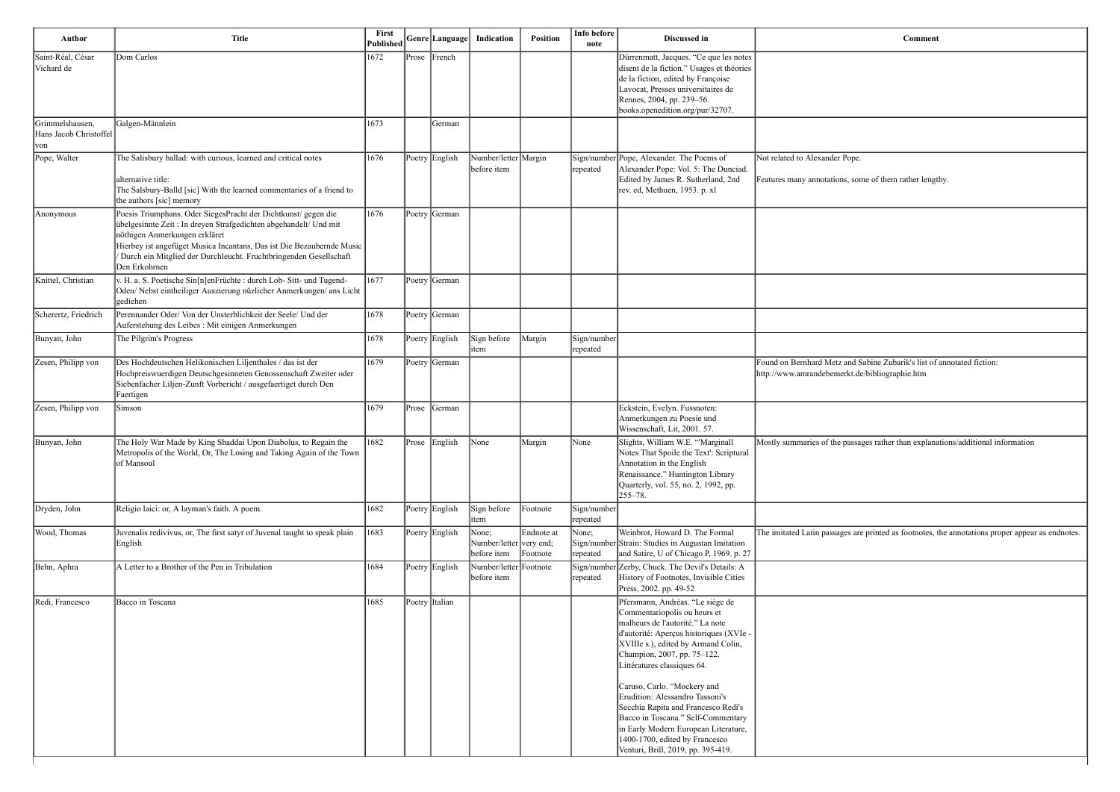| Author                                            | <b>Title</b>                                                                                                                                                                                                                                                                                                                        | First<br>Published |       | Genre  Language | Indication                                      | Position               | Info before<br>note     | <b>Discussed in</b>                                                                                                                                                                                                                                                                                                                                                                                                                                                                                                 | Comment                                                                                               |
|---------------------------------------------------|-------------------------------------------------------------------------------------------------------------------------------------------------------------------------------------------------------------------------------------------------------------------------------------------------------------------------------------|--------------------|-------|-----------------|-------------------------------------------------|------------------------|-------------------------|---------------------------------------------------------------------------------------------------------------------------------------------------------------------------------------------------------------------------------------------------------------------------------------------------------------------------------------------------------------------------------------------------------------------------------------------------------------------------------------------------------------------|-------------------------------------------------------------------------------------------------------|
| Saint-Réal, César<br>Vichard de                   | Dom Carlos                                                                                                                                                                                                                                                                                                                          | 1672               |       | Prose French    |                                                 |                        |                         | Dürrenmatt, Jacques. "Ce que les notes<br>disent de la fiction." Usages et théories<br>de la fiction, edited by Françoise<br>Lavocat, Presses universitaires de<br>Rennes, 2004, pp. 239-56.<br>books.openedition.org/pur/32707.                                                                                                                                                                                                                                                                                    |                                                                                                       |
| Grimmelshausen,<br>Hans Jacob Christoffel<br> von | Galgen-Männlein                                                                                                                                                                                                                                                                                                                     | 1673               |       | German          |                                                 |                        |                         |                                                                                                                                                                                                                                                                                                                                                                                                                                                                                                                     |                                                                                                       |
| Pope, Walter                                      | The Salisbury ballad: with curious, learned and critical notes<br>alternative title:<br>The Salsbury-Balld [sic] With the learned commentaries of a friend to<br>the authors [sic] memory                                                                                                                                           | 1676               |       | Poetry English  | Number/letter Margin<br>before item             |                        | repeated                | Sign/number Pope, Alexander. The Poems of<br>Alexander Pope: Vol. 5: The Dunciad.<br>Edited by James R. Sutherland, 2nd<br>rev. ed, Methuen, 1953. p. xl                                                                                                                                                                                                                                                                                                                                                            | Not related to Alexander Pope.<br>Features many annotations, some of them rather lengt                |
| Anonymous                                         | Poesis Triumphans. Oder SiegesPracht der Dichtkunst/ gegen die<br>übelgesinnte Zeit : In dreyen Strafgedichten abgehandelt/ Und mit<br>nöthigen Anmerkungen erkläret<br>Hierbey ist angefüget Musica Incantans, Das ist Die Bezaubernde Music<br>Durch ein Mitglied der Durchleucht. Fruchtbringenden Gesellschaft<br>Den Erkohrnen | 1676               |       | Poetry   German |                                                 |                        |                         |                                                                                                                                                                                                                                                                                                                                                                                                                                                                                                                     |                                                                                                       |
| Knittel, Christian                                | v. H. a. S. Poetische Sin[n]enFrüchte : durch Lob- Sitt- und Tugend-<br>Oden/Nebst eintheiliger Auszierung nüzlicher Anmerkungen/ ans Licht<br>gediehen                                                                                                                                                                             | 1677               |       | Poetry German   |                                                 |                        |                         |                                                                                                                                                                                                                                                                                                                                                                                                                                                                                                                     |                                                                                                       |
| Scherertz, Friedrich                              | Perennander Oder/Von der Unsterblichkeit der Seele/Und der<br>Auferstehung des Leibes : Mit einigen Anmerkungen                                                                                                                                                                                                                     | 1678               |       | Poetry German   |                                                 |                        |                         |                                                                                                                                                                                                                                                                                                                                                                                                                                                                                                                     |                                                                                                       |
| Bunyan, John                                      | The Pilgrim's Progress                                                                                                                                                                                                                                                                                                              | 1678               |       | Poetry English  | Sign before<br>item                             | Margin                 | Sign/number<br>repeated |                                                                                                                                                                                                                                                                                                                                                                                                                                                                                                                     |                                                                                                       |
| Zesen, Philipp von                                | Des Hochdeutschen Helikonischen Liljenthales / das ist der<br>Hochpreiswuerdigen Deutschgesinneten Genossenschaft Zweiter oder<br>Siebenfacher Liljen-Zunft Vorbericht / ausgefaertiget durch Den<br>Faertigen                                                                                                                      | 1679               |       | Poetry   German |                                                 |                        |                         |                                                                                                                                                                                                                                                                                                                                                                                                                                                                                                                     | Found on Bernhard Metz and Sabine Zubarik's list of<br>http://www.amrandebemerkt.de/bibliographie.htm |
| Zesen, Philipp von                                | Simson                                                                                                                                                                                                                                                                                                                              | 1679               | Prose | <b>S</b> erman  |                                                 |                        |                         | Eckstein, Evelyn. Fussnoten:<br>Anmerkungen zu Poesie und<br>Wissenschaft, Lit, 2001. 57.                                                                                                                                                                                                                                                                                                                                                                                                                           |                                                                                                       |
| Bunyan, John                                      | The Holy War Made by King Shaddai Upon Diabolus, to Regain the<br>Metropolis of the World, Or, The Losing and Taking Again of the Town<br>of Mansoul                                                                                                                                                                                | 1682               | Prose | English         | None                                            | Margin                 | None                    | Slights, William W.E. "Marginall<br>Notes That Spoile the Text': Scriptural<br>Annotation in the English<br>Renaissance." Huntington Library<br>Quarterly, vol. 55, no. 2, 1992, pp.<br>$255 - 78.$                                                                                                                                                                                                                                                                                                                 | Mostly summaries of the passages rather than explana                                                  |
| Dryden, John                                      | Religio laici: or, A layman's faith. A poem.                                                                                                                                                                                                                                                                                        | 1682               |       | Poetry English  | Sign before<br>item                             | Footnote               | Sign/number<br>repeated |                                                                                                                                                                                                                                                                                                                                                                                                                                                                                                                     |                                                                                                       |
| Wood, Thomas                                      | Juvenalis redivivus, or, The first satyr of Juvenal taught to speak plain<br>English                                                                                                                                                                                                                                                | 1683               |       | Poetry English  | None;<br>Number/letter very end;<br>before item | Endnote at<br>Footnote | None;<br>repeated       | Weinbrot, Howard D. The Formal<br>Sign/number Strain: Studies in Augustan Imitation<br>and Satire, U of Chicago P, 1969. p. 27                                                                                                                                                                                                                                                                                                                                                                                      | The imitated Latin passages are printed as footnotes, t                                               |
| Behn, Aphra                                       | A Letter to a Brother of the Pen in Tribulation                                                                                                                                                                                                                                                                                     | 1684               |       | Poetry English  | Number/letter Footnote<br>before item           |                        | Sign/number<br>repeated | Zerby, Chuck. The Devil's Details: A<br>History of Footnotes, Invisible Cities<br>Press, 2002. pp. 49-52                                                                                                                                                                                                                                                                                                                                                                                                            |                                                                                                       |
| Redi, Francesco                                   | Bacco in Toscana                                                                                                                                                                                                                                                                                                                    | 1685               |       | Poetry Italian  |                                                 |                        |                         | Pfersmann, Andréas. "Le siège de<br>Commentariopolis ou heurs et<br>malheurs de l'autorité." La note<br>d'autorité: Aperçus historiques (XVIe -<br>XVIIIe s.), edited by Armand Colin,<br>Champion, 2007, pp. 75-122.<br>Littératures classiques 64.<br>Caruso, Carlo. "Mockery and<br>Erudition: Alessandro Tassoni's<br>Secchia Rapita and Francesco Redi's<br>Bacco in Toscana." Self-Commentary<br>in Early Modern European Literature,<br>1400-1700, edited by Francesco<br>Venturi, Brill, 2019, pp. 395-419. |                                                                                                       |

s, some of them rather lengthy.

and Sabine Zubarik's list of annotated fiction: erkt.de/bibliographie.htm

passages rather than explanations/additional information

ges are printed as footnotes, the annotations proper appear as endnotes.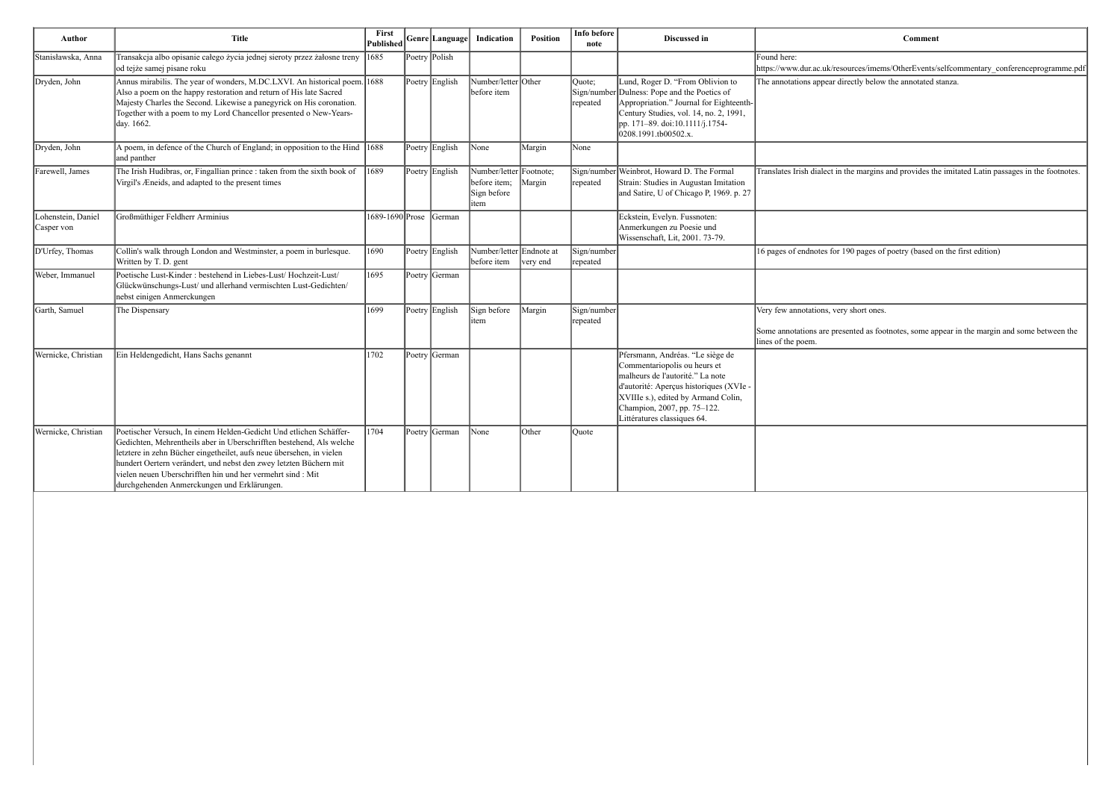$hbox{sources/imems/OtherEvents/selfcommentary\_conference programming.pdf}$ irectly below the annotated stanza.

the margins and provides the imitated Latin passages in the footnotes.

190 pages of poetry (based on the first edition)

y short ones.

sented as footnotes, some appear in the margin and some between the

| Author                           | <b>Title</b>                                                                                                                                                                                                                                                                                                                                                                                          | First<br><b>Published</b> | Genre Language | Indication                                                     | Position | Info before<br>note               | Discussed in                                                                                                                                                                                                                                         |                                                                               |
|----------------------------------|-------------------------------------------------------------------------------------------------------------------------------------------------------------------------------------------------------------------------------------------------------------------------------------------------------------------------------------------------------------------------------------------------------|---------------------------|----------------|----------------------------------------------------------------|----------|-----------------------------------|------------------------------------------------------------------------------------------------------------------------------------------------------------------------------------------------------------------------------------------------------|-------------------------------------------------------------------------------|
| Stanisławska, Anna               | Transakcja albo opisanie całego życia jednej sieroty przez żałosne treny<br>od tejże samej pisane roku                                                                                                                                                                                                                                                                                                | 1685                      | Poetry Polish  |                                                                |          |                                   |                                                                                                                                                                                                                                                      | Found here:<br>https://www.dur.ac.uk/reso                                     |
| Dryden, John                     | Annus mirabilis. The year of wonders, M.DC.LXVI. An historical poem. 1688<br>Also a poem on the happy restoration and return of His late Sacred<br>Majesty Charles the Second. Likewise a panegyrick on His coronation.<br>Together with a poem to my Lord Chancellor presented o New-Years-<br>day. 1662.                                                                                            |                           | Poetry English | Number/letter Other<br>before item                             |          | Ouote;<br>Sign/number<br>repeated | Lund, Roger D. "From Oblivion to<br>Dulness: Pope and the Poetics of<br>Appropriation." Journal for Eighteenth-<br>Century Studies, vol. 14, no. 2, 1991,<br>pp. 171–89. doi:10.1111/j.1754-<br>0208.1991.tb00502.x.                                 | The annotations appear direct                                                 |
| Dryden, John                     | A poem, in defence of the Church of England; in opposition to the Hind<br>and panther                                                                                                                                                                                                                                                                                                                 | $ 1688\rangle$            | Poetry English | None                                                           | Margin   | None                              |                                                                                                                                                                                                                                                      |                                                                               |
| Farewell, James                  | The Irish Hudibras, or, Fingallian prince : taken from the sixth book of<br>Virgil's Æneids, and adapted to the present times                                                                                                                                                                                                                                                                         | 1689                      | Poetry English | Number/letter Footnote;<br>before item;<br>Sign before<br>item | Margin   | repeated                          | Sign/number Weinbrot, Howard D. The Formal<br>Strain: Studies in Augustan Imitation<br>and Satire, U of Chicago P, 1969. p. 27                                                                                                                       | Translates Irish dialect in t                                                 |
| Lohenstein, Daniel<br>Casper von | Großmüthiger Feldherr Arminius                                                                                                                                                                                                                                                                                                                                                                        | 1689-1690 Prose           | German         |                                                                |          |                                   | Eckstein, Evelyn. Fussnoten:<br>Anmerkungen zu Poesie und<br>Wissenschaft, Lit, 2001. 73-79.                                                                                                                                                         |                                                                               |
| D'Urfey, Thomas                  | Collin's walk through London and Westminster, a poem in burlesque.<br>Written by T. D. gent                                                                                                                                                                                                                                                                                                           | 1690                      | Poetry English | Number/letter Endnote at<br>before item                        | very end | Sign/number<br>repeated           |                                                                                                                                                                                                                                                      | 16 pages of endnotes for 1                                                    |
| Weber, Immanuel                  | Poetische Lust-Kinder: bestehend in Liebes-Lust/Hochzeit-Lust/<br>Glückwünschungs-Lust/ und allerhand vermischten Lust-Gedichten/<br>nebst einigen Anmerckungen                                                                                                                                                                                                                                       | 1695                      | Poetry German  |                                                                |          |                                   |                                                                                                                                                                                                                                                      |                                                                               |
| Garth, Samuel                    | The Dispensary                                                                                                                                                                                                                                                                                                                                                                                        | 1699                      | Poetry English | Sign before<br>item                                            | Margin   | Sign/number<br>repeated           |                                                                                                                                                                                                                                                      | Very few annotations, very<br>Some annotations are pres<br>lines of the poem. |
| Wernicke, Christian              | Ein Heldengedicht, Hans Sachs genannt                                                                                                                                                                                                                                                                                                                                                                 | 1702                      | Poetry German  |                                                                |          |                                   | Pfersmann, Andréas. "Le siège de<br>Commentariopolis ou heurs et<br>malheurs de l'autorité." La note<br>d'autorité: Aperçus historiques (XVIe -<br>XVIIIe s.), edited by Armand Colin,<br>Champion, 2007, pp. 75-122.<br>Littératures classiques 64. |                                                                               |
| Wernicke, Christian              | Poetischer Versuch, In einem Helden-Gedicht Und etlichen Schäffer-<br>Gedichten, Mehrentheils aber in Uberschrifften bestehend, Als welche<br>letztere in zehn Bücher eingetheilet, aufs neue übersehen, in vielen<br>hundert Oertern verändert, und nebst den zwey letzten Büchern mit<br>vielen neuen Uberschrifften hin und her vermehrt sind : Mit<br>durchgehenden Anmerckungen und Erklärungen. | 1704                      | Poetry German  | None                                                           | Other    | Ouote                             |                                                                                                                                                                                                                                                      |                                                                               |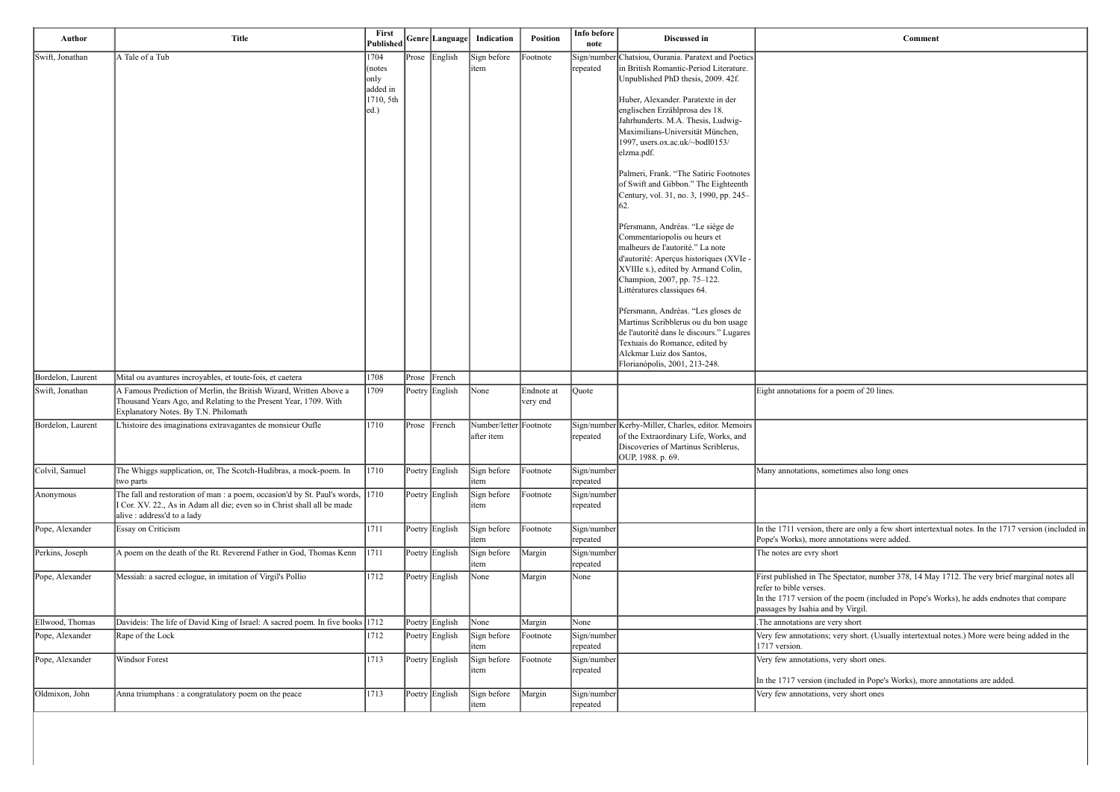poem of 20 lines.

netimes also long ones

ere are only a few short intertextual notes. In the 1717 version (included in nnotations were added.

Spectator, number 378, 14 May 1712. The very brief marginal notes all

the poem (included in Pope's Works), he adds endnotes that compare by Virgil.

very short. (Usually intertextual notes.) More were being added in the

very short ones.

cluded in Pope's Works), more annotations are added.

very short ones

| Author            | <b>Title</b>                                                                                                                                                                           | First<br><b>Published</b>             |       | Genre  Language | Indication                           | <b>Position</b>        | Info before<br>note     | Discussed in                                                                                                                                                                                                                                         |                                                                                                                                |
|-------------------|----------------------------------------------------------------------------------------------------------------------------------------------------------------------------------------|---------------------------------------|-------|-----------------|--------------------------------------|------------------------|-------------------------|------------------------------------------------------------------------------------------------------------------------------------------------------------------------------------------------------------------------------------------------------|--------------------------------------------------------------------------------------------------------------------------------|
| Swift, Jonathan   | A Tale of a Tub                                                                                                                                                                        | 1704<br>(notes                        |       | Prose English   | Sign before<br>item                  | Footnote               | repeated                | Sign/number Chatsiou, Ourania. Paratext and Poetics<br>in British Romantic-Period Literature.                                                                                                                                                        |                                                                                                                                |
|                   |                                                                                                                                                                                        | only<br>added in<br>1710, 5th<br> ed. |       |                 |                                      |                        |                         | Unpublished PhD thesis, 2009. 42f.<br>Huber, Alexander. Paratexte in der<br>englischen Erzählprosa des 18.<br>Jahrhunderts. M.A. Thesis, Ludwig-<br>Maximilians-Universität München,<br>1997, users.ox.ac.uk/~bodl0153/<br>elzma.pdf.                |                                                                                                                                |
|                   |                                                                                                                                                                                        |                                       |       |                 |                                      |                        |                         | Palmeri, Frank. "The Satiric Footnotes<br>of Swift and Gibbon." The Eighteenth<br>Century, vol. 31, no. 3, 1990, pp. 245–<br> 62.                                                                                                                    |                                                                                                                                |
|                   |                                                                                                                                                                                        |                                       |       |                 |                                      |                        |                         | Pfersmann, Andréas. "Le siège de<br>Commentariopolis ou heurs et<br>malheurs de l'autorité." La note<br>d'autorité: Aperçus historiques (XVIe -<br>XVIIIe s.), edited by Armand Colin,<br>Champion, 2007, pp. 75-122.<br>Littératures classiques 64. |                                                                                                                                |
|                   |                                                                                                                                                                                        |                                       |       |                 |                                      |                        |                         | Pfersmann, Andréas. "Les gloses de<br>Martinus Scribblerus ou du bon usage<br>de l'autorité dans le discours." Lugares<br>Textuais do Romance, edited by<br>Alckmar Luiz dos Santos,<br>Florianópolis, 2001, 213-248.                                |                                                                                                                                |
| Bordelon, Laurent | Mital ou avantures incroyables, et toute-fois, et caetera                                                                                                                              | 1708                                  | Prose | French          |                                      |                        |                         |                                                                                                                                                                                                                                                      |                                                                                                                                |
| Swift, Jonathan   | A Famous Prediction of Merlin, the British Wizard, Written Above a<br>Thousand Years Ago, and Relating to the Present Year, 1709. With<br>Explanatory Notes. By T.N. Philomath         | 1709                                  |       | Poetry English  | None                                 | Endnote at<br>very end | Quote                   |                                                                                                                                                                                                                                                      | Eight annotations for a poem o                                                                                                 |
| Bordelon, Laurent | L'histoire des imaginations extravagantes de monsieur Oufle                                                                                                                            | 1710                                  |       | Prose French    | Number/letter Footnote<br>after item |                        | repeated                | Sign/number Kerby-Miller, Charles, editor. Memoirs<br>of the Extraordinary Life, Works, and<br>Discoveries of Martinus Scriblerus,<br>OUP, 1988. p. 69.                                                                                              |                                                                                                                                |
| Colvil, Samuel    | The Whiggs supplication, or, The Scotch-Hudibras, a mock-poem. In<br>two parts                                                                                                         | 1710                                  |       | Poetry English  | Sign before<br>item                  | Footnote               | Sign/number<br>repeated |                                                                                                                                                                                                                                                      | Many annotations, sometimes a                                                                                                  |
| Anonymous         | The fall and restoration of man : a poem, occasion'd by St. Paul's words, 1710<br>Cor. XV. 22., As in Adam all die; even so in Christ shall all be made<br>alive : address'd to a lady |                                       |       | Poetry English  | Sign before<br>item                  | Footnote               | Sign/number<br>repeated |                                                                                                                                                                                                                                                      |                                                                                                                                |
| Pope, Alexander   | Essay on Criticism                                                                                                                                                                     | 1711                                  |       | Poetry English  | Sign before<br>item                  | Footnote               | Sign/number<br>repeated |                                                                                                                                                                                                                                                      | In the 1711 version, there are o<br>Pope's Works), more annotation                                                             |
| Perkins, Joseph   | A poem on the death of the Rt. Reverend Father in God, Thomas Kenn                                                                                                                     | 1711                                  |       | Poetry English  | Sign before<br>item                  | Margin                 | Sign/number<br>repeated |                                                                                                                                                                                                                                                      | The notes are evry short                                                                                                       |
| Pope, Alexander   | Messiah: a sacred eclogue, in imitation of Virgil's Pollio                                                                                                                             | 1712                                  |       | Poetry English  | None                                 | Margin                 | None                    |                                                                                                                                                                                                                                                      | First published in The Spectato<br>refer to bible verses.<br>In the 1717 version of the poen<br>passages by Isahia and by Virg |
| Ellwood, Thomas   | Davideis: The life of David King of Israel: A sacred poem. In five books 1712                                                                                                          |                                       |       | Poetry English  | None                                 | Margin                 | None                    |                                                                                                                                                                                                                                                      | The annotations are very short                                                                                                 |
| Pope, Alexander   | Rape of the Lock                                                                                                                                                                       | 1712                                  |       | Poetry English  | Sign before<br>item                  | Footnote               | Sign/number<br>repeated |                                                                                                                                                                                                                                                      | Very few annotations; very sho<br>1717 version.                                                                                |
| Pope, Alexander   | Windsor Forest                                                                                                                                                                         | 1713                                  |       | Poetry English  | Sign before<br>item                  | Footnote               | Sign/number<br>repeated |                                                                                                                                                                                                                                                      | Very few annotations, very sho                                                                                                 |
|                   |                                                                                                                                                                                        |                                       |       |                 |                                      |                        |                         |                                                                                                                                                                                                                                                      | In the 1717 version (included i                                                                                                |
| Oldmixon, John    | Anna triumphans : a congratulatory poem on the peace                                                                                                                                   | 1713                                  |       | Poetry English  | Sign before<br>item                  | Margin                 | Sign/number<br>repeated |                                                                                                                                                                                                                                                      | Very few annotations, very sho                                                                                                 |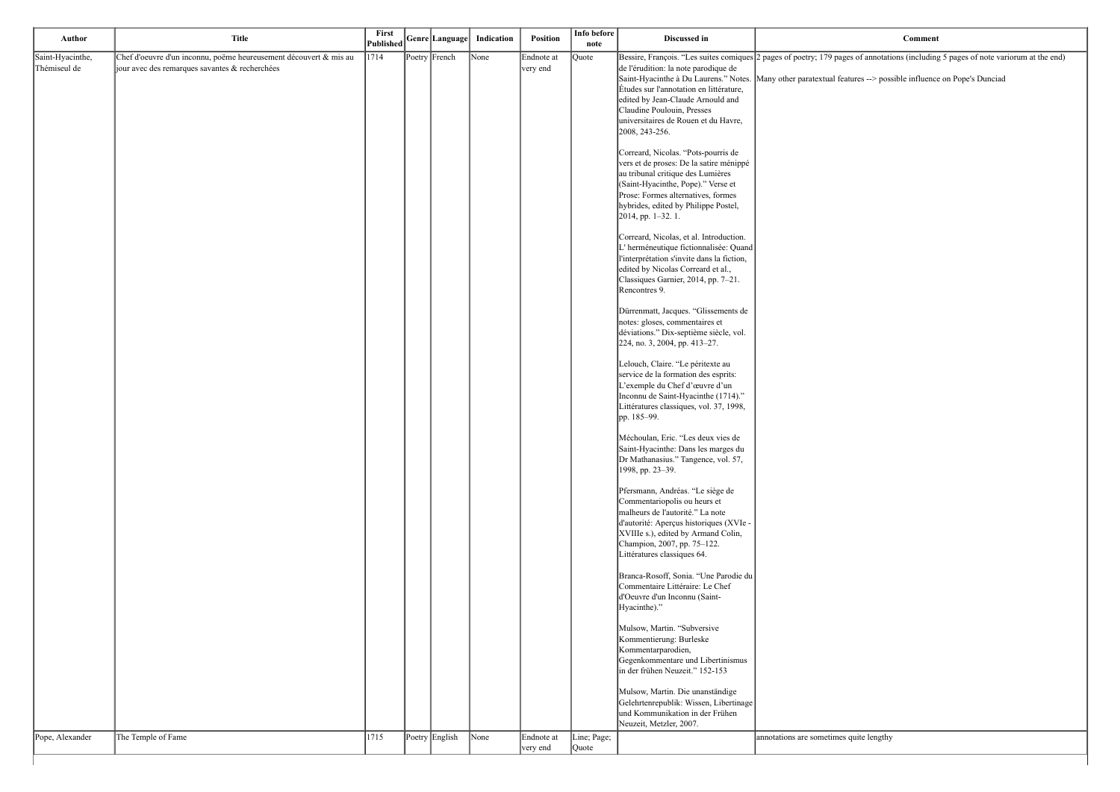bages of annotations (including 5 pages of note variorum at the end)

features --> possible influence on Pope's Dunciad

| Author           | <b>Title</b>                                                      | First<br>Published | Genre Language | Indication | Position               | Info before<br>note  | Discussed in                                                                                                                                                                                                                                                                   |                         |
|------------------|-------------------------------------------------------------------|--------------------|----------------|------------|------------------------|----------------------|--------------------------------------------------------------------------------------------------------------------------------------------------------------------------------------------------------------------------------------------------------------------------------|-------------------------|
| Saint-Hyacinthe, | Chef d'oeuvre d'un inconnu, poëme heureusement découvert & mis au | 1714               | Poetry French  | None       | Endnote at             | <b>Quote</b>         | Bessire, François. "Les suites comiques 2 pages of poetry; 179 pa                                                                                                                                                                                                              |                         |
| Thémiseul de     | jour avec des remarques savantes & recherchées                    |                    |                |            | very end               |                      | de l'érudition: la note parodique de<br>Saint-Hyacinthe à Du Laurens." Notes. Many other paratextual f<br>Études sur l'annotation en littérature,<br>edited by Jean-Claude Arnould and<br>Claudine Poulouin, Presses<br>universitaires de Rouen et du Havre,<br>2008, 243-256. |                         |
|                  |                                                                   |                    |                |            |                        |                      | Correard, Nicolas. "Pots-pourris de<br>vers et de proses: De la satire ménippé<br>au tribunal critique des Lumières<br>(Saint-Hyacinthe, Pope)." Verse et<br>Prose: Formes alternatives, formes<br>hybrides, edited by Philippe Postel,<br>2014, pp. 1-32. 1.                  |                         |
|                  |                                                                   |                    |                |            |                        |                      | Correard, Nicolas, et al. Introduction.<br>L'herméneutique fictionnalisée: Quand<br>l'interprétation s'invite dans la fiction,<br>edited by Nicolas Correard et al.,<br>Classiques Garnier, 2014, pp. 7-21.<br>Rencontres 9.                                                   |                         |
|                  |                                                                   |                    |                |            |                        |                      | Dürrenmatt, Jacques. "Glissements de<br>notes: gloses, commentaires et<br>déviations." Dix-septième siècle, vol.<br>224, no. 3, 2004, pp. 413-27.                                                                                                                              |                         |
|                  |                                                                   |                    |                |            |                        |                      | Lelouch, Claire. "Le péritexte au<br>service de la formation des esprits:<br>L'exemple du Chef d'œuvre d'un<br>Inconnu de Saint-Hyacinthe (1714)."<br>Littératures classiques, vol. 37, 1998,<br>pp. 185-99.                                                                   |                         |
|                  |                                                                   |                    |                |            |                        |                      | Méchoulan, Eric. "Les deux vies de<br>Saint-Hyacinthe: Dans les marges du<br>Dr Mathanasius." Tangence, vol. 57,<br>1998, pp. 23-39.                                                                                                                                           |                         |
|                  |                                                                   |                    |                |            |                        |                      | Pfersmann, Andréas. "Le siège de<br>Commentariopolis ou heurs et<br>malheurs de l'autorité." La note<br>d'autorité: Aperçus historiques (XVIe -<br>XVIIIe s.), edited by Armand Colin,<br>Champion, 2007, pp. 75-122.<br>Littératures classiques 64.                           |                         |
|                  |                                                                   |                    |                |            |                        |                      | Branca-Rosoff, Sonia. "Une Parodie du<br>Commentaire Littéraire: Le Chef<br>d'Oeuvre d'un Inconnu (Saint-<br>Hyacinthe)."                                                                                                                                                      |                         |
|                  |                                                                   |                    |                |            |                        |                      | Mulsow, Martin. "Subversive<br>Kommentierung: Burleske<br>Kommentarparodien,<br>Gegenkommentare und Libertinismus<br>in der frühen Neuzeit." 152-153                                                                                                                           |                         |
|                  |                                                                   |                    |                |            |                        |                      | Mulsow, Martin. Die unanständige<br>Gelehrtenrepublik: Wissen, Libertinage<br>und Kommunikation in der Frühen<br>Neuzeit, Metzler, 2007.                                                                                                                                       |                         |
| Pope, Alexander  | The Temple of Fame                                                | 1715               | Poetry English | None       | Endnote at<br>very end | Line; Page;<br>Quote |                                                                                                                                                                                                                                                                                | annotations are sometim |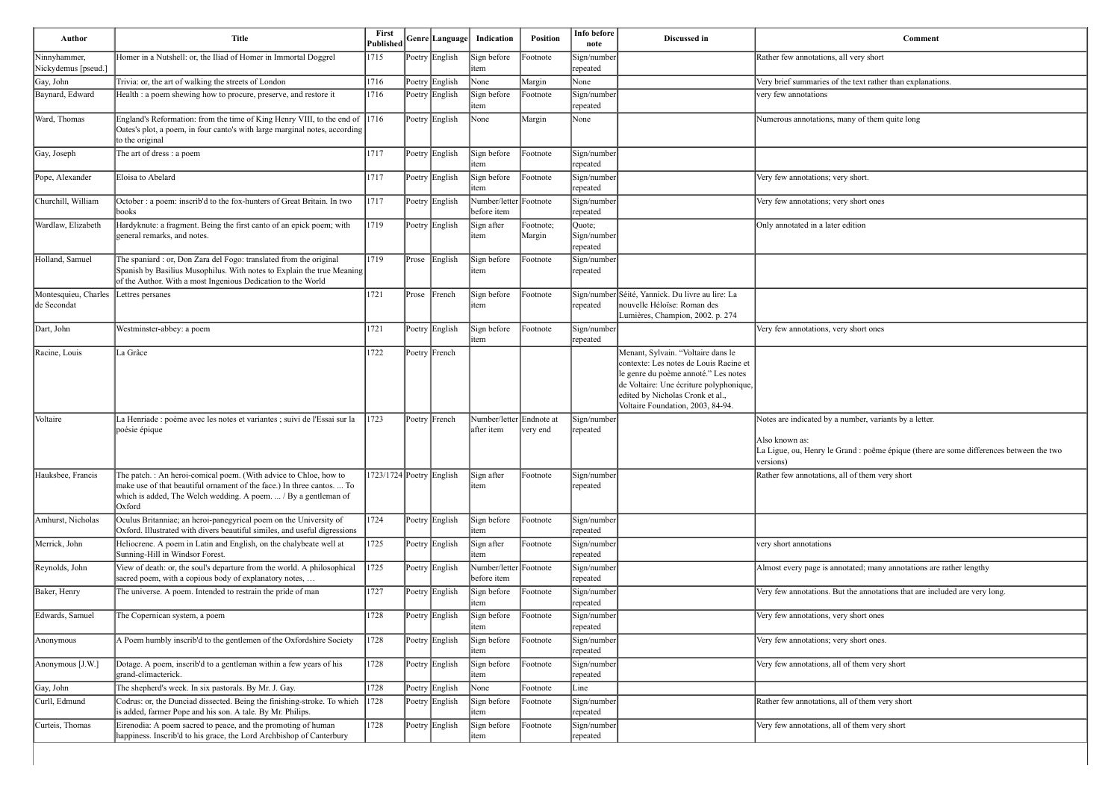| Ninnyhammer,                        |                                                                                                                                                                                                                          | <b>Published</b>         |       |                |                                        |                     | note                              |                                                                                                                                                                                                                                          | Comment                                                                                                                                           |
|-------------------------------------|--------------------------------------------------------------------------------------------------------------------------------------------------------------------------------------------------------------------------|--------------------------|-------|----------------|----------------------------------------|---------------------|-----------------------------------|------------------------------------------------------------------------------------------------------------------------------------------------------------------------------------------------------------------------------------------|---------------------------------------------------------------------------------------------------------------------------------------------------|
| Nickydemus [pseud.]                 | Homer in a Nutshell: or, the Iliad of Homer in Immortal Doggrel                                                                                                                                                          | 1715                     |       | Poetry English | Sign before<br>item                    | Footnote            | Sign/number<br>repeated           |                                                                                                                                                                                                                                          | Rather few annotations, all very short                                                                                                            |
| Gay, John                           | Trivia: or, the art of walking the streets of London                                                                                                                                                                     | 1716                     |       | Poetry English | None                                   | Margin              | None                              |                                                                                                                                                                                                                                          | Very brief summaries of the text rather than explanations.                                                                                        |
| Baynard, Edward                     | Health : a poem shewing how to procure, preserve, and restore it                                                                                                                                                         | 1716                     |       | Poetry English | Sign before<br>item                    | Footnote            | Sign/number<br>repeated           |                                                                                                                                                                                                                                          | very few annotations                                                                                                                              |
| Ward, Thomas                        | England's Reformation: from the time of King Henry VIII, to the end of 1716<br>Oates's plot, a poem, in four canto's with large marginal notes, according<br>to the original                                             |                          |       | Poetry English | None                                   | Margin              | None                              |                                                                                                                                                                                                                                          | Numerous annotations, many of them quite long                                                                                                     |
| Gay, Joseph                         | The art of dress : a poem                                                                                                                                                                                                | 1717                     |       | Poetry English | Sign before<br>item                    | Footnote            | Sign/number<br>repeated           |                                                                                                                                                                                                                                          |                                                                                                                                                   |
| Pope, Alexander                     | Eloisa to Abelard                                                                                                                                                                                                        | 1717                     |       | Poetry English | Sign before<br>item                    | Footnote            | Sign/number<br>repeated           |                                                                                                                                                                                                                                          | Very few annotations; very short.                                                                                                                 |
| Churchill, William                  | October : a poem: inscrib'd to the fox-hunters of Great Britain. In two<br>books                                                                                                                                         | 1717                     |       | Poetry English | Number/letter Footnote<br>before item  |                     | Sign/number<br>repeated           |                                                                                                                                                                                                                                          | Very few annotations; very short ones                                                                                                             |
| Wardlaw, Elizabeth                  | Hardyknute: a fragment. Being the first canto of an epick poem; with<br>general remarks, and notes.                                                                                                                      | 1719                     |       | Poetry English | Sign after<br>item                     | Footnote;<br>Margin | Quote;<br>Sign/number<br>repeated |                                                                                                                                                                                                                                          | Only annotated in a later edition                                                                                                                 |
| Holland, Samuel                     | The spaniard : or, Don Zara del Fogo: translated from the original<br>Spanish by Basilius Musophilus. With notes to Explain the true Meaning<br>of the Author. With a most Ingenious Dedication to the World             | 1719                     |       | Prose English  | Sign before<br>item                    | Footnote            | Sign/number<br>repeated           |                                                                                                                                                                                                                                          |                                                                                                                                                   |
| Montesquieu, Charles<br>de Secondat | Lettres persanes                                                                                                                                                                                                         | 1721                     | Prose | French         | Sign before<br>item                    | Footnote            | repeated                          | Sign/number Séité, Yannick. Du livre au lire: La<br>nouvelle Héloïse: Roman des<br>Lumières, Champion, 2002. p. 274                                                                                                                      |                                                                                                                                                   |
| Dart, John                          | Westminster-abbey: a poem                                                                                                                                                                                                | 1721                     |       | Poetry English | Sign before<br>item                    | Footnote            | Sign/number<br>repeated           |                                                                                                                                                                                                                                          | Very few annotations, very short ones                                                                                                             |
| Racine, Louis                       | La Grâce                                                                                                                                                                                                                 | 1722                     |       | Poetry French  |                                        |                     |                                   | Menant, Sylvain. "Voltaire dans le<br>contexte: Les notes de Louis Racine et<br>le genre du poème annoté." Les notes<br>de Voltaire: Une écriture polyphonique,<br>edited by Nicholas Cronk et al.,<br>Voltaire Foundation, 2003, 84-94. |                                                                                                                                                   |
| Voltaire                            | La Henriade : poème avec les notes et variantes ; suivi de l'Essai sur la<br>poésie épique                                                                                                                               | 1723                     |       | Poetry French  | Number/letter Endnote at<br>after item | very end            | Sign/number<br>∣repeated          |                                                                                                                                                                                                                                          | Notes are indicated by a number, variants by a letter.<br>Also known as:<br>La Ligue, ou, Henry le Grand : poëme épique (there are s<br>versions) |
| Hauksbee, Francis                   | The patch. : An heroi-comical poem. (With advice to Chloe, how to<br>make use of that beautiful ornament of the face.) In three cantos.  To<br>which is added, The Welch wedding. A poem.  / By a gentleman of<br>Oxford | 1723/1724 Poetry English |       |                | Sign after<br>item                     | Footnote            | Sign/number<br>repeated           |                                                                                                                                                                                                                                          | Rather few annotations, all of them very short                                                                                                    |
| Amhurst, Nicholas                   | Oculus Britanniae; an heroi-panegyrical poem on the University of<br>Oxford. Illustrated with divers beautiful similes, and useful digressions                                                                           | 1724                     |       | Poetry English | Sign before<br>item                    | Footnote            | Sign/number<br>repeated           |                                                                                                                                                                                                                                          |                                                                                                                                                   |
| Merrick, John                       | Heliocrene. A poem in Latin and English, on the chalybeate well at<br>Sunning-Hill in Windsor Forest.                                                                                                                    | 1725                     |       | Poetry English | Sign after<br>item                     | Footnote            | Sign/number<br>repeated           |                                                                                                                                                                                                                                          | very short annotations                                                                                                                            |
| Reynolds, John                      | View of death: or, the soul's departure from the world. A philosophical<br>sacred poem, with a copious body of explanatory notes,                                                                                        | 1725                     |       | Poetry English | Number/letter Footnote<br>before item  |                     | Sign/number<br>repeated           |                                                                                                                                                                                                                                          | Almost every page is annotated; many annotations are rat                                                                                          |
| Baker, Henry                        | The universe. A poem. Intended to restrain the pride of man                                                                                                                                                              | 1727                     |       | Poetry English | Sign before<br>item                    | Footnote            | Sign/number<br>repeated           |                                                                                                                                                                                                                                          | Very few annotations. But the annotations that are include                                                                                        |
| Edwards, Samuel                     | The Copernican system, a poem                                                                                                                                                                                            | 1728                     |       | Poetry English | Sign before<br>item                    | Footnote            | Sign/number<br>repeated           |                                                                                                                                                                                                                                          | Very few annotations, very short ones                                                                                                             |
| Anonymous                           | A Poem humbly inscrib'd to the gentlemen of the Oxfordshire Society                                                                                                                                                      | 1728                     |       | Poetry English | Sign before<br>item                    | Footnote            | Sign/number<br>repeated           |                                                                                                                                                                                                                                          | Very few annotations; very short ones.                                                                                                            |
| Anonymous [J.W.]                    | Dotage. A poem, inscrib'd to a gentleman within a few years of his<br>grand-climacterick.                                                                                                                                | 1728                     |       | Poetry English | Sign before<br>item                    | Footnote            | Sign/number<br>repeated           |                                                                                                                                                                                                                                          | Very few annotations, all of them very short                                                                                                      |
| Gay, John                           | The shepherd's week. In six pastorals. By Mr. J. Gay.                                                                                                                                                                    | 1728                     |       | Poetry English | None                                   | Footnote            | Line                              |                                                                                                                                                                                                                                          |                                                                                                                                                   |
| Curll, Edmund                       | Codrus: or, the Dunciad dissected. Being the finishing-stroke. To which<br>is added, farmer Pope and his son. A tale. By Mr. Philips.                                                                                    | 1728                     |       | Poetry English | Sign before<br>item                    | Footnote            | Sign/number<br>repeated           |                                                                                                                                                                                                                                          | Rather few annotations, all of them very short                                                                                                    |
| Curteis, Thomas                     | Eirenodia: A poem sacred to peace, and the promoting of human<br>happiness. Inscrib'd to his grace, the Lord Archbishop of Canterbury                                                                                    | 1728                     |       | Poetry English | Sign before<br>item                    | Footnote            | Sign/number<br>repeated           |                                                                                                                                                                                                                                          | Very few annotations, all of them very short                                                                                                      |

| <b>Comment</b>                                                                                                         |
|------------------------------------------------------------------------------------------------------------------------|
| Rather few annotations, all very short                                                                                 |
| Very brief summaries of the text rather than explanations.                                                             |
| very few annotations                                                                                                   |
| Numerous annotations, many of them quite long                                                                          |
|                                                                                                                        |
| Very few annotations; very short.                                                                                      |
| Very few annotations; very short ones                                                                                  |
| Only annotated in a later edition                                                                                      |
|                                                                                                                        |
|                                                                                                                        |
| Very few annotations, very short ones                                                                                  |
|                                                                                                                        |
| Notes are indicated by a number, variants by a letter.                                                                 |
| Also known as:<br>La Ligue, ou, Henry le Grand : poëme épique (there are some differences between the two<br>versions) |
| Rather few annotations, all of them very short                                                                         |
|                                                                                                                        |
| very short annotations                                                                                                 |
| Almost every page is annotated; many annotations are rather lengthy                                                    |
| Very few annotations. But the annotations that are included are very long.                                             |
| Very few annotations, very short ones                                                                                  |
| Very few annotations; very short ones.                                                                                 |
| Very few annotations, all of them very short                                                                           |
| Rather few annotations, all of them very short                                                                         |
| Very few annotations, all of them very short                                                                           |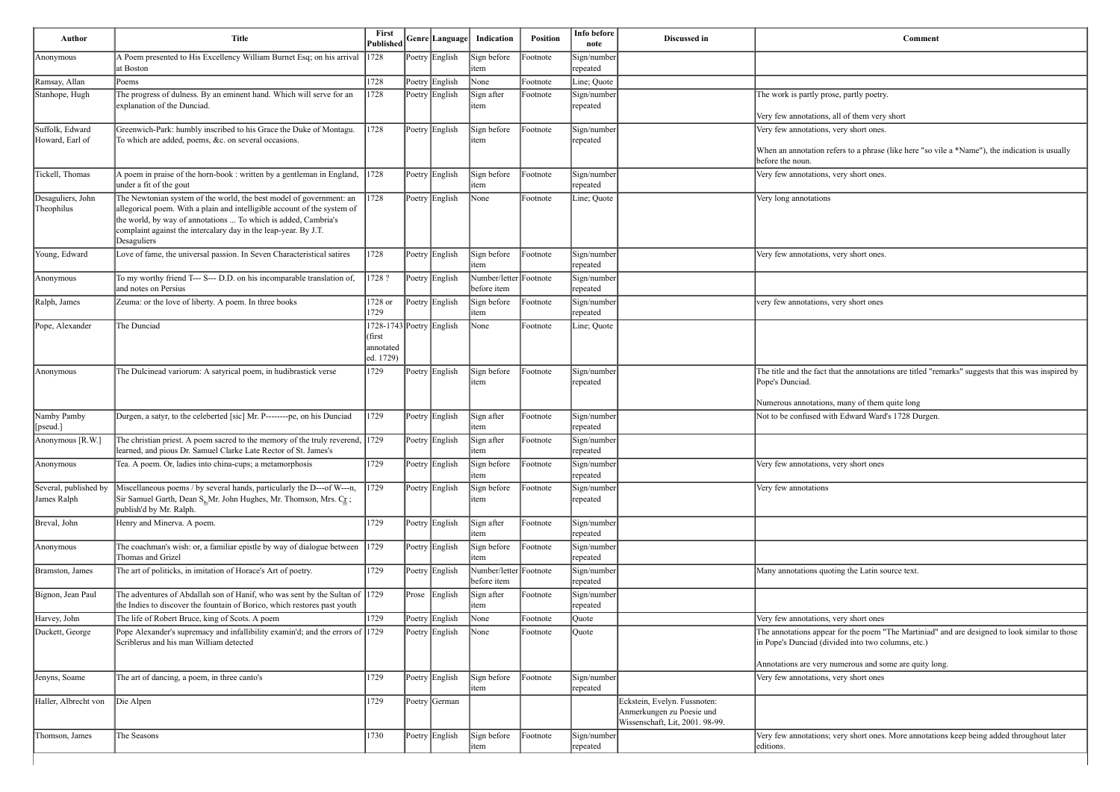| Anonymous                            | A Poem presented to His Excellency William Burnet Esq; on his arrival<br>at Boston                                                                                                                                                                                                                  | 1728                                                                  |                |                                       |          |                         |                                                                                              |                                                                                                                      |
|--------------------------------------|-----------------------------------------------------------------------------------------------------------------------------------------------------------------------------------------------------------------------------------------------------------------------------------------------------|-----------------------------------------------------------------------|----------------|---------------------------------------|----------|-------------------------|----------------------------------------------------------------------------------------------|----------------------------------------------------------------------------------------------------------------------|
|                                      |                                                                                                                                                                                                                                                                                                     |                                                                       | Poetry English | Sign before<br>item                   | Footnote | Sign/number<br>repeated |                                                                                              |                                                                                                                      |
| Ramsay, Allan                        | Poems                                                                                                                                                                                                                                                                                               | 1728                                                                  | Poetry English | None                                  | Footnote | Line; Quote             |                                                                                              |                                                                                                                      |
| Stanhope, Hugh                       | The progress of dulness. By an eminent hand. Which will serve for an<br>explanation of the Dunciad.                                                                                                                                                                                                 | 1728                                                                  | Poetry English | Sign after<br>item                    | Footnote | Sign/number<br>repeated |                                                                                              | The work is partly prose, partly poetry.                                                                             |
|                                      |                                                                                                                                                                                                                                                                                                     |                                                                       |                |                                       |          |                         |                                                                                              | Very few annotations, all of them very short                                                                         |
| Suffolk, Edward<br>Howard, Earl of   | Greenwich-Park: humbly inscribed to his Grace the Duke of Montagu.<br>To which are added, poems, &c. on several occasions.                                                                                                                                                                          | 1728                                                                  | Poetry English | Sign before<br>item                   | Footnote | Sign/number<br>repeated |                                                                                              | Very few annotations, very short ones.<br>When an annotation refers to a phrase (like here "so v<br>before the noun. |
| Tickell, Thomas                      | A poem in praise of the horn-book : written by a gentleman in England,<br>under a fit of the gout                                                                                                                                                                                                   | 1728                                                                  | Poetry English | Sign before<br>item                   | Footnote | Sign/number<br>repeated |                                                                                              | Very few annotations, very short ones.                                                                               |
| Desaguliers, John<br>Theophilus      | The Newtonian system of the world, the best model of government: an<br>allegorical poem. With a plain and intelligible account of the system of<br>the world, by way of annotations  To which is added, Cambria's<br>complaint against the intercalary day in the leap-year. By J.T.<br>Desaguliers | 1728                                                                  | Poetry English | None                                  | Footnote | Line; Quote             |                                                                                              | Very long annotations                                                                                                |
| Young, Edward                        | Love of fame, the universal passion. In Seven Characteristical satires                                                                                                                                                                                                                              | 1728                                                                  | Poetry English | Sign before<br>item                   | Footnote | Sign/number<br>repeated |                                                                                              | Very few annotations, very short ones.                                                                               |
| Anonymous                            | To my worthy friend T--- S--- D.D. on his incomparable translation of,<br>and notes on Persius                                                                                                                                                                                                      | 1728?                                                                 | Poetry English | Number/letter Footnote<br>before item |          | Sign/number<br>repeated |                                                                                              |                                                                                                                      |
| Ralph, James                         | Zeuma: or the love of liberty. A poem. In three books                                                                                                                                                                                                                                               | 1728 or<br>1729                                                       | Poetry English | Sign before<br>item                   | Footnote | Sign/number<br>repeated |                                                                                              | very few annotations, very short ones                                                                                |
| Pope, Alexander                      | The Dunciad                                                                                                                                                                                                                                                                                         | 1728-1743 Poetry English<br>(first<br>annotated<br>$\left[$ ed. 1729) |                | None                                  | Footnote | Line; Quote             |                                                                                              |                                                                                                                      |
| Anonymous                            | The Dulcinead variorum: A satyrical poem, in hudibrastick verse                                                                                                                                                                                                                                     | 1729                                                                  | Poetry English | Sign before<br>item                   | Footnote | Sign/number<br>repeated |                                                                                              | The title and the fact that the annotations are titled "re<br>Pope's Dunciad.                                        |
|                                      |                                                                                                                                                                                                                                                                                                     |                                                                       |                |                                       |          |                         |                                                                                              | Numerous annotations, many of them quite long                                                                        |
| Namby Pamby<br>[pseud.]              | Durgen, a satyr, to the celeberted [sic] Mr. P--------pe, on his Dunciad                                                                                                                                                                                                                            | 1729                                                                  | Poetry English | Sign after<br>item                    | Footnote | Sign/number<br>repeated |                                                                                              | Not to be confused with Edward Ward's 1728 Durgen                                                                    |
| Anonymous [R.W.]                     | The christian priest. A poem sacred to the memory of the truly reverend, $\left 1729\right\rangle$<br>learned, and pious Dr. Samuel Clarke Late Rector of St. James's                                                                                                                               |                                                                       | Poetry English | Sign after<br>item                    | Footnote | Sign/number<br>repeated |                                                                                              |                                                                                                                      |
| Anonymous                            | Tea. A poem. Or, ladies into china-cups; a metamorphosis                                                                                                                                                                                                                                            | 1729                                                                  | Poetry English | Sign before<br>item                   | Footnote | Sign/number<br>repeated |                                                                                              | Very few annotations, very short ones                                                                                |
| Several, published by<br>James Ralph | Miscellaneous poems / by several hands, particularly the D---of W---n,<br>Sir Samuel Garth, Dean S <sub>2</sub> Mr. John Hughes, Mr. Thomson, Mrs. C $r$ ;<br>publish'd by Mr. Ralph.                                                                                                               | 1729                                                                  | Poetry English | Sign before<br>item                   | Footnote | Sign/number<br>repeated |                                                                                              | Very few annotations                                                                                                 |
| Breval, John                         | Henry and Minerva. A poem.                                                                                                                                                                                                                                                                          | 1729                                                                  | Poetry English | Sign after<br>item                    | Footnote | Sign/number<br>repeated |                                                                                              |                                                                                                                      |
| Anonymous                            | The coachman's wish: or, a familiar epistle by way of dialogue between<br>Thomas and Grizel                                                                                                                                                                                                         | 1729                                                                  | Poetry English | Sign before<br>item                   | Footnote | Sign/number<br>repeated |                                                                                              |                                                                                                                      |
| Bramston, James                      | The art of politicks, in imitation of Horace's Art of poetry.                                                                                                                                                                                                                                       | 1729                                                                  | Poetry English | Number/letter Footnote<br>before item |          | Sign/number<br>repeated |                                                                                              | Many annotations quoting the Latin source text.                                                                      |
| Bignon, Jean Paul                    | The adventures of Abdallah son of Hanif, who was sent by the Sultan of 1729<br>the Indies to discover the fountain of Borico, which restores past youth                                                                                                                                             |                                                                       | Prose English  | Sign after<br>item                    | Footnote | Sign/number<br>repeated |                                                                                              |                                                                                                                      |
| Harvey, John                         | The life of Robert Bruce, king of Scots. A poem                                                                                                                                                                                                                                                     | 1729                                                                  | Poetry English | None                                  | Footnote | Quote                   |                                                                                              | Very few annotations, very short ones                                                                                |
| Duckett, George                      | Pope Alexander's supremacy and infallibility examin'd; and the errors of 1729<br>Scriblerus and his man William detected                                                                                                                                                                            |                                                                       | Poetry English | None                                  | Footnote | Quote                   |                                                                                              | The annotations appear for the poem "The Martiniad"<br>in Pope's Dunciad (divided into two columns, etc.)            |
| Jenyns, Soame                        | The art of dancing, a poem, in three canto's                                                                                                                                                                                                                                                        | 1729                                                                  | Poetry English | Sign before                           | Footnote | Sign/number             |                                                                                              | Annotations are very numerous and some are quity lo<br>Very few annotations, very short ones                         |
|                                      |                                                                                                                                                                                                                                                                                                     |                                                                       |                | litem                                 |          | repeated                |                                                                                              |                                                                                                                      |
| Haller, Albrecht von                 | Die Alpen                                                                                                                                                                                                                                                                                           | 1729                                                                  | Poetry German  |                                       |          |                         | Eckstein, Evelyn. Fussnoten:<br>Anmerkungen zu Poesie und<br>Wissenschaft, Lit, 2001. 98-99. |                                                                                                                      |
| Thomson, James                       | The Seasons                                                                                                                                                                                                                                                                                         | 1730                                                                  | Poetry English | Sign before<br>item                   | Footnote | Sign/number<br>repeated |                                                                                              | Very few annotations; very short ones. More annotation<br>editions.                                                  |

to a phrase (like here "so vile a \*Name"), the indication is usually

the annotations are titled "remarks" suggests that this was inspired by

r the poem "The Martiniad" and are designed to look similar to those d into two columns, etc.)

erous and some are quity long.

y short ones. More annotations keep being added throughout later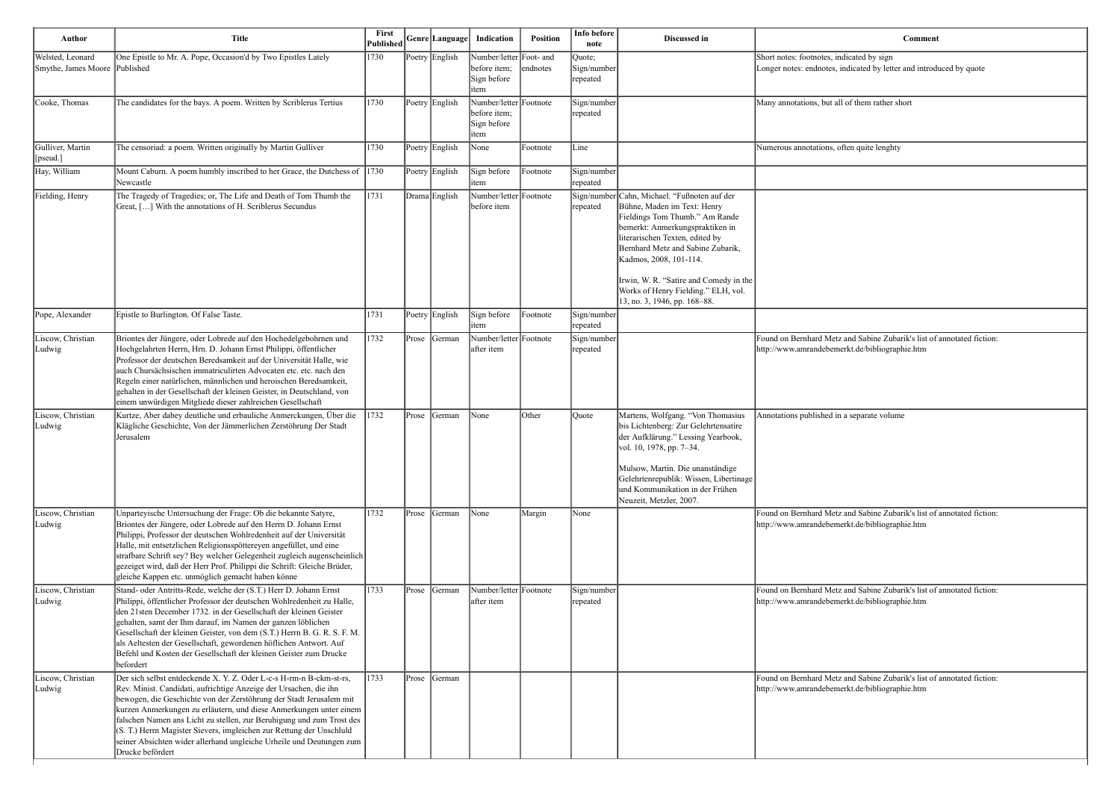Longer notes: endnotes, indicated by letter and introduced by quote

and Sabine Zubarik's list of annotated fiction: http://www.amrandeben.htm

and Sabine Zubarik's list of annotated fiction: erkt.de/bibliographie.htm

and Sabine Zubarik's list of annotated fiction: http://www.amrandebener.com

| Author                                            | <b>Title</b>                                                                                                                                                                                                                                                                                                                                                                                                                                                                                                                       | First<br><b>Published</b> |       | Genre Language | Indication                                                    | Position | Info before<br>note               | Discussed in                                                                                                                                                                                                                                                                                                                                                        | Comment                                                                                               |
|---------------------------------------------------|------------------------------------------------------------------------------------------------------------------------------------------------------------------------------------------------------------------------------------------------------------------------------------------------------------------------------------------------------------------------------------------------------------------------------------------------------------------------------------------------------------------------------------|---------------------------|-------|----------------|---------------------------------------------------------------|----------|-----------------------------------|---------------------------------------------------------------------------------------------------------------------------------------------------------------------------------------------------------------------------------------------------------------------------------------------------------------------------------------------------------------------|-------------------------------------------------------------------------------------------------------|
| Welsted, Leonard<br>Smythe, James Moore Published | One Epistle to Mr. A. Pope, Occasion'd by Two Epistles Lately                                                                                                                                                                                                                                                                                                                                                                                                                                                                      | 1730                      |       | Poetry English | Number/letter Foot- and<br>before item;<br>Sign before<br>tem | endnotes | Quote;<br>Sign/number<br>repeated |                                                                                                                                                                                                                                                                                                                                                                     | Short notes: footnotes, indicated by sign<br>Longer notes: endnotes, indicated by letter and introd   |
| Cooke, Thomas                                     | The candidates for the bays. A poem. Written by Scriblerus Tertius                                                                                                                                                                                                                                                                                                                                                                                                                                                                 | 1730                      |       | Poetry English | Number/letter Footnote<br>before item;<br>Sign before<br>item |          | Sign/number<br>repeated           |                                                                                                                                                                                                                                                                                                                                                                     | Many annotations, but all of them rather short                                                        |
| Gulliver, Martin<br>[pseud.]                      | The censoriad: a poem. Written originally by Martin Gulliver                                                                                                                                                                                                                                                                                                                                                                                                                                                                       | 1730                      |       | Poetry English | None                                                          | Footnote | Line                              |                                                                                                                                                                                                                                                                                                                                                                     | Numerous annotations, often quite lenghty                                                             |
| Hay, William                                      | Mount Caburn. A poem humbly inscribed to her Grace, the Dutchess of<br>Newcastle                                                                                                                                                                                                                                                                                                                                                                                                                                                   | 1730                      |       | Poetry English | Sign before<br>item                                           | Footnote | Sign/number<br>repeated           |                                                                                                                                                                                                                                                                                                                                                                     |                                                                                                       |
| Fielding, Henry                                   | The Tragedy of Tragedies; or, The Life and Death of Tom Thumb the<br>Great, [] With the annotations of H. Scriblerus Secundus                                                                                                                                                                                                                                                                                                                                                                                                      | 1731                      |       | Drama English  | Number/letter Footnote<br>before item                         |          | repeated                          | Sign/number Cahn, Michael. "Fußnoten auf der<br>Bühne, Maden im Text: Henry<br>Fieldings Tom Thumb." Am Rande<br>bemerkt: Anmerkungspraktiken in<br>literarischen Texten, edited by<br>Bernhard Metz and Sabine Zubarik,<br>Kadmos, 2008, 101-114.<br>Irwin, W. R. "Satire and Comedy in the<br>Works of Henry Fielding." ELH, vol.<br>13, no. 3, 1946, pp. 168-88. |                                                                                                       |
| Pope, Alexander                                   | Epistle to Burlington. Of False Taste.                                                                                                                                                                                                                                                                                                                                                                                                                                                                                             | 1731                      |       | Poetry English | Sign before<br>item                                           | Footnote | Sign/number<br>repeated           |                                                                                                                                                                                                                                                                                                                                                                     |                                                                                                       |
| Liscow, Christian<br>Ludwig                       | Briontes der Jüngere, oder Lobrede auf den Hochedelgebohrnen und<br>Hochgelahrten Herrn, Hrn. D. Johann Ernst Philippi, öffentlicher<br>Professor der deutschen Beredsamkeit auf der Universität Halle, wie<br>auch Chursächsischen immatriculirten Advocaten etc. etc. nach den<br>Regeln einer natürlichen, männlichen und heroischen Beredsamkeit,<br>gehalten in der Gesellschaft der kleinen Geister, in Deutschland, von<br>einem unwürdigen Mitgliede dieser zahlreichen Gesellschaft                                       | 1732                      |       | Prose German   | Number/letter Footnote<br>after item                          |          | Sign/number<br>repeated           |                                                                                                                                                                                                                                                                                                                                                                     | Found on Bernhard Metz and Sabine Zubarik's list of<br>http://www.amrandebemerkt.de/bibliographie.htm |
| Liscow, Christian<br>Ludwig                       | Kurtze, Aber dabey deutliche und erbauliche Anmerckungen, Über die<br>Klägliche Geschichte, Von der Jämmerlichen Zerstöhrung Der Stadt<br>Jerusalem                                                                                                                                                                                                                                                                                                                                                                                | 1732                      | Prose | German         | None                                                          | Other    | Quote                             | Martens, Wolfgang. "Von Thomasius<br>bis Lichtenberg: Zur Gelehrtensatire<br>der Aufklärung." Lessing Yearbook,<br>vol. 10, 1978, pp. 7-34.<br>Mulsow, Martin. Die unanständige<br>Gelehrtenrepublik: Wissen, Libertinage<br>und Kommunikation in der Frühen<br>Neuzeit, Metzler, 2007.                                                                             | Annotations published in a separate volume                                                            |
| Liscow, Christian<br>Ludwig                       | Unparteyische Untersuchung der Frage: Ob die bekannte Satyre,<br>Briontes der Jüngere, oder Lobrede auf den Herrn D. Johann Ernst<br>Philippi, Professor der deutschen Wohlredenheit auf der Universität<br>Halle, mit entsetzlichen Religionsspöttereyen angefüllet, und eine<br>strafbare Schrift sey? Bey welcher Gelegenheit zugleich augenscheinlich<br>gezeiget wird, daß der Herr Prof. Philippi die Schrift: Gleiche Brüder,<br>gleiche Kappen etc. unmöglich gemacht haben könne                                          | 1732                      |       | Prose  German  | None                                                          | Margin   | None                              |                                                                                                                                                                                                                                                                                                                                                                     | Found on Bernhard Metz and Sabine Zubarik's list of<br>http://www.amrandebemerkt.de/bibliographie.htm |
| Liscow, Christian<br>Ludwig                       | Stand- oder Antritts-Rede, welche der (S.T.) Herr D. Johann Ernst<br>Philippi, öffentlicher Professor der deutschen Wohlredenheit zu Halle,<br>den 21sten December 1732. in der Gesellschaft der kleinen Geister<br>gehalten, samt der Ihm darauf, im Namen der ganzen löblichen<br>Gesellschaft der kleinen Geister, von dem (S.T.) Herrn B. G. R. S. F. M.<br>als Aeltesten der Gesellschaft, gewordenen höflichen Antwort. Auf<br>Befehl und Kosten der Gesellschaft der kleinen Geister zum Drucke<br>befordert                | 1733                      |       | Prose   German | Number/letter Footnote<br>after item                          |          | Sign/number<br>repeated           |                                                                                                                                                                                                                                                                                                                                                                     | Found on Bernhard Metz and Sabine Zubarik's list of<br>http://www.amrandebemerkt.de/bibliographie.htm |
| Liscow, Christian<br>Ludwig                       | Der sich selbst entdeckende X. Y. Z. Oder L-c-s H-rm-n B-ckm-st-rs,<br>Rev. Minist. Candidati, aufrichtige Anzeige der Ursachen, die ihn<br>bewogen, die Geschichte von der Zerstöhrung der Stadt Jerusalem mit<br>kurzen Anmerkungen zu erläutern, und diese Anmerkungen unter einem<br>falschen Namen ans Licht zu stellen, zur Beruhigung und zum Trost des<br>(S. T.) Herrn Magister Sievers, imgleichen zur Rettung der Unschluld<br>seiner Absichten wider allerhand ungleiche Urheile und Deutungen zum<br>Drucke befördert | 1733                      |       | Prose   German |                                                               |          |                                   |                                                                                                                                                                                                                                                                                                                                                                     | Found on Bernhard Metz and Sabine Zubarik's list of<br>http://www.amrandebemerkt.de/bibliographie.htm |

| Comment |
|---------|
|---------|

and Sabine Zubarik's list of annotated fiction: http://www.amrandebemerkt.de/bibliographie.htm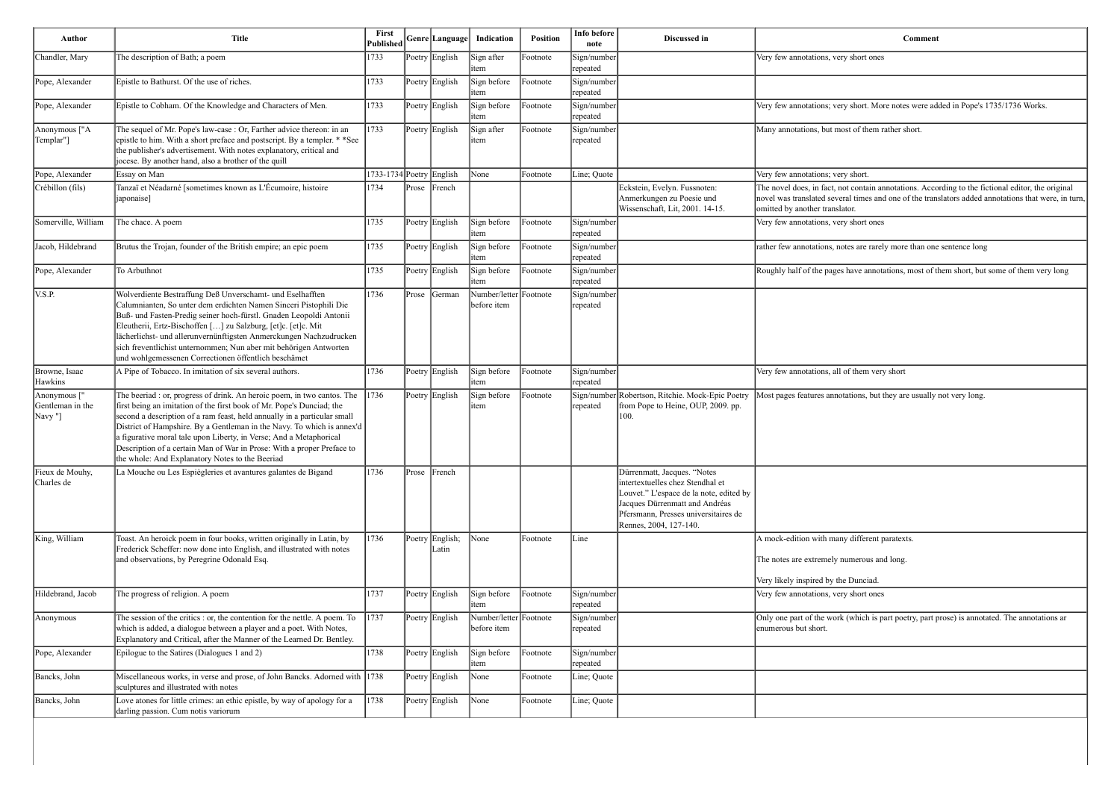y short ones

y short. More notes were added in Pope's 1735/1736 Works.

ost of them rather short.

ot contain annotations. According to the fictional editor, the original eral times and one of the translators added annotations that were, in turn, ator.

y short ones

btes are rarely more than one sentence long

s have annotations, most of them short, but some of them very long

of them very short

tations, but they are usually not very long.

ny different paratexts.

numerous and long.

bunciad.

y short ones

 $\kappa$  (which is part poetry, part prose) is annotated. The annotations ar

| <b>Author</b>                                           | <b>Title</b>                                                                                                                                                                                                                                                                                                                                                                                                                                                                                              | First<br><b>Published</b> |       | Genre  Language          | Indication                            | <b>Position</b> | Info before<br>note     | Discussed in                                                                                                                                                                                                   |                                                                                                           |
|---------------------------------------------------------|-----------------------------------------------------------------------------------------------------------------------------------------------------------------------------------------------------------------------------------------------------------------------------------------------------------------------------------------------------------------------------------------------------------------------------------------------------------------------------------------------------------|---------------------------|-------|--------------------------|---------------------------------------|-----------------|-------------------------|----------------------------------------------------------------------------------------------------------------------------------------------------------------------------------------------------------------|-----------------------------------------------------------------------------------------------------------|
| Chandler, Mary                                          | The description of Bath; a poem                                                                                                                                                                                                                                                                                                                                                                                                                                                                           | 1733                      |       | Poetry English           | Sign after<br>item                    | Footnote        | Sign/number<br>repeated |                                                                                                                                                                                                                | Very few annotations, very short                                                                          |
| Pope, Alexander                                         | Epistle to Bathurst. Of the use of riches.                                                                                                                                                                                                                                                                                                                                                                                                                                                                | 1733                      |       | Poetry English           | Sign before<br>item                   | Footnote        | Sign/number<br>repeated |                                                                                                                                                                                                                |                                                                                                           |
| Pope, Alexander                                         | Epistle to Cobham. Of the Knowledge and Characters of Men.                                                                                                                                                                                                                                                                                                                                                                                                                                                | 1733                      |       | Poetry English           | Sign before<br>item                   | Footnote        | Sign/number<br>repeated |                                                                                                                                                                                                                | Very few annotations; very short.                                                                         |
| Anonymous ["A<br>Templar"]                              | The sequel of Mr. Pope's law-case : Or, Farther advice thereon: in an<br>epistle to him. With a short preface and postscript. By a templer. * *See<br>the publisher's advertisement. With notes explanatory, critical and<br>jocese. By another hand, also a brother of the quill                                                                                                                                                                                                                         | 1733                      |       | Poetry English           | Sign after<br>item                    | Footnote        | Sign/number<br>repeated |                                                                                                                                                                                                                | Many annotations, but most of th                                                                          |
| Pope, Alexander                                         | Essay on Man                                                                                                                                                                                                                                                                                                                                                                                                                                                                                              | 1733-1734 Poetry English  |       |                          | None                                  | Footnote        | Line; Quote             |                                                                                                                                                                                                                | Very few annotations; very short.                                                                         |
| Crébillon (fils)                                        | Tanzaï et Néadarné [sometimes known as L'Écumoire, histoire<br>[japonaise]                                                                                                                                                                                                                                                                                                                                                                                                                                | 1734                      |       | Prose French             |                                       |                 |                         | Eckstein, Evelyn. Fussnoten:<br>Anmerkungen zu Poesie und<br>Wissenschaft, Lit, 2001. 14-15.                                                                                                                   | The novel does, in fact, not conta<br>novel was translated several time<br>omitted by another translator. |
| Somerville, William                                     | The chace. A poem                                                                                                                                                                                                                                                                                                                                                                                                                                                                                         | 1735                      |       | Poetry English           | Sign before<br>item                   | Footnote        | Sign/number<br>repeated |                                                                                                                                                                                                                | Very few annotations, very short                                                                          |
| Jacob, Hildebrand                                       | Brutus the Trojan, founder of the British empire; an epic poem                                                                                                                                                                                                                                                                                                                                                                                                                                            | 1735                      |       | Poetry English           | Sign before<br>item                   | Footnote        | Sign/number<br>repeated |                                                                                                                                                                                                                | rather few annotations, notes are                                                                         |
| Pope, Alexander                                         | To Arbuthnot                                                                                                                                                                                                                                                                                                                                                                                                                                                                                              | 1735                      |       | Poetry English           | Sign before<br>item                   | Footnote        | Sign/number<br>repeated |                                                                                                                                                                                                                | Roughly half of the pages have a                                                                          |
| V.S.P.                                                  | Wolverdiente Bestraffung Deß Unverschamt- und Eselhafften<br>Calumnianten, So unter dem erdichten Namen Sinceri Pistophili Die<br>Buß- und Fasten-Predig seiner hoch-fürstl. Gnaden Leopoldi Antonii<br>Eleutherii, Ertz-Bischoffen [] zu Salzburg, [et]c. [et]c. Mit<br>lächerlichst- und allerunvernünftigsten Anmerckungen Nachzudrucken<br>sich freventlichist unternommen; Nun aber mit behörigen Antworten<br>und wohlgemessenen Correctionen öffentlich beschämet                                  | 1736                      | Prose | German                   | Number/letter Footnote<br>before item |                 | Sign/number<br>repeated |                                                                                                                                                                                                                |                                                                                                           |
| Browne, Isaac<br>Hawkins                                | A Pipe of Tobacco. In imitation of six several authors.                                                                                                                                                                                                                                                                                                                                                                                                                                                   | 1736                      |       | Poetry English           | Sign before<br>item                   | Footnote        | Sign/number<br>repeated |                                                                                                                                                                                                                | Very few annotations, all of them                                                                         |
| Anonymous <sup>["</sup><br>Gentleman in the<br>[Navy "] | The beeriad : or, progress of drink. An heroic poem, in two cantos. The<br>first being an imitation of the first book of Mr. Pope's Dunciad; the<br>second a description of a ram feast, held annually in a particular small<br>District of Hampshire. By a Gentleman in the Navy. To which is annex'd<br>a figurative moral tale upon Liberty, in Verse; And a Metaphorical<br>Description of a certain Man of War in Prose: With a proper Preface to<br>the whole: And Explanatory Notes to the Beeriad | 1736                      |       | Poetry English           | Sign before<br>item                   | Footnote        | repeated                | Sign/number Robertson, Ritchie. Mock-Epic Poetry<br>from Pope to Heine, OUP, 2009. pp.<br>100.                                                                                                                 | Most pages features annotations,                                                                          |
| Fieux de Mouhy,<br>Charles de                           | La Mouche ou Les Espiègleries et avantures galantes de Bigand                                                                                                                                                                                                                                                                                                                                                                                                                                             | 1736                      | Prose | French                   |                                       |                 |                         | Dürrenmatt, Jacques. "Notes<br>intertextuelles chez Stendhal et<br>Louvet." L'espace de la note, edited by<br>Jacques Dürrenmatt and Andréas<br>Pfersmann, Presses universitaires de<br>Rennes, 2004, 127-140. |                                                                                                           |
| King, William                                           | Toast. An heroick poem in four books, written originally in Latin, by<br>Frederick Scheffer: now done into English, and illustrated with notes<br>and observations, by Peregrine Odonald Esq.                                                                                                                                                                                                                                                                                                             | 1736                      |       | Poetry English;<br>Latin | None                                  | Footnote        | Line                    |                                                                                                                                                                                                                | A mock-edition with many differ<br>The notes are extremely numerou<br>Very likely inspired by the Dunci   |
| Hildebrand, Jacob                                       | The progress of religion. A poem                                                                                                                                                                                                                                                                                                                                                                                                                                                                          | 1737                      |       | Poetry English           | Sign before<br>item                   | Footnote        | Sign/number<br>repeated |                                                                                                                                                                                                                | Very few annotations, very short                                                                          |
| Anonymous                                               | The session of the critics : or, the contention for the nettle. A poem. To<br>which is added, a dialogue between a player and a poet. With Notes,<br>Explanatory and Critical, after the Manner of the Learned Dr. Bentley.                                                                                                                                                                                                                                                                               | 1737                      |       | Poetry English           | Number/letter Footnote<br>before item |                 | Sign/number<br>repeated |                                                                                                                                                                                                                | Only one part of the work (which<br>enumerous but short.                                                  |
| Pope, Alexander                                         | Epilogue to the Satires (Dialogues 1 and 2)                                                                                                                                                                                                                                                                                                                                                                                                                                                               | 1738                      |       | Poetry English           | Sign before<br>item                   | Footnote        | Sign/number<br>repeated |                                                                                                                                                                                                                |                                                                                                           |
| Bancks, John                                            | Miscellaneous works, in verse and prose, of John Bancks. Adorned with 1738<br>sculptures and illustrated with notes                                                                                                                                                                                                                                                                                                                                                                                       |                           |       | Poetry English           | None                                  | Footnote        | Line; Quote             |                                                                                                                                                                                                                |                                                                                                           |
| Bancks, John                                            | Love atones for little crimes: an ethic epistle, by way of apology for a<br>darling passion. Cum notis variorum                                                                                                                                                                                                                                                                                                                                                                                           | 1738                      |       | Poetry English           | None                                  | Footnote        | Line; Quote             |                                                                                                                                                                                                                |                                                                                                           |
|                                                         |                                                                                                                                                                                                                                                                                                                                                                                                                                                                                                           |                           |       |                          |                                       |                 |                         |                                                                                                                                                                                                                |                                                                                                           |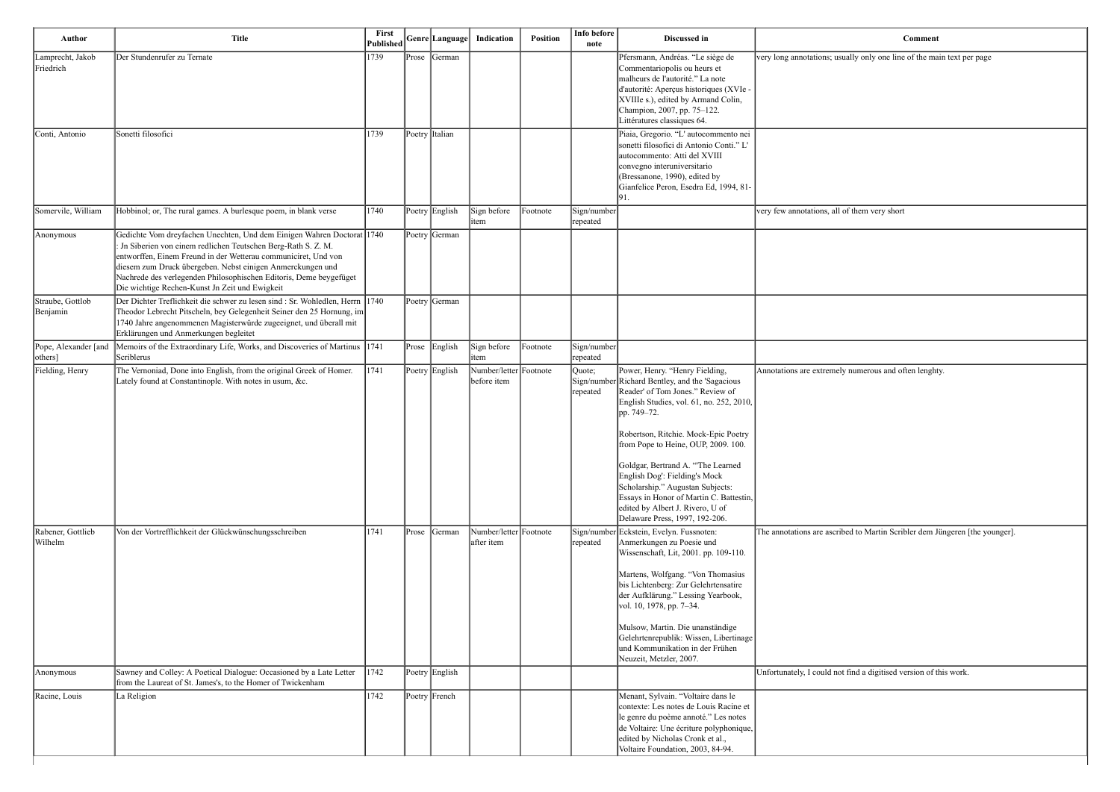| <b>Comment</b>                                                              |
|-----------------------------------------------------------------------------|
| very long annotations; usually only one line of the main text per page      |
|                                                                             |
|                                                                             |
|                                                                             |
|                                                                             |
|                                                                             |
|                                                                             |
|                                                                             |
|                                                                             |
| very few annotations, all of them very short                                |
|                                                                             |
|                                                                             |
|                                                                             |
|                                                                             |
|                                                                             |
|                                                                             |
|                                                                             |
| Annotations are extremely numerous and often lenghty.                       |
|                                                                             |
|                                                                             |
|                                                                             |
|                                                                             |
|                                                                             |
|                                                                             |
|                                                                             |
|                                                                             |
| The annotations are ascribed to Martin Scribler dem Jüngeren [the younger]. |
|                                                                             |
|                                                                             |
|                                                                             |
|                                                                             |
|                                                                             |
|                                                                             |
|                                                                             |
|                                                                             |

t find a digitised version of this work.

| Author                           | <b>Title</b>                                                                                                                                                                                                                                                                                                                                                                                     | First<br><b>Published</b> |       | Genre Language | Indication                            | Position | Info before<br>note     | Discussed in                                                                                                                                                                                                                                                                                                                                                                                                                                                                                | Comment                                                  |
|----------------------------------|--------------------------------------------------------------------------------------------------------------------------------------------------------------------------------------------------------------------------------------------------------------------------------------------------------------------------------------------------------------------------------------------------|---------------------------|-------|----------------|---------------------------------------|----------|-------------------------|---------------------------------------------------------------------------------------------------------------------------------------------------------------------------------------------------------------------------------------------------------------------------------------------------------------------------------------------------------------------------------------------------------------------------------------------------------------------------------------------|----------------------------------------------------------|
| Lamprecht, Jakob<br>Friedrich    | Der Stundenrufer zu Ternate                                                                                                                                                                                                                                                                                                                                                                      | 1739                      |       | Prose German   |                                       |          |                         | Pfersmann, Andréas. "Le siège de<br>Commentariopolis ou heurs et<br>malheurs de l'autorité." La note<br>d'autorité: Aperçus historiques (XVIe -<br>XVIIIe s.), edited by Armand Colin,<br>Champion, 2007, pp. 75-122.<br>Littératures classiques 64.                                                                                                                                                                                                                                        | very long annotations; usually only one line of the ma   |
| Conti, Antonio                   | Sonetti filosofici                                                                                                                                                                                                                                                                                                                                                                               | 1739                      |       | Poetry Italian |                                       |          |                         | Piaia, Gregorio. "L' autocommento nei<br>sonetti filosofici di Antonio Conti." L'<br>autocommento: Atti del XVIII<br>convegno interuniversitario<br>(Bressanone, 1990), edited by<br>Gianfelice Peron, Esedra Ed, 1994, 81-<br>91.                                                                                                                                                                                                                                                          |                                                          |
| Somervile, William               | Hobbinol; or, The rural games. A burlesque poem, in blank verse                                                                                                                                                                                                                                                                                                                                  | 1740                      |       | Poetry English | Sign before<br>item                   | Footnote | Sign/number<br>repeated |                                                                                                                                                                                                                                                                                                                                                                                                                                                                                             | very few annotations, all of them very short             |
| Anonymous                        | Gedichte Vom dreyfachen Unechten, Und dem Einigen Wahren Doctorat 1740<br>: Jn Siberien von einem redlichen Teutschen Berg-Rath S. Z. M.<br>entworffen, Einem Freund in der Wetterau communiciret, Und von<br>diesem zum Druck übergeben. Nebst einigen Anmerckungen und<br>Nachrede des verlegenden Philosophischen Editoris, Deme beygefüget<br>Die wichtige Rechen-Kunst Jn Zeit und Ewigkeit |                           |       | Poetry German  |                                       |          |                         |                                                                                                                                                                                                                                                                                                                                                                                                                                                                                             |                                                          |
| Straube, Gottlob<br>Benjamin     | Der Dichter Treflichkeit die schwer zu lesen sind : Sr. Wohledlen, Herrn 1740<br>Theodor Lebrecht Pitscheln, bey Gelegenheit Seiner den 25 Hornung, im<br>1740 Jahre angenommenen Magisterwürde zugeeignet, und überall mit<br>Erklärungen und Anmerkungen begleitet                                                                                                                             |                           |       | Poetry German  |                                       |          |                         |                                                                                                                                                                                                                                                                                                                                                                                                                                                                                             |                                                          |
| Pope, Alexander [and<br> others] | Memoirs of the Extraordinary Life, Works, and Discoveries of Martinus 1741<br>Scriblerus                                                                                                                                                                                                                                                                                                         |                           |       | Prose English  | Sign before<br>item                   | Footnote | Sign/number<br>repeated |                                                                                                                                                                                                                                                                                                                                                                                                                                                                                             |                                                          |
| Fielding, Henry                  | The Vernoniad, Done into English, from the original Greek of Homer.<br>Lately found at Constantinople. With notes in usum, &c.                                                                                                                                                                                                                                                                   | 1741                      |       | Poetry English | Number/letter Footnote<br>before item |          | Quote;<br>repeated      | Power, Henry. "Henry Fielding,<br>Sign/number Richard Bentley, and the 'Sagacious'<br>Reader' of Tom Jones." Review of<br>English Studies, vol. 61, no. 252, 2010,<br>pp. 749-72.<br>Robertson, Ritchie. Mock-Epic Poetry<br>from Pope to Heine, OUP, 2009. 100.<br>Goldgar, Bertrand A. "The Learned<br>English Dog': Fielding's Mock<br>Scholarship." Augustan Subjects:<br>Essays in Honor of Martin C. Battestin,<br>edited by Albert J. Rivero, U of<br>Delaware Press, 1997, 192-206. | Annotations are extremely numerous and often lenght      |
| Rabener, Gottlieb<br>Wilhelm     | Von der Vortrefflichkeit der Glückwünschungsschreiben                                                                                                                                                                                                                                                                                                                                            | 1741                      | Prose | German         | Number/letter Footnote<br>after item  |          | repeated                | Sign/number Eckstein, Evelyn. Fussnoten:<br>Anmerkungen zu Poesie und<br>Wissenschaft, Lit, 2001. pp. 109-110.<br>Martens, Wolfgang. "Von Thomasius<br>bis Lichtenberg: Zur Gelehrtensatire<br>der Aufklärung." Lessing Yearbook,<br>vol. 10, 1978, pp. 7-34.<br>Mulsow, Martin. Die unanständige<br>Gelehrtenrepublik: Wissen, Libertinage<br>und Kommunikation in der Frühen<br>Neuzeit, Metzler, 2007.                                                                                   | The annotations are ascribed to Martin Scribler dem J    |
| Anonymous                        | Sawney and Colley: A Poetical Dialogue: Occasioned by a Late Letter<br>from the Laureat of St. James's, to the Homer of Twickenham                                                                                                                                                                                                                                                               | 1742                      |       | Poetry English |                                       |          |                         |                                                                                                                                                                                                                                                                                                                                                                                                                                                                                             | Unfortunately, I could not find a digitised version of t |
| Racine, Louis                    | La Religion                                                                                                                                                                                                                                                                                                                                                                                      | 1742                      |       | Poetry French  |                                       |          |                         | Menant, Sylvain. "Voltaire dans le<br>contexte: Les notes de Louis Racine et<br>le genre du poème annoté." Les notes<br>de Voltaire: Une écriture polyphonique,<br>edited by Nicholas Cronk et al.,<br>Voltaire Foundation, 2003, 84-94.                                                                                                                                                                                                                                                    |                                                          |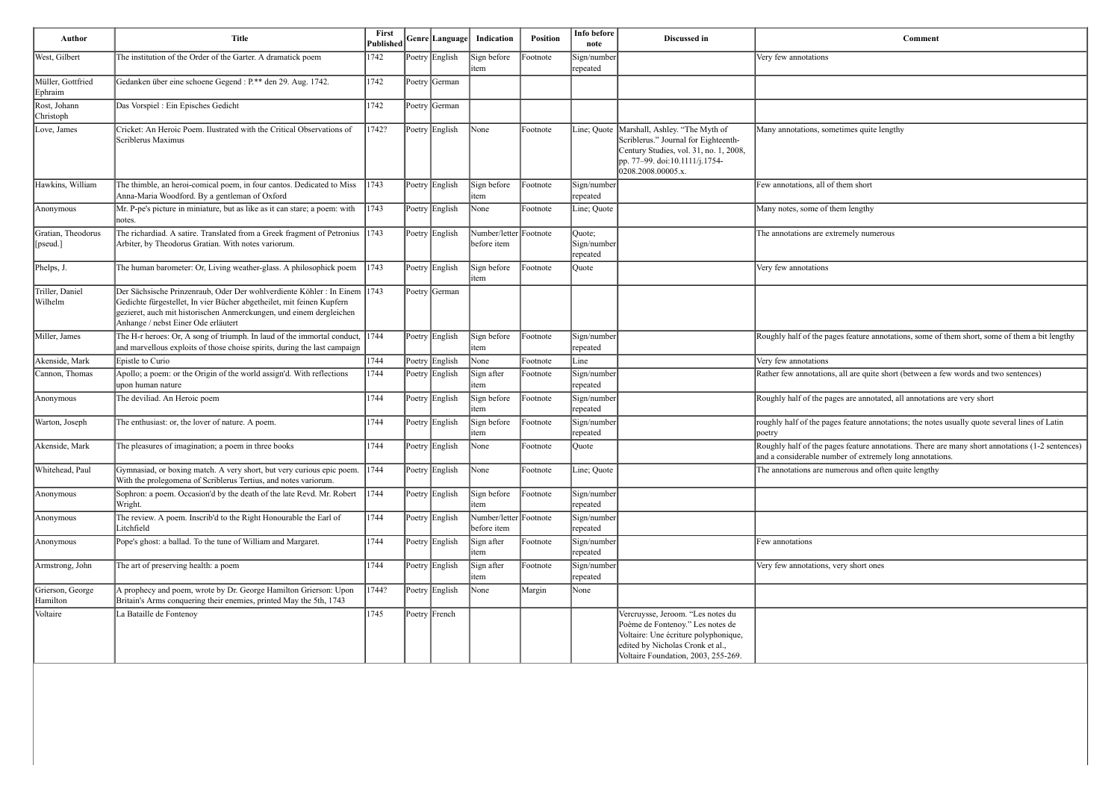| Author                         | <b>Title</b>                                                                                                                                                                                                                                                    | First<br>Published | Genre Language                        | Indication                            | <b>Position</b> | Info before<br>note                | Discussed in                                                                                                                                                                             | Comment                                                                                                                                                     |
|--------------------------------|-----------------------------------------------------------------------------------------------------------------------------------------------------------------------------------------------------------------------------------------------------------------|--------------------|---------------------------------------|---------------------------------------|-----------------|------------------------------------|------------------------------------------------------------------------------------------------------------------------------------------------------------------------------------------|-------------------------------------------------------------------------------------------------------------------------------------------------------------|
| West, Gilbert                  | The institution of the Order of the Garter. A dramatick poem                                                                                                                                                                                                    | 1742               | Poetry English                        | Sign before<br>item                   | Footnote        | Sign/number<br>repeated            |                                                                                                                                                                                          | Very few annotations                                                                                                                                        |
| Müller, Gottfried<br>Ephraim   | Gedanken über eine schoene Gegend : P.** den 29. Aug. 1742.                                                                                                                                                                                                     | 1742               | Poetry German                         |                                       |                 |                                    |                                                                                                                                                                                          |                                                                                                                                                             |
| Rost, Johann<br>Christoph      | Das Vorspiel : Ein Episches Gedicht                                                                                                                                                                                                                             | 1742               | Poetry German                         |                                       |                 |                                    |                                                                                                                                                                                          |                                                                                                                                                             |
| Love, James                    | Cricket: An Heroic Poem. Ilustrated with the Critical Observations of<br>Scriblerus Maximus                                                                                                                                                                     | 1742?              | Poetry English                        | $\mathbb{N}$ one                      | Footnote        |                                    | Line; Quote   Marshall, Ashley. "The Myth of<br>Scriblerus." Journal for Eighteenth-<br>Century Studies, vol. 31, no. 1, 2008,<br>pp. 77–99. doi:10.1111/j.1754-<br>0208.2008.00005.x.   | Many annotations, sometimes quite lengthy                                                                                                                   |
| Hawkins, William               | The thimble, an heroi-comical poem, in four cantos. Dedicated to Miss<br>Anna-Maria Woodford. By a gentleman of Oxford                                                                                                                                          | 1743               | Poetry English                        | Sign before<br>item                   | Footnote        | Sign/number<br>repeated            |                                                                                                                                                                                          | Few annotations, all of them short                                                                                                                          |
| Anonymous                      | Mr. P-pe's picture in miniature, but as like as it can stare; a poem: with<br>notes.                                                                                                                                                                            | 1743               | Poetry English                        | None                                  | Footnote        | Line; Quote                        |                                                                                                                                                                                          | Many notes, some of them lengthy                                                                                                                            |
| Gratian, Theodorus<br>[pseud.] | The richardiad. A satire. Translated from a Greek fragment of Petronius 1743<br>Arbiter, by Theodorus Gratian. With notes variorum.                                                                                                                             |                    | Poetry English                        | Number/letter Footnote<br>before item |                 | Quote;<br>Sign/number<br> repeated |                                                                                                                                                                                          | The annotations are extremely numerous                                                                                                                      |
| Phelps, J.                     | The human barometer: Or, Living weather-glass. A philosophick poem                                                                                                                                                                                              | 1743               | Poetry English                        | Sign before<br>item                   | Footnote        | Quote                              |                                                                                                                                                                                          | Very few annotations                                                                                                                                        |
| Triller, Daniel<br>Wilhelm     | Der Sächsische Prinzenraub, Oder Der wohlverdiente Köhler: In Einem 1743<br>Gedichte fürgestellet, In vier Bücher abgetheilet, mit feinen Kupfern<br>gezieret, auch mit historischen Anmerckungen, und einem dergleichen<br>Anhange / nebst Einer Ode erläutert |                    | Poetry German                         |                                       |                 |                                    |                                                                                                                                                                                          |                                                                                                                                                             |
| Miller, James                  | The H-r heroes: Or, A song of triumph. In laud of the immortal conduct,<br>and marvellous exploits of those choise spirits, during the last campaign                                                                                                            | 1744               | Poetry English                        | Sign before<br>item                   | Footnote        | Sign/number<br>repeated            |                                                                                                                                                                                          | Roughly half of the pages feature annotations, some of them short, some of them a bit lengthy                                                               |
| Akenside, Mark                 | Epistle to Curio                                                                                                                                                                                                                                                | 1744               | Poetry English                        | None                                  | Footnote        | Line                               |                                                                                                                                                                                          | Very few annotations                                                                                                                                        |
| Cannon, Thomas                 | Apollo; a poem: or the Origin of the world assign'd. With reflections<br>upon human nature                                                                                                                                                                      | 1744               | Poetry English                        | Sign after<br>item                    | Footnote        | Sign/number<br>repeated            |                                                                                                                                                                                          | Rather few annotations, all are quite short (between a few words and two sentences)                                                                         |
| Anonymous                      | The deviliad. An Heroic poem                                                                                                                                                                                                                                    | 1744               | Poetry English                        | Sign before<br>item                   | Footnote        | Sign/number<br>repeated            |                                                                                                                                                                                          | Roughly half of the pages are annotated, all annotations are very short                                                                                     |
| Warton, Joseph                 | The enthusiast: or, the lover of nature. A poem.                                                                                                                                                                                                                | 1744               | Poetry English                        | Sign before<br>item                   | Footnote        | Sign/number<br>repeated            |                                                                                                                                                                                          | roughly half of the pages feature annotations; the notes usually quote several lines of Latin<br>poetry                                                     |
| Akenside, Mark                 | The pleasures of imagination; a poem in three books                                                                                                                                                                                                             | 1744               | Poetry English                        | $\mathbb{N}$ one                      | Footnote        | Ouote                              |                                                                                                                                                                                          | Roughly half of the pages feature annotations. There are many short annotations (1-2 sentences)<br>and a considerable number of extremely long annotations. |
| Whitehead, Paul                | Gymnasiad, or boxing match. A very short, but very curious epic poem.<br>With the prolegomena of Scriblerus Tertius, and notes variorum.                                                                                                                        | 1744               | Poetry English                        | $\sqrt{\frac{1}{2}}$                  | Footnote        | Line; Quote                        |                                                                                                                                                                                          | The annotations are numerous and often quite lengthy                                                                                                        |
| Anonymous                      | Sophron: a poem. Occasion'd by the death of the late Revd. Mr. Robert<br>Wright.                                                                                                                                                                                | 1744               | Poetry English                        | Sign before<br>item                   | Footnote        | Sign/number<br>repeated            |                                                                                                                                                                                          |                                                                                                                                                             |
| Anonymous                      | The review. A poem. Inscrib'd to the Right Honourable the Earl of<br>Litchfield                                                                                                                                                                                 | 1744               | Poetry English                        | Number/letter Footnote<br>before item |                 | Sign/number<br>repeated            |                                                                                                                                                                                          |                                                                                                                                                             |
| Anonymous                      | Pope's ghost: a ballad. To the tune of William and Margaret.                                                                                                                                                                                                    | 1744               | Poetry English                        | Sign after<br>item                    | Footnote        | Sign/number<br>repeated            |                                                                                                                                                                                          | Few annotations                                                                                                                                             |
| Armstrong, John                | The art of preserving health: a poem                                                                                                                                                                                                                            | 1744               | Poetry English                        | Sign after<br>item                    | Footnote        | Sign/number<br>repeated            |                                                                                                                                                                                          | Very few annotations, very short ones                                                                                                                       |
| Grierson, George<br>Hamilton   | A prophecy and poem, wrote by Dr. George Hamilton Grierson: Upon<br>Britain's Arms conquering their enemies, printed May the 5th, 1743                                                                                                                          | 1744?              | Poetry English                        | None                                  | Margin          | None                               |                                                                                                                                                                                          |                                                                                                                                                             |
| Voltaire                       | La Bataille de Fontenoy                                                                                                                                                                                                                                         | 1745               | $\left  \text{Poetry} \right $ French |                                       |                 |                                    | Vercruysse, Jeroom. "Les notes du<br>Poème de Fontenoy." Les notes de<br>Voltaire: Une écriture polyphonique,<br>edited by Nicholas Cronk et al.,<br>Voltaire Foundation, 2003, 255-269. |                                                                                                                                                             |

| Comment                                                                                                                                                     |
|-------------------------------------------------------------------------------------------------------------------------------------------------------------|
| Very few annotations                                                                                                                                        |
|                                                                                                                                                             |
|                                                                                                                                                             |
| Many annotations, sometimes quite lengthy                                                                                                                   |
|                                                                                                                                                             |
|                                                                                                                                                             |
| Few annotations, all of them short                                                                                                                          |
| Many notes, some of them lengthy                                                                                                                            |
| The annotations are extremely numerous                                                                                                                      |
| Very few annotations                                                                                                                                        |
|                                                                                                                                                             |
| Roughly half of the pages feature annotations, some of them short, some of them a bit lengthy                                                               |
| Very few annotations                                                                                                                                        |
| Rather few annotations, all are quite short (between a few words and two sentences)                                                                         |
| Roughly half of the pages are annotated, all annotations are very short                                                                                     |
| roughly half of the pages feature annotations; the notes usually quote several lines of Latin<br>poetry                                                     |
| Roughly half of the pages feature annotations. There are many short annotations (1-2 sentences)<br>and a considerable number of extremely long annotations. |
| The annotations are numerous and often quite lengthy                                                                                                        |
|                                                                                                                                                             |
|                                                                                                                                                             |
| Few annotations                                                                                                                                             |
| Very few annotations, very short ones                                                                                                                       |
|                                                                                                                                                             |
|                                                                                                                                                             |
|                                                                                                                                                             |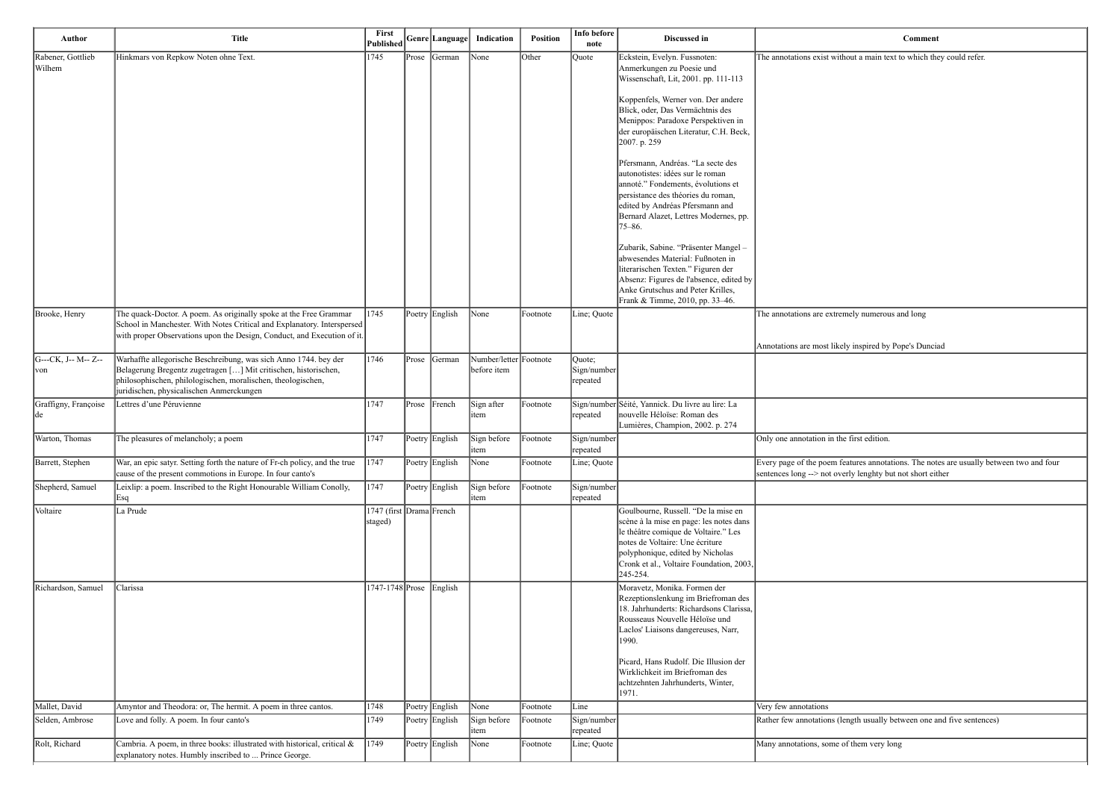hout a main text to which they could refer.

mely numerous and long<sup>-</sup>

ely inspired by Pope's Dunciad

ne first edition.

Features annotations. The notes are usually between two and four erly lenghty but not short either

ength usually between one and five sentences)

of them very long

| Author                      | <b>Title</b>                                                                                                                                                                                                                                    | First<br>Published                  |       | Genre Language | Indication                            | <b>Position</b> | Info before<br>note               | Discussed in                                                                                                                                                                                                                                          |                                                         |
|-----------------------------|-------------------------------------------------------------------------------------------------------------------------------------------------------------------------------------------------------------------------------------------------|-------------------------------------|-------|----------------|---------------------------------------|-----------------|-----------------------------------|-------------------------------------------------------------------------------------------------------------------------------------------------------------------------------------------------------------------------------------------------------|---------------------------------------------------------|
| Rabener, Gottlieb<br>Wilhem | Hinkmars von Repkow Noten ohne Text.                                                                                                                                                                                                            | 1745                                |       | Prose German   | None                                  | Other           | Quote                             | Eckstein, Evelyn. Fussnoten:<br>Anmerkungen zu Poesie und<br>Wissenschaft, Lit, 2001. pp. 111-113                                                                                                                                                     | The annotations exist with                              |
|                             |                                                                                                                                                                                                                                                 |                                     |       |                |                                       |                 |                                   | Koppenfels, Werner von. Der andere<br>Blick, oder, Das Vermächtnis des<br>Menippos: Paradoxe Perspektiven in<br>der europäischen Literatur, C.H. Beck,<br>2007. p. 259                                                                                |                                                         |
|                             |                                                                                                                                                                                                                                                 |                                     |       |                |                                       |                 |                                   | Pfersmann, Andréas. "La secte des<br>autonotistes: idées sur le roman<br>annoté." Fondements, évolutions et<br>persistance des théories du roman,<br>edited by Andréas Pfersmann and<br>Bernard Alazet, Lettres Modernes, pp.<br>$75 - 86.$           |                                                         |
|                             |                                                                                                                                                                                                                                                 |                                     |       |                |                                       |                 |                                   | Zubarik, Sabine. "Präsenter Mangel -<br>abwesendes Material: Fußnoten in<br>literarischen Texten." Figuren der<br>Absenz: Figures de l'absence, edited by<br>Anke Grutschus and Peter Krilles,<br>Frank & Timme, 2010, pp. 33-46.                     |                                                         |
| Brooke, Henry               | The quack-Doctor. A poem. As originally spoke at the Free Grammar<br>School in Manchester. With Notes Critical and Explanatory. Interspersed<br>with proper Observations upon the Design, Conduct, and Execution of it.                         | 1745                                |       | Poetry English | None                                  | Footnote        | Line; Quote                       |                                                                                                                                                                                                                                                       | The annotations are extrer                              |
| G---CK, J-- M-- Z--<br>von  | Warhaffte allegorische Beschreibung, was sich Anno 1744. bey der<br>Belagerung Bregentz zugetragen [] Mit critischen, historischen,<br>philosophischen, philologischen, moralischen, theologischen,<br>juridischen, physicalischen Anmerckungen | 1746                                | Prose | German         | Number/letter Footnote<br>before item |                 | Quote;<br>Sign/number<br>repeated |                                                                                                                                                                                                                                                       | Annotations are most like                               |
| Graffigny, Françoise<br> de | Lettres d'une Péruvienne                                                                                                                                                                                                                        | 1747                                | Prose | French         | Sign after<br>item                    | Footnote        | repeated                          | Sign/number Séité, Yannick. Du livre au lire: La<br>nouvelle Héloïse: Roman des<br>Lumières, Champion, 2002. p. 274                                                                                                                                   |                                                         |
| Warton, Thomas              | The pleasures of melancholy; a poem                                                                                                                                                                                                             | 1747                                |       | Poetry English | Sign before<br>item                   | Footnote        | Sign/number<br><i>repeated</i>    |                                                                                                                                                                                                                                                       | Only one annotation in the                              |
| Barrett, Stephen            | War, an epic satyr. Setting forth the nature of Fr-ch policy, and the true<br>cause of the present commotions in Europe. In four canto's                                                                                                        | 1747                                |       | Poetry English | None                                  | Footnote        | Line; Quote                       |                                                                                                                                                                                                                                                       | Every page of the poem fe<br>sentences long --> not ove |
| Shepherd, Samuel            | Leixlip: a poem. Inscribed to the Right Honourable William Conolly,<br> Esq                                                                                                                                                                     | 1747                                |       | Poetry English | Sign before<br>item                   | Footnote        | Sign/number<br>repeated           |                                                                                                                                                                                                                                                       |                                                         |
| Voltaire                    | La Prude                                                                                                                                                                                                                                        | 1747 (first Drama French<br>staged) |       |                |                                       |                 |                                   | Goulbourne, Russell. "De la mise en<br>scène à la mise en page: les notes dans<br>le théâtre comique de Voltaire." Les<br>notes de Voltaire: Une écriture<br>polyphonique, edited by Nicholas<br>Cronk et al., Voltaire Foundation, 2003,<br>245-254. |                                                         |
| Richardson, Samuel          | Clarissa                                                                                                                                                                                                                                        | 1747-1748 Prose                     |       | English        |                                       |                 |                                   | Moravetz, Monika. Formen der<br>Rezeptionslenkung im Briefroman des<br>18. Jahrhunderts: Richardsons Clarissa,<br>Rousseaus Nouvelle Héloïse und<br>Laclos' Liaisons dangereuses, Narr,<br>1990.<br>Picard, Hans Rudolf. Die Illusion der             |                                                         |
|                             |                                                                                                                                                                                                                                                 |                                     |       |                |                                       |                 |                                   | Wirklichkeit im Briefroman des<br>achtzehnten Jahrhunderts, Winter,<br>1971.                                                                                                                                                                          |                                                         |
| Mallet, David               | Amyntor and Theodora: or, The hermit. A poem in three cantos.                                                                                                                                                                                   | 1748                                |       | Poetry English | None                                  | Footnote        | Line                              |                                                                                                                                                                                                                                                       | Very few annotations                                    |
| Selden, Ambrose             | Love and folly. A poem. In four canto's                                                                                                                                                                                                         | 1749                                |       | Poetry English | Sign before<br>item                   | Footnote        | Sign/number<br>repeated           |                                                                                                                                                                                                                                                       | Rather few annotations (le                              |
| Rolt, Richard               | Cambria. A poem, in three books: illustrated with historical, critical &<br>explanatory notes. Humbly inscribed to  Prince George.                                                                                                              | $ 1749\rangle$                      |       | Poetry English | None                                  | Footnote        | Line; Quote                       |                                                                                                                                                                                                                                                       | Many annotations, some c                                |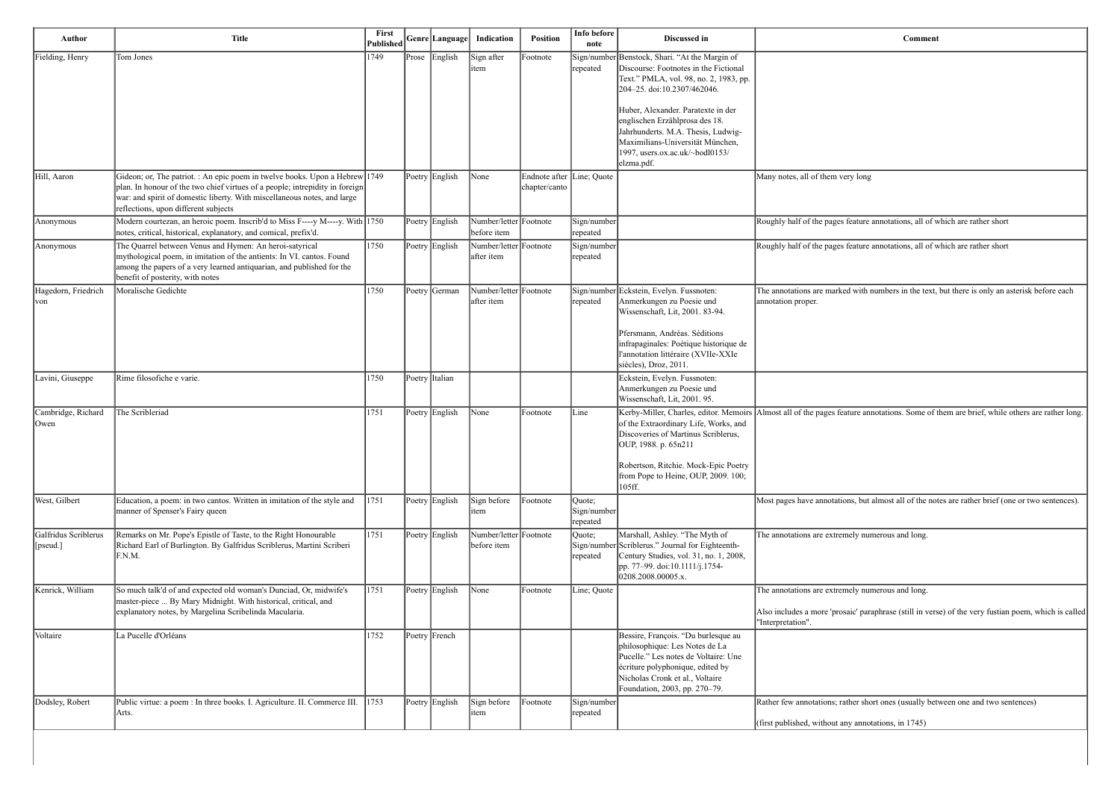s feature annotations, all of which are rather short

s feature annotations, all of which are rather short

the are marked with numbers in the text, but there is only an asterisk before each

eature annotations. Some of them are brief, while others are rather long.

ions, but almost all of the notes are rather brief (one or two sentences).

mely numerous and long.

mely numerous and long.

saic' paraphrase (still in verse) of the very fustian poem, which is called

rather short ones (usually between one and two sentences)

any annotations, in 1745)

| Author                            | <b>Title</b>                                                                                                                                                                                                                                                                    | First<br>Published | Genre Language | Indication                            | <b>Position</b>                            | Info before<br>note               | Discussed in                                                                                                                                                                                                                                                                                                                                                        |                                                                                               |
|-----------------------------------|---------------------------------------------------------------------------------------------------------------------------------------------------------------------------------------------------------------------------------------------------------------------------------|--------------------|----------------|---------------------------------------|--------------------------------------------|-----------------------------------|---------------------------------------------------------------------------------------------------------------------------------------------------------------------------------------------------------------------------------------------------------------------------------------------------------------------------------------------------------------------|-----------------------------------------------------------------------------------------------|
| Fielding, Henry                   | Tom Jones                                                                                                                                                                                                                                                                       | 1749               | Prose English  | Sign after<br>item                    | Footnote                                   | repeated                          | Sign/number Benstock, Shari. "At the Margin of<br>Discourse: Footnotes in the Fictional<br>Text." PMLA, vol. 98, no. 2, 1983, pp.<br>204-25. doi:10.2307/462046.<br>Huber, Alexander. Paratexte in der<br>englischen Erzählprosa des 18.<br>Jahrhunderts. M.A. Thesis, Ludwig-<br>Maximilians-Universität München,<br>1997, users.ox.ac.uk/~bodl0153/<br>elzma.pdf. |                                                                                               |
| Hill, Aaron                       | Gideon; or, The patriot. : An epic poem in twelve books. Upon a Hebrew 1749<br>plan. In honour of the two chief virtues of a people; intrepidity in foreign<br>war: and spirit of domestic liberty. With miscellaneous notes, and large<br>reflections, upon different subjects |                    | Poetry English | None                                  | Endnote after Line; Quote<br>chapter/canto |                                   |                                                                                                                                                                                                                                                                                                                                                                     | Many notes, all of them very long                                                             |
| Anonymous                         | Modern courtezan, an heroic poem. Inscrib'd to Miss F----y M----y. With $1750$<br>notes, critical, historical, explanatory, and comical, prefix'd.                                                                                                                              |                    | Poetry English | Number/letter Footnote<br>before item |                                            | Sign/number<br>repeated           |                                                                                                                                                                                                                                                                                                                                                                     | Roughly half of the pages feature                                                             |
| Anonymous                         | The Quarrel between Venus and Hymen: An heroi-satyrical<br>mythological poem, in imitation of the antients: In VI. cantos. Found<br>among the papers of a very learned antiquarian, and published for the<br>benefit of posterity, with notes                                   | 1750               | Poetry English | Number/letter Footnote<br>after item  |                                            | Sign/number<br>repeated           |                                                                                                                                                                                                                                                                                                                                                                     | Roughly half of the pages feature                                                             |
| Hagedorn, Friedrich<br> von       | Moralische Gedichte                                                                                                                                                                                                                                                             | 1750               | Poetry German  | Number/letter Footnote<br>after item  |                                            | repeated                          | Sign/number Eckstein, Evelyn. Fussnoten:<br>Anmerkungen zu Poesie und<br>Wissenschaft, Lit, 2001. 83-94.<br>Pfersmann, Andréas. Séditions<br>infrapaginales: Poétique historique de<br>l'annotation littéraire (XVIIe-XXIe<br>siècles), Droz, 2011.                                                                                                                 | The annotations are marked with 1<br>annotation proper.                                       |
| Lavini, Giuseppe                  | Rime filosofiche e varie.                                                                                                                                                                                                                                                       | 1750               | Poetry Italian |                                       |                                            |                                   | Eckstein, Evelyn. Fussnoten:<br>Anmerkungen zu Poesie und<br>Wissenschaft, Lit, 2001. 95.                                                                                                                                                                                                                                                                           |                                                                                               |
| Cambridge, Richard<br> Owen       | The Scribleriad                                                                                                                                                                                                                                                                 | 1751               | Poetry English | None                                  | Footnote                                   | Line                              | Kerby-Miller, Charles, editor. Memoirs<br>of the Extraordinary Life, Works, and<br>Discoveries of Martinus Scriblerus,<br>OUP, 1988. p. 65n211<br>Robertson, Ritchie. Mock-Epic Poetry<br>from Pope to Heine, OUP, 2009. 100;<br>105ff.                                                                                                                             | Almost all of the pages feature and                                                           |
| West, Gilbert                     | Education, a poem: in two cantos. Written in imitation of the style and<br>manner of Spenser's Fairy queen                                                                                                                                                                      | 1751               | Poetry English | Sign before<br>item                   | Footnote                                   | Quote;<br>Sign/number<br>repeated |                                                                                                                                                                                                                                                                                                                                                                     | Most pages have annotations, but                                                              |
| Galfridus Scriblerus<br>[[pseud.] | Remarks on Mr. Pope's Epistle of Taste, to the Right Honourable<br>Richard Earl of Burlington. By Galfridus Scriblerus, Martini Scriberi<br>F.N.M.                                                                                                                              | 1751               | Poetry English | Number/letter Footnote<br>before item |                                            | Quote;<br>repeated                | Marshall, Ashley. "The Myth of<br>Sign/number Scriblerus." Journal for Eighteenth-<br>Century Studies, vol. 31, no. 1, 2008,<br>pp. 77–99. doi:10.1111/j.1754-<br>0208.2008.00005.x.                                                                                                                                                                                | The annotations are extremely nur                                                             |
| Kenrick, William                  | So much talk'd of and expected old woman's Dunciad, Or, midwife's<br>master-piece  By Mary Midnight. With historical, critical, and<br>explanatory notes, by Margelina Scribelinda Macularia.                                                                                   | 1751               | Poetry English | None                                  | Footnote                                   | Line; Quote                       |                                                                                                                                                                                                                                                                                                                                                                     | The annotations are extremely nur<br>Also includes a more 'prosaic' para<br>"Interpretation". |
| Voltaire                          | La Pucelle d'Orléans                                                                                                                                                                                                                                                            | 1752               | Poetry French  |                                       |                                            |                                   | Bessire, François. "Du burlesque au<br>philosophique: Les Notes de La<br>Pucelle." Les notes de Voltaire: Une<br>écriture polyphonique, edited by<br>Nicholas Cronk et al., Voltaire<br>Foundation, 2003, pp. 270-79.                                                                                                                                               |                                                                                               |
| Dodsley, Robert                   | Public virtue: a poem : In three books. I. Agriculture. II. Commerce III.<br>Arts.                                                                                                                                                                                              | 1753               | Poetry English | Sign before<br>item                   | Footnote                                   | Sign/number<br>repeated           |                                                                                                                                                                                                                                                                                                                                                                     | Rather few annotations; rather sho<br>(first published, without any anno                      |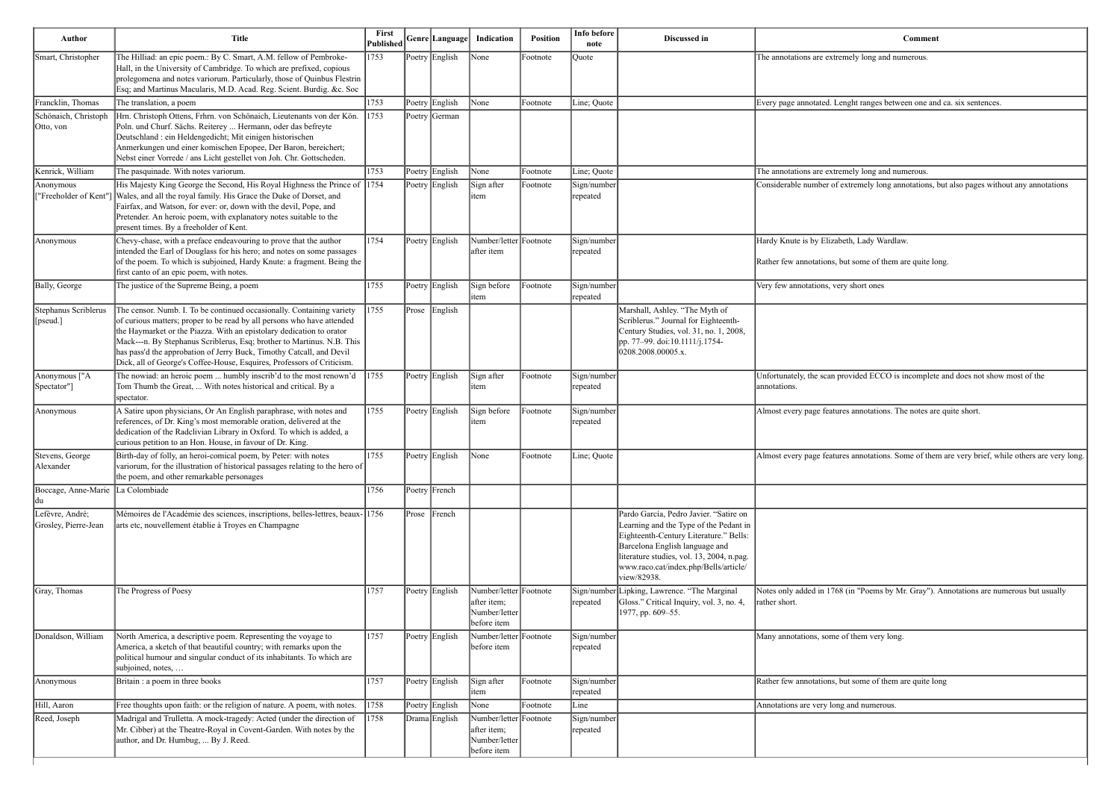nght ranges between one and ca. six sentences.

extremely long annotations, but also pages without any annotations

out some of them are quite long.

rovided ECCO is incomplete and does not show most of the

es annotations. The notes are quite short.

es annotations. Some of them are very brief, while others are very long.

 $8$  (in "Poems by Mr. Gray"). Annotations are numerous but usually

but some of them are quite long

| Author                                   | <b>Title</b>                                                                                                                                                                                                                                                                                                                                                                                                                                        | First<br>Published |       | Genre  Language | Indication                                                            | Position | Info before<br>note     | <b>Discussed in</b>                                                                                                                                                                                                                                               | Comm                                                                                             |
|------------------------------------------|-----------------------------------------------------------------------------------------------------------------------------------------------------------------------------------------------------------------------------------------------------------------------------------------------------------------------------------------------------------------------------------------------------------------------------------------------------|--------------------|-------|-----------------|-----------------------------------------------------------------------|----------|-------------------------|-------------------------------------------------------------------------------------------------------------------------------------------------------------------------------------------------------------------------------------------------------------------|--------------------------------------------------------------------------------------------------|
| Smart, Christopher                       | The Hilliad: an epic poem.: By C. Smart, A.M. fellow of Pembroke-<br>Hall, in the University of Cambridge. To which are prefixed, copious<br>prolegomena and notes variorum. Particularly, those of Quinbus Flestrin<br>Esq; and Martinus Macularis, M.D. Acad. Reg. Scient. Burdig. &c. Soc                                                                                                                                                        | 1753               |       | Poetry English  | None                                                                  | Footnote | Quote                   |                                                                                                                                                                                                                                                                   | The annotations are extremely long and numerous.                                                 |
| Francklin, Thomas                        | The translation, a poem                                                                                                                                                                                                                                                                                                                                                                                                                             | 1753               |       | Poetry English  | None                                                                  | Footnote | Line; Quote             |                                                                                                                                                                                                                                                                   | Every page annotated. Lenght ranges between one                                                  |
| Schönaich, Christoph<br>Otto, von        | Hrn. Christoph Ottens, Frhrn. von Schönaich, Lieutenants von der Kön.<br>Poln. und Churf. Sächs. Reiterey  Hermann, oder das befreyte<br>Deutschland : ein Heldengedicht; Mit einigen historischen<br>Anmerkungen und einer komischen Epopee, Der Baron, bereichert;<br>Nebst einer Vorrede / ans Licht gestellet von Joh. Chr. Gottscheden.                                                                                                        | 1753               |       | Poetry German   |                                                                       |          |                         |                                                                                                                                                                                                                                                                   |                                                                                                  |
| Kenrick, William                         | The pasquinade. With notes variorum.                                                                                                                                                                                                                                                                                                                                                                                                                | 1753               |       | Poetry English  | None                                                                  | Footnote | Line; Quote             |                                                                                                                                                                                                                                                                   | The annotations are extremely long and numerous.                                                 |
| Anonymous<br>["Freeholder of Kent"]      | His Majesty King George the Second, His Royal Highness the Prince of 1754<br>Wales, and all the royal family. His Grace the Duke of Dorset, and<br>Fairfax, and Watson, for ever: or, down with the devil, Pope, and<br>Pretender. An heroic poem, with explanatory notes suitable to the<br>present times. By a freeholder of Kent.                                                                                                                |                    |       | Poetry English  | Sign after<br>item                                                    | Footnote | Sign/number<br>repeated |                                                                                                                                                                                                                                                                   | Considerable number of extremely long annotation                                                 |
| Anonymous                                | Chevy-chase, with a preface endeavouring to prove that the author<br>intended the Earl of Douglass for his hero; and notes on some passages<br>of the poem. To which is subjoined, Hardy Knute: a fragment. Being the<br>first canto of an epic poem, with notes.                                                                                                                                                                                   | 1754               |       | Poetry English  | Number/letter Footnote<br>after item                                  |          | Sign/number<br>repeated |                                                                                                                                                                                                                                                                   | Hardy Knute is by Elizabeth, Lady Wardlaw.<br>Rather few annotations, but some of them are quite |
| Bally, George                            | The justice of the Supreme Being, a poem                                                                                                                                                                                                                                                                                                                                                                                                            | 1755               |       | Poetry English  | Sign before<br>item                                                   | Footnote | Sign/number<br>repeated |                                                                                                                                                                                                                                                                   | Very few annotations, very short ones                                                            |
| Stephanus Scriblerus<br>[pseud.]         | The censor. Numb. I. To be continued occasionally. Containing variety<br>of curious matters; proper to be read by all persons who have attended<br>the Haymarket or the Piazza. With an epistolary dedication to orator<br>Mack---n. By Stephanus Scriblerus, Esq; brother to Martinus. N.B. This<br>has pass'd the approbation of Jerry Buck, Timothy Catcall, and Devil<br>Dick, all of George's Coffee-House, Esquires, Professors of Criticism. | 1755               |       | Prose English   |                                                                       |          |                         | Marshall, Ashley. "The Myth of<br>Scriblerus." Journal for Eighteenth-<br>Century Studies, vol. 31, no. 1, 2008,<br>pp. 77–99. doi:10.1111/j.1754-<br>0208.2008.00005.x.                                                                                          |                                                                                                  |
| Anonymous ["A<br>[Spectator"]            | The nowiad: an heroic poem  humbly inscrib'd to the most renown'd<br>Tom Thumb the Great,  With notes historical and critical. By a<br>spectator.                                                                                                                                                                                                                                                                                                   | 1755               |       | Poetry English  | Sign after<br>item                                                    | Footnote | Sign/number<br>repeated |                                                                                                                                                                                                                                                                   | Unfortunately, the scan provided ECCO is incomp<br>annotations.                                  |
| Anonymous                                | A Satire upon physicians, Or An English paraphrase, with notes and<br>references, of Dr. King's most memorable oration, delivered at the<br>dedication of the Radclivian Library in Oxford. To which is added, a<br>curious petition to an Hon. House, in favour of Dr. King.                                                                                                                                                                       | 1755               |       | Poetry English  | Sign before<br>item                                                   | Footnote | Sign/number<br>repeated |                                                                                                                                                                                                                                                                   | Almost every page features annotations. The notes                                                |
| Stevens, George<br>Alexander             | Birth-day of folly, an heroi-comical poem, by Peter: with notes<br>variorum, for the illustration of historical passages relating to the hero of<br>the poem, and other remarkable personages                                                                                                                                                                                                                                                       | 1755               |       | Poetry English  | $\vert$ None                                                          | Footnote | Line; Quote             |                                                                                                                                                                                                                                                                   | Almost every page features annotations. Some of t                                                |
| Boccage, Anne-Marie La Colombiade<br> du |                                                                                                                                                                                                                                                                                                                                                                                                                                                     | 1756               |       | Poetry French   |                                                                       |          |                         |                                                                                                                                                                                                                                                                   |                                                                                                  |
| Lefèvre, André;<br>Grosley, Pierre-Jean  | Mémoires de l'Académie des sciences, inscriptions, belles-lettres, beaux-1756<br>arts etc, nouvellement établie à Troyes en Champagne                                                                                                                                                                                                                                                                                                               |                    | Prose | French          |                                                                       |          |                         | Pardo García, Pedro Javier. "Satire on<br>Learning and the Type of the Pedant in<br>Eighteenth-Century Literature." Bells:<br>Barcelona English language and<br>literature studies, vol. 13, 2004, n.pag.<br>www.raco.cat/index.php/Bells/article/<br>view/82938. |                                                                                                  |
| Gray, Thomas                             | The Progress of Poesy                                                                                                                                                                                                                                                                                                                                                                                                                               | 1757               |       | Poetry English  | Number/letter Footnote<br>after item;<br>Number/letter<br>before item |          | ∣repeated               | Sign/number Lipking, Lawrence. "The Marginal<br>Gloss." Critical Inquiry, vol. 3, no. 4,<br>1977, pp. 609-55.                                                                                                                                                     | Notes only added in 1768 (in "Poems by Mr. Gray<br>rather short.                                 |
| Donaldson, William                       | North America, a descriptive poem. Representing the voyage to<br>America, a sketch of that beautiful country; with remarks upon the<br>political humour and singular conduct of its inhabitants. To which are<br>subjoined, notes,                                                                                                                                                                                                                  | 1757               |       | Poetry English  | Number/letter Footnote<br>before item                                 |          | Sign/number<br>repeated |                                                                                                                                                                                                                                                                   | Many annotations, some of them very long.                                                        |
| Anonymous                                | Britain : a poem in three books                                                                                                                                                                                                                                                                                                                                                                                                                     | 1757               |       | Poetry English  | Sign after<br>item                                                    | Footnote | Sign/number<br>repeated |                                                                                                                                                                                                                                                                   | Rather few annotations, but some of them are quite                                               |
| Hill, Aaron                              | Free thoughts upon faith: or the religion of nature. A poem, with notes.                                                                                                                                                                                                                                                                                                                                                                            | 1758               |       | Poetry English  | None                                                                  | Footnote | Line                    |                                                                                                                                                                                                                                                                   | Annotations are very long and numerous.                                                          |
| Reed, Joseph                             | Madrigal and Trulletta. A mock-tragedy: Acted (under the direction of<br>Mr. Cibber) at the Theatre-Royal in Covent-Garden. With notes by the<br>author, and Dr. Humbug,  By J. Reed.                                                                                                                                                                                                                                                               | 1758               |       | Drama English   | Number/letter Footnote<br>after item;<br>Number/letter<br>before item |          | Sign/number<br>repeated |                                                                                                                                                                                                                                                                   |                                                                                                  |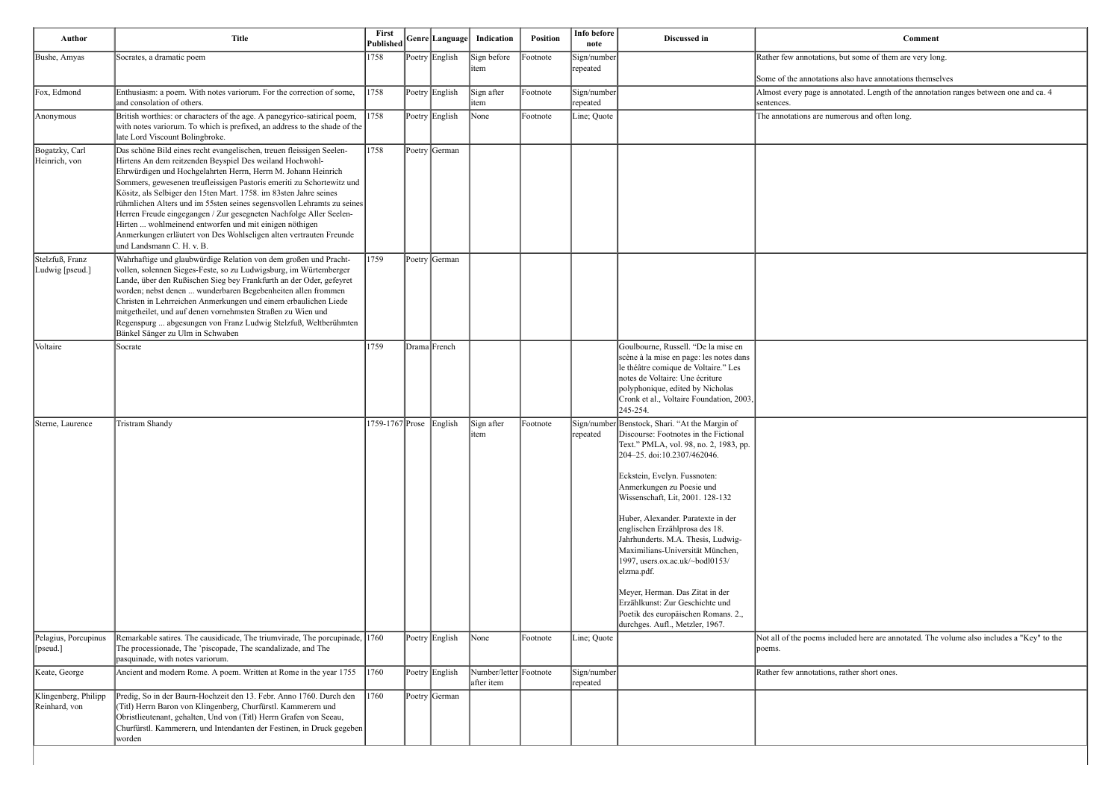but some of them are very long.

also have annotations themselves

otated. Length of the annotation ranges between one and ca. 4

erous and often long.

uded here are annotated. The volume also includes a "Key" to the

rather short ones.

| Author                                | <b>Title</b>                                                                                                                                                                                                                                                                                                                                                                                                                                                                                                                                                                                                                                                 | First<br>Published | Genre Language | Indication                           | Position | Info before<br>note     | Discussed in                                                                                                                                                                                                                                                                                                                                                                                                                                                                                                                                                                                                         |                                                         |
|---------------------------------------|--------------------------------------------------------------------------------------------------------------------------------------------------------------------------------------------------------------------------------------------------------------------------------------------------------------------------------------------------------------------------------------------------------------------------------------------------------------------------------------------------------------------------------------------------------------------------------------------------------------------------------------------------------------|--------------------|----------------|--------------------------------------|----------|-------------------------|----------------------------------------------------------------------------------------------------------------------------------------------------------------------------------------------------------------------------------------------------------------------------------------------------------------------------------------------------------------------------------------------------------------------------------------------------------------------------------------------------------------------------------------------------------------------------------------------------------------------|---------------------------------------------------------|
| Bushe, Amyas                          | Socrates, a dramatic poem                                                                                                                                                                                                                                                                                                                                                                                                                                                                                                                                                                                                                                    | 1758               | Poetry English | Sign before<br>item                  | Footnote | Sign/number<br>repeated |                                                                                                                                                                                                                                                                                                                                                                                                                                                                                                                                                                                                                      | Rather few annotations, bu<br>Some of the annotations a |
| Fox, Edmond                           | Enthusiasm: a poem. With notes variorum. For the correction of some,<br>and consolation of others.                                                                                                                                                                                                                                                                                                                                                                                                                                                                                                                                                           | 1758               | Poetry English | Sign after<br>item                   | Footnote | Sign/number<br>repeated |                                                                                                                                                                                                                                                                                                                                                                                                                                                                                                                                                                                                                      | Almost every page is anno<br>sentences.                 |
| Anonymous                             | British worthies: or characters of the age. A panegyrico-satirical poem,<br>with notes variorum. To which is prefixed, an address to the shade of the<br>late Lord Viscount Bolingbroke.                                                                                                                                                                                                                                                                                                                                                                                                                                                                     | $ 1758\rangle$     | Poetry English | None                                 | Footnote | Line; Quote             |                                                                                                                                                                                                                                                                                                                                                                                                                                                                                                                                                                                                                      | The annotations are numer                               |
| Bogatzky, Carl<br>Heinrich, von       | Das schöne Bild eines recht evangelischen, treuen fleissigen Seelen-<br>Hirtens An dem reitzenden Beyspiel Des weiland Hochwohl-<br>Ehrwürdigen und Hochgelahrten Herrn, Herrn M. Johann Heinrich<br>Sommers, gewesenen treufleissigen Pastoris emeriti zu Schortewitz und<br>Kösitz, als Selbiger den 15ten Mart. 1758. im 83sten Jahre seines<br>rühmlichen Alters und im 55sten seines segensvollen Lehramts zu seines<br>Herren Freude eingegangen / Zur gesegneten Nachfolge Aller Seelen-<br>Hirten  wohlmeinend entworfen und mit einigen nöthigen<br>Anmerkungen erläutert von Des Wohlseligen alten vertrauten Freunde<br>und Landsmann C. H. v. B. | 1758               | Poetry German  |                                      |          |                         |                                                                                                                                                                                                                                                                                                                                                                                                                                                                                                                                                                                                                      |                                                         |
| Stelzfuß, Franz<br>Ludwig [pseud.]    | Wahrhaftige und glaubwürdige Relation von dem großen und Pracht-<br>vollen, solennen Sieges-Feste, so zu Ludwigsburg, im Würtemberger<br>Lande, über den Rußischen Sieg bey Frankfurth an der Oder, gefeyret<br>worden; nebst denen  wunderbaren Begebenheiten allen frommen<br>Christen in Lehrreichen Anmerkungen und einem erbaulichen Liede<br>mitgetheilet, und auf denen vornehmsten Straßen zu Wien und<br>Regenspurg  abgesungen von Franz Ludwig Stelzfuß, Weltberühmten<br>Bänkel Sänger zu Ulm in Schwaben                                                                                                                                        | 1759               | Poetry German  |                                      |          |                         |                                                                                                                                                                                                                                                                                                                                                                                                                                                                                                                                                                                                                      |                                                         |
| Voltaire                              | Socrate                                                                                                                                                                                                                                                                                                                                                                                                                                                                                                                                                                                                                                                      | 1759               | Drama French   |                                      |          |                         | Goulbourne, Russell. "De la mise en<br>scène à la mise en page: les notes dans<br>le théâtre comique de Voltaire." Les<br>notes de Voltaire: Une écriture<br>polyphonique, edited by Nicholas<br>Cronk et al., Voltaire Foundation, 2003,<br>245-254.                                                                                                                                                                                                                                                                                                                                                                |                                                         |
| Sterne, Laurence                      | Tristram Shandy                                                                                                                                                                                                                                                                                                                                                                                                                                                                                                                                                                                                                                              | 1759-1767 Prose    | English        | Sign after<br>item                   | Footnote | repeated                | Sign/number Benstock, Shari. "At the Margin of<br>Discourse: Footnotes in the Fictional<br>Text." PMLA, vol. 98, no. 2, 1983, pp.<br>204-25. doi:10.2307/462046.<br>Eckstein, Evelyn. Fussnoten:<br>Anmerkungen zu Poesie und<br>Wissenschaft, Lit, 2001. 128-132<br>Huber, Alexander. Paratexte in der<br>englischen Erzählprosa des 18.<br>Jahrhunderts. M.A. Thesis, Ludwig-<br>Maximilians-Universität München,<br>1997, users.ox.ac.uk/~bodl0153/<br>elzma.pdf.<br>Meyer, Herman. Das Zitat in der<br>Erzählkunst: Zur Geschichte und<br>Poetik des europäischen Romans. 2.,<br>durchges. Aufl., Metzler, 1967. |                                                         |
| Pelagius, Porcupinus<br>[pseud.]      | Remarkable satires. The causidicade, The triumvirade, The porcupinade, 1760<br>The processionade, The 'piscopade, The scandalizade, and The<br>pasquinade, with notes variorum.                                                                                                                                                                                                                                                                                                                                                                                                                                                                              |                    | Poetry English | None                                 | Footnote | Line; Quote             |                                                                                                                                                                                                                                                                                                                                                                                                                                                                                                                                                                                                                      | Not all of the poems inclu-<br>poems.                   |
| Keate, George                         | Ancient and modern Rome. A poem. Written at Rome in the year 1755                                                                                                                                                                                                                                                                                                                                                                                                                                                                                                                                                                                            | $\vert 1760 \vert$ | Poetry English | Number/letter Footnote<br>after item |          | Sign/number<br>repeated |                                                                                                                                                                                                                                                                                                                                                                                                                                                                                                                                                                                                                      | Rather few annotations, ra                              |
| Klingenberg, Philipp<br>Reinhard, von | Predig, So in der Baurn-Hochzeit den 13. Febr. Anno 1760. Durch den<br>(Titl) Herrn Baron von Klingenberg, Churfürstl. Kammerern und<br>Obristlieutenant, gehalten, Und von (Titl) Herrn Grafen von Seeau,<br>Churfürstl. Kammerern, und Intendanten der Festinen, in Druck gegeben<br>worden                                                                                                                                                                                                                                                                                                                                                                | 1760               | Poetry German  |                                      |          |                         |                                                                                                                                                                                                                                                                                                                                                                                                                                                                                                                                                                                                                      |                                                         |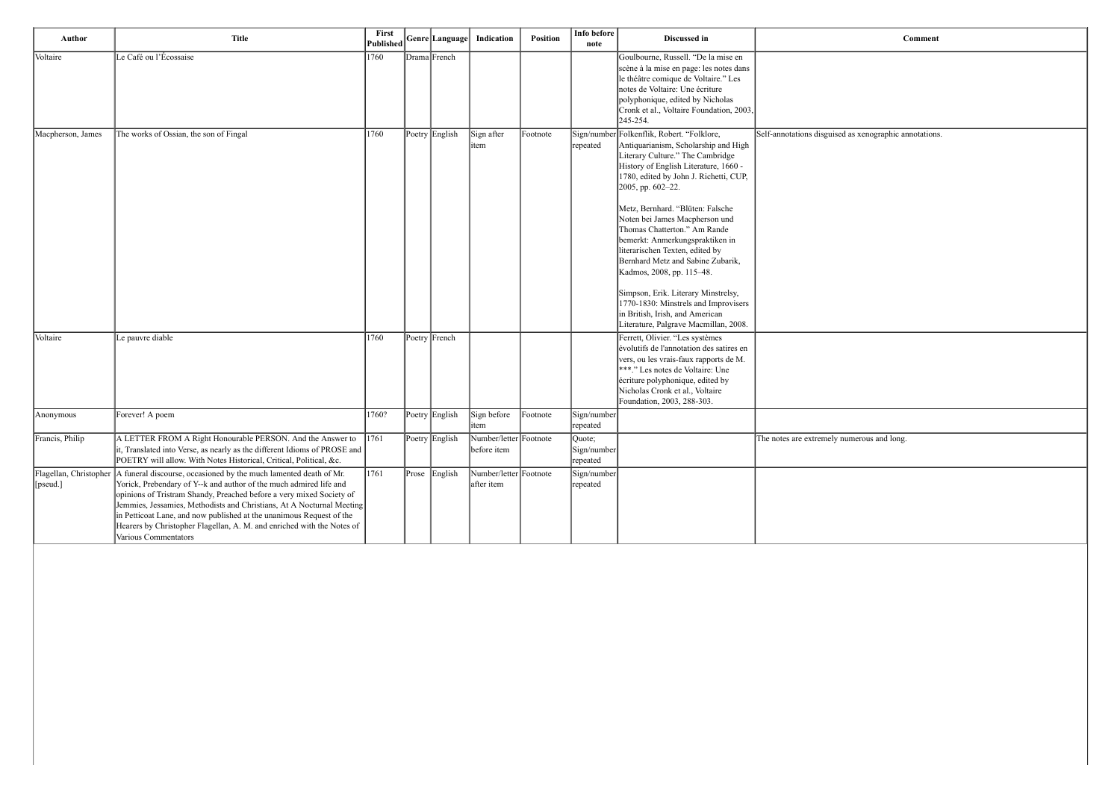| Author            | <b>Title</b>                                                                                                                                                                                                                                                                                                                                                                                                                                                                                | First<br><b>Published</b> |               | Genre Language | Indication                            | <b>Position</b> | Info before<br>note               | Discussed in                                                                                                                                                                                                                                                                                                                                                                                                                                                                                                                                                                                                                | Comment                                               |
|-------------------|---------------------------------------------------------------------------------------------------------------------------------------------------------------------------------------------------------------------------------------------------------------------------------------------------------------------------------------------------------------------------------------------------------------------------------------------------------------------------------------------|---------------------------|---------------|----------------|---------------------------------------|-----------------|-----------------------------------|-----------------------------------------------------------------------------------------------------------------------------------------------------------------------------------------------------------------------------------------------------------------------------------------------------------------------------------------------------------------------------------------------------------------------------------------------------------------------------------------------------------------------------------------------------------------------------------------------------------------------------|-------------------------------------------------------|
| Voltaire          | Le Café ou l'Écossaise                                                                                                                                                                                                                                                                                                                                                                                                                                                                      | 1760                      | Drama French  |                |                                       |                 |                                   | Goulbourne, Russell. "De la mise en<br>scène à la mise en page: les notes dans<br>le théâtre comique de Voltaire." Les<br>notes de Voltaire: Une écriture<br>polyphonique, edited by Nicholas<br>Cronk et al., Voltaire Foundation, 2003,<br>245-254.                                                                                                                                                                                                                                                                                                                                                                       |                                                       |
| Macpherson, James | The works of Ossian, the son of Fingal                                                                                                                                                                                                                                                                                                                                                                                                                                                      | 1760                      |               | Poetry English | Sign after<br>item                    | Footnote        | Sign/number<br>repeated           | Folkenflik, Robert. "Folklore,<br>Antiquarianism, Scholarship and High<br>Literary Culture." The Cambridge<br>History of English Literature, 1660 -<br>1780, edited by John J. Richetti, CUP,<br>2005, pp. 602-22.<br>Metz, Bernhard. "Blüten: Falsche<br>Noten bei James Macpherson und<br>Thomas Chatterton." Am Rande<br>bemerkt: Anmerkungspraktiken in<br>literarischen Texten, edited by<br>Bernhard Metz and Sabine Zubarik,<br>Kadmos, 2008, pp. 115-48.<br>Simpson, Erik. Literary Minstrelsy,<br>1770-1830: Minstrels and Improvisers<br>in British, Irish, and American<br>Literature, Palgrave Macmillan, 2008. | Self-annotations disguised as xenographic annotations |
| Voltaire          | Le pauvre diable                                                                                                                                                                                                                                                                                                                                                                                                                                                                            | 1760                      | Poetry French |                |                                       |                 |                                   | Ferrett, Olivier. "Les systèmes<br>évolutifs de l'annotation des satires en<br>vers, ou les vrais-faux rapports de M.<br>***." Les notes de Voltaire: Une<br>écriture polyphonique, edited by<br>Nicholas Cronk et al., Voltaire<br>Foundation, 2003, 288-303.                                                                                                                                                                                                                                                                                                                                                              |                                                       |
| Anonymous         | Forever! A poem                                                                                                                                                                                                                                                                                                                                                                                                                                                                             | 1760?                     |               | Poetry English | Sign before<br>item                   | Footnote        | Sign/number<br>repeated           |                                                                                                                                                                                                                                                                                                                                                                                                                                                                                                                                                                                                                             |                                                       |
| Francis, Philip   | A LETTER FROM A Right Honourable PERSON. And the Answer to<br>it, Translated into Verse, as nearly as the different Idioms of PROSE and<br>POETRY will allow. With Notes Historical, Critical, Political, &c.                                                                                                                                                                                                                                                                               | 1761                      |               | Poetry English | Number/letter Footnote<br>before item |                 | Quote;<br>Sign/number<br>repeated |                                                                                                                                                                                                                                                                                                                                                                                                                                                                                                                                                                                                                             | The notes are extremely numerous and long.            |
| $[$ [pseud.] $]$  | Flagellan, Christopher   A funeral discourse, occasioned by the much lamented death of Mr.<br>Yorick, Prebendary of Y--k and author of the much admired life and<br>opinions of Tristram Shandy, Preached before a very mixed Society of<br>Jemmies, Jessamies, Methodists and Christians, At A Nocturnal Meeting<br>in Petticoat Lane, and now published at the unanimous Request of the<br>Hearers by Christopher Flagellan, A. M. and enriched with the Notes of<br>Various Commentators | 1761                      |               | Prose English  | Number/letter Footnote<br>after item  |                 | Sign/number<br>repeated           |                                                                                                                                                                                                                                                                                                                                                                                                                                                                                                                                                                                                                             |                                                       |

ed as xenographic annotations.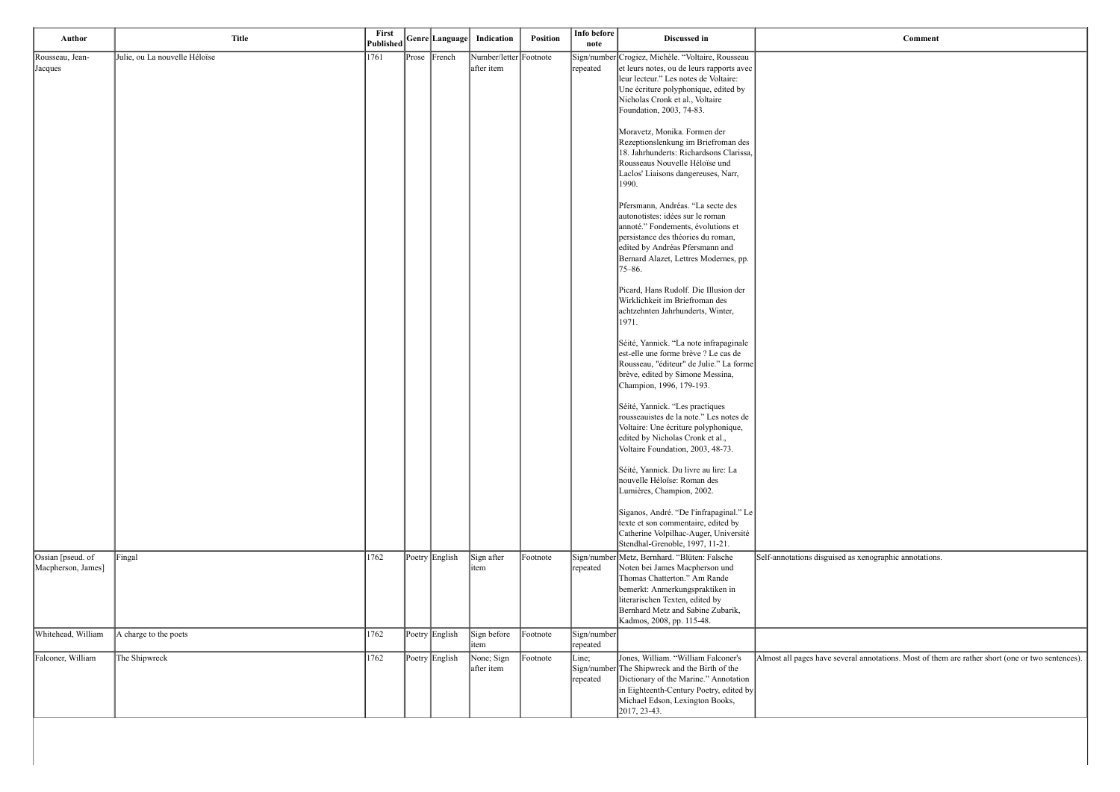sguised as xenographic annotations.

we several annotations. Most of them are rather short (one or two sentences).

| Author                                  | <b>Title</b>                  | First<br>Published | Genre Language | Indication                           | <b>Position</b> | Info before<br>note     | Discussed in                                                                                                                                                                                                                                           |                       |
|-----------------------------------------|-------------------------------|--------------------|----------------|--------------------------------------|-----------------|-------------------------|--------------------------------------------------------------------------------------------------------------------------------------------------------------------------------------------------------------------------------------------------------|-----------------------|
| Rousseau, Jean-<br>Jacques              | Julie, ou La nouvelle Héloïse | 1761               | Prose French   | Number/letter Footnote<br>after item |                 | repeated                | Sign/number Crogiez, Michèle. "Voltaire, Rousseau<br>et leurs notes, ou de leurs rapports avec<br>leur lecteur." Les notes de Voltaire:<br>Une écriture polyphonique, edited by<br>Nicholas Cronk et al., Voltaire<br>Foundation, 2003, 74-83.         |                       |
|                                         |                               |                    |                |                                      |                 |                         | Moravetz, Monika. Formen der<br>Rezeptionslenkung im Briefroman des<br>18. Jahrhunderts: Richardsons Clarissa,<br>Rousseaus Nouvelle Héloïse und<br>Laclos' Liaisons dangereuses, Narr,<br>1990.                                                       |                       |
|                                         |                               |                    |                |                                      |                 |                         | Pfersmann, Andréas. "La secte des<br>autonotistes: idées sur le roman<br>annoté." Fondements, évolutions et<br>persistance des théories du roman,<br>edited by Andréas Pfersmann and<br>Bernard Alazet, Lettres Modernes, pp.<br>$75 - 86.$            |                       |
|                                         |                               |                    |                |                                      |                 |                         | Picard, Hans Rudolf. Die Illusion der<br>Wirklichkeit im Briefroman des<br>achtzehnten Jahrhunderts, Winter,<br>1971.                                                                                                                                  |                       |
|                                         |                               |                    |                |                                      |                 |                         | Séité, Yannick. "La note infrapaginale<br>est-elle une forme brève ? Le cas de<br>Rousseau, "éditeur" de Julie." La forme<br>brève, edited by Simone Messina,<br>Champion, 1996, 179-193.                                                              |                       |
|                                         |                               |                    |                |                                      |                 |                         | Séité, Yannick. "Les practiques<br>rousseauistes de la note." Les notes de<br>Voltaire: Une écriture polyphonique,<br>edited by Nicholas Cronk et al.,<br>Voltaire Foundation, 2003, 48-73.                                                            |                       |
|                                         |                               |                    |                |                                      |                 |                         | Séité, Yannick. Du livre au lire: La<br>nouvelle Héloïse: Roman des<br>Lumières, Champion, 2002.                                                                                                                                                       |                       |
|                                         |                               |                    |                |                                      |                 |                         | Siganos, André. "De l'infrapaginal." Le<br>texte et son commentaire, edited by<br>Catherine Volpilhac-Auger, Université<br>Stendhal-Grenoble, 1997, 11-21.                                                                                             |                       |
| Ossian [pseud. of<br>Macpherson, James] | Fingal                        | 1762               | Poetry English | Sign after<br>item                   | Footnote        | repeated                | Sign/number Metz, Bernhard. "Blüten: Falsche<br>Noten bei James Macpherson und<br>Thomas Chatterton." Am Rande<br>bemerkt: Anmerkungspraktiken in<br>literarischen Texten, edited by<br>Bernhard Metz and Sabine Zubarik,<br>Kadmos, 2008, pp. 115-48. | Self-annotations disg |
| Whitehead, William                      | A charge to the poets         | 1762               | Poetry English | Sign before<br>item                  | Footnote        | Sign/number<br>repeated |                                                                                                                                                                                                                                                        |                       |
| Falconer, William                       | The Shipwreck                 | 1762               | Poetry English | None; Sign<br>after item             | Footnote        | Line;<br>repeated       | Jones, William. "William Falconer's<br>Sign/number The Shipwreck and the Birth of the<br>Dictionary of the Marine." Annotation<br>in Eighteenth-Century Poetry, edited by<br>Michael Edson, Lexington Books,<br>2017, 23-43.                           | Almost all pages hav  |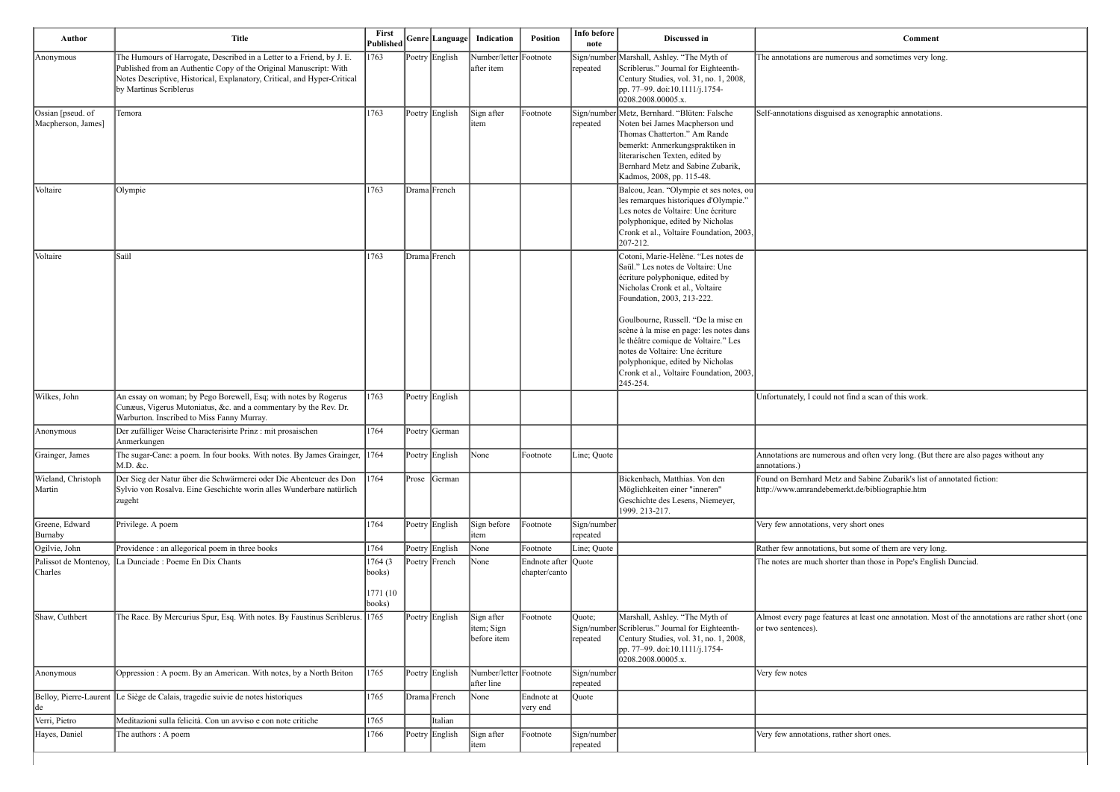erous and sometimes very long.

d as xenographic annotations.

t find a scan of this work.

If and often very long. (But there are also pages without any

rand Sabine Zubarik's list of annotated fiction: erkt.de/bibliographie.htm

ry short ones

out some of them are very long. er than those in Pope's English Dunciad.

es at least one annotation. Most of the annotations are rather short (one

her short ones.

| Author                                  | <b>Title</b>                                                                                                                                                                                                                                     | First<br>Published             |       | Genre Language | Indication                              | Position                             | Info before<br>note     | Discussed in                                                                                                                                                                                                                                                                                                                                                                                                                           |                                                  |
|-----------------------------------------|--------------------------------------------------------------------------------------------------------------------------------------------------------------------------------------------------------------------------------------------------|--------------------------------|-------|----------------|-----------------------------------------|--------------------------------------|-------------------------|----------------------------------------------------------------------------------------------------------------------------------------------------------------------------------------------------------------------------------------------------------------------------------------------------------------------------------------------------------------------------------------------------------------------------------------|--------------------------------------------------|
| Anonymous                               | The Humours of Harrogate, Described in a Letter to a Friend, by J. E.<br>Published from an Authentic Copy of the Original Manuscript: With<br>Notes Descriptive, Historical, Explanatory, Critical, and Hyper-Critical<br>by Martinus Scriblerus | 1763                           |       | Poetry English | Number/letter Footnote<br>after item    |                                      | repeated                | Sign/number Marshall, Ashley. "The Myth of<br>Scriblerus." Journal for Eighteenth-<br>Century Studies, vol. 31, no. 1, 2008,<br>pp. 77–99. doi:10.1111/j.1754-<br>0208.2008.00005.x.                                                                                                                                                                                                                                                   | The annotations are nume                         |
| Ossian [pseud. of<br>Macpherson, James] | Temora                                                                                                                                                                                                                                           | 1763                           |       | Poetry English | Sign after<br>litem                     | Footnote                             | repeated                | Sign/number Metz, Bernhard. "Blüten: Falsche<br>Noten bei James Macpherson und<br>Thomas Chatterton." Am Rande<br>bemerkt: Anmerkungspraktiken in<br>literarischen Texten, edited by<br>Bernhard Metz and Sabine Zubarik,<br>Kadmos, 2008, pp. 115-48.                                                                                                                                                                                 | Self-annotations disguised                       |
| Voltaire                                | Olympie                                                                                                                                                                                                                                          | 1763                           |       | Drama French   |                                         |                                      |                         | Balcou, Jean. "Olympie et ses notes, ou<br>les remarques historiques d'Olympie."<br>Les notes de Voltaire: Une écriture<br>polyphonique, edited by Nicholas<br>Cronk et al., Voltaire Foundation, 2003,<br>207-212.                                                                                                                                                                                                                    |                                                  |
| Voltaire                                | lSaül                                                                                                                                                                                                                                            | 1763                           |       | Drama French   |                                         |                                      |                         | Cotoni, Marie-Helène. "Les notes de<br>Saül." Les notes de Voltaire: Une<br>écriture polyphonique, edited by<br>Nicholas Cronk et al., Voltaire<br>Foundation, 2003, 213-222.<br>Goulbourne, Russell. "De la mise en<br>scène à la mise en page: les notes dans<br>le théâtre comique de Voltaire." Les<br>notes de Voltaire: Une écriture<br>polyphonique, edited by Nicholas<br>Cronk et al., Voltaire Foundation, 2003,<br>245-254. |                                                  |
| Wilkes, John                            | An essay on woman; by Pego Borewell, Esq; with notes by Rogerus<br>Cunæus, Vigerus Mutoniatus, &c. and a commentary by the Rev. Dr.<br>Warburton. Inscribed to Miss Fanny Murray.                                                                | 1763                           |       | Poetry English |                                         |                                      |                         |                                                                                                                                                                                                                                                                                                                                                                                                                                        | Unfortunately, I could not                       |
| Anonymous                               | Der zufälliger Weise Characterisirte Prinz : mit prosaischen<br>Anmerkungen                                                                                                                                                                      | 1764                           |       | Poetry German  |                                         |                                      |                         |                                                                                                                                                                                                                                                                                                                                                                                                                                        |                                                  |
| Grainger, James                         | The sugar-Cane: a poem. In four books. With notes. By James Grainger, 1764<br>M.D. &c.                                                                                                                                                           |                                |       | Poetry English | $\vert$ None                            | Footnote                             | Line; Quote             |                                                                                                                                                                                                                                                                                                                                                                                                                                        | Annotations are numerous<br>annotations.)        |
| Wieland, Christoph<br>Martin            | Der Sieg der Natur über die Schwärmerei oder Die Abenteuer des Don<br>Sylvio von Rosalva. Eine Geschichte worin alles Wunderbare natürlich<br>zugeht                                                                                             | 1764                           | Prose | German         |                                         |                                      |                         | Bickenbach, Matthias. Von den<br>Möglichkeiten einer "inneren"<br>Geschichte des Lesens, Niemeyer,<br>1999. 213-217.                                                                                                                                                                                                                                                                                                                   | Found on Bernhard Metz<br>http://www.amrandebeme |
| Greene, Edward<br>Burnaby               | Privilege. A poem                                                                                                                                                                                                                                | 1764                           |       | Poetry English | Sign before<br>item                     | Footnote                             | Sign/number<br>repeated |                                                                                                                                                                                                                                                                                                                                                                                                                                        | Very few annotations, ver                        |
| Ogilvie, John                           | Providence : an allegorical poem in three books                                                                                                                                                                                                  | 1764                           |       | Poetry English | None                                    | Footnote                             | Line; Quote             |                                                                                                                                                                                                                                                                                                                                                                                                                                        | Rather few annotations, by                       |
| Palissot de Montenoy,<br> Charles       | La Dunciade : Poeme En Dix Chants                                                                                                                                                                                                                | 1764 (3)<br>books)<br>1771 (10 |       | Poetry French  | None                                    | Endnote after Quote<br>chapter/canto |                         |                                                                                                                                                                                                                                                                                                                                                                                                                                        | The notes are much shorte                        |
| Shaw, Cuthbert                          | The Race. By Mercurius Spur, Esq. With notes. By Faustinus Scriblerus.                                                                                                                                                                           | books)<br> 1765                |       | Poetry English | Sign after<br>item; Sign<br>before item | Footnote                             | Quote;<br>repeated      | Marshall, Ashley. "The Myth of<br>Sign/number Scriblerus." Journal for Eighteenth-<br>Century Studies, vol. 31, no. 1, 2008,<br>pp. 77–99. doi:10.1111/j.1754-<br>0208.2008.00005.x.                                                                                                                                                                                                                                                   | Almost every page feature<br>or two sentences).  |
| Anonymous                               | Oppression : A poem. By an American. With notes, by a North Briton                                                                                                                                                                               | 1765                           |       | Poetry English | Number/letter Footnote<br>after line    |                                      | Sign/number<br>repeated |                                                                                                                                                                                                                                                                                                                                                                                                                                        | Very few notes                                   |
| de                                      | Belloy, Pierre-Laurent Le Siège de Calais, tragedie suivie de notes historiques                                                                                                                                                                  | 1765                           |       | Drama French   | None                                    | Endnote at<br>very end               | Quote                   |                                                                                                                                                                                                                                                                                                                                                                                                                                        |                                                  |
| Verri, Pietro                           | Meditazioni sulla felicità. Con un avviso e con note critiche                                                                                                                                                                                    | 1765                           |       | Italian        |                                         |                                      |                         |                                                                                                                                                                                                                                                                                                                                                                                                                                        |                                                  |
| Hayes, Daniel                           | The authors : A poem                                                                                                                                                                                                                             | 1766                           |       | Poetry English | Sign after<br>item                      | Footnote                             | Sign/number<br>repeated |                                                                                                                                                                                                                                                                                                                                                                                                                                        | Very few annotations, rath                       |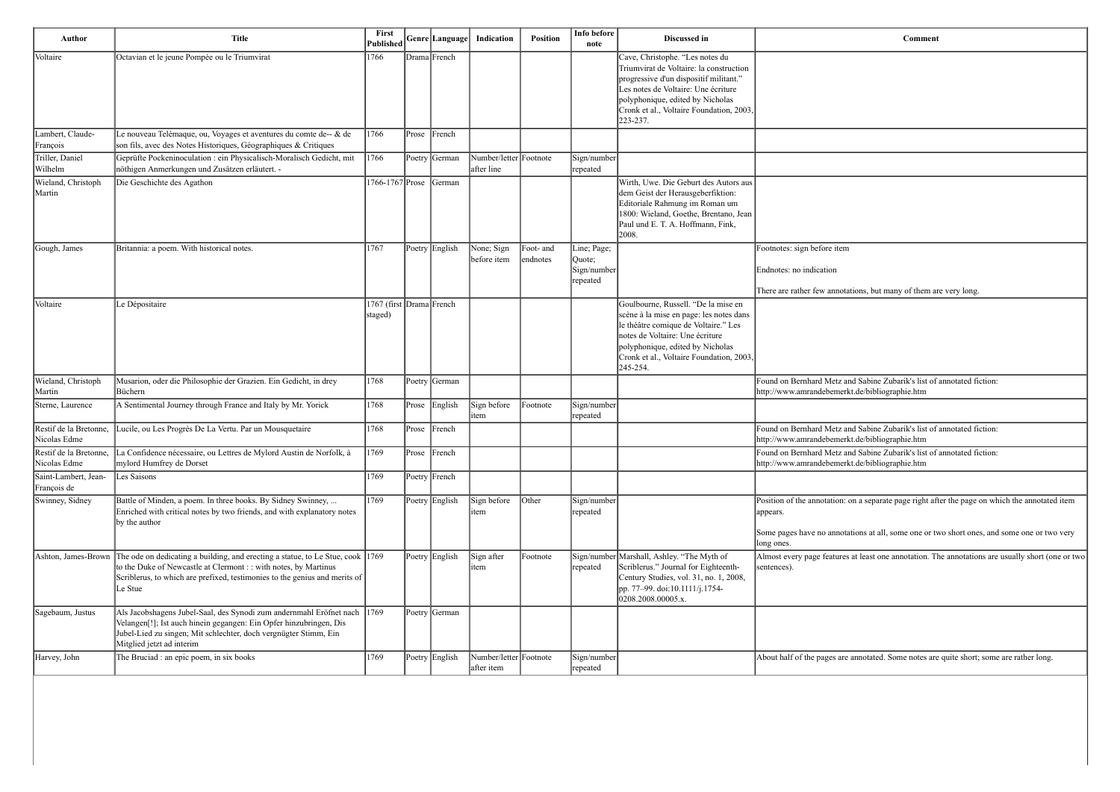| Author                                 | <b>Title</b>                                                                                                                                                                                                                                                 | First<br>Published                  |                | Genre Language | Indication                           | <b>Position</b>       | Info before<br>note                              | Discussed in                                                                                                                                                                                                                                            | Comment                                                                                                                                                         |
|----------------------------------------|--------------------------------------------------------------------------------------------------------------------------------------------------------------------------------------------------------------------------------------------------------------|-------------------------------------|----------------|----------------|--------------------------------------|-----------------------|--------------------------------------------------|---------------------------------------------------------------------------------------------------------------------------------------------------------------------------------------------------------------------------------------------------------|-----------------------------------------------------------------------------------------------------------------------------------------------------------------|
| Voltaire                               | Octavian et le jeune Pompée ou le Triumvirat                                                                                                                                                                                                                 | 1766                                |                | Drama French   |                                      |                       |                                                  | Cave, Christophe. "Les notes du<br>Triumvirat de Voltaire: la construction<br>progressive d'un dispositif militant."<br>Les notes de Voltaire: Une écriture<br>polyphonique, edited by Nicholas<br>Cronk et al., Voltaire Foundation, 2003,<br>223-237. |                                                                                                                                                                 |
| Lambert, Claude-<br>François           | Le nouveau Telémaque, ou, Voyages et aventures du comte de-- & de<br>son fils, avec des Notes Historiques, Géographiques & Critiques                                                                                                                         | 1766                                | Prose French   |                |                                      |                       |                                                  |                                                                                                                                                                                                                                                         |                                                                                                                                                                 |
| Triller, Daniel<br>Wilhelm             | Geprüfte Pockeninoculation : ein Physicalisch-Moralisch Gedicht, mit<br>nöthigen Anmerkungen und Zusätzen erläutert. -                                                                                                                                       | 1766                                |                | Poetry German  | Number/letter Footnote<br>after line |                       | Sign/number<br>repeated                          |                                                                                                                                                                                                                                                         |                                                                                                                                                                 |
| Wieland, Christoph<br>Martin           | Die Geschichte des Agathon                                                                                                                                                                                                                                   | 1766-1767 Prose                     |                | German         |                                      |                       |                                                  | Wirth, Uwe. Die Geburt des Autors aus<br>dem Geist der Herausgeberfiktion:<br>Editoriale Rahmung im Roman um<br>1800: Wieland, Goethe, Brentano, Jean<br>Paul und E. T. A. Hoffmann, Fink,<br>2008.                                                     |                                                                                                                                                                 |
| Gough, James                           | Britannia: a poem. With historical notes.                                                                                                                                                                                                                    | 1767                                |                | Poetry English | None; Sign<br>before item            | Foot- and<br>endnotes | Line; Page;<br>Quote;<br>Sign/number<br>repeated |                                                                                                                                                                                                                                                         | Footnotes: sign before item<br>Endnotes: no indication<br>There are rather few annotations, but many of them are very long.                                     |
| Voltaire                               | Le Dépositaire                                                                                                                                                                                                                                               | 1767 (first Drama French<br>staged) |                |                |                                      |                       |                                                  | Goulbourne, Russell. "De la mise en<br>scène à la mise en page: les notes dans<br>le théâtre comique de Voltaire." Les<br>notes de Voltaire: Une écriture<br>polyphonique, edited by Nicholas<br>Cronk et al., Voltaire Foundation, 2003,<br>245-254.   |                                                                                                                                                                 |
| Wieland, Christoph<br>Martin           | Musarion, oder die Philosophie der Grazien. Ein Gedicht, in drey<br>Büchern                                                                                                                                                                                  | 1768                                |                | Poetry German  |                                      |                       |                                                  |                                                                                                                                                                                                                                                         | Found on Bernhard Metz and Sabine Zubarik's list of annotated fiction:<br>http://www.amrandebemerkt.de/bibliographie.htm                                        |
| Sterne, Laurence                       | A Sentimental Journey through France and Italy by Mr. Yorick                                                                                                                                                                                                 | 1768                                |                | Prose English  | Sign before<br>item                  | Footnote              | Sign/number<br>repeated                          |                                                                                                                                                                                                                                                         |                                                                                                                                                                 |
| Restif de la Bretonne<br>Nicolas Edme  | ucile, ou Les Progrès De La Vertu. Par un Mousquetaire                                                                                                                                                                                                       | 1768                                | Prose          | French         |                                      |                       |                                                  |                                                                                                                                                                                                                                                         | Found on Bernhard Metz and Sabine Zubarik's list of annotated fiction:<br>http://www.amrandebemerkt.de/bibliographie.htm                                        |
| Restif de la Bretonne,<br>Nicolas Edme | La Confidence nécessaire, ou Lettres de Mylord Austin de Norfolk, à<br>mylord Humfrey de Dorset                                                                                                                                                              | $ 1769\rangle$                      |                | Prose French   |                                      |                       |                                                  |                                                                                                                                                                                                                                                         | Found on Bernhard Metz and Sabine Zubarik's list of annotated fiction:<br>http://www.amrandebemerkt.de/bibliographie.htm                                        |
| Saint-Lambert, Jean-<br>François de    | Les Saisons                                                                                                                                                                                                                                                  | 1769                                |                | Poetry French  |                                      |                       |                                                  |                                                                                                                                                                                                                                                         |                                                                                                                                                                 |
| Swinney, Sidney                        | Battle of Minden, a poem. In three books. By Sidney Swinney,<br>Enriched with critical notes by two friends, and with explanatory notes<br>by the author                                                                                                     | 1769                                |                | Poetry English | Sign before<br>item                  | $\vert$ Other         | Sign/number<br>repeated                          |                                                                                                                                                                                                                                                         | Position of the annotation: on a separate page right after the page on wh<br>appears.<br>Some pages have no annotations at all, some one or two short ones, and |
| Ashton, James-Brown                    | The ode on dedicating a building, and erecting a statue, to Le Stue, cook 1769<br>to the Duke of Newcastle at Clermont :: with notes, by Martinus<br>Scriblerus, to which are prefixed, testimonies to the genius and merits of<br>Le Stue                   |                                     |                | Poetry English | Sign after<br>ıtem                   | Footnote              | repeated                                         | Sign/number Marshall, Ashley. "The Myth of<br>Scriblerus." Journal for Eighteenth-<br>Century Studies, vol. 31, no. 1, 2008,<br>pp. 77–99. doi:10.1111/j.1754-<br>0208.2008.00005.x.                                                                    | long ones.<br>Almost every page features at least one annotation. The annotations are<br>sentences).                                                            |
| Sagebaum, Justus                       | Als Jacobshagens Jubel-Saal, des Synodi zum andernmahl Eröfnet nach 1769<br>Velangen <sup>[!]</sup> ; Ist auch hinein gegangen: Ein Opfer hinzubringen, Dis<br>Jubel-Lied zu singen; Mit schlechter, doch vergnügter Stimm, Ein<br>Mitglied jetzt ad interim |                                     |                | Poetry German  |                                      |                       |                                                  |                                                                                                                                                                                                                                                         |                                                                                                                                                                 |
| Harvey, John                           | The Bruciad : an epic poem, in six books                                                                                                                                                                                                                     | 1769                                | Poetry English |                | Number/letter Footnote               |                       | Sign/number                                      |                                                                                                                                                                                                                                                         | About half of the pages are annotated. Some notes are quite short; some                                                                                         |

| Comment                                                                                                                  |
|--------------------------------------------------------------------------------------------------------------------------|
|                                                                                                                          |
|                                                                                                                          |
|                                                                                                                          |
|                                                                                                                          |
|                                                                                                                          |
|                                                                                                                          |
|                                                                                                                          |
|                                                                                                                          |
|                                                                                                                          |
| Footnotes: sign before item                                                                                              |
| Endnotes: no indication                                                                                                  |
| There are rather few annotations, but many of them are very long.                                                        |
|                                                                                                                          |
|                                                                                                                          |
|                                                                                                                          |
|                                                                                                                          |
| Found on Bernhard Metz and Sabine Zubarik's list of annotated fiction:<br>http://www.amrandebemerkt.de/bibliographie.htm |
|                                                                                                                          |
| Found on Bernhard Metz and Sabine Zubarik's list of annotated fiction:<br>http://www.amrandebemerkt.de/bibliographie.htm |
| Found on Bernhard Metz and Sabine Zubarik's list of annotated fiction:<br>http://www.amrandebemerkt.de/bibliographie.htm |
|                                                                                                                          |
| Position of the annotation: on a separate page right after the page on which the annotated item<br>appears.              |
| Some pages have no annotations at all, some one or two short ones, and some one or two very<br>long ones.                |
| Almost every page features at least one annotation. The annotations are usually short (one or two<br>sentences).         |
|                                                                                                                          |

re annotated. Some notes are quite short; some are rather long.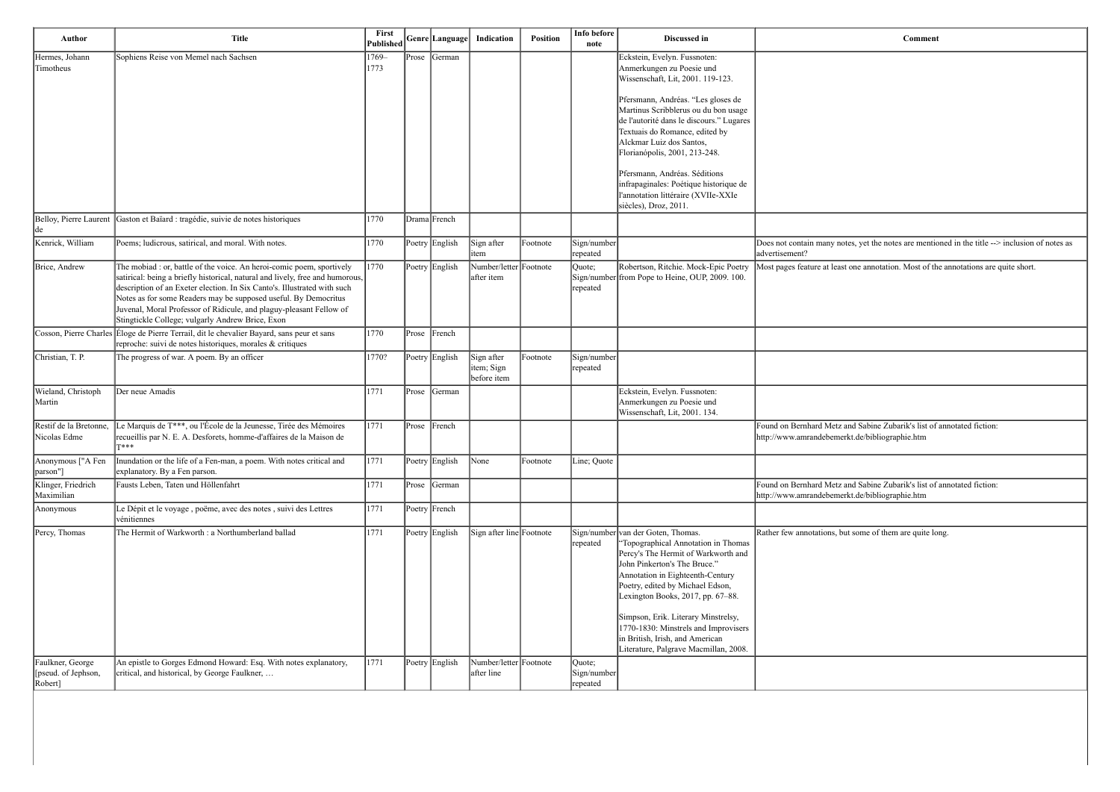otes, yet the notes are mentioned in the title --> inclusion of notes as

ast one annotation. Most of the annotations are quite short.

z and Sabine Zubarik's list of annotated fiction: erkt.de/bibliographie.htm

and Sabine Zubarik's list of annotated fiction: http://www.amrandebemerkt.de/bibliographie.htm

but some of them are quite long.

| Author                                            | <b>Title</b>                                                                                                                                                                                                                                                                                                                                                                                                                     | First<br>Published |       | Genre Language | Indication                              | <b>Position</b> | Info before<br>note               | Discussed in                                                                                                                                                                                                                                                                                                                                                                                                             |                                                  |
|---------------------------------------------------|----------------------------------------------------------------------------------------------------------------------------------------------------------------------------------------------------------------------------------------------------------------------------------------------------------------------------------------------------------------------------------------------------------------------------------|--------------------|-------|----------------|-----------------------------------------|-----------------|-----------------------------------|--------------------------------------------------------------------------------------------------------------------------------------------------------------------------------------------------------------------------------------------------------------------------------------------------------------------------------------------------------------------------------------------------------------------------|--------------------------------------------------|
| Hermes, Johann<br>Timotheus                       | Sophiens Reise von Memel nach Sachsen                                                                                                                                                                                                                                                                                                                                                                                            | 1769-<br>1773      | Prose | German         |                                         |                 |                                   | Eckstein, Evelyn. Fussnoten:<br>Anmerkungen zu Poesie und<br>Wissenschaft, Lit, 2001. 119-123.                                                                                                                                                                                                                                                                                                                           |                                                  |
|                                                   |                                                                                                                                                                                                                                                                                                                                                                                                                                  |                    |       |                |                                         |                 |                                   | Pfersmann, Andréas. "Les gloses de<br>Martinus Scribblerus ou du bon usage<br>de l'autorité dans le discours." Lugares<br>Textuais do Romance, edited by<br>Alckmar Luiz dos Santos,<br>Florianópolis, 2001, 213-248.                                                                                                                                                                                                    |                                                  |
|                                                   |                                                                                                                                                                                                                                                                                                                                                                                                                                  |                    |       |                |                                         |                 |                                   | Pfersmann, Andréas. Séditions<br>infrapaginales: Poétique historique de<br>l'annotation littéraire (XVIIe-XXIe<br>siècles), Droz, 2011.                                                                                                                                                                                                                                                                                  |                                                  |
| Belloy, Pierre Laurent<br> de                     | Gaston et Baïard : tragédie, suivie de notes historiques                                                                                                                                                                                                                                                                                                                                                                         | 1770               |       | Drama French   |                                         |                 |                                   |                                                                                                                                                                                                                                                                                                                                                                                                                          |                                                  |
| Kenrick, William                                  | Poems; ludicrous, satirical, and moral. With notes.                                                                                                                                                                                                                                                                                                                                                                              | 1770               |       | Poetry English | Sign after<br>item                      | Footnote        | Sign/number<br>repeated           |                                                                                                                                                                                                                                                                                                                                                                                                                          | Does not contain many no<br>advertisement?       |
| Brice, Andrew                                     | The mobiad : or, battle of the voice. An heroi-comic poem, sportively<br>satirical: being a briefly historical, natural and lively, free and humorous,<br>description of an Exeter election. In Six Canto's. Illustrated with such<br>Notes as for some Readers may be supposed useful. By Democritus<br>Juvenal, Moral Professor of Ridicule, and plaguy-pleasant Fellow of<br>Stingtickle College; vulgarly Andrew Brice, Exon | 1770               |       | Poetry English | Number/letter Footnote<br>after item    |                 | Quote;<br>repeated                | Robertson, Ritchie. Mock-Epic Poetry<br>Sign/number from Pope to Heine, OUP, 2009. 100.                                                                                                                                                                                                                                                                                                                                  | Most pages feature at leas                       |
|                                                   | Cosson, Pierre Charles <i>Éloge de Pierre Terrail</i> , dit le chevalier Bayard, sans peur et sans<br>reproche: suivi de notes historiques, morales & critiques                                                                                                                                                                                                                                                                  | 1770               | Prose | French         |                                         |                 |                                   |                                                                                                                                                                                                                                                                                                                                                                                                                          |                                                  |
| Christian, T. P.                                  | The progress of war. A poem. By an officer                                                                                                                                                                                                                                                                                                                                                                                       | 1770?              |       | Poetry English | Sign after<br>item; Sign<br>before item | Footnote        | Sign/number<br>repeated           |                                                                                                                                                                                                                                                                                                                                                                                                                          |                                                  |
| Wieland, Christoph<br>Martin                      | Der neue Amadis                                                                                                                                                                                                                                                                                                                                                                                                                  | 1771               | Prose | German         |                                         |                 |                                   | Eckstein, Evelyn. Fussnoten:<br>Anmerkungen zu Poesie und<br>Wissenschaft, Lit, 2001. 134.                                                                                                                                                                                                                                                                                                                               |                                                  |
| Restif de la Bretonne,<br>Nicolas Edme            | Le Marquis de T***, ou l'École de la Jeunesse, Tirée des Mémoires<br>recueillis par N. E. A. Desforets, homme-d'affaires de la Maison de<br>T***                                                                                                                                                                                                                                                                                 | 1771               | Prose | French         |                                         |                 |                                   |                                                                                                                                                                                                                                                                                                                                                                                                                          | Found on Bernhard Metz<br>http://www.amrandebeme |
| Anonymous ["A Fen<br>[parson"]                    | Inundation or the life of a Fen-man, a poem. With notes critical and<br>explanatory. By a Fen parson.                                                                                                                                                                                                                                                                                                                            | 1771               |       | Poetry English | None                                    | Footnote        | Line; Quote                       |                                                                                                                                                                                                                                                                                                                                                                                                                          |                                                  |
| Klinger, Friedrich<br>Maximilian                  | Fausts Leben, Taten und Höllenfahrt                                                                                                                                                                                                                                                                                                                                                                                              | 1771               | Prose | German         |                                         |                 |                                   |                                                                                                                                                                                                                                                                                                                                                                                                                          | Found on Bernhard Metz<br>http://www.amrandebeme |
| Anonymous                                         | Le Dépit et le voyage, poëme, avec des notes, suivi des Lettres<br>vénitiennes                                                                                                                                                                                                                                                                                                                                                   | 1771               |       | Poetry French  |                                         |                 |                                   |                                                                                                                                                                                                                                                                                                                                                                                                                          |                                                  |
| Percy, Thomas                                     | The Hermit of Warkworth : a Northumberland ballad                                                                                                                                                                                                                                                                                                                                                                                | 1771               |       | Poetry English | Sign after line Footnote                |                 | repeated                          | Sign/number van der Goten, Thomas.<br>'Topographical Annotation in Thomas<br>Percy's The Hermit of Warkworth and<br>John Pinkerton's The Bruce."<br>Annotation in Eighteenth-Century<br>Poetry, edited by Michael Edson,<br>Lexington Books, 2017, pp. 67-88.<br>Simpson, Erik. Literary Minstrelsy,<br>1770-1830: Minstrels and Improvisers<br>in British, Irish, and American<br>Literature, Palgrave Macmillan, 2008. | Rather few annotations, b                        |
| Faulkner, George<br>pseud. of Jephson,<br>Robert] | An epistle to Gorges Edmond Howard: Esq. With notes explanatory,<br>critical, and historical, by George Faulkner,                                                                                                                                                                                                                                                                                                                | 1771               |       | Poetry English | Number/letter Footnote<br>after line    |                 | Quote;<br>Sign/number<br>repeated |                                                                                                                                                                                                                                                                                                                                                                                                                          |                                                  |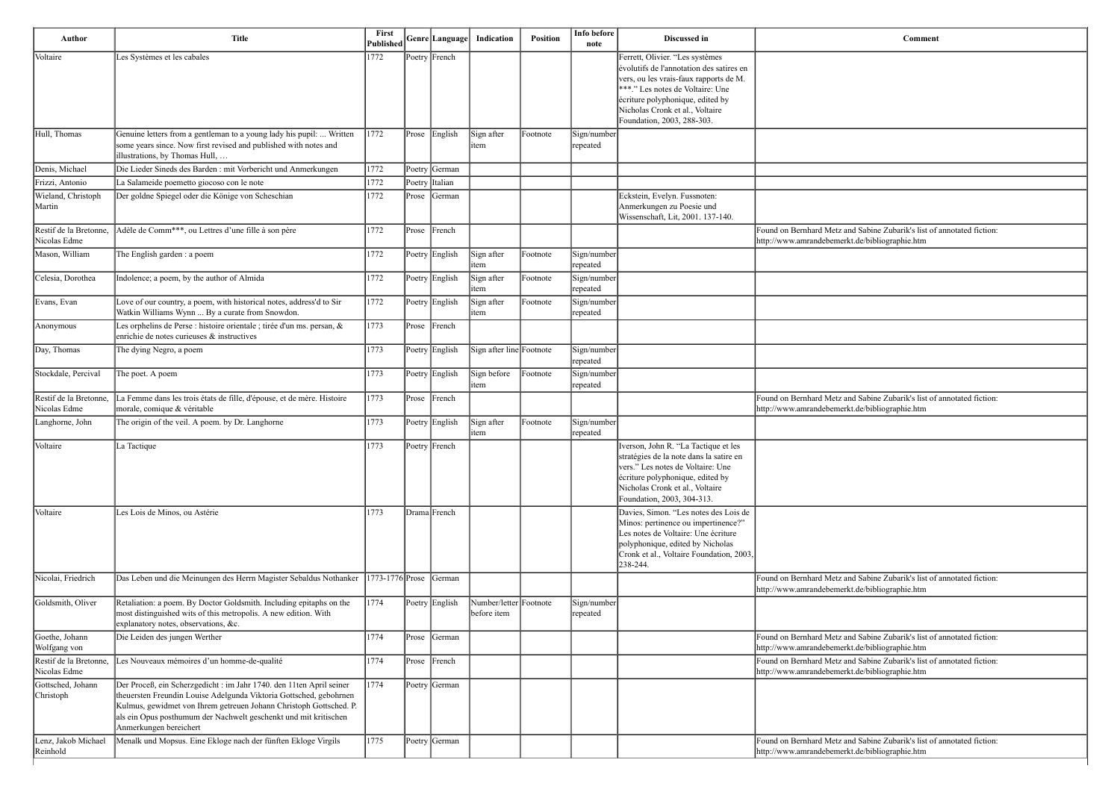| Author                                 | <b>Title</b>                                                                                                                                                                                                                                                                                                   | First<br>Published |           | Genre  Language                                        | Indication                            | Position | Info before<br>note            | Discussed in                                                                                                                                                                                                                                                   | Comment                                                                                                                  |
|----------------------------------------|----------------------------------------------------------------------------------------------------------------------------------------------------------------------------------------------------------------------------------------------------------------------------------------------------------------|--------------------|-----------|--------------------------------------------------------|---------------------------------------|----------|--------------------------------|----------------------------------------------------------------------------------------------------------------------------------------------------------------------------------------------------------------------------------------------------------------|--------------------------------------------------------------------------------------------------------------------------|
| Voltaire                               | Les Systèmes et les cabales                                                                                                                                                                                                                                                                                    | 1772               |           | Poetry French                                          |                                       |          |                                | Ferrett, Olivier. "Les systèmes<br>évolutifs de l'annotation des satires en<br>vers, ou les vrais-faux rapports de M.<br>***." Les notes de Voltaire: Une<br>écriture polyphonique, edited by<br>Nicholas Cronk et al., Voltaire<br>Foundation, 2003, 288-303. |                                                                                                                          |
| Hull, Thomas                           | Genuine letters from a gentleman to a young lady his pupil:  Written<br>some years since. Now first revised and published with notes and<br>illustrations, by Thomas Hull,                                                                                                                                     | 1772               | Prose     | English                                                | Sign after<br>item                    | Footnote | Sign/number<br>repeated        |                                                                                                                                                                                                                                                                |                                                                                                                          |
| Denis, Michael                         | Die Lieder Sineds des Barden : mit Vorbericht und Anmerkungen                                                                                                                                                                                                                                                  | 1772               |           | Poetry German                                          |                                       |          |                                |                                                                                                                                                                                                                                                                |                                                                                                                          |
| Frizzi, Antonio                        | La Salameide poemetto giocoso con le note                                                                                                                                                                                                                                                                      | 1772               |           | Poetry Italian                                         |                                       |          |                                |                                                                                                                                                                                                                                                                |                                                                                                                          |
| Wieland, Christoph<br>Martin           | Der goldne Spiegel oder die Könige von Scheschian                                                                                                                                                                                                                                                              | 1772               | Prose     | German                                                 |                                       |          |                                | Eckstein, Evelyn. Fussnoten:<br>Anmerkungen zu Poesie und<br>Wissenschaft, Lit, 2001. 137-140.                                                                                                                                                                 |                                                                                                                          |
| Restif de la Bretonne,<br>Nicolas Edme | Adèle de Comm***, ou Lettres d'une fille à son père                                                                                                                                                                                                                                                            | 1772               | Prose     | French                                                 |                                       |          |                                |                                                                                                                                                                                                                                                                | Found on Bernhard Metz and Sabine Zubarik's list of annotated fiction:<br>http://www.amrandebemerkt.de/bibliographie.htm |
| Mason, William                         | The English garden : a poem                                                                                                                                                                                                                                                                                    | 1772               |           | Poetry English                                         | Sign after<br>item                    | Footnote | Sign/number<br><b>repeated</b> |                                                                                                                                                                                                                                                                |                                                                                                                          |
| Celesia, Dorothea                      | Indolence; a poem, by the author of Almida                                                                                                                                                                                                                                                                     | 1772               |           | Poetry English                                         | Sign after<br>item                    | Footnote | Sign/number<br>repeated        |                                                                                                                                                                                                                                                                |                                                                                                                          |
| Evans, Evan                            | Love of our country, a poem, with historical notes, address'd to Sir<br>Watkin Williams Wynn  By a curate from Snowdon.                                                                                                                                                                                        | 1772               |           | Poetry English                                         | Sign after<br>item                    | Footnote | Sign/number<br>repeated        |                                                                                                                                                                                                                                                                |                                                                                                                          |
| Anonymous                              | Les orphelins de Perse : histoire orientale ; tirée d'un ms. persan, &<br>enrichie de notes curieuses & instructives                                                                                                                                                                                           | 1773               | Prose     | French                                                 |                                       |          |                                |                                                                                                                                                                                                                                                                |                                                                                                                          |
| Day, Thomas                            | The dying Negro, a poem                                                                                                                                                                                                                                                                                        | 1773               |           | Poetry English                                         | Sign after line Footnote              |          | Sign/number<br><b>repeated</b> |                                                                                                                                                                                                                                                                |                                                                                                                          |
| Stockdale, Percival                    | The poet. A poem                                                                                                                                                                                                                                                                                               | 1773               |           | Poetry English                                         | Sign before<br>item                   | Footnote | Sign/number<br>repeated        |                                                                                                                                                                                                                                                                |                                                                                                                          |
| Restif de la Bretonne,<br>Nicolas Edme | La Femme dans les trois états de fille, d'épouse, et de mère. Histoire<br>morale, comique & véritable                                                                                                                                                                                                          | 1773               |           | Prose French                                           |                                       |          |                                |                                                                                                                                                                                                                                                                | Found on Bernhard Metz and Sabine Zubarik's list of annotated fiction:<br>http://www.amrandebemerkt.de/bibliographie.htm |
| Langhorne, John                        | The origin of the veil. A poem. by Dr. Langhorne                                                                                                                                                                                                                                                               | 1773               |           | Poetry English                                         | Sign after<br>item                    | Footnote | Sign/number<br>repeated        |                                                                                                                                                                                                                                                                |                                                                                                                          |
| Voltaire                               | La Tactique                                                                                                                                                                                                                                                                                                    | 1773               |           | $\sqrt{\frac{P_{\text{o}}}{P_{\text{r}}}P_{\text{r}}}$ |                                       |          |                                | Iverson, John R. "La Tactique et les<br>stratégies de la note dans la satire en<br>vers." Les notes de Voltaire: Une<br>écriture polyphonique, edited by<br>Nicholas Cronk et al., Voltaire<br>Foundation, 2003, 304-313.                                      |                                                                                                                          |
| Voltaire                               | Les Lois de Minos, ou Astérie                                                                                                                                                                                                                                                                                  | 1773               |           | Drama French                                           |                                       |          |                                | Davies, Simon. "Les notes des Lois de<br>Minos: pertinence ou impertinence?"<br>Les notes de Voltaire: Une écriture<br>polyphonique, edited by Nicholas<br>Cronk et al., Voltaire Foundation, 2003,<br>238-244.                                                |                                                                                                                          |
| Nicolai, Friedrich                     | Das Leben und die Meinungen des Herrn Magister Sebaldus Nothanker                                                                                                                                                                                                                                              | 1773-1776 Prose    |           | German                                                 |                                       |          |                                |                                                                                                                                                                                                                                                                | Found on Bernhard Metz and Sabine Zubarik's list of annotated fiction:<br>http://www.amrandebemerkt.de/bibliographie.htm |
| Goldsmith, Oliver                      | Retaliation: a poem. By Doctor Goldsmith. Including epitaphs on the<br>most distinguished wits of this metropolis. A new edition. With<br>explanatory notes, observations, &c.                                                                                                                                 | 1774               |           | Poetry English                                         | Number/letter Footnote<br>before item |          | Sign/number<br>repeated        |                                                                                                                                                                                                                                                                |                                                                                                                          |
| Goethe, Johann<br>Wolfgang von         | Die Leiden des jungen Werther                                                                                                                                                                                                                                                                                  | 1774               | $ $ Prose | German                                                 |                                       |          |                                |                                                                                                                                                                                                                                                                | Found on Bernhard Metz and Sabine Zubarik's list of annotated fiction:<br>http://www.amrandebemerkt.de/bibliographie.htm |
| Restif de la Bretonne,<br>Nicolas Edme | Les Nouveaux mémoires d'un homme-de-qualité                                                                                                                                                                                                                                                                    | 1774               | Prose     | French                                                 |                                       |          |                                |                                                                                                                                                                                                                                                                | Found on Bernhard Metz and Sabine Zubarik's list of annotated fiction:<br>http://www.amrandebemerkt.de/bibliographie.htm |
| Gottsched, Johann<br>Christoph         | Der Proceß, ein Scherzgedicht : im Jahr 1740. den 11ten April seiner<br>theuersten Freundin Louise Adelgunda Viktoria Gottsched, gebohrnen<br>Kulmus, gewidmet von Ihrem getreuen Johann Christoph Gottsched. P.<br>als ein Opus posthumum der Nachwelt geschenkt und mit kritischen<br>Anmerkungen bereichert | 1774               |           | Poetry German                                          |                                       |          |                                |                                                                                                                                                                                                                                                                |                                                                                                                          |
| Lenz, Jakob Michael<br>Reinhold        | Menalk und Mopsus. Eine Ekloge nach der fünften Ekloge Virgils                                                                                                                                                                                                                                                 | 1775               |           | Poetry German                                          |                                       |          |                                |                                                                                                                                                                                                                                                                | Found on Bernhard Metz and Sabine Zubarik's list of annotated fiction:<br>http://www.amrandebemerkt.de/bibliographie.htm |

| Comment                                                                     |
|-----------------------------------------------------------------------------|
|                                                                             |
|                                                                             |
|                                                                             |
|                                                                             |
|                                                                             |
|                                                                             |
|                                                                             |
| and Sabine Zubarik's list of annotated fiction:<br>rkt.de/bibliographie.htm |
|                                                                             |
|                                                                             |
|                                                                             |
|                                                                             |
|                                                                             |
|                                                                             |
| and Sabine Zubarik's list of annotated fiction:<br>rkt.de/bibliographie.htm |
|                                                                             |
|                                                                             |
|                                                                             |
|                                                                             |
|                                                                             |
|                                                                             |
|                                                                             |
| and Sabine Zubarik's list of annotated fiction:<br>rkt.de/bibliographie.htm |
|                                                                             |
| and Sabine Zubarik's list of annotated fiction:<br>rkt.de/bibliographie.htm |
| and Sabine Zubarik's list of annotated fiction:<br>rkt.de/bibliographie.htm |
|                                                                             |
|                                                                             |
|                                                                             |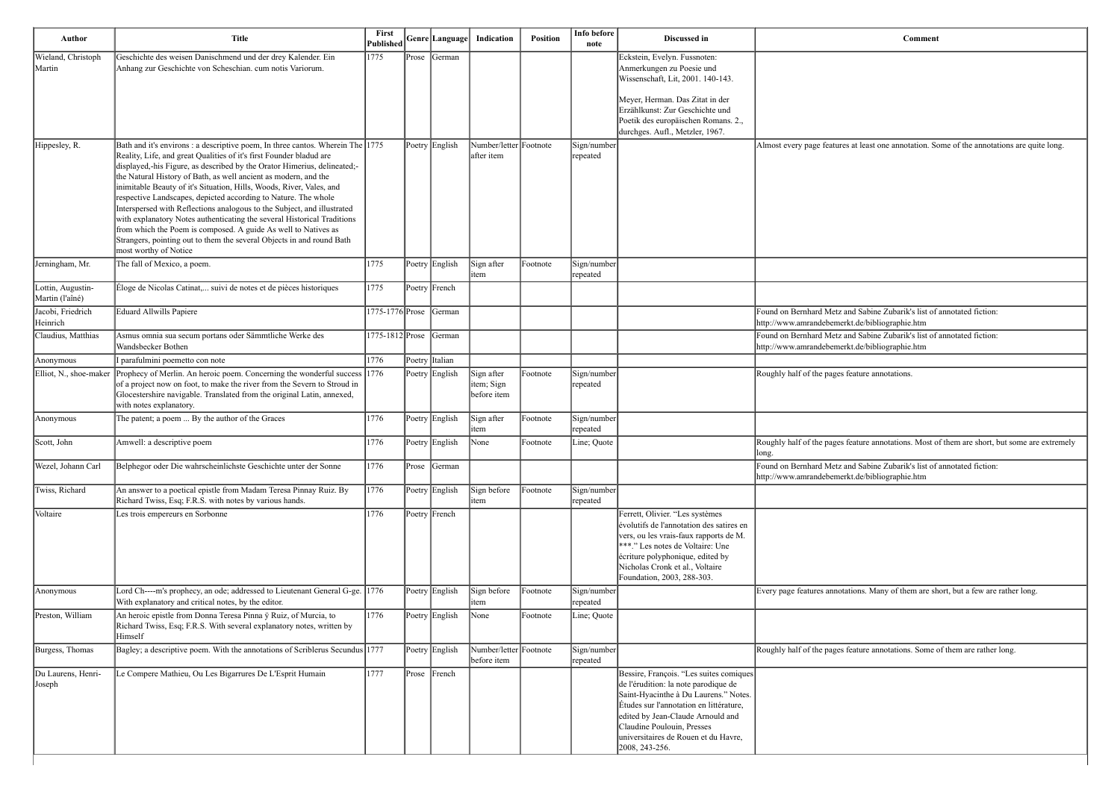es at least one annotation. Some of the annotations are quite long.

It and Sabine Zubarik's list of annotated fiction: erkt.de/bibliographie.htm and Sabine Zubarik's list of annotated fiction: erkt.de/bibliographie.htm

s feature annotations.

s feature annotations. Most of them are short, but some are extremely

and Sabine Zubarik's list of annotated fiction: erkt.de/bibliographie.htm

tations. Many of them are short, but a few are rather long.

s feature annotations. Some of them are rather long.

| Author                               | <b>Title</b>                                                                                                                                                                                                                                                                                                                                                                                                                                                                                                                                                                                                                                                                                                                                                             | First<br>Published |       | Genre Language | Indication                              | <b>Position</b> | Info before<br>note     | Discussed in                                                                                                                                                                                                                                                                                     |                                                  |
|--------------------------------------|--------------------------------------------------------------------------------------------------------------------------------------------------------------------------------------------------------------------------------------------------------------------------------------------------------------------------------------------------------------------------------------------------------------------------------------------------------------------------------------------------------------------------------------------------------------------------------------------------------------------------------------------------------------------------------------------------------------------------------------------------------------------------|--------------------|-------|----------------|-----------------------------------------|-----------------|-------------------------|--------------------------------------------------------------------------------------------------------------------------------------------------------------------------------------------------------------------------------------------------------------------------------------------------|--------------------------------------------------|
| Wieland, Christoph<br>Martin         | Geschichte des weisen Danischmend und der drey Kalender. Ein<br>Anhang zur Geschichte von Scheschian. cum notis Variorum.                                                                                                                                                                                                                                                                                                                                                                                                                                                                                                                                                                                                                                                | 1775               | Prose | <b>German</b>  |                                         |                 |                         | Eckstein, Evelyn. Fussnoten:<br>Anmerkungen zu Poesie und<br>Wissenschaft, Lit, 2001. 140-143.                                                                                                                                                                                                   |                                                  |
|                                      |                                                                                                                                                                                                                                                                                                                                                                                                                                                                                                                                                                                                                                                                                                                                                                          |                    |       |                |                                         |                 |                         | Meyer, Herman. Das Zitat in der<br>Erzählkunst: Zur Geschichte und<br>Poetik des europäischen Romans. 2.,<br>durchges. Aufl., Metzler, 1967.                                                                                                                                                     |                                                  |
| Hippesley, R.                        | Bath and it's environs : a descriptive poem, In three cantos. Wherein The 1775<br>Reality, Life, and great Qualities of it's first Founder bladud are<br>displayed,-his Figure, as described by the Orator Himerius, delineated;-<br>the Natural History of Bath, as well ancient as modern, and the<br>inimitable Beauty of it's Situation, Hills, Woods, River, Vales, and<br>respective Landscapes, depicted according to Nature. The whole<br>Interspersed with Reflections analogous to the Subject, and illustrated<br>with explanatory Notes authenticating the several Historical Traditions<br>from which the Poem is composed. A guide As well to Natives as<br>Strangers, pointing out to them the several Objects in and round Bath<br>most worthy of Notice |                    |       | Poetry English | Number/letter Footnote<br>after item    |                 | Sign/number<br>repeated |                                                                                                                                                                                                                                                                                                  | Almost every page feature                        |
| Jerningham, Mr.                      | The fall of Mexico, a poem.                                                                                                                                                                                                                                                                                                                                                                                                                                                                                                                                                                                                                                                                                                                                              | 1775               |       | Poetry English | Sign after<br>item                      | Footnote        | Sign/number<br>repeated |                                                                                                                                                                                                                                                                                                  |                                                  |
| Lottin, Augustin-<br>Martin (l'aîné) | Éloge de Nicolas Catinat, suivi de notes et de pièces historiques                                                                                                                                                                                                                                                                                                                                                                                                                                                                                                                                                                                                                                                                                                        | 1775               |       | Poetry French  |                                         |                 |                         |                                                                                                                                                                                                                                                                                                  |                                                  |
| Jacobi, Friedrich<br>Heinrich        | Eduard Allwills Papiere                                                                                                                                                                                                                                                                                                                                                                                                                                                                                                                                                                                                                                                                                                                                                  | 1775-1776 Prose    |       | German         |                                         |                 |                         |                                                                                                                                                                                                                                                                                                  | Found on Bernhard Metz<br>http://www.amrandebeme |
| Claudius, Matthias                   | Asmus omnia sua secum portans oder Sämmtliche Werke des<br>Wandsbecker Bothen                                                                                                                                                                                                                                                                                                                                                                                                                                                                                                                                                                                                                                                                                            | 1775-1812 Prose    |       | German         |                                         |                 |                         |                                                                                                                                                                                                                                                                                                  | Found on Bernhard Metz<br>http://www.amrandebeme |
| Anonymous                            | I parafulmini poemetto con note                                                                                                                                                                                                                                                                                                                                                                                                                                                                                                                                                                                                                                                                                                                                          | 1776               |       | Poetry Italian |                                         |                 |                         |                                                                                                                                                                                                                                                                                                  |                                                  |
| Elliot, N., shoe-maker               | Prophecy of Merlin. An heroic poem. Concerning the wonderful success 1776<br>of a project now on foot, to make the river from the Severn to Stroud in<br>Glocestershire navigable. Translated from the original Latin, annexed,<br>with notes explanatory.                                                                                                                                                                                                                                                                                                                                                                                                                                                                                                               |                    |       | Poetry English | Sign after<br>item; Sign<br>before item | Footnote        | Sign/number<br>repeated |                                                                                                                                                                                                                                                                                                  | Roughly half of the pages                        |
| Anonymous                            | The patent; a poem  By the author of the Graces                                                                                                                                                                                                                                                                                                                                                                                                                                                                                                                                                                                                                                                                                                                          | 1776               |       | Poetry English | Sign after<br>item                      | Footnote        | Sign/number<br>repeated |                                                                                                                                                                                                                                                                                                  |                                                  |
| Scott, John                          | Amwell: a descriptive poem                                                                                                                                                                                                                                                                                                                                                                                                                                                                                                                                                                                                                                                                                                                                               | 1776               |       | Poetry English | None                                    | Footnote        | Line; Quote             |                                                                                                                                                                                                                                                                                                  | Roughly half of the pages<br> long.              |
| Wezel, Johann Carl                   | Belphegor oder Die wahrscheinlichste Geschichte unter der Sonne                                                                                                                                                                                                                                                                                                                                                                                                                                                                                                                                                                                                                                                                                                          | 1776               | Prose | German         |                                         |                 |                         |                                                                                                                                                                                                                                                                                                  | Found on Bernhard Metz<br>http://www.amrandebeme |
| Twiss, Richard                       | An answer to a poetical epistle from Madam Teresa Pinnay Ruiz. By<br>Richard Twiss, Esq; F.R.S. with notes by various hands.                                                                                                                                                                                                                                                                                                                                                                                                                                                                                                                                                                                                                                             | 1776               |       | Poetry English | Sign before<br>item                     | Footnote        | Sign/number<br>repeated |                                                                                                                                                                                                                                                                                                  |                                                  |
| Voltaire                             | Les trois empereurs en Sorbonne                                                                                                                                                                                                                                                                                                                                                                                                                                                                                                                                                                                                                                                                                                                                          | 1776               |       | Poetry French  |                                         |                 |                         | Ferrett, Olivier. "Les systèmes<br>évolutifs de l'annotation des satires en<br>vers, ou les vrais-faux rapports de M.<br>***." Les notes de Voltaire: Une<br>écriture polyphonique, edited by<br>Nicholas Cronk et al., Voltaire<br>Foundation, 2003, 288-303.                                   |                                                  |
| Anonymous                            | Lord Ch----m's prophecy, an ode; addressed to Lieutenant General G-ge. 1776<br>With explanatory and critical notes, by the editor.                                                                                                                                                                                                                                                                                                                                                                                                                                                                                                                                                                                                                                       |                    |       | Poetry English | Sign before<br>item                     | Footnote        | Sign/number<br>repeated |                                                                                                                                                                                                                                                                                                  | Every page features annot                        |
| Preston, William                     | An heroic epistle from Donna Teresa Pinna ÿ Ruiz, of Murcia, to<br>Richard Twiss, Esq; F.R.S. With several explanatory notes, written by<br>Himself                                                                                                                                                                                                                                                                                                                                                                                                                                                                                                                                                                                                                      | 1776               |       | Poetry English | None                                    | Footnote        | Line; Quote             |                                                                                                                                                                                                                                                                                                  |                                                  |
| Burgess, Thomas                      | Bagley; a descriptive poem. With the annotations of Scriblerus Secundus 1777                                                                                                                                                                                                                                                                                                                                                                                                                                                                                                                                                                                                                                                                                             |                    |       | Poetry English | Number/letter Footnote<br>before item   |                 | Sign/number<br>repeated |                                                                                                                                                                                                                                                                                                  | Roughly half of the pages                        |
| Du Laurens, Henri-<br>Joseph         | Le Compere Mathieu, Ou Les Bigarrures De L'Esprit Humain                                                                                                                                                                                                                                                                                                                                                                                                                                                                                                                                                                                                                                                                                                                 | 1777               |       | Prose French   |                                         |                 |                         | Bessire, François. "Les suites comiques<br>de l'érudition: la note parodique de<br>Saint-Hyacinthe à Du Laurens." Notes.<br>Études sur l'annotation en littérature,<br>edited by Jean-Claude Arnould and<br>Claudine Poulouin, Presses<br>universitaires de Rouen et du Havre,<br>2008, 243-256. |                                                  |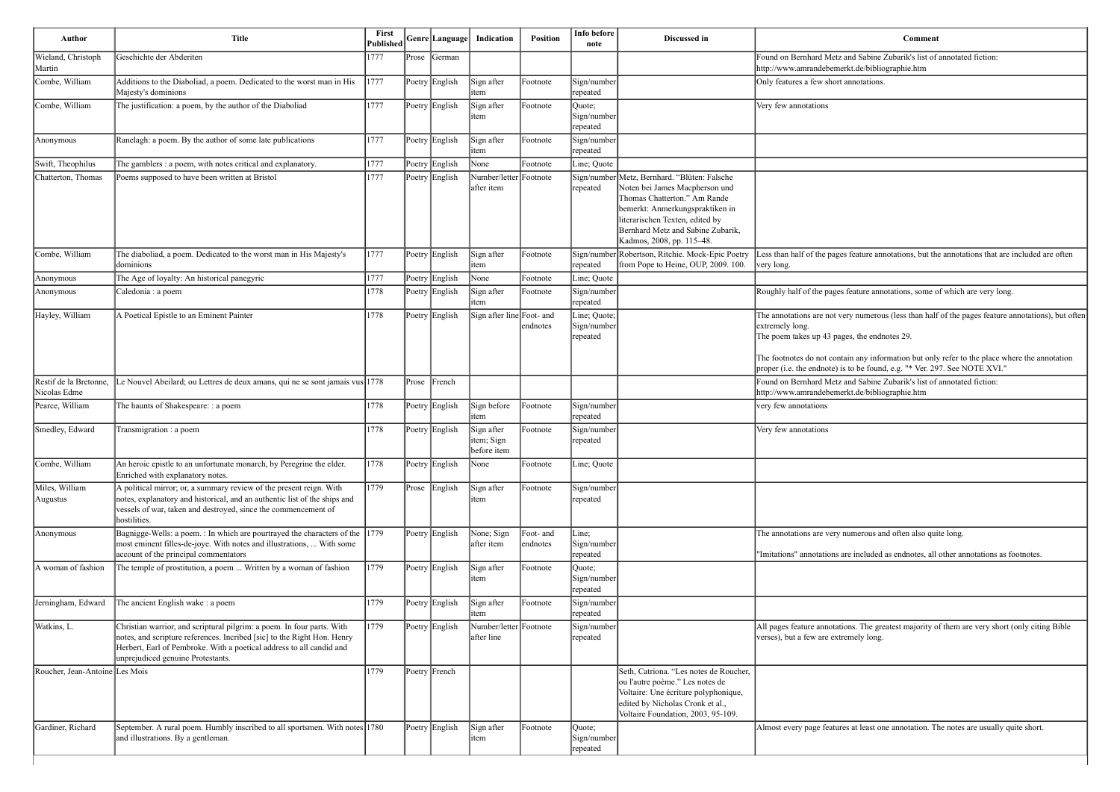| <b>Comment</b>                                                                                                           |
|--------------------------------------------------------------------------------------------------------------------------|
| Found on Bernhard Metz and Sabine Zubarik's list of annotated fiction:<br>http://www.amrandebemerkt.de/bibliographie.htm |
| Only features a few short annotations.                                                                                   |
| Very few annotations                                                                                                     |
|                                                                                                                          |
|                                                                                                                          |
|                                                                                                                          |
| Less than half of the pages feature annotations, but the annotations that are included are often<br>very long.           |
|                                                                                                                          |
| Roughly half of the pages feature annotations, some of which are very long.                                              |
| The annotations are not very numerous (less than half of the pages feature annotations), but often                       |

ain any information but only refer to the place where the annotation  $\frac{m}{2}$  is to be found, e.g. "\* Ver. 297. See NOTE XVI."

re included as endnotes, all other annotations as footnotes.

ons. The greatest majority of them are very short (only citing Bible emely long.

es at least one annotation. The notes are usually quite short.

| Author                                 | <b>Title</b>                                                                                                                                                                                                                                                   | First<br><b>Published</b> |       | Genre Language  | Indication                              | <b>Position</b>       | Info before<br>note                     | Discussed in                                                                                                                                                                                                                               | Comment                                                                                                                                                                                                                    |
|----------------------------------------|----------------------------------------------------------------------------------------------------------------------------------------------------------------------------------------------------------------------------------------------------------------|---------------------------|-------|-----------------|-----------------------------------------|-----------------------|-----------------------------------------|--------------------------------------------------------------------------------------------------------------------------------------------------------------------------------------------------------------------------------------------|----------------------------------------------------------------------------------------------------------------------------------------------------------------------------------------------------------------------------|
| Wieland, Christoph<br>Martin           | Geschichte der Abderiten                                                                                                                                                                                                                                       | 1777                      | Prose | <b>S</b> Cerman |                                         |                       |                                         |                                                                                                                                                                                                                                            | Found on Bernhard Metz and Sabine Zubarik's list of annotated fiction:<br>http://www.amrandebemerkt.de/bibliographie.htm                                                                                                   |
| Combe, William                         | Additions to the Diaboliad, a poem. Dedicated to the worst man in His<br>Majesty's dominions                                                                                                                                                                   | 1777                      |       | Poetry English  | Sign after<br>item                      | Footnote              | Sign/number<br>∣repeated                |                                                                                                                                                                                                                                            | Only features a few short annotations.                                                                                                                                                                                     |
| Combe, William                         | The justification: a poem, by the author of the Diaboliad                                                                                                                                                                                                      | 1777                      |       | Poetry English  | Sign after<br>litem                     | Footnote              | Quote;<br>Sign/number<br>repeated       |                                                                                                                                                                                                                                            | Very few annotations                                                                                                                                                                                                       |
| Anonymous                              | Ranelagh: a poem. By the author of some late publications                                                                                                                                                                                                      | 1777                      |       | Poetry English  | Sign after<br>item                      | Footnote              | Sign/number<br>repeated                 |                                                                                                                                                                                                                                            |                                                                                                                                                                                                                            |
| Swift, Theophilus                      | The gamblers : a poem, with notes critical and explanatory.                                                                                                                                                                                                    | 1777                      |       | Poetry English  | None                                    | Footnote              | Line; Quote                             |                                                                                                                                                                                                                                            |                                                                                                                                                                                                                            |
| Chatterton, Thomas                     | Poems supposed to have been written at Bristol                                                                                                                                                                                                                 | 1777                      |       | Poetry English  | Number/letter Footnote<br>after item    |                       | Sign/number<br>repeated                 | Metz, Bernhard. "Blüten: Falsche<br>Noten bei James Macpherson und<br>Thomas Chatterton." Am Rande<br>bemerkt: Anmerkungspraktiken in<br>literarischen Texten, edited by<br>Bernhard Metz and Sabine Zubarik,<br>Kadmos, 2008, pp. 115-48. |                                                                                                                                                                                                                            |
| Combe, William                         | The diaboliad, a poem. Dedicated to the worst man in His Majesty's<br>dominions                                                                                                                                                                                | 1777                      |       | Poetry English  | Sign after<br>item                      | Footnote              | repeated                                | Sign/number Robertson, Ritchie. Mock-Epic Poetry<br>from Pope to Heine, OUP, 2009. 100.                                                                                                                                                    | Less than half of the pages feature annotations, but the annotations that<br>very long.                                                                                                                                    |
| Anonymous                              | The Age of loyalty: An historical panegyric                                                                                                                                                                                                                    | 1777                      |       | Poetry English  | None                                    | Footnote              | Line; Quote                             |                                                                                                                                                                                                                                            |                                                                                                                                                                                                                            |
| Anonymous                              | Caledonia : a poem                                                                                                                                                                                                                                             | 1778                      |       | Poetry English  | Sign after<br>item                      | Footnote              | Sign/number<br>repeated                 |                                                                                                                                                                                                                                            | Roughly half of the pages feature annotations, some of which are very                                                                                                                                                      |
| Hayley, William                        | A Poetical Epistle to an Eminent Painter                                                                                                                                                                                                                       | 1778                      |       | Poetry English  | Sign after line Foot- and               | endnotes              | Line; Quote;<br>Sign/number<br>repeated |                                                                                                                                                                                                                                            | The annotations are not very numerous (less than half of the pages featured<br>extremely long.<br>The poem takes up 43 pages, the endnotes 29.<br>The footnotes do not contain any information but only refer to the place |
| Restif de la Bretonne,<br>Nicolas Edme | Le Nouvel Abeilard; ou Lettres de deux amans, qui ne se sont jamais vus 1778                                                                                                                                                                                   |                           | Prose | French          |                                         |                       |                                         |                                                                                                                                                                                                                                            | proper (i.e. the endnote) is to be found, e.g. "* Ver. 297. See NOTE XV<br>Found on Bernhard Metz and Sabine Zubarik's list of annotated fiction:<br>http://www.amrandebemerkt.de/bibliographie.htm                        |
| Pearce, William                        | The haunts of Shakespeare: : a poem                                                                                                                                                                                                                            | 1778                      |       | Poetry English  | Sign before<br>item                     | Footnote              | Sign/number<br>repeated                 |                                                                                                                                                                                                                                            | very few annotations                                                                                                                                                                                                       |
| Smedley, Edward                        | Transmigration : a poem                                                                                                                                                                                                                                        | 1778                      |       | Poetry English  | Sign after<br>item; Sign<br>before item | Footnote              | Sign/number<br>repeated                 |                                                                                                                                                                                                                                            | Very few annotations                                                                                                                                                                                                       |
| Combe, William                         | An heroic epistle to an unfortunate monarch, by Peregrine the elder.<br>Enriched with explanatory notes.                                                                                                                                                       | 1778                      |       | Poetry English  | None                                    | Footnote              | Line; Quote                             |                                                                                                                                                                                                                                            |                                                                                                                                                                                                                            |
| Miles, William<br>Augustus             | A political mirror; or, a summary review of the present reign. With<br>notes, explanatory and historical, and an authentic list of the ships and<br>vessels of war, taken and destroyed, since the commencement of<br>hostilities.                             | 1779                      |       | Prose English   | Sign after<br>litem                     | Footnote              | Sign/number<br>repeated                 |                                                                                                                                                                                                                                            |                                                                                                                                                                                                                            |
| Anonymous                              | Bagnigge-Wells: a poem. : In which are pourtrayed the characters of the $ 1779\rangle$<br>most eminent filles-de-joye. With notes and illustrations,  With some<br>account of the principal commentators                                                       |                           |       | Poetry English  | None; Sign<br>after item                | Foot- and<br>endnotes | Line;<br>Sign/number<br>repeated        |                                                                                                                                                                                                                                            | The annotations are very numerous and often also quite long.<br>"Imitations" annotations are included as endnotes, all other annotations                                                                                   |
| A woman of fashion                     | The temple of prostitution, a poem  Written by a woman of fashion                                                                                                                                                                                              | 1779                      |       | Poetry English  | Sign after<br>litem                     | Footnote              | Quote;<br>Sign/number<br>repeated       |                                                                                                                                                                                                                                            |                                                                                                                                                                                                                            |
| Jerningham, Edward                     | The ancient English wake : a poem                                                                                                                                                                                                                              | 1779                      |       | Poetry English  | Sign after<br>litem                     | Footnote              | Sign/number<br>repeated                 |                                                                                                                                                                                                                                            |                                                                                                                                                                                                                            |
| Watkins, L.                            | Christian warrior, and scriptural pilgrim: a poem. In four parts. With<br>notes, and scripture references. Incribed [sic] to the Right Hon. Henry<br>Herbert, Earl of Pembroke. With a poetical address to all candid and<br>unprejudiced genuine Protestants. | 1779                      |       | Poetry English  | Number/letter Footnote<br>after line    |                       | Sign/number<br>repeated                 |                                                                                                                                                                                                                                            | All pages feature annotations. The greatest majority of them are very sl<br>verses), but a few are extremely long.                                                                                                         |
| Roucher, Jean-Antoine Les Mois         |                                                                                                                                                                                                                                                                | 1779                      |       | Poetry French   |                                         |                       |                                         | Seth, Catriona. "Les notes de Roucher,<br>ou l'autre poème." Les notes de<br>Voltaire: Une écriture polyphonique,<br>edited by Nicholas Cronk et al.,<br>Voltaire Foundation, 2003, 95-109.                                                |                                                                                                                                                                                                                            |
| Gardiner, Richard                      | September. A rural poem. Humbly inscribed to all sportsmen. With notes 1780<br>and illustrations. By a gentleman.                                                                                                                                              |                           |       | Poetry English  | Sign after<br>litem                     | Footnote              | Quote;<br>Sign/number<br>repeated       |                                                                                                                                                                                                                                            | Almost every page features at least one annotation. The notes are usual                                                                                                                                                    |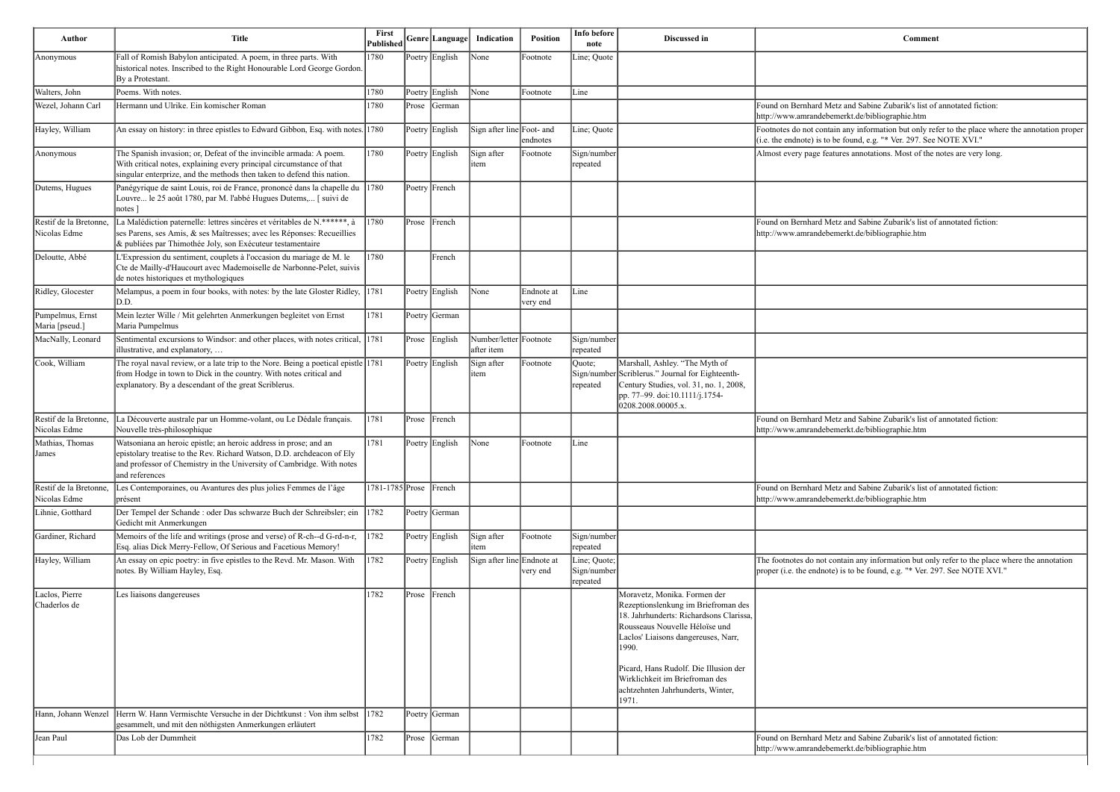| Author                                 | <b>Title</b>                                                                                                                                                                                                                          | <b>First</b><br><b>Published</b> |           | Genre Language | Indication                           | Position               | Info before<br>note                     | Discussed in                                                                                                                                                                                                                                                                | Comment                                                                                                                                                                     |
|----------------------------------------|---------------------------------------------------------------------------------------------------------------------------------------------------------------------------------------------------------------------------------------|----------------------------------|-----------|----------------|--------------------------------------|------------------------|-----------------------------------------|-----------------------------------------------------------------------------------------------------------------------------------------------------------------------------------------------------------------------------------------------------------------------------|-----------------------------------------------------------------------------------------------------------------------------------------------------------------------------|
| Anonymous                              | Fall of Romish Babylon anticipated. A poem, in three parts. With<br>historical notes. Inscribed to the Right Honourable Lord George Gordon.<br>By a Protestant.                                                                       | 1780                             |           | Poetry English | None                                 | Footnote               | Line; Quote                             |                                                                                                                                                                                                                                                                             |                                                                                                                                                                             |
| Walters, John                          | Poems. With notes.                                                                                                                                                                                                                    | 1780                             |           | Poetry English | $\vert$ None                         | Footnote               | Line                                    |                                                                                                                                                                                                                                                                             |                                                                                                                                                                             |
| Wezel, Johann Carl                     | Hermann und Ulrike. Ein komischer Roman                                                                                                                                                                                               | 1780                             |           | Prose German   |                                      |                        |                                         |                                                                                                                                                                                                                                                                             | Found on Bernhard Metz and Sabine Zubarik's list of annotated fiction:<br>http://www.amrandebemerkt.de/bibliographie.htm                                                    |
| Hayley, William                        | An essay on history: in three epistles to Edward Gibbon, Esq. with notes. 1780                                                                                                                                                        |                                  |           | Poetry English | Sign after line Foot- and            | endnotes               | Line; Quote                             |                                                                                                                                                                                                                                                                             | Footnotes do not contain any information but only refer to the place where the annotation proper<br>(i.e. the endnote) is to be found, e.g. "* Ver. 297. See NOTE XVI."     |
| Anonymous                              | The Spanish invasion; or, Defeat of the invincible armada: A poem.<br>With critical notes, explaining every principal circumstance of that<br>singular enterprize, and the methods then taken to defend this nation.                  | 1780                             |           | Poetry English | Sign after<br>item                   | Footnote               | Sign/number<br>repeated                 |                                                                                                                                                                                                                                                                             | Almost every page features annotations. Most of the notes are very long.                                                                                                    |
| Dutems, Hugues                         | Panégyrique de saint Louis, roi de France, prononcé dans la chapelle du 1780<br>Louvre le 25 août 1780, par M. l'abbé Hugues Dutems, [ suivi de<br>notes ]                                                                            |                                  |           | Poetry French  |                                      |                        |                                         |                                                                                                                                                                                                                                                                             |                                                                                                                                                                             |
| Restif de la Bretonne,<br>Nicolas Edme | La Malédiction paternelle: lettres sincères et véritables de N.******, à<br>ses Parens, ses Amis, & ses Maîtresses; avec les Réponses: Recueillies<br>& publiées par Thimothée Joly, son Exécuteur testamentaire                      | 1780                             | Prose     | French         |                                      |                        |                                         |                                                                                                                                                                                                                                                                             | Found on Bernhard Metz and Sabine Zubarik's list of annotated fiction:<br>http://www.amrandebemerkt.de/bibliographie.htm                                                    |
| Deloutte, Abbé                         | L'Expression du sentiment, couplets à l'occasion du mariage de M. le<br>Cte de Mailly-d'Haucourt avec Mademoiselle de Narbonne-Pelet, suivis<br>de notes historiques et mythologiques                                                 | 1780                             |           | French         |                                      |                        |                                         |                                                                                                                                                                                                                                                                             |                                                                                                                                                                             |
| Ridley, Glocester                      | Melampus, a poem in four books, with notes: by the late Gloster Ridley, 1781<br>D.D.                                                                                                                                                  |                                  |           | Poetry English | $\vert$ None                         | Endnote at<br>very end | Line                                    |                                                                                                                                                                                                                                                                             |                                                                                                                                                                             |
| Pumpelmus, Ernst<br>Maria [pseud.]     | Mein lezter Wille / Mit gelehrten Anmerkungen begleitet von Ernst<br>Maria Pumpelmus                                                                                                                                                  | 1781                             |           | Poetry German  |                                      |                        |                                         |                                                                                                                                                                                                                                                                             |                                                                                                                                                                             |
| MacNally, Leonard                      | Sentimental excursions to Windsor: and other places, with notes critical, 1781<br>illustrative, and explanatory,                                                                                                                      |                                  |           | Prose English  | Number/letter Footnote<br>after item |                        | Sign/number<br>repeated                 |                                                                                                                                                                                                                                                                             |                                                                                                                                                                             |
| Cook, William                          | The royal naval review, or a late trip to the Nore. Being a poetical epistle 1781<br>from Hodge in town to Dick in the country. With notes critical and<br>explanatory. By a descendant of the great Scriblerus.                      |                                  |           | Poetry English | Sign after<br>item                   | Footnote               | Quote;<br>repeated                      | Marshall, Ashley. "The Myth of<br>Sign/number Scriblerus." Journal for Eighteenth-<br>Century Studies, vol. 31, no. 1, 2008,<br>pp. 77–99. doi:10.1111/j.1754-<br>0208.2008.00005.x.                                                                                        |                                                                                                                                                                             |
| Restif de la Bretonne,<br>Nicolas Edme | a Découverte australe par un Homme-volant, ou Le Dédale français.<br>Nouvelle très-philosophique                                                                                                                                      | 1781                             | $ $ Prose | French         |                                      |                        |                                         |                                                                                                                                                                                                                                                                             | Found on Bernhard Metz and Sabine Zubarik's list of annotated fiction:<br>http://www.amrandebemerkt.de/bibliographie.htm                                                    |
| Mathias, Thomas<br> James              | Watsoniana an heroic epistle; an heroic address in prose; and an<br>epistolary treatise to the Rev. Richard Watson, D.D. archdeacon of Ely<br>and professor of Chemistry in the University of Cambridge. With notes<br>and references | 1781                             |           | Poetry English | None                                 | Footnote               | Line                                    |                                                                                                                                                                                                                                                                             |                                                                                                                                                                             |
| Restif de la Bretonne,<br>Nicolas Edme | Les Contemporaines, ou Avantures des plus jolies Femmes de l'âge<br>présent                                                                                                                                                           | $1781 - 1785$ Prose French       |           |                |                                      |                        |                                         |                                                                                                                                                                                                                                                                             | Found on Bernhard Metz and Sabine Zubarik's list of annotated fiction:<br>http://www.amrandebemerkt.de/bibliographie.htm                                                    |
| Lihnie, Gotthard                       | Der Tempel der Schande : oder Das schwarze Buch der Schreibsler; ein 1782<br>Gedicht mit Anmerkungen                                                                                                                                  |                                  |           | Poetry German  |                                      |                        |                                         |                                                                                                                                                                                                                                                                             |                                                                                                                                                                             |
| Gardiner, Richard                      | Memoirs of the life and writings (prose and verse) of R-ch--d G-rd-n-r,<br>Esq. alias Dick Merry-Fellow, Of Serious and Facetious Memory!                                                                                             | 1782                             |           | Poetry English | Sign after<br>item                   | Footnote               | Sign/number<br>repeated                 |                                                                                                                                                                                                                                                                             |                                                                                                                                                                             |
| Hayley, William                        | An essay on epic poetry: in five epistles to the Revd. Mr. Mason. With<br>notes. By William Hayley, Esq.                                                                                                                              | 1782                             |           | Poetry English | Sign after line Endnote at           | very end               | Line; Quote;<br>Sign/number<br>repeated |                                                                                                                                                                                                                                                                             | The footnotes do not contain any information but only refer to the place where the annotation<br>proper (i.e. the endnote) is to be found, e.g. "* Ver. 297. See NOTE XVI." |
| Laclos, Pierre<br>Chaderlos de         | Les liaisons dangereuses                                                                                                                                                                                                              | 1782                             | $ $ Prose | French         |                                      |                        |                                         | Moravetz, Monika. Formen der<br>Rezeptionslenkung im Briefroman des<br>18. Jahrhunderts: Richardsons Clarissa,<br>Rousseaus Nouvelle Héloïse und<br>Laclos' Liaisons dangereuses, Narr,<br>1990.<br>Picard, Hans Rudolf. Die Illusion der<br>Wirklichkeit im Briefroman des |                                                                                                                                                                             |
|                                        |                                                                                                                                                                                                                                       |                                  |           |                |                                      |                        |                                         | achtzehnten Jahrhunderts, Winter,<br>1971.                                                                                                                                                                                                                                  |                                                                                                                                                                             |
| Hann, Johann Wenzel                    | Herrn W. Hann Vermischte Versuche in der Dichtkunst : Von ihm selbst<br>gesammelt, und mit den nöthigsten Anmerkungen erläutert                                                                                                       | 1782                             |           | Poetry German  |                                      |                        |                                         |                                                                                                                                                                                                                                                                             |                                                                                                                                                                             |
| Jean Paul                              | Das Lob der Dummheit                                                                                                                                                                                                                  | 1782                             |           | Prose German   |                                      |                        |                                         |                                                                                                                                                                                                                                                                             | Found on Bernhard Metz and Sabine Zubarik's list of annotated fiction:<br>http://www.amrandebemerkt.de/bibliographie.htm                                                    |

| <b>Comment</b>                                                                                                                                                              |  |
|-----------------------------------------------------------------------------------------------------------------------------------------------------------------------------|--|
|                                                                                                                                                                             |  |
|                                                                                                                                                                             |  |
| Found on Bernhard Metz and Sabine Zubarik's list of annotated fiction:<br>http://www.amrandebemerkt.de/bibliographie.htm                                                    |  |
| Footnotes do not contain any information but only refer to the place where the annotation proper<br>(i.e. the endnote) is to be found, e.g. "* Ver. 297. See NOTE XVI."     |  |
| Almost every page features annotations. Most of the notes are very long.                                                                                                    |  |
|                                                                                                                                                                             |  |
| Found on Bernhard Metz and Sabine Zubarik's list of annotated fiction:<br>http://www.amrandebemerkt.de/bibliographie.htm                                                    |  |
|                                                                                                                                                                             |  |
|                                                                                                                                                                             |  |
|                                                                                                                                                                             |  |
|                                                                                                                                                                             |  |
|                                                                                                                                                                             |  |
|                                                                                                                                                                             |  |
| Found on Bernhard Metz and Sabine Zubarik's list of annotated fiction:<br>http://www.amrandebemerkt.de/bibliographie.htm                                                    |  |
|                                                                                                                                                                             |  |
| Found on Bernhard Metz and Sabine Zubarik's list of annotated fiction:                                                                                                      |  |
| http://www.amrandebemerkt.de/bibliographie.htm                                                                                                                              |  |
|                                                                                                                                                                             |  |
| The footnotes do not contain any information but only refer to the place where the annotation<br>proper (i.e. the endnote) is to be found, e.g. "* Ver. 297. See NOTE XVI." |  |
|                                                                                                                                                                             |  |
|                                                                                                                                                                             |  |
|                                                                                                                                                                             |  |
|                                                                                                                                                                             |  |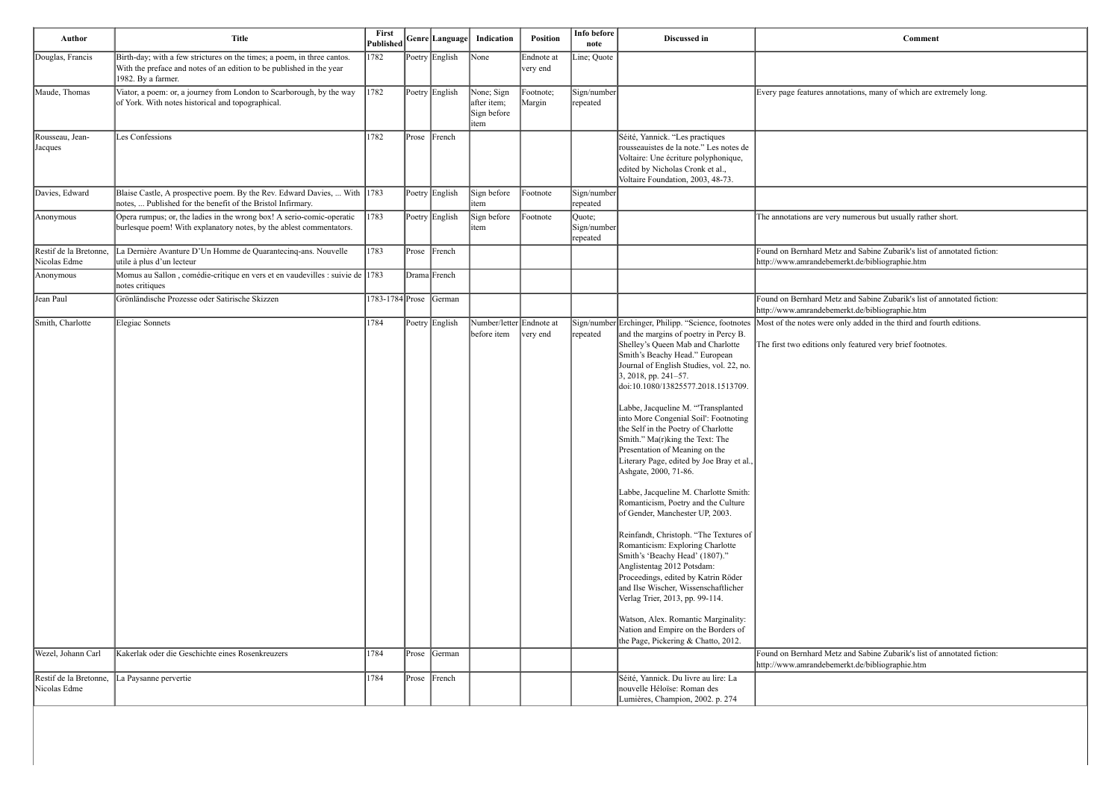| Comment                                                            |
|--------------------------------------------------------------------|
|                                                                    |
|                                                                    |
| Every page features annotations, many of which are extremely long. |
|                                                                    |
|                                                                    |
|                                                                    |
|                                                                    |
|                                                                    |
|                                                                    |
|                                                                    |
| The annotations are very numerous but usually rather short.        |
|                                                                    |
|                                                                    |

| Author                                 | <b>Title</b>                                                                                                                                                          | First<br>Published     |                | Genre Language  Indication                       | <b>Position</b>        | Info before<br>note               | Discussed in                                                                                                                                                                                                                                                                                                                                                                                                                                                                                                                                                                                                                                                                                                                                                                                                                                                                                                                                                                                                                                              | Comment                                                                                                                           |
|----------------------------------------|-----------------------------------------------------------------------------------------------------------------------------------------------------------------------|------------------------|----------------|--------------------------------------------------|------------------------|-----------------------------------|-----------------------------------------------------------------------------------------------------------------------------------------------------------------------------------------------------------------------------------------------------------------------------------------------------------------------------------------------------------------------------------------------------------------------------------------------------------------------------------------------------------------------------------------------------------------------------------------------------------------------------------------------------------------------------------------------------------------------------------------------------------------------------------------------------------------------------------------------------------------------------------------------------------------------------------------------------------------------------------------------------------------------------------------------------------|-----------------------------------------------------------------------------------------------------------------------------------|
| Douglas, Francis                       | Birth-day; with a few strictures on the times; a poem, in three cantos.<br>With the preface and notes of an edition to be published in the year<br>1982. By a farmer. | 1782                   | Poetry English | $\sqrt{\frac{1}{1}}$                             | Endnote at<br>very end | Line; Quote                       |                                                                                                                                                                                                                                                                                                                                                                                                                                                                                                                                                                                                                                                                                                                                                                                                                                                                                                                                                                                                                                                           |                                                                                                                                   |
| Maude, Thomas                          | Viator, a poem: or, a journey from London to Scarborough, by the way<br>of York. With notes historical and topographical.                                             | 1782                   | Poetry English | None; Sign<br>after item;<br>Sign before<br>item | Footnote;<br>Margin    | Sign/number<br>repeated           |                                                                                                                                                                                                                                                                                                                                                                                                                                                                                                                                                                                                                                                                                                                                                                                                                                                                                                                                                                                                                                                           | Every page features annotations, many of which are extremely long.                                                                |
| Rousseau, Jean-<br>Jacques             | Les Confessions                                                                                                                                                       | 1782                   | Prose French   |                                                  |                        |                                   | Séité, Yannick. "Les practiques<br>rousseauistes de la note." Les notes de<br>Voltaire: Une écriture polyphonique,<br>edited by Nicholas Cronk et al.,<br>Voltaire Foundation, 2003, 48-73.                                                                                                                                                                                                                                                                                                                                                                                                                                                                                                                                                                                                                                                                                                                                                                                                                                                               |                                                                                                                                   |
| Davies, Edward                         | Blaise Castle, A prospective poem. By the Rev. Edward Davies,  With $ 1783\rangle$<br>notes,  Published for the benefit of the Bristol Infirmary.                     |                        | Poetry English | Sign before<br>item                              | Footnote               | Sign/number<br>repeated           |                                                                                                                                                                                                                                                                                                                                                                                                                                                                                                                                                                                                                                                                                                                                                                                                                                                                                                                                                                                                                                                           |                                                                                                                                   |
| Anonymous                              | Opera rumpus; or, the ladies in the wrong box! A serio-comic-operatic<br>burlesque poem! With explanatory notes, by the ablest commentators.                          | 1783                   | Poetry English | Sign before<br>item                              | Footnote               | Quote;<br>Sign/number<br>repeated |                                                                                                                                                                                                                                                                                                                                                                                                                                                                                                                                                                                                                                                                                                                                                                                                                                                                                                                                                                                                                                                           | The annotations are very numerous but usually rather short.                                                                       |
| Restif de la Bretonne,<br>Nicolas Edme | La Dernière Avanture D'Un Homme de Quarantecinq-ans. Nouvelle<br>utile à plus d'un lecteur                                                                            | 1783                   | Prose French   |                                                  |                        |                                   |                                                                                                                                                                                                                                                                                                                                                                                                                                                                                                                                                                                                                                                                                                                                                                                                                                                                                                                                                                                                                                                           | Found on Bernhard Metz and Sabine Zubarik's list of annotated fiction:<br>http://www.amrandebemerkt.de/bibliographie.htm          |
| Anonymous                              | Momus au Sallon, comédie-critique en vers et en vaudevilles : suivie de 1783<br>notes critiques                                                                       |                        | Drama French   |                                                  |                        |                                   |                                                                                                                                                                                                                                                                                                                                                                                                                                                                                                                                                                                                                                                                                                                                                                                                                                                                                                                                                                                                                                                           |                                                                                                                                   |
| Jean Paul                              | Grönländische Prozesse oder Satirische Skizzen                                                                                                                        | 1783-1784 Prose German |                |                                                  |                        |                                   |                                                                                                                                                                                                                                                                                                                                                                                                                                                                                                                                                                                                                                                                                                                                                                                                                                                                                                                                                                                                                                                           | Found on Bernhard Metz and Sabine Zubarik's list of annotated fiction:<br>http://www.amrandebemerkt.de/bibliographie.htm          |
| Smith, Charlotte                       | Elegiac Sonnets                                                                                                                                                       | 1784                   | Poetry English | Number/letter Endnote at<br>before item          | very end               | repeated                          | Sign/number Erchinger, Philipp. "Science, footnotes<br>and the margins of poetry in Percy B.<br>Shelley's Queen Mab and Charlotte<br>Smith's Beachy Head." European<br>Journal of English Studies, vol. 22, no.<br>$3, 2018$ , pp. 241-57.<br>doi:10.1080/13825577.2018.1513709.<br>Labbe, Jacqueline M. "Transplanted<br>into More Congenial Soil': Footnoting<br>the Self in the Poetry of Charlotte<br>Smith." Ma(r)king the Text: The<br>Presentation of Meaning on the<br>Literary Page, edited by Joe Bray et al.,<br>Ashgate, 2000, 71-86.<br>Labbe, Jacqueline M. Charlotte Smith:<br>Romanticism, Poetry and the Culture<br>of Gender, Manchester UP, 2003.<br>Reinfandt, Christoph. "The Textures of<br>Romanticism: Exploring Charlotte<br>Smith's 'Beachy Head' (1807)."<br>Anglistentag 2012 Potsdam:<br>Proceedings, edited by Katrin Röder<br>and Ilse Wischer, Wissenschaftlicher<br>Verlag Trier, 2013, pp. 99-114.<br>Watson, Alex. Romantic Marginality:<br>Nation and Empire on the Borders of<br>the Page, Pickering & Chatto, 2012. | Most of the notes were only added in the third and fourth editions.<br>The first two editions only featured very brief footnotes. |
| Wezel, Johann Carl                     | Kakerlak oder die Geschichte eines Rosenkreuzers                                                                                                                      | 1784                   | Prose German   |                                                  |                        |                                   |                                                                                                                                                                                                                                                                                                                                                                                                                                                                                                                                                                                                                                                                                                                                                                                                                                                                                                                                                                                                                                                           | Found on Bernhard Metz and Sabine Zubarik's list of annotated fiction:<br>http://www.amrandebemerkt.de/bibliographie.htm          |
| Restif de la Bretonne,<br>Nicolas Edme | La Paysanne pervertie                                                                                                                                                 | 1784                   | Prose French   |                                                  |                        |                                   | Séité, Yannick. Du livre au lire: La<br>nouvelle Héloïse: Roman des<br>Lumières, Champion, 2002. p. 274                                                                                                                                                                                                                                                                                                                                                                                                                                                                                                                                                                                                                                                                                                                                                                                                                                                                                                                                                   |                                                                                                                                   |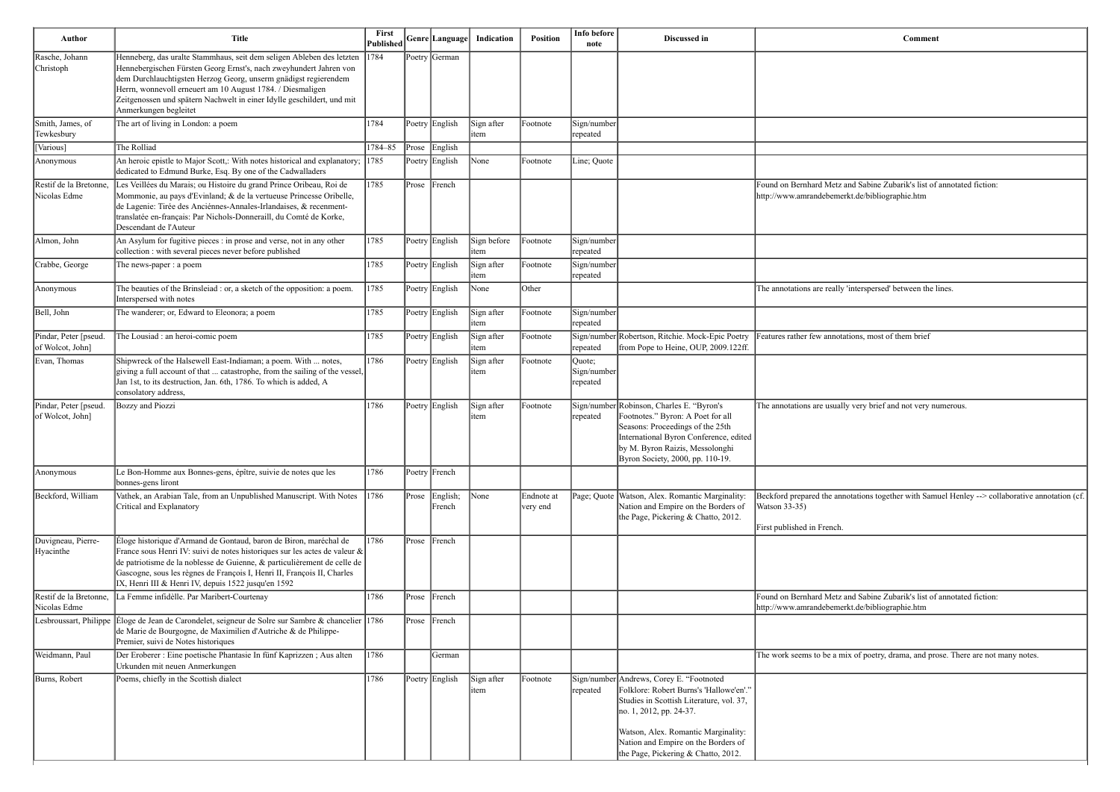| Author                                    | <b>Title</b>                                                                                                                                                                                                                                                                                                                                                                         | First<br>Published | Genre Language           | Indication          | <b>Position</b>        | Info before<br>note                | Discussed in                                                                                                                                                                                                                        | Comment                                                                                                                                 |
|-------------------------------------------|--------------------------------------------------------------------------------------------------------------------------------------------------------------------------------------------------------------------------------------------------------------------------------------------------------------------------------------------------------------------------------------|--------------------|--------------------------|---------------------|------------------------|------------------------------------|-------------------------------------------------------------------------------------------------------------------------------------------------------------------------------------------------------------------------------------|-----------------------------------------------------------------------------------------------------------------------------------------|
| Rasche, Johann<br>Christoph               | Henneberg, das uralte Stammhaus, seit dem seligen Ableben des letzten 1784<br>Hennebergischen Fürsten Georg Ernst's, nach zweyhundert Jahren von<br>dem Durchlauchtigsten Herzog Georg, unserm gnädigst regierendem<br>Herrn, wonnevoll erneuert am 10 August 1784. / Diesmaligen<br>Zeitgenossen und spätern Nachwelt in einer Idylle geschildert, und mit<br>Anmerkungen begleitet |                    | Poetry German            |                     |                        |                                    |                                                                                                                                                                                                                                     |                                                                                                                                         |
| Smith, James, of<br>Tewkesbury            | The art of living in London: a poem                                                                                                                                                                                                                                                                                                                                                  | 1784               | Poetry English           | Sign after<br>item  | Footnote               | Sign/number<br>repeated            |                                                                                                                                                                                                                                     |                                                                                                                                         |
| Various]                                  | The Rolliad                                                                                                                                                                                                                                                                                                                                                                          | 1784-85            | Prose English            |                     |                        |                                    |                                                                                                                                                                                                                                     |                                                                                                                                         |
| Anonymous                                 | An heroic epistle to Major Scott,: With notes historical and explanatory; 1785<br>dedicated to Edmund Burke, Esq. By one of the Cadwalladers                                                                                                                                                                                                                                         |                    | Poetry English           | None                | Footnote               | Line; Quote                        |                                                                                                                                                                                                                                     |                                                                                                                                         |
| Restif de la Bretonne<br>Nicolas Edme     | Les Veillées du Marais; ou Histoire du grand Prince Oribeau, Roi de<br>Mommonie, au pays d'Evinland; & de la vertueuse Princesse Oribelle,<br>de Lagenie: Tirée des Anciénnes-Annales-Irlandaises, & recenment-<br>translatée en-français: Par Nichols-Donneraill, du Comté de Korke,<br>Descendant de l'Auteur                                                                      | 1785               | Prose French             |                     |                        |                                    |                                                                                                                                                                                                                                     | Found on Bernhard Metz and Sabine Zubarik's list of annotated fiction:<br>http://www.amrandebemerkt.de/bibliographie.htm                |
| Almon, John                               | An Asylum for fugitive pieces : in prose and verse, not in any other<br>collection : with several pieces never before published                                                                                                                                                                                                                                                      | 1785               | Poetry English           | Sign before<br>item | Footnote               | Sign/number<br>repeated            |                                                                                                                                                                                                                                     |                                                                                                                                         |
| Crabbe, George                            | The news-paper : a poem                                                                                                                                                                                                                                                                                                                                                              | 1785               | Poetry English           | Sign after<br>item  | Footnote               | Sign/number<br>repeated            |                                                                                                                                                                                                                                     |                                                                                                                                         |
| Anonymous                                 | The beauties of the Brinsleiad : or, a sketch of the opposition: a poem.<br>Interspersed with notes                                                                                                                                                                                                                                                                                  | 1785               | Poetry English           | None                | Other                  |                                    |                                                                                                                                                                                                                                     | The annotations are really 'interspersed' between the lines.                                                                            |
| Bell, John                                | The wanderer; or, Edward to Eleonora; a poem                                                                                                                                                                                                                                                                                                                                         | 1785               | Poetry English           | Sign after<br>item  | Footnote               | Sign/number<br>repeated            |                                                                                                                                                                                                                                     |                                                                                                                                         |
| Pindar, Peter [pseud.<br>of Wolcot, John] | The Lousiad : an heroi-comic poem                                                                                                                                                                                                                                                                                                                                                    | 1785               | Poetry English           | Sign after<br>item  | Footnote               | repeated                           | Sign/number Robertson, Ritchie. Mock-Epic Poetry<br>from Pope to Heine, OUP, 2009.122ff                                                                                                                                             | Features rather few annotations, most of them brief                                                                                     |
| Evan, Thomas                              | Shipwreck of the Halsewell East-Indiaman; a poem. With  notes,<br>giving a full account of that  catastrophe, from the sailing of the vessel,<br>Jan 1st, to its destruction, Jan. 6th, 1786. To which is added, A<br>consolatory address,                                                                                                                                           | 1786               | Poetry English           | Sign after<br>item  | Footnote               | Quote;<br>Sign/number<br> repeated |                                                                                                                                                                                                                                     |                                                                                                                                         |
| Pindar, Peter [pseud.<br>of Wolcot, John] | Bozzy and Piozzi                                                                                                                                                                                                                                                                                                                                                                     | 1786               | Poetry English           | Sign after<br>item  | Footnote               | repeated                           | Sign/number Robinson, Charles E. "Byron's<br>Footnotes." Byron: A Poet for all<br>Seasons: Proceedings of the 25th<br>International Byron Conference, edited<br>by M. Byron Raizis, Messolonghi<br>Byron Society, 2000, pp. 110-19. | The annotations are usually very brief and not very numerous.                                                                           |
| Anonymous                                 | Le Bon-Homme aux Bonnes-gens, épître, suivie de notes que les<br>bonnes-gens liront                                                                                                                                                                                                                                                                                                  | 1786               | Poetry French            |                     |                        |                                    |                                                                                                                                                                                                                                     |                                                                                                                                         |
| Beckford, William                         | Vathek, an Arabian Tale, from an Unpublished Manuscript. With Notes 1786<br>Critical and Explanatory                                                                                                                                                                                                                                                                                 |                    | Prose English;<br>French | $\vert$ None        | Endnote at<br>very end |                                    | Page; Quote   Watson, Alex. Romantic Marginality:<br>Nation and Empire on the Borders of<br>the Page, Pickering & Chatto, 2012.                                                                                                     | Beckford prepared the annotations together with Samuel Henley --> collaborative a<br><b>Watson 33-35)</b><br>First published in French. |
| Duvigneau, Pierre-<br>Hyacinthe           | Éloge historique d'Armand de Gontaud, baron de Biron, maréchal de<br>France sous Henri IV: suivi de notes historiques sur les actes de valeur $\&$<br>de patriotisme de la noblesse de Guienne, & particulièrement de celle de<br>Gascogne, sous les règnes de François I, Henri II, François II, Charles<br>IX, Henri III & Henri IV, depuis 1522 jusqu'en 1592                     | 1786               | Prose French             |                     |                        |                                    |                                                                                                                                                                                                                                     |                                                                                                                                         |
| Restif de la Bretonne<br>Nicolas Edme     | La Femme infidèlle. Par Maribert-Courtenay                                                                                                                                                                                                                                                                                                                                           | 1786               | Prose French             |                     |                        |                                    |                                                                                                                                                                                                                                     | Found on Bernhard Metz and Sabine Zubarik's list of annotated fiction:<br>http://www.amrandebemerkt.de/bibliographie.htm                |
|                                           | Lesbroussart, Philippe Eloge de Jean de Carondelet, seigneur de Solre sur Sambre & chancelier 1786<br>de Marie de Bourgogne, de Maximilien d'Autriche & de Philippe-<br>Premier, suivi de Notes historiques                                                                                                                                                                          |                    | Prose French             |                     |                        |                                    |                                                                                                                                                                                                                                     |                                                                                                                                         |
| Weidmann, Paul                            | Der Eroberer : Eine poetische Phantasie In fünf Kaprizzen; Aus alten<br>Urkunden mit neuen Anmerkungen                                                                                                                                                                                                                                                                               | 1786               | German                   |                     |                        |                                    |                                                                                                                                                                                                                                     | The work seems to be a mix of poetry, drama, and prose. There are not many notes.                                                       |
| Burns, Robert                             | Poems, chiefly in the Scottish dialect                                                                                                                                                                                                                                                                                                                                               | 1786               | Poetry English           | Sign after<br>item  | Footnote               | repeated                           | Sign/number Andrews, Corey E. "Footnoted<br>Folklore: Robert Burns's 'Hallowe'en'."<br>Studies in Scottish Literature, vol. 37,<br>no. 1, 2012, pp. 24-37.                                                                          |                                                                                                                                         |
|                                           |                                                                                                                                                                                                                                                                                                                                                                                      |                    |                          |                     |                        |                                    | Watson, Alex. Romantic Marginality:<br>Nation and Empire on the Borders of<br>the Page, Pickering & Chatto, 2012.                                                                                                                   |                                                                                                                                         |

| Beckford prepared the annotations together with Samuel Henley --> collaborative annotation (cf.<br>http://www.amrandebemerkt.de/bibliographie.htm | Comment                                                                           |
|---------------------------------------------------------------------------------------------------------------------------------------------------|-----------------------------------------------------------------------------------|
|                                                                                                                                                   |                                                                                   |
|                                                                                                                                                   |                                                                                   |
|                                                                                                                                                   |                                                                                   |
|                                                                                                                                                   |                                                                                   |
|                                                                                                                                                   |                                                                                   |
|                                                                                                                                                   | Found on Bernhard Metz and Sabine Zubarik's list of annotated fiction:            |
|                                                                                                                                                   | http://www.amrandebemerkt.de/bibliographie.htm                                    |
|                                                                                                                                                   |                                                                                   |
|                                                                                                                                                   |                                                                                   |
|                                                                                                                                                   |                                                                                   |
|                                                                                                                                                   | The annotations are really 'interspersed' between the lines.                      |
|                                                                                                                                                   |                                                                                   |
|                                                                                                                                                   | Features rather few annotations, most of them brief                               |
|                                                                                                                                                   |                                                                                   |
|                                                                                                                                                   |                                                                                   |
|                                                                                                                                                   | The annotations are usually very brief and not very numerous.                     |
|                                                                                                                                                   |                                                                                   |
|                                                                                                                                                   |                                                                                   |
|                                                                                                                                                   |                                                                                   |
|                                                                                                                                                   | Watson 33-35)                                                                     |
|                                                                                                                                                   | First published in French.                                                        |
|                                                                                                                                                   |                                                                                   |
|                                                                                                                                                   |                                                                                   |
|                                                                                                                                                   | Found on Bernhard Metz and Sabine Zubarik's list of annotated fiction:            |
|                                                                                                                                                   |                                                                                   |
|                                                                                                                                                   | The work seems to be a mix of poetry, drama, and prose. There are not many notes. |
|                                                                                                                                                   |                                                                                   |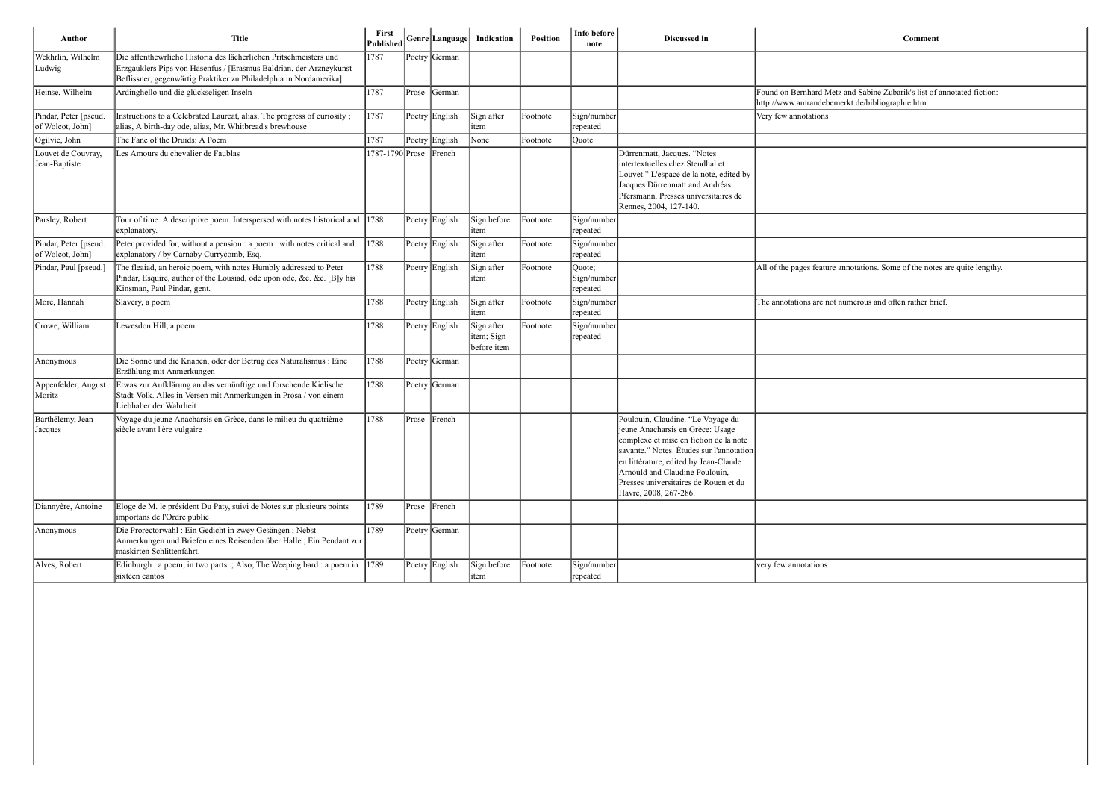| Author                                    | <b>Title</b>                                                                                                                                                                                                 | First<br><b>Published</b> |       | Genre Language | Indication                               | <b>Position</b> | Info before<br>note               | Discussed in                                                                                                                                                                                                                                                                                             | Comment                                                                                                                  |
|-------------------------------------------|--------------------------------------------------------------------------------------------------------------------------------------------------------------------------------------------------------------|---------------------------|-------|----------------|------------------------------------------|-----------------|-----------------------------------|----------------------------------------------------------------------------------------------------------------------------------------------------------------------------------------------------------------------------------------------------------------------------------------------------------|--------------------------------------------------------------------------------------------------------------------------|
| Wekhrlin, Wilhelm<br>Ludwig               | Die affenthewrliche Historia des lächerlichen Pritschmeisters und<br>Erzgauklers Pips von Hasenfus / [Erasmus Baldrian, der Arzneykunst<br>Beflissner, gegenwärtig Praktiker zu Philadelphia in Nordamerika] | 1787                      |       | Poetry German  |                                          |                 |                                   |                                                                                                                                                                                                                                                                                                          |                                                                                                                          |
| Heinse, Wilhelm                           | Ardinghello und die glückseligen Inseln                                                                                                                                                                      | 1787                      | Prose | German         |                                          |                 |                                   |                                                                                                                                                                                                                                                                                                          | Found on Bernhard Metz and Sabine Zubarik's list of annotated fiction:<br>http://www.amrandebemerkt.de/bibliographie.htm |
| Pindar, Peter [pseud.<br>of Wolcot, John] | Instructions to a Celebrated Laureat, alias, The progress of curiosity;<br>alias, A birth-day ode, alias, Mr. Whitbread's brewhouse                                                                          | 1787                      |       | Poetry English | Sign after<br>litem                      | Footnote        | Sign/number<br>repeated           |                                                                                                                                                                                                                                                                                                          | Very few annotations                                                                                                     |
| Ogilvie, John                             | The Fane of the Druids: A Poem                                                                                                                                                                               | 1787                      |       | Poetry English | None                                     | Footnote        | Quote                             |                                                                                                                                                                                                                                                                                                          |                                                                                                                          |
| Louvet de Couvray,<br>Jean-Baptiste       | Les Amours du chevalier de Faublas                                                                                                                                                                           | 1787-1790 Prose French    |       |                |                                          |                 |                                   | Dürrenmatt, Jacques. "Notes<br>intertextuelles chez Stendhal et<br>Louvet." L'espace de la note, edited by<br>Jacques Dürrenmatt and Andréas<br>Pfersmann, Presses universitaires de<br>Rennes, 2004, 127-140.                                                                                           |                                                                                                                          |
| Parsley, Robert                           | Tour of time. A descriptive poem. Interspersed with notes historical and 1788<br>explanatory.                                                                                                                |                           |       | Poetry English | Sign before<br>litem                     | Footnote        | Sign/number<br>repeated           |                                                                                                                                                                                                                                                                                                          |                                                                                                                          |
| Pindar, Peter [pseud.<br>of Wolcot, John] | Peter provided for, without a pension : a poem : with notes critical and<br>explanatory / by Carnaby Currycomb, Esq.                                                                                         | 1788                      |       | Poetry English | Sign after<br>litem                      | Footnote        | Sign/number<br>repeated           |                                                                                                                                                                                                                                                                                                          |                                                                                                                          |
| Pindar, Paul [pseud.]                     | The fleaiad, an heroic poem, with notes Humbly addressed to Peter<br>Pindar, Esquire, author of the Lousiad, ode upon ode, &c. &c. [B]y his<br>Kinsman, Paul Pindar, gent.                                   | 1788                      |       | Poetry English | Sign after<br>litem                      | Footnote        | Quote;<br>Sign/number<br>repeated |                                                                                                                                                                                                                                                                                                          | All of the pages feature annotations. Some of the notes are quite length                                                 |
| More, Hannah                              | Slavery, a poem                                                                                                                                                                                              | 1788                      |       | Poetry English | Sign after<br>litem                      | Footnote        | Sign/number<br>repeated           |                                                                                                                                                                                                                                                                                                          | The annotations are not numerous and often rather brief.                                                                 |
| Crowe, William                            | Lewesdon Hill, a poem                                                                                                                                                                                        | 1788                      |       | Poetry English | Sign after<br>litem; Sign<br>before item | Footnote        | Sign/number<br>repeated           |                                                                                                                                                                                                                                                                                                          |                                                                                                                          |
| Anonymous                                 | Die Sonne und die Knaben, oder der Betrug des Naturalismus : Eine<br>Erzählung mit Anmerkungen                                                                                                               | 1788                      |       | Poetry German  |                                          |                 |                                   |                                                                                                                                                                                                                                                                                                          |                                                                                                                          |
| Appenfelder, August<br>Moritz             | Etwas zur Aufklärung an das vernünftige und forschende Kielische<br>Stadt-Volk. Alles in Versen mit Anmerkungen in Prosa / von einem<br>Liebhaber der Wahrheit                                               | 1788                      |       | Poetry German  |                                          |                 |                                   |                                                                                                                                                                                                                                                                                                          |                                                                                                                          |
| Barthélemy, Jean-<br>Jacques              | Voyage du jeune Anacharsis en Grèce, dans le milieu du quatrième<br>siècle avant l'ère vulgaire                                                                                                              | 1788                      | Prose | French         |                                          |                 |                                   | Poulouin, Claudine. "Le Voyage du<br>jeune Anacharsis en Grèce: Usage<br>complexé et mise en fiction de la note<br>savante." Notes. Études sur l'annotation<br>en littérature, edited by Jean-Claude<br>Arnould and Claudine Poulouin,<br>Presses universitaires de Rouen et du<br>Havre, 2008, 267-286. |                                                                                                                          |
| Diannyère, Antoine                        | Eloge de M. le président Du Paty, suivi de Notes sur plusieurs points<br>importans de l'Ordre public                                                                                                         | 1789                      |       | Prose French   |                                          |                 |                                   |                                                                                                                                                                                                                                                                                                          |                                                                                                                          |
| Anonymous                                 | Die Prorectorwahl : Ein Gedicht in zwey Gesängen ; Nebst<br>Anmerkungen und Briefen eines Reisenden über Halle ; Ein Pendant zur<br>maskirten Schlittenfahrt.                                                | 1789                      |       | Poetry German  |                                          |                 |                                   |                                                                                                                                                                                                                                                                                                          |                                                                                                                          |
| Alves, Robert                             | Edinburgh : a poem, in two parts. ; Also, The Weeping bard : a poem in 1789<br>sixteen cantos                                                                                                                |                           |       | Poetry English | Sign before<br>litem                     | Footnote        | Sign/number<br>repeated           |                                                                                                                                                                                                                                                                                                          | very few annotations                                                                                                     |
|                                           |                                                                                                                                                                                                              |                           |       |                |                                          |                 |                                   |                                                                                                                                                                                                                                                                                                          |                                                                                                                          |

| <b>Comment</b>                                                                                                           |
|--------------------------------------------------------------------------------------------------------------------------|
|                                                                                                                          |
|                                                                                                                          |
| Found on Bernhard Metz and Sabine Zubarik's list of annotated fiction:<br>http://www.amrandebemerkt.de/bibliographie.htm |
| Very few annotations                                                                                                     |
|                                                                                                                          |
|                                                                                                                          |
|                                                                                                                          |
|                                                                                                                          |
|                                                                                                                          |
|                                                                                                                          |
|                                                                                                                          |
| All of the pages feature annotations. Some of the notes are quite lengthy.                                               |
|                                                                                                                          |
| The annotations are not numerous and often rather brief.                                                                 |
|                                                                                                                          |
|                                                                                                                          |
|                                                                                                                          |
|                                                                                                                          |
|                                                                                                                          |
|                                                                                                                          |
|                                                                                                                          |
|                                                                                                                          |
|                                                                                                                          |
|                                                                                                                          |
|                                                                                                                          |
|                                                                                                                          |
|                                                                                                                          |
| very few annotations                                                                                                     |
|                                                                                                                          |
|                                                                                                                          |
|                                                                                                                          |
|                                                                                                                          |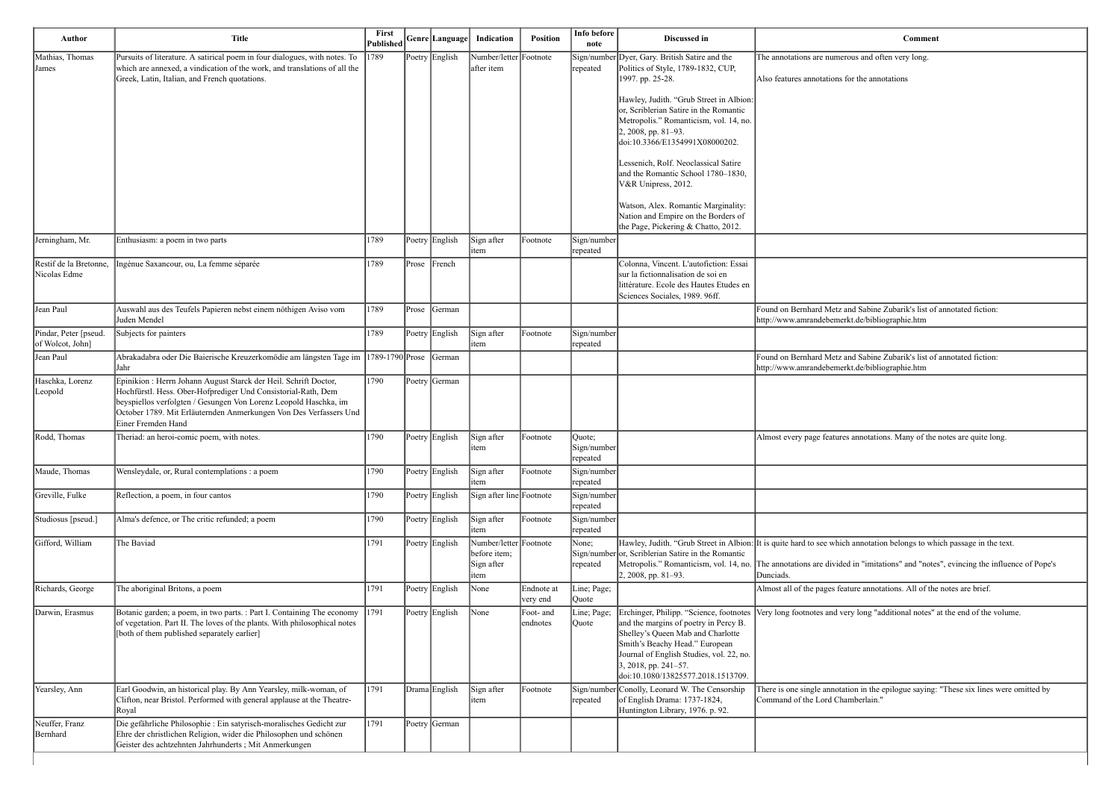| <b>Comment</b>                                                                                                           |
|--------------------------------------------------------------------------------------------------------------------------|
| The annotations are numerous and often very long.                                                                        |
| Also features annotations for the annotations                                                                            |
|                                                                                                                          |
|                                                                                                                          |
|                                                                                                                          |
|                                                                                                                          |
|                                                                                                                          |
|                                                                                                                          |
|                                                                                                                          |
| Found on Bernhard Metz and Sabine Zubarik's list of annotated fiction:<br>http://www.amrandebemerkt.de/bibliographie.htm |
|                                                                                                                          |
| Found on Bernhard Metz and Sabine Zubarik's list of annotated fiction:<br>http://www.amrandebemerkt.de/bibliographie.htm |
|                                                                                                                          |
|                                                                                                                          |
| Almost every page features annotations. Many of the notes are quite long.                                                |
|                                                                                                                          |
|                                                                                                                          |
|                                                                                                                          |
| It is quite hard to see which annotation belongs to which passage in the text.                                           |
| The annotations are divided in "imitations" and "notes", evincing the influence of Pope's                                |

very long "additional notes" at the end of the volume.

ation in the epilogue saying: "These six lines were omitted by namberlain."

| Author                                    | <b>Title</b>                                                                                                                                                                                                                                                                                     | First<br>Published |           | Genre Language | Indication                                                   | <b>Position</b>        | Info before<br>note                      | Discussed in                                                                                                                                                                                                              | Comment                                                                                                                                                                                                                                          |
|-------------------------------------------|--------------------------------------------------------------------------------------------------------------------------------------------------------------------------------------------------------------------------------------------------------------------------------------------------|--------------------|-----------|----------------|--------------------------------------------------------------|------------------------|------------------------------------------|---------------------------------------------------------------------------------------------------------------------------------------------------------------------------------------------------------------------------|--------------------------------------------------------------------------------------------------------------------------------------------------------------------------------------------------------------------------------------------------|
| Mathias, Thomas<br>James                  | Pursuits of literature. A satirical poem in four dialogues, with notes. To<br>which are annexed, a vindication of the work, and translations of all the<br>Greek, Latin, Italian, and French quotations.                                                                                         | $ 1789\rangle$     |           | Poetry English | Number/letter Footnote<br>after item                         |                        | repeated                                 | Sign/number Dyer, Gary. British Satire and the<br>Politics of Style, 1789-1832, CUP,<br>1997. pp. 25-28.                                                                                                                  | The annotations are numerous and often very long.<br>Also features annotations for the annotations                                                                                                                                               |
|                                           |                                                                                                                                                                                                                                                                                                  |                    |           |                |                                                              |                        |                                          | Hawley, Judith. "Grub Street in Albion:<br>or, Scriblerian Satire in the Romantic<br>Metropolis." Romanticism, vol. 14, no.<br>2, 2008, pp. 81-93.<br>doi:10.3366/E1354991X08000202.                                      |                                                                                                                                                                                                                                                  |
|                                           |                                                                                                                                                                                                                                                                                                  |                    |           |                |                                                              |                        |                                          | Lessenich, Rolf. Neoclassical Satire<br>and the Romantic School 1780–1830,<br>V&R Unipress, 2012.<br>Watson, Alex. Romantic Marginality:                                                                                  |                                                                                                                                                                                                                                                  |
|                                           |                                                                                                                                                                                                                                                                                                  |                    |           |                |                                                              |                        |                                          | Nation and Empire on the Borders of<br>the Page, Pickering & Chatto, 2012.                                                                                                                                                |                                                                                                                                                                                                                                                  |
| Jerningham, Mr.                           | Enthusiasm: a poem in two parts                                                                                                                                                                                                                                                                  | 1789               |           | Poetry English | Sign after<br>litem                                          | Footnote               | Sign/number<br>repeated                  |                                                                                                                                                                                                                           |                                                                                                                                                                                                                                                  |
| Restif de la Bretonne,<br>Nicolas Edme    | Ingénue Saxancour, ou, La femme séparée                                                                                                                                                                                                                                                          | 1789               | $ $ Prose | French         |                                                              |                        |                                          | Colonna, Vincent. L'autofiction: Essai<br>sur la fictionnalisation de soi en<br>littérature. Ecole des Hautes Etudes en<br>Sciences Sociales, 1989. 96ff.                                                                 |                                                                                                                                                                                                                                                  |
| Jean Paul                                 | Auswahl aus des Teufels Papieren nebst einem nöthigen Aviso vom<br>Juden Mendel                                                                                                                                                                                                                  | 1789               | Prose     | German         |                                                              |                        |                                          |                                                                                                                                                                                                                           | Found on Bernhard Metz and Sabine Zubarik's list of annotated fiction:<br>http://www.amrandebemerkt.de/bibliographie.htm                                                                                                                         |
| Pindar, Peter [pseud.<br>of Wolcot, John] | Subjects for painters                                                                                                                                                                                                                                                                            | 1789               |           | Poetry English | Sign after<br>item                                           | Footnote               | Sign/number<br>repeated                  |                                                                                                                                                                                                                           |                                                                                                                                                                                                                                                  |
| Jean Paul                                 | Abrakadabra oder Die Baierische Kreuzerkomödie am längsten Tage im  1789-1790 Prose  German<br>Jahr                                                                                                                                                                                              |                    |           |                |                                                              |                        |                                          |                                                                                                                                                                                                                           | Found on Bernhard Metz and Sabine Zubarik's list of annotated fiction:<br>http://www.amrandebemerkt.de/bibliographie.htm                                                                                                                         |
| Haschka, Lorenz<br>Leopold                | Epinikion : Herrn Johann August Starck der Heil. Schrift Doctor,<br>Hochfürstl. Hess. Ober-Hofprediger Und Consistorial-Rath, Dem<br>beyspiellos verfolgten / Gesungen Von Lorenz Leopold Haschka, im<br>October 1789. Mit Erläuternden Anmerkungen Von Des Verfassers Und<br>Einer Fremden Hand | 1790               |           | Poetry German  |                                                              |                        |                                          |                                                                                                                                                                                                                           |                                                                                                                                                                                                                                                  |
| Rodd, Thomas                              | Theriad: an heroi-comic poem, with notes.                                                                                                                                                                                                                                                        | 1790               |           | Poetry English | Sign after<br>∥ıtem                                          | Footnote               | Quote;<br>Sign/number<br><b>repeated</b> |                                                                                                                                                                                                                           | Almost every page features annotations. Many of the notes are quite lor                                                                                                                                                                          |
| Maude, Thomas                             | Wensleydale, or, Rural contemplations : a poem                                                                                                                                                                                                                                                   | 1790               |           | Poetry English | Sign after<br>item                                           | Footnote               | Sign/number<br>repeated                  |                                                                                                                                                                                                                           |                                                                                                                                                                                                                                                  |
| Greville, Fulke                           | Reflection, a poem, in four cantos                                                                                                                                                                                                                                                               | 1790               |           | Poetry English | Sign after line Footnote                                     |                        | Sign/number<br>repeated                  |                                                                                                                                                                                                                           |                                                                                                                                                                                                                                                  |
| Studiosus [pseud.]                        | Alma's defence, or The critic refunded; a poem                                                                                                                                                                                                                                                   | 1790               |           | Poetry English | Sign after<br>item                                           | Footnote               | Sign/number<br>repeated                  |                                                                                                                                                                                                                           |                                                                                                                                                                                                                                                  |
| Gifford, William                          | The Baviad                                                                                                                                                                                                                                                                                       | 1791               |           | Poetry English | Number/letter Footnote<br>before item;<br>Sign after<br>item |                        | None;<br>repeated                        | Sign/number or, Scriblerian Satire in the Romantic<br>2, 2008, pp. 81-93.                                                                                                                                                 | Hawley, Judith. "Grub Street in Albion: It is quite hard to see which annotation belongs to which passage in the<br>Metropolis." Romanticism, vol. 14, no. The annotations are divided in "imitations" and "notes", evincing the in<br>Dunciads. |
| Richards, George                          | The aboriginal Britons, a poem                                                                                                                                                                                                                                                                   | 1791               |           | Poetry English | None                                                         | Endnote at<br>very end | Line; Page;<br>Quote                     |                                                                                                                                                                                                                           | Almost all of the pages feature annotations. All of the notes are brief.                                                                                                                                                                         |
| Darwin, Erasmus                           | Botanic garden; a poem, in two parts. : Part I. Containing The economy<br>of vegetation. Part II. The loves of the plants. With philosophical notes<br>both of them published separately earlier]                                                                                                | 1791               |           | Poetry English | None                                                         | Foot- and<br>endnotes  | Line; Page;<br>Quote                     | and the margins of poetry in Percy B.<br>Shelley's Queen Mab and Charlotte<br>Smith's Beachy Head." European<br>Journal of English Studies, vol. 22, no.<br>$3, 2018$ , pp. 241–57.<br>doi:10.1080/13825577.2018.1513709. | Erchinger, Philipp. "Science, footnotes   Very long footnotes and very long "additional notes" at the end of the v                                                                                                                               |
| Yearsley, Ann                             | Earl Goodwin, an historical play. By Ann Yearsley, milk-woman, of<br>Clifton, near Bristol. Performed with general applause at the Theatre-<br>Royal                                                                                                                                             | 1791               |           | Drama English  | Sign after<br>item                                           | Footnote               | repeated                                 | Sign/number Conolly, Leonard W. The Censorship<br>of English Drama: 1737-1824,<br>Huntington Library, 1976. p. 92.                                                                                                        | There is one single annotation in the epilogue saying: "These six lines v<br>Command of the Lord Chamberlain."                                                                                                                                   |
| Neuffer, Franz<br>Bernhard                | Die gefährliche Philosophie : Ein satyrisch-moralisches Gedicht zur<br>Ehre der christlichen Religion, wider die Philosophen und schönen<br>Geister des achtzehnten Jahrhunderts ; Mit Anmerkungen                                                                                               | 1791               |           | Poetry German  |                                                              |                        |                                          |                                                                                                                                                                                                                           |                                                                                                                                                                                                                                                  |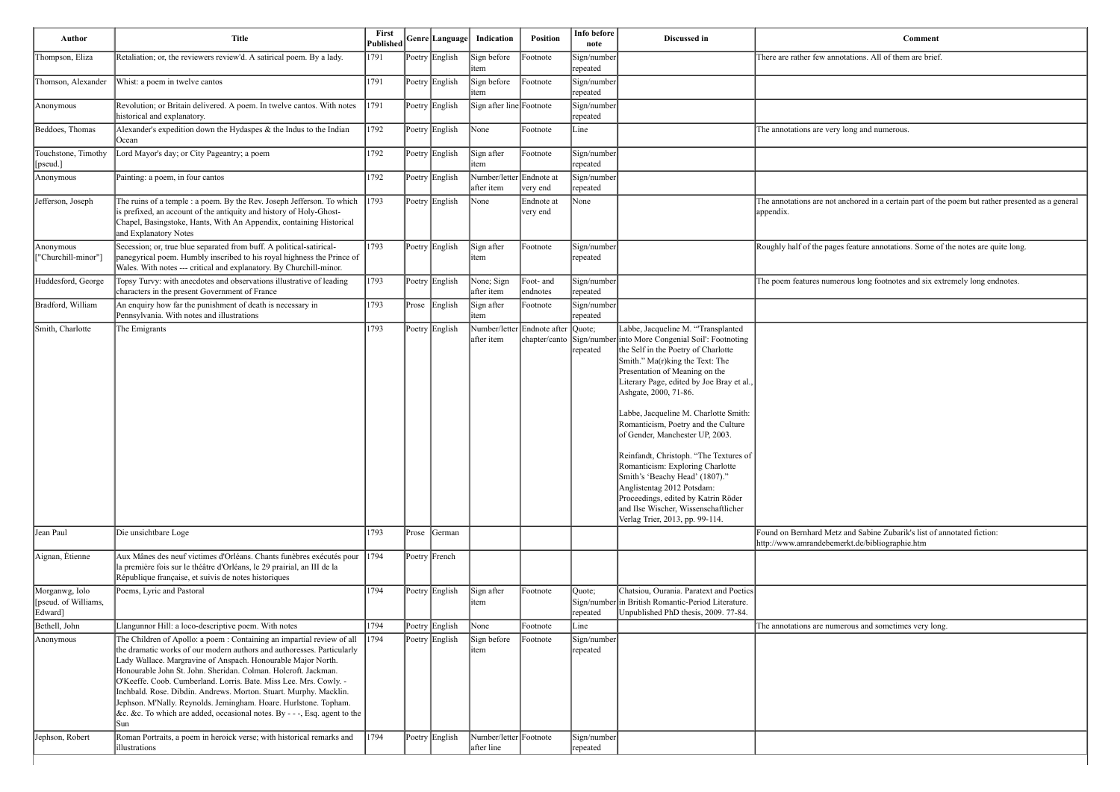and Sabine Zubarik's list of annotated fiction: http://www.amrandebemerkt.de/bibliographie.htm

erous and sometimes very long.

| Author                                            | <b>Title</b>                                                                                                                                                                                                                                                                                                                                                                                                                                                                                                                                                                                                                                                   | First<br><b>Published</b> |       | Genre Language                   | Indication                                    | <b>Position</b>                              | Info before<br>note                    | Discussed in                                                                                                                                                                                                                                                                                                                                                                                                                                                                                                                                                                                                                                     | Comment                                                                                               |
|---------------------------------------------------|----------------------------------------------------------------------------------------------------------------------------------------------------------------------------------------------------------------------------------------------------------------------------------------------------------------------------------------------------------------------------------------------------------------------------------------------------------------------------------------------------------------------------------------------------------------------------------------------------------------------------------------------------------------|---------------------------|-------|----------------------------------|-----------------------------------------------|----------------------------------------------|----------------------------------------|--------------------------------------------------------------------------------------------------------------------------------------------------------------------------------------------------------------------------------------------------------------------------------------------------------------------------------------------------------------------------------------------------------------------------------------------------------------------------------------------------------------------------------------------------------------------------------------------------------------------------------------------------|-------------------------------------------------------------------------------------------------------|
| Thompson, Eliza                                   | Retaliation; or, the reviewers review'd. A satirical poem. By a lady.                                                                                                                                                                                                                                                                                                                                                                                                                                                                                                                                                                                          | 1791                      |       | Poetry English                   | Sign before<br>item                           | Footnote                                     | Sign/number<br>repeated                |                                                                                                                                                                                                                                                                                                                                                                                                                                                                                                                                                                                                                                                  | There are rather few annotations. All of them are brie:                                               |
| Thomson, Alexander                                | Whist: a poem in twelve cantos                                                                                                                                                                                                                                                                                                                                                                                                                                                                                                                                                                                                                                 | 1791                      |       | Poetry English                   | Sign before<br>item                           | Footnote                                     | Sign/number<br>repeated                |                                                                                                                                                                                                                                                                                                                                                                                                                                                                                                                                                                                                                                                  |                                                                                                       |
| Anonymous                                         | Revolution; or Britain delivered. A poem. In twelve cantos. With notes<br>historical and explanatory.                                                                                                                                                                                                                                                                                                                                                                                                                                                                                                                                                          | 1791                      |       | Poetry English                   | Sign after line Footnote                      |                                              | Sign/number<br>repeated                |                                                                                                                                                                                                                                                                                                                                                                                                                                                                                                                                                                                                                                                  |                                                                                                       |
| Beddoes, Thomas                                   | Alexander's expedition down the Hydaspes & the Indus to the Indian<br> Ocean                                                                                                                                                                                                                                                                                                                                                                                                                                                                                                                                                                                   | 1792                      |       | Poetry English                   | None                                          | Footnote                                     | Line                                   |                                                                                                                                                                                                                                                                                                                                                                                                                                                                                                                                                                                                                                                  | The annotations are very long and numerous.                                                           |
| Touchstone, Timothy<br>[pseud.]                   | Lord Mayor's day; or City Pageantry; a poem                                                                                                                                                                                                                                                                                                                                                                                                                                                                                                                                                                                                                    | 1792                      |       | Poetry English                   | Sign after<br>item                            | Footnote                                     | Sign/number<br>repeated                |                                                                                                                                                                                                                                                                                                                                                                                                                                                                                                                                                                                                                                                  |                                                                                                       |
| Anonymous                                         | Painting: a poem, in four cantos                                                                                                                                                                                                                                                                                                                                                                                                                                                                                                                                                                                                                               | 1792                      |       | Poetry English                   | Number/letter Endnote at<br>after item        | very end                                     | Sign/number<br>repeated                |                                                                                                                                                                                                                                                                                                                                                                                                                                                                                                                                                                                                                                                  |                                                                                                       |
| Jefferson, Joseph                                 | The ruins of a temple : a poem. By the Rev. Joseph Jefferson. To which<br>is prefixed, an account of the antiquity and history of Holy-Ghost-<br>Chapel, Basingstoke, Hants, With An Appendix, containing Historical<br>and Explanatory Notes                                                                                                                                                                                                                                                                                                                                                                                                                  | 1793                      |       | Poetry English                   | None                                          | Endnote at<br>very end                       | None                                   |                                                                                                                                                                                                                                                                                                                                                                                                                                                                                                                                                                                                                                                  | The annotations are not anchored in a certain part of t<br>appendix.                                  |
| Anonymous<br>"Churchill-minor"                    | Secession; or, true blue separated from buff. A political-satirical-<br>panegyrical poem. Humbly inscribed to his royal highness the Prince of<br>Wales. With notes --- critical and explanatory. By Churchill-minor.                                                                                                                                                                                                                                                                                                                                                                                                                                          | 1793                      |       | Poetry English                   | Sign after<br>item                            | Footnote                                     | Sign/number<br>repeated                |                                                                                                                                                                                                                                                                                                                                                                                                                                                                                                                                                                                                                                                  | Roughly half of the pages feature annotations. Some o                                                 |
| Huddesford, George                                | Topsy Turvy: with anecdotes and observations illustrative of leading<br>characters in the present Government of France                                                                                                                                                                                                                                                                                                                                                                                                                                                                                                                                         | 1793                      |       | Poetry English                   | None; Sign<br>after item                      | Foot- and<br>endnotes                        | Sign/number<br>repeated                |                                                                                                                                                                                                                                                                                                                                                                                                                                                                                                                                                                                                                                                  | The poem features numerous long footnotes and six e                                                   |
| Bradford, William                                 | An enquiry how far the punishment of death is necessary in<br>Pennsylvania. With notes and illustrations                                                                                                                                                                                                                                                                                                                                                                                                                                                                                                                                                       | 1793                      |       | Prose English                    | Sign after<br>item                            | Footnote                                     | Sign/number<br>repeated                |                                                                                                                                                                                                                                                                                                                                                                                                                                                                                                                                                                                                                                                  |                                                                                                       |
| Smith, Charlotte                                  | The Emigrants                                                                                                                                                                                                                                                                                                                                                                                                                                                                                                                                                                                                                                                  | 1793                      |       | Poetry English                   | after item                                    | Number/letter Endnote after<br>chapter/canto | Quote;<br>Sign/number<br>repeated      | Labbe, Jacqueline M. "Transplanted<br>into More Congenial Soil': Footnoting<br>the Self in the Poetry of Charlotte<br>Smith." Ma(r)king the Text: The<br>Presentation of Meaning on the<br>Literary Page, edited by Joe Bray et al.,<br>Ashgate, 2000, 71-86.<br>Labbe, Jacqueline M. Charlotte Smith:<br>Romanticism, Poetry and the Culture<br>of Gender, Manchester UP, 2003.<br>Reinfandt, Christoph. "The Textures of<br>Romanticism: Exploring Charlotte<br>Smith's 'Beachy Head' (1807)."<br>Anglistentag 2012 Potsdam:<br>Proceedings, edited by Katrin Röder<br>and Ilse Wischer, Wissenschaftlicher<br>Verlag Trier, 2013, pp. 99-114. |                                                                                                       |
| Jean Paul                                         | Die unsichtbare Loge                                                                                                                                                                                                                                                                                                                                                                                                                                                                                                                                                                                                                                           | 1793                      | Prose | <b>S</b> Cerman                  |                                               |                                              |                                        |                                                                                                                                                                                                                                                                                                                                                                                                                                                                                                                                                                                                                                                  | Found on Bernhard Metz and Sabine Zubarik's list of<br>http://www.amrandebemerkt.de/bibliographie.htm |
| Aignan, Étienne                                   | Aux Mânes des neuf victimes d'Orléans. Chants funèbres exécutés pour<br>la première fois sur le théâtre d'Orléans, le 29 prairial, an III de la<br>République française, et suivis de notes historiques                                                                                                                                                                                                                                                                                                                                                                                                                                                        | 1794                      |       | Poetry French                    |                                               |                                              |                                        |                                                                                                                                                                                                                                                                                                                                                                                                                                                                                                                                                                                                                                                  |                                                                                                       |
| Morganwg, Iolo<br>[pseud. of Williams,<br>Edward] | Poems, Lyric and Pastoral                                                                                                                                                                                                                                                                                                                                                                                                                                                                                                                                                                                                                                      | 1794                      |       | Poetry English                   | Sign after<br>item                            | Footnote                                     | Quote;<br>repeated                     | Chatsiou, Ourania. Paratext and Poetics<br>Sign/number in British Romantic-Period Literature.<br>Unpublished PhD thesis, 2009. 77-84.                                                                                                                                                                                                                                                                                                                                                                                                                                                                                                            |                                                                                                       |
| Bethell, John                                     | Llangunnor Hill: a loco-descriptive poem. With notes                                                                                                                                                                                                                                                                                                                                                                                                                                                                                                                                                                                                           | 1794                      |       | Poetry English                   | None                                          | Footnote                                     | Line                                   |                                                                                                                                                                                                                                                                                                                                                                                                                                                                                                                                                                                                                                                  | The annotations are numerous and sometimes very lor                                                   |
| Anonymous<br>Jephson, Robert                      | The Children of Apollo: a poem : Containing an impartial review of all<br>the dramatic works of our modern authors and authoresses. Particularly<br>Lady Wallace. Margravine of Anspach. Honourable Major North.<br>Honourable John St. John. Sheridan. Colman. Holcroft. Jackman.<br>O'Keeffe. Coob. Cumberland. Lorris. Bate. Miss Lee. Mrs. Cowly. -<br>Inchbald. Rose. Dibdin. Andrews. Morton. Stuart. Murphy. Macklin.<br>Jephson. M'Nally. Reynolds. Jemingham. Hoare. Hurlstone. Topham.<br>&c. &c. To which are added, occasional notes. By - - -, Esq. agent to the<br> Sun<br>Roman Portraits, a poem in heroick verse; with historical remarks and | 1794<br> 1794             |       | Poetry English<br>Poetry English | Sign before<br>item<br>Number/letter Footnote | Footnote                                     | Sign/number<br>repeated<br>Sign/number |                                                                                                                                                                                                                                                                                                                                                                                                                                                                                                                                                                                                                                                  |                                                                                                       |
|                                                   | <i>dilustrations</i>                                                                                                                                                                                                                                                                                                                                                                                                                                                                                                                                                                                                                                           |                           |       |                                  | after line                                    |                                              | repeated                               |                                                                                                                                                                                                                                                                                                                                                                                                                                                                                                                                                                                                                                                  |                                                                                                       |

otations. All of them are brief.

nothored in a certain part of the poem but rather presented as a general

s feature annotations. Some of the notes are quite long.

The position footnotes and six extremely long endnotes.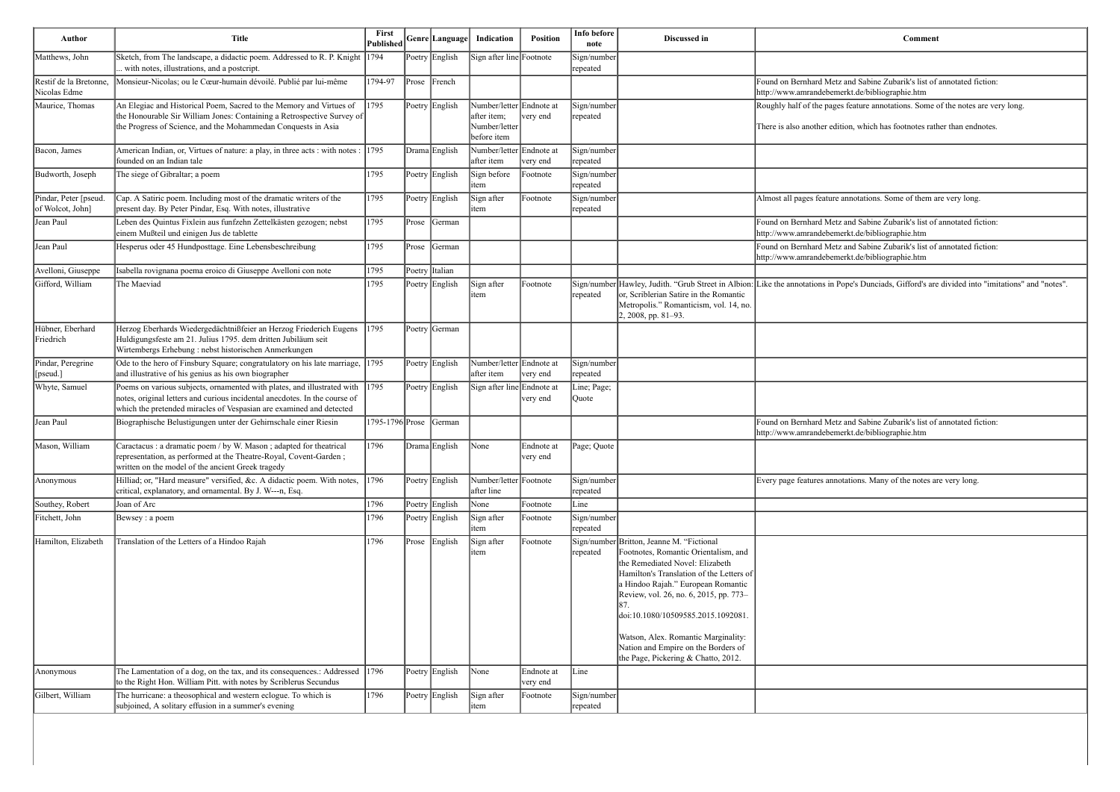| Author                                    | <b>Title</b>                                                                                                                                                                                                                 | <b>First</b><br>Published |           | $ \mathsf{Genre} \mathsf{Language} $ | Indication                                                              | <b>Position</b>        | Info before<br>note     | Discussed in                                                                                                                                                                                                                                                                                                                                                                                                | Comment                                                                                                          |
|-------------------------------------------|------------------------------------------------------------------------------------------------------------------------------------------------------------------------------------------------------------------------------|---------------------------|-----------|--------------------------------------|-------------------------------------------------------------------------|------------------------|-------------------------|-------------------------------------------------------------------------------------------------------------------------------------------------------------------------------------------------------------------------------------------------------------------------------------------------------------------------------------------------------------------------------------------------------------|------------------------------------------------------------------------------------------------------------------|
| Matthews, John                            | Sketch, from The landscape, a didactic poem. Addressed to R. P. Knight 1794<br>. with notes, illustrations, and a postcript.                                                                                                 |                           |           | Poetry English                       | Sign after line Footnote                                                |                        | Sign/number<br>repeated |                                                                                                                                                                                                                                                                                                                                                                                                             |                                                                                                                  |
| Restif de la Bretonne,<br>Nicolas Edme    | Monsieur-Nicolas; ou le Cœur-humain dévoilé. Publié par lui-même                                                                                                                                                             | 1794-97                   | $ $ Prose | $ $ French                           |                                                                         |                        |                         |                                                                                                                                                                                                                                                                                                                                                                                                             | Found on Bernhard Metz and Sabine Zubarik's list of<br>http://www.amrandebemerkt.de/bibliographie.htm            |
| Maurice, Thomas                           | An Elegiac and Historical Poem, Sacred to the Memory and Virtues of<br>the Honourable Sir William Jones: Containing a Retrospective Survey of<br>the Progress of Science, and the Mohammedan Conquests in Asia               | 1795                      |           | Poetry English                       | Number/letter Endnote at<br>after item;<br>Number/letter<br>before item | very end               | Sign/number<br>repeated |                                                                                                                                                                                                                                                                                                                                                                                                             | Roughly half of the pages feature annotations. Some o<br>There is also another edition, which has footnotes rath |
| Bacon, James                              | American Indian, or, Virtues of nature: a play, in three acts : with notes :<br>founded on an Indian tale                                                                                                                    | 1795                      |           | Drama English                        | Number/letter Endnote at<br>after item                                  | very end               | Sign/number<br>repeated |                                                                                                                                                                                                                                                                                                                                                                                                             |                                                                                                                  |
| Budworth, Joseph                          | The siege of Gibraltar; a poem                                                                                                                                                                                               | 1795                      |           | Poetry English                       | Sign before<br>item                                                     | Footnote               | Sign/number<br>repeated |                                                                                                                                                                                                                                                                                                                                                                                                             |                                                                                                                  |
| Pindar, Peter [pseud.<br>of Wolcot, John] | Cap. A Satiric poem. Including most of the dramatic writers of the<br>present day. By Peter Pindar, Esq. With notes, illustrative                                                                                            | 1795                      |           | Poetry English                       | Sign after<br>item                                                      | Footnote               | Sign/number<br>repeated |                                                                                                                                                                                                                                                                                                                                                                                                             | Almost all pages feature annotations. Some of them a                                                             |
| Jean Paul                                 | Leben des Quintus Fixlein aus funfzehn Zettelkästen gezogen; nebst<br>einem Mußteil und einigen Jus de tablette                                                                                                              | 1795                      | Prose     | German                               |                                                                         |                        |                         |                                                                                                                                                                                                                                                                                                                                                                                                             | Found on Bernhard Metz and Sabine Zubarik's list of<br>http://www.amrandebemerkt.de/bibliographie.htm            |
| Jean Paul                                 | Hesperus oder 45 Hundposttage. Eine Lebensbeschreibung                                                                                                                                                                       | 1795                      | Prose     | German                               |                                                                         |                        |                         |                                                                                                                                                                                                                                                                                                                                                                                                             | Found on Bernhard Metz and Sabine Zubarik's list of<br>http://www.amrandebemerkt.de/bibliographie.htm            |
| Avelloni, Giuseppe                        | Isabella rovignana poema eroico di Giuseppe Avelloni con note                                                                                                                                                                | 1795                      |           | Poetry Italian                       |                                                                         |                        |                         |                                                                                                                                                                                                                                                                                                                                                                                                             |                                                                                                                  |
| Gifford, William                          | The Maeviad                                                                                                                                                                                                                  | 1795                      |           | Poetry English                       | Sign after<br>item                                                      | Footnote               | repeated                | or, Scriblerian Satire in the Romantic<br>Metropolis." Romanticism, vol. 14, no.<br>2, 2008, pp. 81-93.                                                                                                                                                                                                                                                                                                     | Sign/number Hawley, Judith. "Grub Street in Albion: Like the annotations in Pope's Dunciads, Gifford's are       |
| Hübner, Eberhard<br>Friedrich             | Herzog Eberhards Wiedergedächtnißfeier an Herzog Friederich Eugens<br>Huldigungsfeste am 21. Julius 1795. dem dritten Jubiläum seit<br>Wirtembergs Erhebung : nebst historischen Anmerkungen                                 | 1795                      |           | Poetry German                        |                                                                         |                        |                         |                                                                                                                                                                                                                                                                                                                                                                                                             |                                                                                                                  |
| Pindar, Peregrine<br>[pseud.]             | Ode to the hero of Finsbury Square; congratulatory on his late marriage,<br>and illustrative of his genius as his own biographer                                                                                             | 1795                      |           | Poetry English                       | Number/letter Endnote at<br>after item                                  | very end               | Sign/number<br>repeated |                                                                                                                                                                                                                                                                                                                                                                                                             |                                                                                                                  |
| Whyte, Samuel                             | Poems on various subjects, ornamented with plates, and illustrated with<br>notes, original letters and curious incidental anecdotes. In the course of<br>which the pretended miracles of Vespasian are examined and detected | 1795                      |           | Poetry English                       | Sign after line Endnote at                                              | very end               | Line; Page;<br>Quote    |                                                                                                                                                                                                                                                                                                                                                                                                             |                                                                                                                  |
| Jean Paul                                 | Biographische Belustigungen unter der Gehirnschale einer Riesin                                                                                                                                                              | 1795-1796 Prose           |           | German                               |                                                                         |                        |                         |                                                                                                                                                                                                                                                                                                                                                                                                             | Found on Bernhard Metz and Sabine Zubarik's list of<br>http://www.amrandebemerkt.de/bibliographie.htm            |
| Mason, William                            | Caractacus : a dramatic poem / by W. Mason ; adapted for theatrical<br>representation, as performed at the Theatre-Royal, Covent-Garden;<br>written on the model of the ancient Greek tragedy                                | 1796                      |           | Drama English                        | None                                                                    | Endnote at<br>very end | Page; Quote             |                                                                                                                                                                                                                                                                                                                                                                                                             |                                                                                                                  |
| Anonymous                                 | Hilliad; or, "Hard measure" versified, &c. A didactic poem. With notes,<br>critical, explanatory, and ornamental. By J. W---n, Esq.                                                                                          | 1796                      |           | Poetry English                       | Number/letter Footnote<br>after line                                    |                        | Sign/number<br>repeated |                                                                                                                                                                                                                                                                                                                                                                                                             | Every page features annotations. Many of the notes are                                                           |
| Southey, Robert                           | Joan of Arc                                                                                                                                                                                                                  | 1796                      |           | Poetry English                       | None                                                                    | Footnote               | Line                    |                                                                                                                                                                                                                                                                                                                                                                                                             |                                                                                                                  |
| Fitchett, John                            | Bewsey : a poem                                                                                                                                                                                                              | 1796                      |           | Poetry English                       | Sign after<br>item                                                      | Footnote               | Sign/number<br>repeated |                                                                                                                                                                                                                                                                                                                                                                                                             |                                                                                                                  |
| Hamilton, Elizabeth                       | Translation of the Letters of a Hindoo Rajah                                                                                                                                                                                 | 1796                      |           | Prose English                        | Sign after<br>item                                                      | Footnote               | repeated                | Sign/number Britton, Jeanne M. "Fictional<br>Footnotes, Romantic Orientalism, and<br>the Remediated Novel: Elizabeth<br>Hamilton's Translation of the Letters of<br>a Hindoo Rajah." European Romantic<br>Review, vol. 26, no. 6, 2015, pp. 773-<br>doi:10.1080/10509585.2015.1092081.<br>Watson, Alex. Romantic Marginality:<br>Nation and Empire on the Borders of<br>the Page, Pickering & Chatto, 2012. |                                                                                                                  |
| Anonymous                                 | The Lamentation of a dog, on the tax, and its consequences.: Addressed 1796<br>to the Right Hon. William Pitt. with notes by Scriblerus Secundus                                                                             |                           |           | Poetry English                       | None                                                                    | Endnote at<br>very end | Line                    |                                                                                                                                                                                                                                                                                                                                                                                                             |                                                                                                                  |
| Gilbert, William                          | The hurricane: a theosophical and western eclogue. To which is<br>subjoined, A solitary effusion in a summer's evening                                                                                                       | 1796                      |           | Poetry English                       | Sign after<br>item                                                      | Footnote               | Sign/number<br>repeated |                                                                                                                                                                                                                                                                                                                                                                                                             |                                                                                                                  |

and Sabine Zubarik's list of annotated fiction: erkt.de/bibliographie.htm

s feature annotations. Some of the notes are very long.

ion, which has footnotes rather than endnotes.

annotations. Some of them are very long.

n and Sabine Zubarik's list of annotated fiction: erkt.de/bibliographie.htm and Sabine Zubarik's list of annotated fiction:

ope's Dunciads, Gifford's are divided into "imitations" and "notes".

If and Sabine Zubarik's list of annotated fiction: http://www.amrandebekt.de/bibliographie.htm

tations. Many of the notes are very long.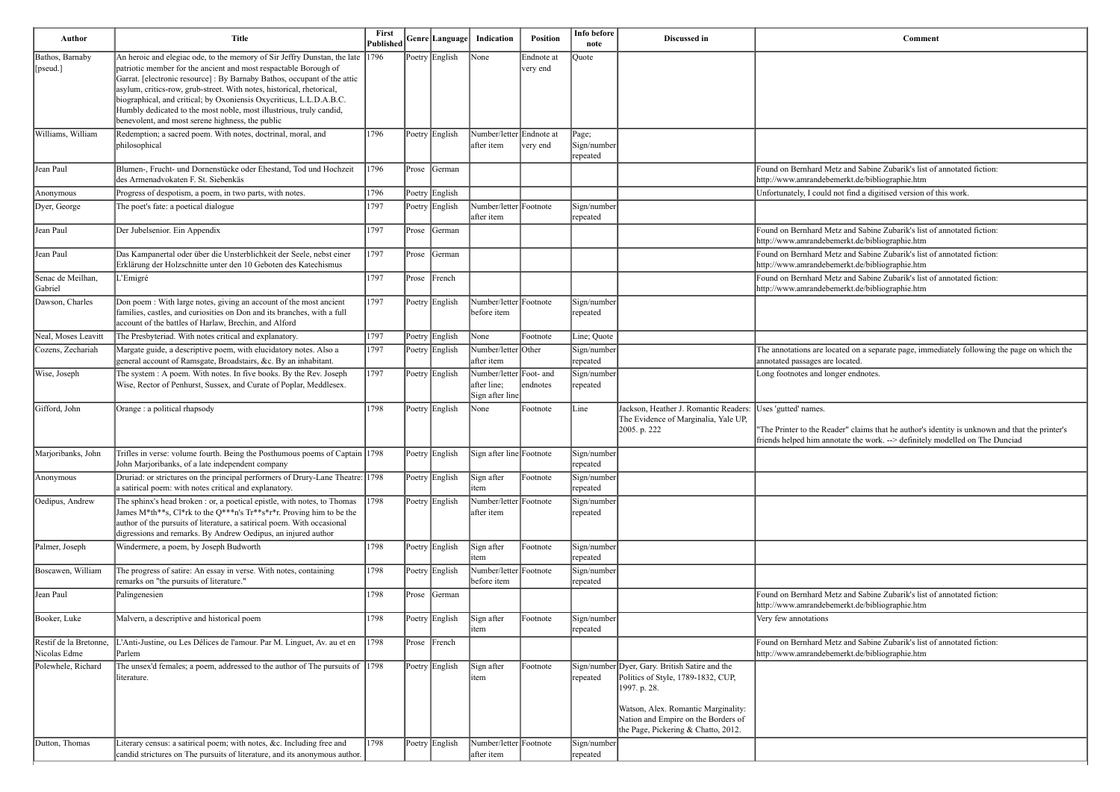| Author                                 | <b>Title</b>                                                                                                                                                                                                                                                                                                                                                                                                                                                                                        | First<br>Published |       | Genre  Language | Indication                                                | <b>Position</b>        | Info before<br>note              | Discussed in                                                                                                                                                                                                              | Comment                                                                                                                                   |
|----------------------------------------|-----------------------------------------------------------------------------------------------------------------------------------------------------------------------------------------------------------------------------------------------------------------------------------------------------------------------------------------------------------------------------------------------------------------------------------------------------------------------------------------------------|--------------------|-------|-----------------|-----------------------------------------------------------|------------------------|----------------------------------|---------------------------------------------------------------------------------------------------------------------------------------------------------------------------------------------------------------------------|-------------------------------------------------------------------------------------------------------------------------------------------|
| Bathos, Barnaby<br>[pseud.]            | An heroic and elegiac ode, to the memory of Sir Jeffry Dunstan, the late<br>patriotic member for the ancient and most respactable Borough of<br>Garrat. [electronic resource] : By Barnaby Bathos, occupant of the attic<br>asylum, critics-row, grub-street. With notes, historical, rhetorical,<br>biographical, and critical; by Oxoniensis Oxycriticus, L.L.D.A.B.C.<br>Humbly dedicated to the most noble, most illustrious, truly candid,<br>benevolent, and most serene highness, the public | 1796               |       | Poetry English  | None                                                      | Endnote at<br>very end | Quote                            |                                                                                                                                                                                                                           |                                                                                                                                           |
| Williams, William                      | Redemption; a sacred poem. With notes, doctrinal, moral, and<br>philosophical                                                                                                                                                                                                                                                                                                                                                                                                                       | 1796               |       | Poetry English  | Number/letter Endnote at<br>after item                    | very end               | Page;<br>Sign/number<br>repeated |                                                                                                                                                                                                                           |                                                                                                                                           |
| Jean Paul                              | Blumen-, Frucht- und Dornenstücke oder Ehestand, Tod und Hochzeit<br>des Armenadvokaten F. St. Siebenkäs                                                                                                                                                                                                                                                                                                                                                                                            | 1796               | Prose | <b>S</b> Cerman |                                                           |                        |                                  |                                                                                                                                                                                                                           | Found on Bernhard Metz and Sabine Zubarik's list of<br>http://www.amrandebemerkt.de/bibliographie.htm                                     |
| Anonymous                              | Progress of despotism, a poem, in two parts, with notes.                                                                                                                                                                                                                                                                                                                                                                                                                                            | 1796               |       | Poetry English  |                                                           |                        |                                  |                                                                                                                                                                                                                           | Unfortunately, I could not find a digitised version of t                                                                                  |
| Dyer, George                           | The poet's fate: a poetical dialogue                                                                                                                                                                                                                                                                                                                                                                                                                                                                | 1797               |       | Poetry English  | Number/letter Footnote<br>after item                      |                        | Sign/number<br>repeated          |                                                                                                                                                                                                                           |                                                                                                                                           |
| Jean Paul                              | Der Jubelsenior. Ein Appendix                                                                                                                                                                                                                                                                                                                                                                                                                                                                       | 1797               | Prose | <b>S</b> Cerman |                                                           |                        |                                  |                                                                                                                                                                                                                           | Found on Bernhard Metz and Sabine Zubarik's list of<br>http://www.amrandebemerkt.de/bibliographie.htm                                     |
| Jean Paul                              | Das Kampanertal oder über die Unsterblichkeit der Seele, nebst einer<br>Erklärung der Holzschnitte unter den 10 Geboten des Katechismus                                                                                                                                                                                                                                                                                                                                                             | 1797               | Prose | German          |                                                           |                        |                                  |                                                                                                                                                                                                                           | Found on Bernhard Metz and Sabine Zubarik's list of<br>http://www.amrandebemerkt.de/bibliographie.htm                                     |
| Senac de Meilhan,<br>Gabriel           | L'Emigré                                                                                                                                                                                                                                                                                                                                                                                                                                                                                            | 1797               | Prose | $ $ French      |                                                           |                        |                                  |                                                                                                                                                                                                                           | Found on Bernhard Metz and Sabine Zubarik's list of<br>http://www.amrandebemerkt.de/bibliographie.htm                                     |
| Dawson, Charles                        | Don poem : With large notes, giving an account of the most ancient<br>families, castles, and curiosities on Don and its branches, with a full<br>account of the battles of Harlaw, Brechin, and Alford                                                                                                                                                                                                                                                                                              | 1797               |       | Poetry English  | Number/letter Footnote<br>before item                     |                        | Sign/number<br>repeated          |                                                                                                                                                                                                                           |                                                                                                                                           |
| Neal, Moses Leavitt                    | The Presbyteriad. With notes critical and explanatory.                                                                                                                                                                                                                                                                                                                                                                                                                                              | 1797               |       | Poetry English  | None                                                      | Footnote               | Line; Quote                      |                                                                                                                                                                                                                           |                                                                                                                                           |
| Cozens, Zechariah                      | Margate guide, a descriptive poem, with elucidatory notes. Also a<br>general account of Ramsgate, Broadstairs, &c. By an inhabitant.                                                                                                                                                                                                                                                                                                                                                                | 1797               |       | Poetry English  | Number/letter Other<br>after item                         |                        | Sign/number<br>repeated          |                                                                                                                                                                                                                           | The annotations are located on a separate page, imme<br>annotated passages are located.                                                   |
| Wise, Joseph                           | The system : A poem. With notes. In five books. By the Rev. Joseph<br>Wise, Rector of Penhurst, Sussex, and Curate of Poplar, Meddlesex.                                                                                                                                                                                                                                                                                                                                                            | 1797               |       | Poetry English  | Number/letter Foot- and<br>after line;<br>Sign after line | endnotes               | Sign/number<br>repeated          |                                                                                                                                                                                                                           | Long footnotes and longer endnotes.                                                                                                       |
| Gifford, John                          | Orange : a political rhapsody                                                                                                                                                                                                                                                                                                                                                                                                                                                                       | 1798               |       | Poetry English  | None                                                      | Footnote               | Line                             | Jackson, Heather J. Romantic Readers:<br>The Evidence of Marginalia, Yale UP,<br>2005. p. 222                                                                                                                             | Uses 'gutted' names.<br>"The Printer to the Reader" claims that he author's ide<br>friends helped him annotate the work. --> definitely m |
| Marjoribanks, John                     | Trifles in verse: volume fourth. Being the Posthumous poems of Captain 1798<br>John Marjoribanks, of a late independent company                                                                                                                                                                                                                                                                                                                                                                     |                    |       | Poetry English  | Sign after line Footnote                                  |                        | Sign/number<br>repeated          |                                                                                                                                                                                                                           |                                                                                                                                           |
| Anonymous                              | Druriad: or strictures on the principal performers of Drury-Lane Theatre: 1798<br>a satirical poem: with notes critical and explanatory.                                                                                                                                                                                                                                                                                                                                                            |                    |       | Poetry English  | Sign after<br>item                                        | Footnote               | Sign/number<br>repeated          |                                                                                                                                                                                                                           |                                                                                                                                           |
| Oedipus, Andrew                        | The sphinx's head broken : or, a poetical epistle, with notes, to Thomas<br>James M*th**s, Cl*rk to the Q***n's Tr**s*r*r. Proving him to be the<br>author of the pursuits of literature, a satirical poem. With occasional<br>digressions and remarks. By Andrew Oedipus, an injured author                                                                                                                                                                                                        | 1798               |       | Poetry English  | Number/letter Footnote<br>after item                      |                        | Sign/number<br>repeated          |                                                                                                                                                                                                                           |                                                                                                                                           |
| Palmer, Joseph                         | Windermere, a poem, by Joseph Budworth                                                                                                                                                                                                                                                                                                                                                                                                                                                              | 1798               |       | Poetry English  | Sign after<br>item                                        | Footnote               | Sign/number<br>repeated          |                                                                                                                                                                                                                           |                                                                                                                                           |
| Boscawen, William                      | The progress of satire: An essay in verse. With notes, containing<br>remarks on "the pursuits of literature."                                                                                                                                                                                                                                                                                                                                                                                       | 1798               |       | Poetry English  | Number/letter Footnote<br>before item                     |                        | Sign/number<br>repeated          |                                                                                                                                                                                                                           |                                                                                                                                           |
| Jean Paul                              | Palingenesien                                                                                                                                                                                                                                                                                                                                                                                                                                                                                       | 1798               | Prose | German          |                                                           |                        |                                  |                                                                                                                                                                                                                           | Found on Bernhard Metz and Sabine Zubarik's list of<br>http://www.amrandebemerkt.de/bibliographie.htm                                     |
| Booker, Luke                           | Malvern, a descriptive and historical poem                                                                                                                                                                                                                                                                                                                                                                                                                                                          | 1798               |       | Poetry English  | Sign after<br>item                                        | Footnote               | Sign/number<br>repeated          |                                                                                                                                                                                                                           | Very few annotations                                                                                                                      |
| Restif de la Bretonne,<br>Nicolas Edme | Anti-Justine, ou Les Délices de l'amour. Par M. Linguet, Av. au et en<br>Parlem                                                                                                                                                                                                                                                                                                                                                                                                                     | 1798               |       | Prose French    |                                                           |                        |                                  |                                                                                                                                                                                                                           | Found on Bernhard Metz and Sabine Zubarik's list of<br>http://www.amrandebemerkt.de/bibliographie.htm                                     |
| Polewhele, Richard                     | The unsex'd females; a poem, addressed to the author of The pursuits of $ 1798\rangle$<br>iterature.                                                                                                                                                                                                                                                                                                                                                                                                |                    |       | Poetry English  | Sign after<br>litem                                       | Footnote               | repeated                         | Sign/number Dyer, Gary. British Satire and the<br>Politics of Style, 1789-1832, CUP,<br>1997. p. 28.<br>Watson, Alex. Romantic Marginality:<br>Nation and Empire on the Borders of<br>the Page, Pickering & Chatto, 2012. |                                                                                                                                           |
| Dutton, Thomas                         | Literary census: a satirical poem; with notes, &c. Including free and<br>candid strictures on The pursuits of literature, and its anonymous author.                                                                                                                                                                                                                                                                                                                                                 | 1798               |       | Poetry English  | Number/letter Footnote<br>after item                      |                        | Sign/number<br>repeated          |                                                                                                                                                                                                                           |                                                                                                                                           |

and Sabine Zubarik's list of annotated fiction: rkt.de/bibliographie.htm

find a digitised version of this work.

and Sabine Zubarik's list of annotated fiction: erkt.de/bibliographie.htm and Sabine Zubarik's list of annotated fiction: erkt.de/bibliographie.htm

and Sabine Zubarik's list of annotated fiction: rkt.de/bibliographie.htm

ed on a separate page, immediately following the page on which the cated.

" claims that he author's identity is unknown and that the printer's friends that he dather *b* helitary is diffiled on the Dunciad atter the work. --> definitely modelled on The Dunciad

and Sabine Zubarik's list of annotated fiction: rkt.de/bibliographie.htm

and Sabine Zubarik's list of annotated fiction: erkt.de/bibliographie.htm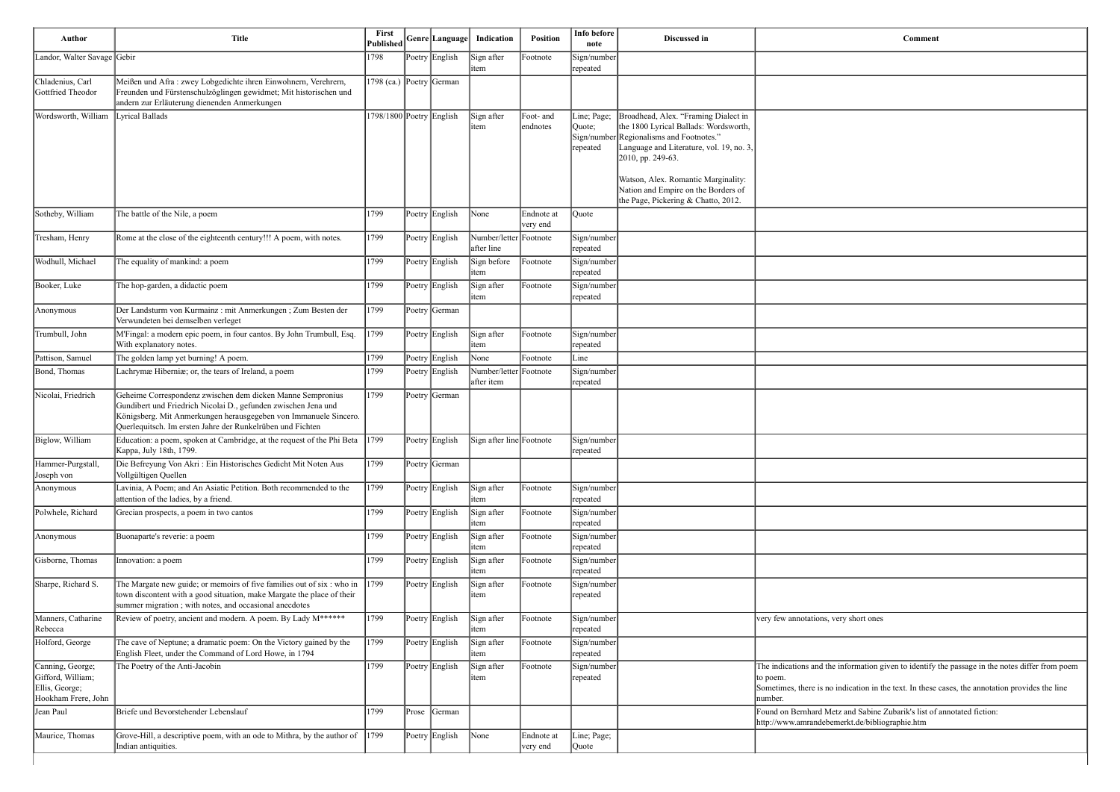| <b>Comment</b>                                                                                                           |  |
|--------------------------------------------------------------------------------------------------------------------------|--|
|                                                                                                                          |  |
|                                                                                                                          |  |
|                                                                                                                          |  |
|                                                                                                                          |  |
|                                                                                                                          |  |
|                                                                                                                          |  |
|                                                                                                                          |  |
|                                                                                                                          |  |
|                                                                                                                          |  |
|                                                                                                                          |  |
|                                                                                                                          |  |
|                                                                                                                          |  |
|                                                                                                                          |  |
|                                                                                                                          |  |
|                                                                                                                          |  |
|                                                                                                                          |  |
|                                                                                                                          |  |
|                                                                                                                          |  |
|                                                                                                                          |  |
|                                                                                                                          |  |
|                                                                                                                          |  |
|                                                                                                                          |  |
|                                                                                                                          |  |
|                                                                                                                          |  |
|                                                                                                                          |  |
|                                                                                                                          |  |
| very few annotations, very short ones                                                                                    |  |
|                                                                                                                          |  |
| The indications and the information given to identify the passage in the notes differ from poem                          |  |
| to poem.<br>Sometimes, there is no indication in the text. In these cases, the annotation provides the line<br>number.   |  |
| Found on Bernhard Metz and Sabine Zubarik's list of annotated fiction:<br>http://www.amrandebemerkt.de/bibliographie.htm |  |
|                                                                                                                          |  |

| Author                                                                         | <b>Title</b>                                                                                                                                                                                                                                                   | First<br>Published       |       | Genre Language | Indication                           | Position               | Info before<br>note               | Discussed in                                                                                                                                                                               | Comment                                                                                                                                                                       |
|--------------------------------------------------------------------------------|----------------------------------------------------------------------------------------------------------------------------------------------------------------------------------------------------------------------------------------------------------------|--------------------------|-------|----------------|--------------------------------------|------------------------|-----------------------------------|--------------------------------------------------------------------------------------------------------------------------------------------------------------------------------------------|-------------------------------------------------------------------------------------------------------------------------------------------------------------------------------|
| Landor, Walter Savage Gebir                                                    |                                                                                                                                                                                                                                                                | 1798                     |       | Poetry English | Sign after<br>item                   | Footnote               | Sign/number<br>repeated           |                                                                                                                                                                                            |                                                                                                                                                                               |
| Chladenius, Carl<br>Gottfried Theodor                                          | Meißen und Afra : zwey Lobgedichte ihren Einwohnern, Verehrern,<br>Freunden und Fürstenschulzöglingen gewidmet; Mit historischen und<br>andern zur Erläuterung dienenden Anmerkungen                                                                           | 1798 (ca.) Poetry German |       |                |                                      |                        |                                   |                                                                                                                                                                                            |                                                                                                                                                                               |
| Wordsworth, William                                                            | Lyrical Ballads                                                                                                                                                                                                                                                | 1798/1800 Poetry English |       |                | Sign after<br>item                   | Foot- and<br>endnotes  | Line; Page;<br>Quote;<br>repeated | Broadhead, Alex. "Framing Dialect in<br>the 1800 Lyrical Ballads: Wordsworth,<br>Sign/number Regionalisms and Footnotes."<br>Language and Literature, vol. 19, no. 3,<br>2010, pp. 249-63. |                                                                                                                                                                               |
|                                                                                |                                                                                                                                                                                                                                                                |                          |       |                |                                      |                        |                                   | Watson, Alex. Romantic Marginality:<br>Nation and Empire on the Borders of<br>the Page, Pickering & Chatto, 2012.                                                                          |                                                                                                                                                                               |
| Sotheby, William                                                               | The battle of the Nile, a poem                                                                                                                                                                                                                                 | 1799                     |       | Poetry English | $\sqrt{\frac{1}{2}}$                 | Endnote at<br>very end | Quote                             |                                                                                                                                                                                            |                                                                                                                                                                               |
| Tresham, Henry                                                                 | Rome at the close of the eighteenth century!!! A poem, with notes.                                                                                                                                                                                             | 1799                     |       | Poetry English | Number/letter Footnote<br>after line |                        | Sign/number<br>repeated           |                                                                                                                                                                                            |                                                                                                                                                                               |
| Wodhull, Michael                                                               | The equality of mankind: a poem                                                                                                                                                                                                                                | 1799                     |       | Poetry English | Sign before<br>item                  | Footnote               | Sign/number<br>repeated           |                                                                                                                                                                                            |                                                                                                                                                                               |
| Booker, Luke                                                                   | The hop-garden, a didactic poem                                                                                                                                                                                                                                | 1799                     |       | Poetry English | Sign after<br>item                   | Footnote               | Sign/number<br>repeated           |                                                                                                                                                                                            |                                                                                                                                                                               |
| Anonymous                                                                      | Der Landsturm von Kurmainz: mit Anmerkungen; Zum Besten der<br>Verwundeten bei demselben verleget                                                                                                                                                              | 1799                     |       | Poetry German  |                                      |                        |                                   |                                                                                                                                                                                            |                                                                                                                                                                               |
| Trumbull, John                                                                 | M'Fingal: a modern epic poem, in four cantos. By John Trumbull, Esq.<br>With explanatory notes.                                                                                                                                                                | 1799                     |       | Poetry English | Sign after<br>litem                  | Footnote               | Sign/number<br>repeated           |                                                                                                                                                                                            |                                                                                                                                                                               |
| Pattison, Samuel                                                               | The golden lamp yet burning! A poem.                                                                                                                                                                                                                           | 1799                     |       | Poetry English | None                                 | Footnote               | Line                              |                                                                                                                                                                                            |                                                                                                                                                                               |
| Bond, Thomas                                                                   | Lachrymæ Hiberniæ; or, the tears of Ireland, a poem                                                                                                                                                                                                            | 1799                     |       | Poetry English | Number/letter Footnote<br>after item |                        | Sign/number<br>repeated           |                                                                                                                                                                                            |                                                                                                                                                                               |
| Nicolai, Friedrich                                                             | Geheime Correspondenz zwischen dem dicken Manne Sempronius<br>Gundibert und Friedrich Nicolai D., gefunden zwischen Jena und<br>Königsberg. Mit Anmerkungen herausgegeben von Immanuele Sincero.<br>Querlequitsch. Im ersten Jahre der Runkelrüben und Fichten | 1799                     |       | Poetry German  |                                      |                        |                                   |                                                                                                                                                                                            |                                                                                                                                                                               |
| Biglow, William                                                                | Education: a poem, spoken at Cambridge, at the request of the Phi Beta<br>Kappa, July 18th, 1799.                                                                                                                                                              | 1799                     |       | Poetry English | Sign after line Footnote             |                        | Sign/number<br>trepeated          |                                                                                                                                                                                            |                                                                                                                                                                               |
| Hammer-Purgstall,<br>Joseph von                                                | Die Befreyung Von Akri: Ein Historisches Gedicht Mit Noten Aus<br>Vollgültigen Quellen                                                                                                                                                                         | 1799                     |       | Poetry German  |                                      |                        |                                   |                                                                                                                                                                                            |                                                                                                                                                                               |
| Anonymous                                                                      | Lavinia, A Poem; and An Asiatic Petition. Both recommended to the<br>attention of the ladies, by a friend.                                                                                                                                                     | 1799                     |       | Poetry English | Sign after<br>litem                  | Footnote               | Sign/number<br>repeated           |                                                                                                                                                                                            |                                                                                                                                                                               |
| Polwhele, Richard                                                              | Grecian prospects, a poem in two cantos                                                                                                                                                                                                                        | 1799                     |       | Poetry English | Sign after<br>item                   | Footnote               | Sign/number<br>repeated           |                                                                                                                                                                                            |                                                                                                                                                                               |
| Anonymous                                                                      | Buonaparte's reverie: a poem                                                                                                                                                                                                                                   | 1799                     |       | Poetry English | Sign after<br>item                   | Footnote               | Sign/number<br><b>repeated</b>    |                                                                                                                                                                                            |                                                                                                                                                                               |
| Gisborne, Thomas                                                               | Innovation: a poem                                                                                                                                                                                                                                             | 1799                     |       | Poetry English | Sign after<br>item                   | Footnote               | Sign/number<br>repeated           |                                                                                                                                                                                            |                                                                                                                                                                               |
| Sharpe, Richard S.                                                             | The Margate new guide; or memoirs of five families out of six : who in<br>town discontent with a good situation, make Margate the place of their<br>summer migration; with notes, and occasional anecdotes                                                     | 1799                     |       | Poetry English | Sign after<br>item                   | Footnote               | Sign/number<br>repeated           |                                                                                                                                                                                            |                                                                                                                                                                               |
| Manners, Catharine<br>Rebecca                                                  | Review of poetry, ancient and modern. A poem. By Lady M******                                                                                                                                                                                                  | 1799                     |       | Poetry English | Sign after<br>item                   | Footnote               | Sign/number<br>repeated           |                                                                                                                                                                                            | very few annotations, very short ones                                                                                                                                         |
| Holford, George                                                                | The cave of Neptune; a dramatic poem: On the Victory gained by the<br>English Fleet, under the Command of Lord Howe, in 1794                                                                                                                                   | 1799                     |       | Poetry English | Sign after<br>item                   | Footnote               | Sign/number<br>repeated           |                                                                                                                                                                                            |                                                                                                                                                                               |
| Canning, George;<br>Gifford, William;<br>Ellis, George;<br>Hookham Frere, John | The Poetry of the Anti-Jacobin                                                                                                                                                                                                                                 | 1799                     |       | Poetry English | Sign after<br>item                   | Footnote               | Sign/number<br>repeated           |                                                                                                                                                                                            | The indications and the information given to identify the passage in the<br>to poem.<br>Sometimes, there is no indication in the text. In these cases, the annotat<br>number. |
| Jean Paul                                                                      | Briefe und Bevorstehender Lebenslauf                                                                                                                                                                                                                           | 1799                     | Prose | German         |                                      |                        |                                   |                                                                                                                                                                                            | Found on Bernhard Metz and Sabine Zubarik's list of annotated fiction:<br>http://www.amrandebemerkt.de/bibliographie.htm                                                      |
| Maurice, Thomas                                                                | Grove-Hill, a descriptive poem, with an ode to Mithra, by the author of $\ 1799\ $<br>Indian antiquities.                                                                                                                                                      |                          |       | Poetry English | $\vert$ None                         | Endnote at<br>very end | Line; Page;<br>Quote              |                                                                                                                                                                                            |                                                                                                                                                                               |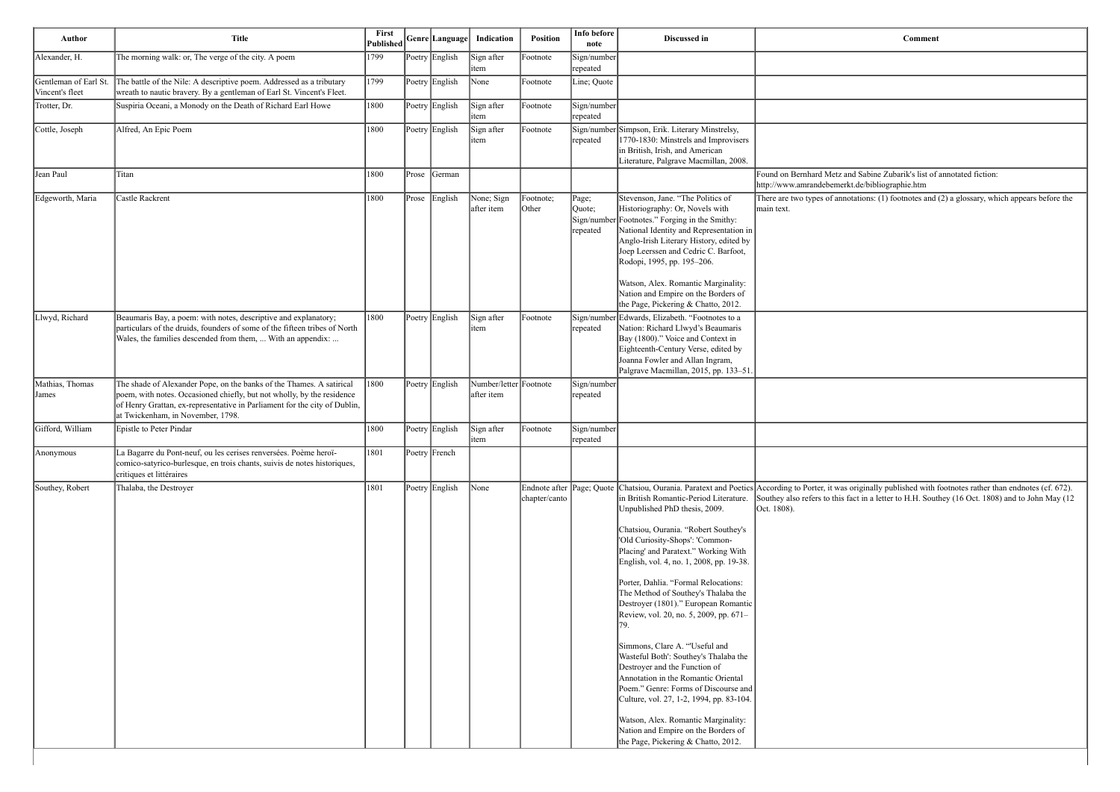| Author                                   | <b>Title</b>                                                                                                                                                                                                                                                     | First<br>Published |       | Genre Language | Indication                           | <b>Position</b>                            | Info before<br>note                        | Discussed in                                                                                                                                                                                                                                                                                                                                                                                                                                                                                                                                                                                                                                                                                                                                                              | <b>Comment</b>                                                                                                                                                                                                  |
|------------------------------------------|------------------------------------------------------------------------------------------------------------------------------------------------------------------------------------------------------------------------------------------------------------------|--------------------|-------|----------------|--------------------------------------|--------------------------------------------|--------------------------------------------|---------------------------------------------------------------------------------------------------------------------------------------------------------------------------------------------------------------------------------------------------------------------------------------------------------------------------------------------------------------------------------------------------------------------------------------------------------------------------------------------------------------------------------------------------------------------------------------------------------------------------------------------------------------------------------------------------------------------------------------------------------------------------|-----------------------------------------------------------------------------------------------------------------------------------------------------------------------------------------------------------------|
| Alexander, H.                            | The morning walk: or, The verge of the city. A poem                                                                                                                                                                                                              | 1799               |       | Poetry English | Sign after<br>litem                  | Footnote                                   | Sign/number<br>repeated                    |                                                                                                                                                                                                                                                                                                                                                                                                                                                                                                                                                                                                                                                                                                                                                                           |                                                                                                                                                                                                                 |
| Gentleman of Earl St.<br>Vincent's fleet | The battle of the Nile: A descriptive poem. Addressed as a tributary<br>wreath to nautic bravery. By a gentleman of Earl St. Vincent's Fleet.                                                                                                                    | 1799               |       | Poetry English | $\sqrt{\frac{1}{1}}$ None            | Footnote                                   | Line; Quote                                |                                                                                                                                                                                                                                                                                                                                                                                                                                                                                                                                                                                                                                                                                                                                                                           |                                                                                                                                                                                                                 |
| Trotter, Dr.                             | Suspiria Oceani, a Monody on the Death of Richard Earl Howe                                                                                                                                                                                                      | 1800               |       | Poetry English | Sign after<br>item                   | Footnote                                   | Sign/number<br>repeated                    |                                                                                                                                                                                                                                                                                                                                                                                                                                                                                                                                                                                                                                                                                                                                                                           |                                                                                                                                                                                                                 |
| Cottle, Joseph                           | Alfred, An Epic Poem                                                                                                                                                                                                                                             | 1800               |       | Poetry English | Sign after<br>litem                  | Footnote                                   | repeated                                   | Sign/number Simpson, Erik. Literary Minstrelsy,<br>1770-1830: Minstrels and Improvisers<br>in British, Irish, and American<br>Literature, Palgrave Macmillan, 2008.                                                                                                                                                                                                                                                                                                                                                                                                                                                                                                                                                                                                       |                                                                                                                                                                                                                 |
| Jean Paul                                | Titan                                                                                                                                                                                                                                                            | 1800               | Prose | German         |                                      |                                            |                                            |                                                                                                                                                                                                                                                                                                                                                                                                                                                                                                                                                                                                                                                                                                                                                                           | Found on Bernhard Metz and Sabine Zubarik's list of annotated fiction:<br>http://www.amrandebemerkt.de/bibliographie.htm                                                                                        |
| Edgeworth, Maria                         | Castle Rackrent                                                                                                                                                                                                                                                  | 1800               | Prose | English        | None; Sign<br>after item             | Footnote;<br>Other                         | Page;<br>Quote;<br>Sign/number<br>repeated | Stevenson, Jane. "The Politics of<br>Historiography: Or, Novels with<br>Footnotes." Forging in the Smithy:<br>National Identity and Representation in<br>Anglo-Irish Literary History, edited by<br>Joep Leerssen and Cedric C. Barfoot,<br>Rodopi, 1995, pp. 195-206.<br>Watson, Alex. Romantic Marginality:<br>Nation and Empire on the Borders of<br>the Page, Pickering & Chatto, 2012.                                                                                                                                                                                                                                                                                                                                                                               | There are two types of annotations: (1) footnotes and (2) a glossary, wh<br>main text.                                                                                                                          |
| Llwyd, Richard                           | Beaumaris Bay, a poem: with notes, descriptive and explanatory;<br>particulars of the druids, founders of some of the fifteen tribes of North<br>Wales, the families descended from them,  With an appendix:                                                     | 1800               |       | Poetry English | Sign after<br>litem                  | Footnote                                   | repeated                                   | Sign/number Edwards, Elizabeth. "Footnotes to a<br>Nation: Richard Llwyd's Beaumaris<br>Bay (1800)." Voice and Context in<br>Eighteenth-Century Verse, edited by<br>Joanna Fowler and Allan Ingram,<br>Palgrave Macmillan, 2015, pp. 133-51.                                                                                                                                                                                                                                                                                                                                                                                                                                                                                                                              |                                                                                                                                                                                                                 |
| Mathias, Thomas<br><b>James</b>          | The shade of Alexander Pope, on the banks of the Thames. A satirical<br>poem, with notes. Occasioned chiefly, but not wholly, by the residence<br>of Henry Grattan, ex-representative in Parliament for the city of Dublin,<br>at Twickenham, in November, 1798. | $ 1800\rangle$     |       | Poetry English | Number/letter Footnote<br>after item |                                            | Sign/number<br>repeated                    |                                                                                                                                                                                                                                                                                                                                                                                                                                                                                                                                                                                                                                                                                                                                                                           |                                                                                                                                                                                                                 |
| Gifford, William                         | Epistle to Peter Pindar                                                                                                                                                                                                                                          | 1800               |       | Poetry English | Sign after<br>litem                  | Footnote                                   | Sign/number<br>repeated                    |                                                                                                                                                                                                                                                                                                                                                                                                                                                                                                                                                                                                                                                                                                                                                                           |                                                                                                                                                                                                                 |
| Anonymous                                | La Bagarre du Pont-neuf, ou les cerises renversées. Poème heroï-<br>comico-satyrico-burlesque, en trois chants, suivis de notes historiques,<br>critiques et littéraires                                                                                         | 1801               |       | Poetry French  |                                      |                                            |                                            |                                                                                                                                                                                                                                                                                                                                                                                                                                                                                                                                                                                                                                                                                                                                                                           |                                                                                                                                                                                                                 |
| Southey, Robert                          | Thalaba, the Destroyer                                                                                                                                                                                                                                           | 1801               |       | Poetry English | $\vert$ None                         | Endnote after Page; Quote<br>chapter/canto |                                            | in British Romantic-Period Literature.<br>Unpublished PhD thesis, 2009.<br>Chatsiou, Ourania. "Robert Southey's<br>'Old Curiosity-Shops': 'Common-<br>Placing' and Paratext." Working With<br>English, vol. 4, no. 1, 2008, pp. 19-38.<br>Porter, Dahlia. "Formal Relocations:<br>The Method of Southey's Thalaba the<br>Destroyer (1801)." European Romantic<br>Review, vol. 20, no. 5, 2009, pp. 671-<br>79.<br>Simmons, Clare A. "Useful and<br>Wasteful Both': Southey's Thalaba the<br>Destroyer and the Function of<br>Annotation in the Romantic Oriental<br>Poem." Genre: Forms of Discourse and<br>Culture, vol. 27, 1-2, 1994, pp. 83-104.<br>Watson, Alex. Romantic Marginality:<br>Nation and Empire on the Borders of<br>the Page, Pickering & Chatto, 2012. | Chatsiou, Ourania. Paratext and Poetics According to Porter, it was originally published with footnotes rather th<br>Southey also refers to this fact in a letter to H.H. Southey (16 Oct. 1808)<br>Oct. 1808). |

| <b>Comment</b>                                  |  |
|-------------------------------------------------|--|
|                                                 |  |
|                                                 |  |
|                                                 |  |
|                                                 |  |
|                                                 |  |
|                                                 |  |
|                                                 |  |
| and Sabine Zubarik's list of annotated fiction: |  |
| rkt.de/bibliographie.htm                        |  |

 $T$  motations: (1) footnotes and (2) a glossary, which appears before the

According to Porter, it was originally published with footnotes rather than endnotes (cf. 672). Southey also refers to this fact in a letter to H.H. Southey (16 Oct. 1808) and to John May (12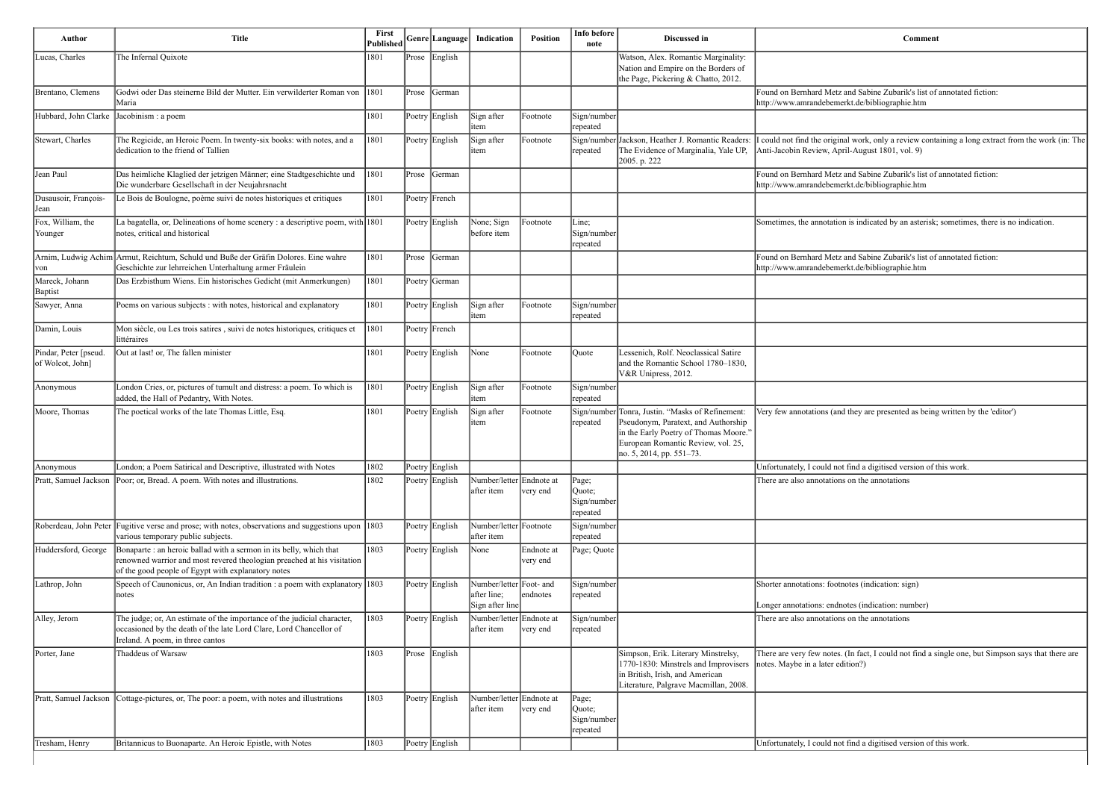| <b>Comment</b>                                                                                                                                        |
|-------------------------------------------------------------------------------------------------------------------------------------------------------|
|                                                                                                                                                       |
| Found on Bernhard Metz and Sabine Zubarik's list of annotated fiction:<br>http://www.amrandebemerkt.de/bibliographie.htm                              |
| I could not find the original work, only a review containing a long extract from the work (in: The<br>Anti-Jacobin Review, April-August 1801, vol. 9) |
| Found on Bernhard Metz and Sabine Zubarik's list of annotated fiction:<br>http://www.amrandebemerkt.de/bibliographie.htm                              |
| Sometimes, the annotation is indicated by an asterisk; sometimes, there is no indication.                                                             |
| Found on Bernhard Metz and Sabine Zubarik's list of annotated fiction:<br>http://www.amrandebemerkt.de/bibliographie.htm                              |
|                                                                                                                                                       |
|                                                                                                                                                       |
|                                                                                                                                                       |
|                                                                                                                                                       |
| Very few annotations (and they are presented as being written by the 'editor')                                                                        |
|                                                                                                                                                       |
| Unfortunately, I could not find a digitised version of this work.                                                                                     |
| There are also annotations on the annotations                                                                                                         |

If the fact, I could not find a single one, but Simpson says that there are httion?)

| Author                                    | <b>Title</b>                                                                                                                                                                                         | First<br>Published |       | Genre Language  | Indication                                                | <b>Position</b>        | Info before<br>note                        | Discussed in                                                                                                                                                                                                               | Comment                                                                                                                      |
|-------------------------------------------|------------------------------------------------------------------------------------------------------------------------------------------------------------------------------------------------------|--------------------|-------|-----------------|-----------------------------------------------------------|------------------------|--------------------------------------------|----------------------------------------------------------------------------------------------------------------------------------------------------------------------------------------------------------------------------|------------------------------------------------------------------------------------------------------------------------------|
| Lucas, Charles                            | The Infernal Quixote                                                                                                                                                                                 | 1801               |       | Prose English   |                                                           |                        |                                            | Watson, Alex. Romantic Marginality:<br>Nation and Empire on the Borders of<br>the Page, Pickering & Chatto, 2012.                                                                                                          |                                                                                                                              |
| Brentano, Clemens                         | Godwi oder Das steinerne Bild der Mutter. Ein verwilderter Roman von 1801<br>Maria                                                                                                                   |                    | Prose | <b>S</b> Cerman |                                                           |                        |                                            |                                                                                                                                                                                                                            | Found on Bernhard Metz and Sabine Zubarik's list of annotated fiction:<br>http://www.amrandebemerkt.de/bibliographie.htm     |
| Hubbard, John Clarke                      | Jacobinism : a poem                                                                                                                                                                                  | 1801               |       | Poetry English  | Sign after<br>item                                        | Footnote               | Sign/number<br> repeated                   |                                                                                                                                                                                                                            |                                                                                                                              |
| Stewart, Charles                          | The Regicide, an Heroic Poem. In twenty-six books: with notes, and a<br>dedication to the friend of Tallien                                                                                          | 1801               |       | Poetry English  | Sign after<br>item                                        | Footnote               | repeated                                   | Sign/number Jackson, Heather J. Romantic Readers:<br>The Evidence of Marginalia, Yale UP,<br>2005. p. 222                                                                                                                  | I could not find the original work, only a review containing a long extra<br>Anti-Jacobin Review, April-August 1801, vol. 9) |
| Jean Paul                                 | Das heimliche Klaglied der jetzigen Männer; eine Stadtgeschichte und<br>Die wunderbare Gesellschaft in der Neujahrsnacht                                                                             | 1801               | Prose | German          |                                                           |                        |                                            |                                                                                                                                                                                                                            | Found on Bernhard Metz and Sabine Zubarik's list of annotated fiction:<br>http://www.amrandebemerkt.de/bibliographie.htm     |
| Dusausoir, François-<br>Jean              | Le Bois de Boulogne, poème suivi de notes historiques et critiques                                                                                                                                   | 1801               |       | Poetry French   |                                                           |                        |                                            |                                                                                                                                                                                                                            |                                                                                                                              |
| Fox, William, the<br>Younger              | La bagatella, or, Delineations of home scenery : a descriptive poem, with 1801<br>notes, critical and historical                                                                                     |                    |       | Poetry English  | None; Sign<br>before item                                 | Footnote               | Line;<br>Sign/number<br>repeated           |                                                                                                                                                                                                                            | Sometimes, the annotation is indicated by an asterisk; sometimes, there                                                      |
| von                                       | Arnim, Ludwig Achim Armut, Reichtum, Schuld und Buße der Gräfin Dolores. Eine wahre<br>Geschichte zur lehrreichen Unterhaltung armer Fräulein                                                        | 1801               | Prose | German          |                                                           |                        |                                            |                                                                                                                                                                                                                            | Found on Bernhard Metz and Sabine Zubarik's list of annotated fiction:<br>http://www.amrandebemerkt.de/bibliographie.htm     |
| Mareck, Johann<br><b>Baptist</b>          | Das Erzbisthum Wiens. Ein historisches Gedicht (mit Anmerkungen)                                                                                                                                     | 1801               |       | Poetry German   |                                                           |                        |                                            |                                                                                                                                                                                                                            |                                                                                                                              |
| Sawyer, Anna                              | Poems on various subjects : with notes, historical and explanatory                                                                                                                                   | 1801               |       | Poetry English  | Sign after<br>item                                        | Footnote               | Sign/number<br>repeated                    |                                                                                                                                                                                                                            |                                                                                                                              |
| Damin, Louis                              | Mon siècle, ou Les trois satires, suivi de notes historiques, critiques et<br>littéraires                                                                                                            | 1801               |       | Poetry French   |                                                           |                        |                                            |                                                                                                                                                                                                                            |                                                                                                                              |
| Pindar, Peter [pseud.<br>of Wolcot, John] | Out at last! or, The fallen minister                                                                                                                                                                 | 1801               |       | Poetry English  | $\vert$ None                                              | Footnote               | Quote                                      | Lessenich, Rolf. Neoclassical Satire<br>and the Romantic School 1780-1830,<br>V&R Unipress, 2012.                                                                                                                          |                                                                                                                              |
| Anonymous                                 | London Cries, or, pictures of tumult and distress: a poem. To which is<br>added, the Hall of Pedantry, With Notes.                                                                                   | 1801               |       | Poetry English  | Sign after<br>item                                        | Footnote               | Sign/number<br>repeated                    |                                                                                                                                                                                                                            |                                                                                                                              |
| Moore, Thomas                             | The poetical works of the late Thomas Little, Esq.                                                                                                                                                   | 1801               |       | Poetry English  | Sign after<br>item                                        | Footnote               | repeated                                   | Sign/number Tonra, Justin. "Masks of Refinement:<br>Pseudonym, Paratext, and Authorship<br>in the Early Poetry of Thomas Moore.'<br>European Romantic Review, vol. 25,<br>$\left  \text{no. 5, 2014, pp. 551-73.} \right $ | Very few annotations (and they are presented as being written by the 'ed                                                     |
| Anonymous                                 | London; a Poem Satirical and Descriptive, illustrated with Notes                                                                                                                                     | 1802               |       | Poetry English  |                                                           |                        |                                            |                                                                                                                                                                                                                            | Unfortunately, I could not find a digitised version of this work.                                                            |
|                                           | Pratt, Samuel Jackson  Poor; or, Bread. A poem. With notes and illustrations.                                                                                                                        | 1802               |       | Poetry English  | Number/letter Endnote at<br>after item                    | very end               | Page;<br>Quote;<br>Sign/number<br>repeated |                                                                                                                                                                                                                            | There are also annotations on the annotations                                                                                |
|                                           | Roberdeau, John Peter Fugitive verse and prose; with notes, observations and suggestions upon 1803<br>various temporary public subjects.                                                             |                    |       | Poetry English  | Number/letter Footnote<br>after item                      |                        | Sign/number<br><b>repeated</b>             |                                                                                                                                                                                                                            |                                                                                                                              |
| Huddersford, George                       | Bonaparte : an heroic ballad with a sermon in its belly, which that<br>renowned warrior and most revered theologian preached at his visitation<br>of the good people of Egypt with explanatory notes | 1803               |       | Poetry English  | $\sqrt{\frac{1}{2}}$                                      | Endnote at<br>very end | Page; Quote                                |                                                                                                                                                                                                                            |                                                                                                                              |
| Lathrop, John                             | Speech of Caunonicus, or, An Indian tradition : a poem with explanatory $ 1803 $<br>notes                                                                                                            |                    |       | Poetry English  | Number/letter Foot- and<br>after line;<br>Sign after line | endnotes               | Sign/number<br>repeated                    |                                                                                                                                                                                                                            | Shorter annotations: footnotes (indication: sign)<br>Longer annotations: endnotes (indication: number)                       |
| Alley, Jerom                              | The judge; or, An estimate of the importance of the judicial character,<br>occasioned by the death of the late Lord Clare, Lord Chancellor of<br>Ireland. A poem, in three cantos                    | 1803               |       | Poetry English  | Number/letter Endnote at<br>after item                    | very end               | Sign/number<br>repeated                    |                                                                                                                                                                                                                            | There are also annotations on the annotations                                                                                |
| Porter, Jane                              | Thaddeus of Warsaw                                                                                                                                                                                   | 1803               | Prose | English         |                                                           |                        |                                            | Simpson, Erik. Literary Minstrelsy,<br>1770-1830: Minstrels and Improvisers<br>in British, Irish, and American<br>Literature, Palgrave Macmillan, 2008.                                                                    | There are very few notes. (In fact, I could not find a single one, but Sin<br>notes. Maybe in a later edition?)              |
| Pratt, Samuel Jackson                     | Cottage-pictures, or, The poor: a poem, with notes and illustrations                                                                                                                                 | 1803               |       | Poetry English  | Number/letter Endnote at<br>after item                    | very end               | Page;<br>Quote;<br>Sign/number<br>repeated |                                                                                                                                                                                                                            |                                                                                                                              |
| Tresham, Henry                            | Britannicus to Buonaparte. An Heroic Epistle, with Notes                                                                                                                                             | 1803               |       | Poetry English  |                                                           |                        |                                            |                                                                                                                                                                                                                            | Unfortunately, I could not find a digitised version of this work.                                                            |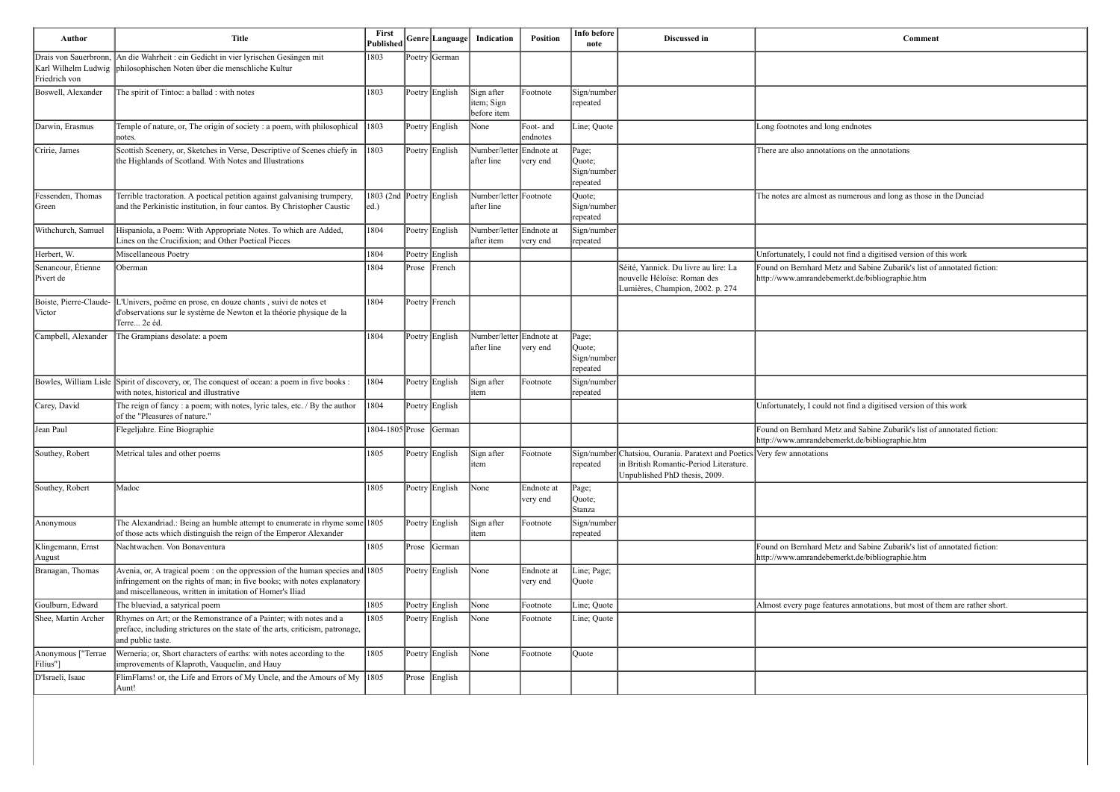| <b>Comment</b>                                                                                                           |
|--------------------------------------------------------------------------------------------------------------------------|
|                                                                                                                          |
|                                                                                                                          |
|                                                                                                                          |
| Long footnotes and long endnotes                                                                                         |
| There are also annotations on the annotations                                                                            |
|                                                                                                                          |
| The notes are almost as numerous and long as those in the Dunciad                                                        |
|                                                                                                                          |
| Unfortunately, I could not find a digitised version of this work                                                         |
| Found on Bernhard Metz and Sabine Zubarik's list of annotated fiction:<br>http://www.amrandebemerkt.de/bibliographie.htm |
|                                                                                                                          |
|                                                                                                                          |
|                                                                                                                          |
|                                                                                                                          |
|                                                                                                                          |
| Unfortunately, I could not find a digitised version of this work                                                         |
| Found on Bernhard Metz and Sabine Zubarik's list of annotated fiction:<br>http://www.amrandebemerkt.de/bibliographie.htm |
| Very few annotations                                                                                                     |
|                                                                                                                          |
|                                                                                                                          |
|                                                                                                                          |
| Found on Bernhard Metz and Sabine Zubarik's list of annotated fiction:<br>http://www.amrandebemerkt.de/bibliographie.htm |
|                                                                                                                          |
| Almost every page features annotations, but most of them are rather short.                                               |
|                                                                                                                          |
|                                                                                                                          |
|                                                                                                                          |
|                                                                                                                          |

| <b>Author</b>                                                 | <b>Title</b>                                                                                                                                                                                                              | First<br>Published               |       | Genre Language   | Indication                              | <b>Position</b>        | Info before<br>note                        | Discussed in                                                                                                                                        | Comment                                                                                                                  |
|---------------------------------------------------------------|---------------------------------------------------------------------------------------------------------------------------------------------------------------------------------------------------------------------------|----------------------------------|-------|------------------|-----------------------------------------|------------------------|--------------------------------------------|-----------------------------------------------------------------------------------------------------------------------------------------------------|--------------------------------------------------------------------------------------------------------------------------|
| Drais von Sauerbronn,<br>Karl Wilhelm Ludwig<br>Friedrich von | An die Wahrheit : ein Gedicht in vier lyrischen Gesängen mit<br>philosophischen Noten über die menschliche Kultur                                                                                                         | 1803                             |       | Poetry German    |                                         |                        |                                            |                                                                                                                                                     |                                                                                                                          |
| Boswell, Alexander                                            | The spirit of Tintoc: a ballad : with notes                                                                                                                                                                               | 1803                             |       | Poetry English   | Sign after<br>item; Sign<br>before item | Footnote               | Sign/number<br>repeated                    |                                                                                                                                                     |                                                                                                                          |
| Darwin, Erasmus                                               | Temple of nature, or, The origin of society : a poem, with philosophical<br>notes.                                                                                                                                        | 1803                             |       | Poetry English   | None                                    | Foot- and<br>endnotes  | Line; Quote                                |                                                                                                                                                     | Long footnotes and long endnotes                                                                                         |
| Cririe, James                                                 | Scottish Scenery, or, Sketches in Verse, Descriptive of Scenes chiefy in<br>the Highlands of Scotland. With Notes and Illustrations                                                                                       | 1803                             |       | Poetry English   | Number/letter Endnote at<br>after line  | very end               | Page;<br>Quote;<br>Sign/number<br>repeated |                                                                                                                                                     | There are also annotations on the annotations                                                                            |
| Fessenden, Thomas<br>Green                                    | Terrible tractoration. A poetical petition against galvanising trumpery,<br>and the Perkinistic institution, in four cantos. By Christopher Caustic                                                                       | 1803 (2nd Poetry English<br> ed. |       |                  | Number/letter Footnote<br>after line    |                        | Quote;<br>Sign/number<br>repeated          |                                                                                                                                                     | The notes are almost as numerous and long as those in the Dunciad                                                        |
| Withchurch, Samuel                                            | Hispaniola, a Poem: With Appropriate Notes. To which are Added,<br>Lines on the Crucifixion; and Other Poetical Pieces                                                                                                    | 1804                             |       | Poetry English   | Number/letter Endnote at<br>after item  | very end               | Sign/number<br>repeated                    |                                                                                                                                                     |                                                                                                                          |
| Herbert, W.                                                   | Miscellaneous Poetry                                                                                                                                                                                                      | 1804                             |       | Poetry English   |                                         |                        |                                            |                                                                                                                                                     | Unfortunately, I could not find a digitised version of this work                                                         |
| Senancour, Étienne<br>Pivert de                               | Oberman                                                                                                                                                                                                                   | 1804                             | Prose | French           |                                         |                        |                                            | Séité, Yannick. Du livre au lire: La<br>nouvelle Héloïse: Roman des<br>Lumières, Champion, 2002. p. 274                                             | Found on Bernhard Metz and Sabine Zubarik's list of annotated fiction:<br>http://www.amrandebemerkt.de/bibliographie.htm |
| Boiste, Pierre-Claude-<br>Victor                              | Univers, poëme en prose, en douze chants, suivi de notes et<br>d'observations sur le système de Newton et la théorie physique de la<br>Terre 2e éd.                                                                       | 1804                             |       | Poetry French    |                                         |                        |                                            |                                                                                                                                                     |                                                                                                                          |
| Campbell, Alexander                                           | The Grampians desolate: a poem                                                                                                                                                                                            | 1804                             |       | Poetry English   | Number/letter Endnote at<br>after line  | very end               | Page;<br>Quote;<br>Sign/number<br>repeated |                                                                                                                                                     |                                                                                                                          |
| Bowles, William Lisle                                         | Spirit of discovery, or, The conquest of ocean: a poem in five books :<br>with notes, historical and illustrative                                                                                                         | 1804                             |       | Poetry English   | Sign after<br>item                      | Footnote               | Sign/number<br>repeated                    |                                                                                                                                                     |                                                                                                                          |
| Carey, David                                                  | The reign of fancy : a poem; with notes, lyric tales, etc. / By the author<br>of the "Pleasures of nature."                                                                                                               | 1804                             |       | Poetry English   |                                         |                        |                                            |                                                                                                                                                     | Unfortunately, I could not find a digitised version of this work                                                         |
| Jean Paul                                                     | Flegeljahre. Eine Biographie                                                                                                                                                                                              | 1804-1805 Prose                  |       | German           |                                         |                        |                                            |                                                                                                                                                     | Found on Bernhard Metz and Sabine Zubarik's list of annotated fiction:<br>http://www.amrandebemerkt.de/bibliographie.htm |
| Southey, Robert                                               | Metrical tales and other poems                                                                                                                                                                                            | 1805                             |       | Poetry   English | Sign after<br>item                      | Footnote               | repeated                                   | Sign/number Chatsiou, Ourania. Paratext and Poetics Very few annotations<br>in British Romantic-Period Literature.<br>Unpublished PhD thesis, 2009. |                                                                                                                          |
| Southey, Robert                                               | Madoc                                                                                                                                                                                                                     | 1805                             |       | Poetry English   | None                                    | Endnote at<br>very end | Page;<br>Quote;<br>Stanza                  |                                                                                                                                                     |                                                                                                                          |
| Anonymous                                                     | The Alexandriad.: Being an humble attempt to enumerate in rhyme some 1805<br>of those acts which distinguish the reign of the Emperor Alexander                                                                           |                                  |       | Poetry English   | Sign after<br>item                      | Footnote               | Sign/number<br>repeated                    |                                                                                                                                                     |                                                                                                                          |
| Klingemann, Ernst<br> August                                  | Nachtwachen. Von Bonaventura                                                                                                                                                                                              | 1805                             | Prose | German           |                                         |                        |                                            |                                                                                                                                                     | Found on Bernhard Metz and Sabine Zubarik's list of annotated fiction:<br>http://www.amrandebemerkt.de/bibliographie.htm |
| Branagan, Thomas                                              | Avenia, or, A tragical poem : on the oppression of the human species and $ 1805 $<br>infringement on the rights of man; in five books; with notes explanatory<br>and miscellaneous, written in imitation of Homer's Iliad |                                  |       | Poetry English   | $\vert$ None                            | Endnote at<br>very end | Line; Page;<br>Quote                       |                                                                                                                                                     |                                                                                                                          |
| Goulburn, Edward                                              | The blueviad, a satyrical poem                                                                                                                                                                                            | 1805                             |       | Poetry English   | None                                    | Footnote               | ine; Quote                                 |                                                                                                                                                     | Almost every page features annotations, but most of them are rather short.                                               |
| Shee, Martin Archer                                           | Rhymes on Art; or the Remonstrance of a Painter; with notes and a<br>preface, including strictures on the state of the arts, criticism, patronage,<br>and public taste.                                                   | 1805                             |       | Poetry English   | None                                    | Footnote               | Line; Quote                                |                                                                                                                                                     |                                                                                                                          |
| Anonymous ["Terrae<br>Filius"]                                | Werneria; or, Short characters of earths: with notes according to the<br>improvements of Klaproth, Vauquelin, and Hauy                                                                                                    | 1805                             |       | Poetry English   | None                                    | Footnote               | Quote                                      |                                                                                                                                                     |                                                                                                                          |
| D'Israeli, Isaac                                              | FlimFlams! or, the Life and Errors of My Uncle, and the Amours of My $ 1805 $<br>Aunt!                                                                                                                                    |                                  |       | Prose English    |                                         |                        |                                            |                                                                                                                                                     |                                                                                                                          |
|                                                               |                                                                                                                                                                                                                           |                                  |       |                  |                                         |                        |                                            |                                                                                                                                                     |                                                                                                                          |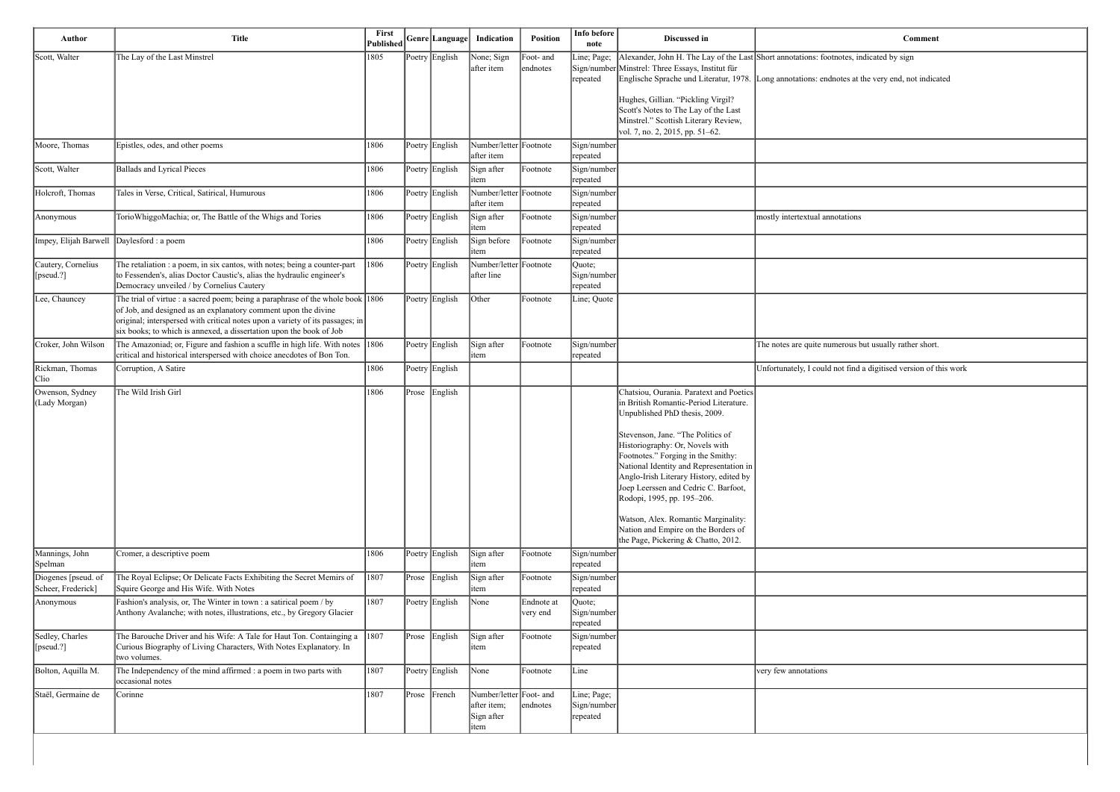| <b>Comment</b>                                                   |
|------------------------------------------------------------------|
| Short annotations: footnotes, indicated by sign                  |
| Long annotations: endnotes at the very end, not indicated        |
|                                                                  |
|                                                                  |
|                                                                  |
|                                                                  |
|                                                                  |
|                                                                  |
| mostly intertextual annotations                                  |
|                                                                  |
|                                                                  |
|                                                                  |
|                                                                  |
|                                                                  |
| The notes are quite numerous but usually rather short.           |
| Unfortunately, I could not find a digitised version of this work |
|                                                                  |
|                                                                  |
|                                                                  |
|                                                                  |
|                                                                  |
|                                                                  |
|                                                                  |
|                                                                  |
|                                                                  |
|                                                                  |
|                                                                  |
|                                                                  |
|                                                                  |
|                                                                  |
|                                                                  |
| very few annotations                                             |
|                                                                  |
|                                                                  |
|                                                                  |
|                                                                  |

| Author                                    | <b>Title</b>                                                                                                                                                                                                                                                                                                 |                |           | Published Genre Language | Indication                                                   | Position               | Info before<br>note                    | Discussed in                                                                                                                                                                                                                                                                                                                                                                                                                                                                                                      | <b>Comment</b>                                                                                                                                                                             |
|-------------------------------------------|--------------------------------------------------------------------------------------------------------------------------------------------------------------------------------------------------------------------------------------------------------------------------------------------------------------|----------------|-----------|--------------------------|--------------------------------------------------------------|------------------------|----------------------------------------|-------------------------------------------------------------------------------------------------------------------------------------------------------------------------------------------------------------------------------------------------------------------------------------------------------------------------------------------------------------------------------------------------------------------------------------------------------------------------------------------------------------------|--------------------------------------------------------------------------------------------------------------------------------------------------------------------------------------------|
| Scott, Walter                             | The Lay of the Last Minstrel                                                                                                                                                                                                                                                                                 | 1805           |           | Poetry English           | None; Sign<br>after item                                     | Foot- and<br>endnotes  | Line; Page;<br>repeated                | Sign/number Minstrel: Three Essays, Institut für                                                                                                                                                                                                                                                                                                                                                                                                                                                                  | Alexander, John H. The Lay of the Last Short annotations: footnotes, indicated by sign<br>Englische Sprache und Literatur, 1978. Long annotations: endnotes at the very end, not indicated |
|                                           |                                                                                                                                                                                                                                                                                                              |                |           |                          |                                                              |                        |                                        | Hughes, Gillian. "Pickling Virgil?<br>Scott's Notes to The Lay of the Last<br>Minstrel." Scottish Literary Review,<br>vol. 7, no. 2, 2015, pp. 51–62.                                                                                                                                                                                                                                                                                                                                                             |                                                                                                                                                                                            |
| Moore, Thomas                             | Epistles, odes, and other poems                                                                                                                                                                                                                                                                              | 1806           |           | Poetry English           | Number/letter Footnote<br>after item                         |                        | Sign/number<br>repeated                |                                                                                                                                                                                                                                                                                                                                                                                                                                                                                                                   |                                                                                                                                                                                            |
| Scott, Walter                             | <b>Ballads and Lyrical Pieces</b>                                                                                                                                                                                                                                                                            | 1806           |           | Poetry English           | Sign after<br>item                                           | Footnote               | Sign/number<br>repeated                |                                                                                                                                                                                                                                                                                                                                                                                                                                                                                                                   |                                                                                                                                                                                            |
| Holcroft, Thomas                          | Tales in Verse, Critical, Satirical, Humurous                                                                                                                                                                                                                                                                | 1806           |           | Poetry English           | Number/letter Footnote<br>after item                         |                        | Sign/number<br>repeated                |                                                                                                                                                                                                                                                                                                                                                                                                                                                                                                                   |                                                                                                                                                                                            |
| Anonymous                                 | TorioWhiggoMachia; or, The Battle of the Whigs and Tories                                                                                                                                                                                                                                                    | 1806           |           | Poetry English           | Sign after<br>item                                           | Footnote               | Sign/number<br>repeated                |                                                                                                                                                                                                                                                                                                                                                                                                                                                                                                                   | mostly intertextual annotations                                                                                                                                                            |
| Impey, Elijah Barwell Daylesford : a poem |                                                                                                                                                                                                                                                                                                              | 1806           |           | Poetry English           | Sign before<br>item                                          | Footnote               | Sign/number<br>repeated                |                                                                                                                                                                                                                                                                                                                                                                                                                                                                                                                   |                                                                                                                                                                                            |
| Cautery, Cornelius<br>[pseud.?]           | The retaliation : a poem, in six cantos, with notes; being a counter-part<br>to Fessenden's, alias Doctor Caustic's, alias the hydraulic engineer's<br>Democracy unveiled / by Cornelius Cautery                                                                                                             | 1806           |           | Poetry English           | Number/letter Footnote<br>after line                         |                        | Quote;<br>Sign/number<br>repeated      |                                                                                                                                                                                                                                                                                                                                                                                                                                                                                                                   |                                                                                                                                                                                            |
| Lee, Chauncey                             | The trial of virtue : a sacred poem; being a paraphrase of the whole book $ 1806 $<br>of Job, and designed as an explanatory comment upon the divine<br>original; interspersed with critical notes upon a variety of its passages; in<br>six books; to which is annexed, a dissertation upon the book of Job |                |           | Poetry English           | Other                                                        | Footnote               | Line; Quote                            |                                                                                                                                                                                                                                                                                                                                                                                                                                                                                                                   |                                                                                                                                                                                            |
| Croker, John Wilson                       | The Amazoniad; or, Figure and fashion a scuffle in high life. With notes $ 1806 $<br>critical and historical interspersed with choice anecdotes of Bon Ton.                                                                                                                                                  |                |           | Poetry English           | Sign after<br>item                                           | Footnote               | Sign/number<br>repeated                |                                                                                                                                                                                                                                                                                                                                                                                                                                                                                                                   | The notes are quite numerous but usually rather short.                                                                                                                                     |
| Rickman, Thomas<br>Clio                   | Corruption, A Satire                                                                                                                                                                                                                                                                                         | 1806           |           | Poetry English           |                                                              |                        |                                        |                                                                                                                                                                                                                                                                                                                                                                                                                                                                                                                   | Unfortunately, I could not find a digitised version of this work                                                                                                                           |
| Owenson, Sydney<br>(Lady Morgan)          | The Wild Irish Girl                                                                                                                                                                                                                                                                                          | 1806           | $ $ Prose | English                  |                                                              |                        |                                        | Chatsiou, Ourania. Paratext and Poetics<br>in British Romantic-Period Literature.<br>Unpublished PhD thesis, 2009.<br>Stevenson, Jane. "The Politics of<br>Historiography: Or, Novels with<br>Footnotes." Forging in the Smithy:<br>National Identity and Representation in<br>Anglo-Irish Literary History, edited by<br>Joep Leerssen and Cedric C. Barfoot,<br>Rodopi, 1995, pp. 195-206.<br>Watson, Alex. Romantic Marginality:<br>Nation and Empire on the Borders of<br>the Page, Pickering & Chatto, 2012. |                                                                                                                                                                                            |
| Mannings, John<br>Spelman                 | Cromer, a descriptive poem                                                                                                                                                                                                                                                                                   | 1806           |           | Poetry English           | Sign after<br>litem                                          | Footnote               | Sign/number<br>repeated                |                                                                                                                                                                                                                                                                                                                                                                                                                                                                                                                   |                                                                                                                                                                                            |
| Diogenes [pseud. of<br>Scheer, Frederick] | The Royal Eclipse; Or Delicate Facts Exhibiting the Secret Memirs of<br>Squire George and His Wife. With Notes                                                                                                                                                                                               | $ 1807\rangle$ |           | Prose English            | Sign after<br>litem                                          | Footnote               | Sign/number<br>repeated                |                                                                                                                                                                                                                                                                                                                                                                                                                                                                                                                   |                                                                                                                                                                                            |
| Anonymous                                 | Fashion's analysis, or, The Winter in town : a satirical poem / by<br>Anthony Avalanche; with notes, illustrations, etc., by Gregory Glacier                                                                                                                                                                 | 1807           |           | Poetry English           | None                                                         | Endnote at<br>very end | Quote;<br>Sign/number<br>repeated      |                                                                                                                                                                                                                                                                                                                                                                                                                                                                                                                   |                                                                                                                                                                                            |
| Sedley, Charles<br>[ $[pseudo.$ ?]        | The Barouche Driver and his Wife: A Tale for Haut Ton. Containging a<br>Curious Biography of Living Characters, With Notes Explanatory. In<br>two volumes.                                                                                                                                                   | $ 1807\rangle$ | $ $ Prose | English                  | Sign after<br>item                                           | Footnote               | Sign/number<br>repeated                |                                                                                                                                                                                                                                                                                                                                                                                                                                                                                                                   |                                                                                                                                                                                            |
| Bolton, Aquilla M.                        | The Independency of the mind affirmed : a poem in two parts with<br>occasional notes                                                                                                                                                                                                                         | 1807           |           | Poetry English           | None                                                         | Footnote               | Line                                   |                                                                                                                                                                                                                                                                                                                                                                                                                                                                                                                   | very few annotations                                                                                                                                                                       |
| Staël, Germaine de                        | Corinne                                                                                                                                                                                                                                                                                                      | 1807           |           | Prose French             | Number/letter Foot- and<br>after item;<br>Sign after<br>item | endnotes               | Line; Page;<br>Sign/number<br>repeated |                                                                                                                                                                                                                                                                                                                                                                                                                                                                                                                   |                                                                                                                                                                                            |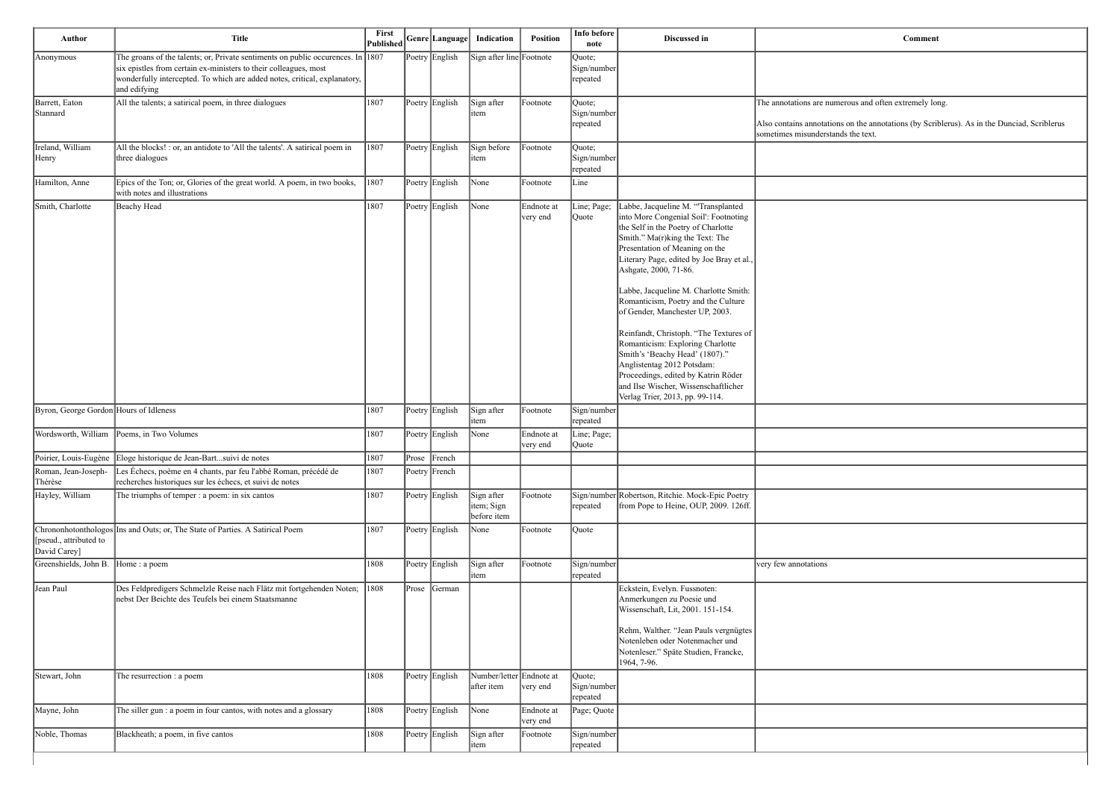erous and often extremely long.

on the annotations (by Scriblerus). As in the Dunciad, Scriblerus s the text.

| <b>Author</b>                          | <b>Title</b>                                                                                                                                                                                                                                                    | First<br>Published |           | Genre Language | Indication                              | <b>Position</b>        | Info before<br>note               | Discussed in                                                                                                                                                                                                                                                                                                                                                                                                                                                                                                                                                                                                                                     |                                                                                    |
|----------------------------------------|-----------------------------------------------------------------------------------------------------------------------------------------------------------------------------------------------------------------------------------------------------------------|--------------------|-----------|----------------|-----------------------------------------|------------------------|-----------------------------------|--------------------------------------------------------------------------------------------------------------------------------------------------------------------------------------------------------------------------------------------------------------------------------------------------------------------------------------------------------------------------------------------------------------------------------------------------------------------------------------------------------------------------------------------------------------------------------------------------------------------------------------------------|------------------------------------------------------------------------------------|
| Anonymous                              | The groans of the talents; or, Private sentiments on public occurences. In $\frac{1807}{1807}$<br>six epistles from certain ex-ministers to their colleagues, most<br>wonderfully intercepted. To which are added notes, critical, explanatory,<br>and edifying |                    |           | Poetry English | Sign after line Footnote                |                        | Quote;<br>Sign/number<br>repeated |                                                                                                                                                                                                                                                                                                                                                                                                                                                                                                                                                                                                                                                  |                                                                                    |
| Barrett, Eaton<br> Stannard            | All the talents; a satirical poem, in three dialogues                                                                                                                                                                                                           | 1807               |           | Poetry English | Sign after<br>item                      | Footnote               | Quote;<br>Sign/number<br>repeated |                                                                                                                                                                                                                                                                                                                                                                                                                                                                                                                                                                                                                                                  | The annotations are numer<br>Also contains annotations<br>sometimes misunderstands |
| Ireland, William<br>Henry              | All the blocks! : or, an antidote to 'All the talents'. A satirical poem in<br>three dialogues                                                                                                                                                                  | 1807               |           | Poetry English | Sign before<br>item                     | Footnote               | Quote;<br>Sign/number<br>repeated |                                                                                                                                                                                                                                                                                                                                                                                                                                                                                                                                                                                                                                                  |                                                                                    |
| Hamilton, Anne                         | Epics of the Ton; or, Glories of the great world. A poem, in two books,<br>with notes and illustrations                                                                                                                                                         | 1807               |           | Poetry English | None                                    | Footnote               | Line                              |                                                                                                                                                                                                                                                                                                                                                                                                                                                                                                                                                                                                                                                  |                                                                                    |
| Smith, Charlotte                       | Beachy Head                                                                                                                                                                                                                                                     | 1807               |           | Poetry English | None                                    | Endnote at<br>very end | Line; Page;<br>Quote              | Labbe, Jacqueline M. "Transplanted<br>into More Congenial Soil': Footnoting<br>the Self in the Poetry of Charlotte<br>Smith." Ma(r)king the Text: The<br>Presentation of Meaning on the<br>Literary Page, edited by Joe Bray et al.,<br>Ashgate, 2000, 71-86.<br>Labbe, Jacqueline M. Charlotte Smith:<br>Romanticism, Poetry and the Culture<br>of Gender, Manchester UP, 2003.<br>Reinfandt, Christoph. "The Textures of<br>Romanticism: Exploring Charlotte<br>Smith's 'Beachy Head' (1807)."<br>Anglistentag 2012 Potsdam:<br>Proceedings, edited by Katrin Röder<br>and Ilse Wischer, Wissenschaftlicher<br>Verlag Trier, 2013, pp. 99-114. |                                                                                    |
| Byron, George Gordon Hours of Idleness |                                                                                                                                                                                                                                                                 | 1807               |           | Poetry English | Sign after<br>item                      | Footnote               | Sign/number<br>repeated           |                                                                                                                                                                                                                                                                                                                                                                                                                                                                                                                                                                                                                                                  |                                                                                    |
| Wordsworth, William                    | Poems, in Two Volumes                                                                                                                                                                                                                                           | 1807               |           | Poetry English | None                                    | Endnote at<br>very end | Line; Page;<br>Quote              |                                                                                                                                                                                                                                                                                                                                                                                                                                                                                                                                                                                                                                                  |                                                                                    |
|                                        | Poirier, Louis-Eugène Eloge historique de Jean-Bartsuivi de notes                                                                                                                                                                                               | 1807               | $ $ Prose | French         |                                         |                        |                                   |                                                                                                                                                                                                                                                                                                                                                                                                                                                                                                                                                                                                                                                  |                                                                                    |
| Roman, Jean-Joseph-<br>Thérèse         | Les Échecs, poème en 4 chants, par feu l'abbé Roman, précédé de<br>recherches historiques sur les échecs, et suivi de notes                                                                                                                                     | 1807               |           | Poetry French  |                                         |                        |                                   |                                                                                                                                                                                                                                                                                                                                                                                                                                                                                                                                                                                                                                                  |                                                                                    |
| Hayley, William                        | The triumphs of temper : a poem: in six cantos                                                                                                                                                                                                                  | 1807               |           | Poetry English | Sign after<br>item; Sign<br>before item | Footnote               | repeated                          | Sign/number Robertson, Ritchie. Mock-Epic Poetry<br>from Pope to Heine, OUP, 2009. 126ff.                                                                                                                                                                                                                                                                                                                                                                                                                                                                                                                                                        |                                                                                    |
| [pseud., attributed to<br>David Carey] | Chrononhotonthologos Ins and Outs; or, The State of Parties. A Satirical Poem                                                                                                                                                                                   | 1807               |           | Poetry English | None                                    | Footnote               | Quote                             |                                                                                                                                                                                                                                                                                                                                                                                                                                                                                                                                                                                                                                                  |                                                                                    |
| Greenshields, John B.                  | Home: a poem                                                                                                                                                                                                                                                    | 1808               |           | Poetry English | Sign after<br>item                      | Footnote               | Sign/number<br>repeated           |                                                                                                                                                                                                                                                                                                                                                                                                                                                                                                                                                                                                                                                  | very few annotations                                                               |
| Jean Paul                              | Des Feldpredigers Schmelzle Reise nach Flätz mit fortgehenden Noten;<br>nebst Der Beichte des Teufels bei einem Staatsmanne                                                                                                                                     | $ 1808\rangle$     | Prose     | German         |                                         |                        |                                   | Eckstein, Evelyn. Fussnoten:<br>Anmerkungen zu Poesie und<br>Wissenschaft, Lit, 2001. 151-154.<br>Rehm, Walther. "Jean Pauls vergnügtes<br>Notenleben oder Notenmacher und<br>Notenleser." Späte Studien, Francke,<br>1964, 7-96.                                                                                                                                                                                                                                                                                                                                                                                                                |                                                                                    |
| Stewart, John                          | The resurrection : a poem                                                                                                                                                                                                                                       | 1808               |           | Poetry English | Number/letter Endnote at<br>after item  | very end               | Quote;<br>Sign/number<br>repeated |                                                                                                                                                                                                                                                                                                                                                                                                                                                                                                                                                                                                                                                  |                                                                                    |
| Mayne, John                            | The siller gun : a poem in four cantos, with notes and a glossary                                                                                                                                                                                               | 1808               |           | Poetry English | None                                    | Endnote at<br>very end | Page; Quote                       |                                                                                                                                                                                                                                                                                                                                                                                                                                                                                                                                                                                                                                                  |                                                                                    |
| Noble, Thomas                          | Blackheath; a poem, in five cantos                                                                                                                                                                                                                              | 1808               |           | Poetry English | Sign after<br>item                      | Footnote               | Sign/number<br>repeated           |                                                                                                                                                                                                                                                                                                                                                                                                                                                                                                                                                                                                                                                  |                                                                                    |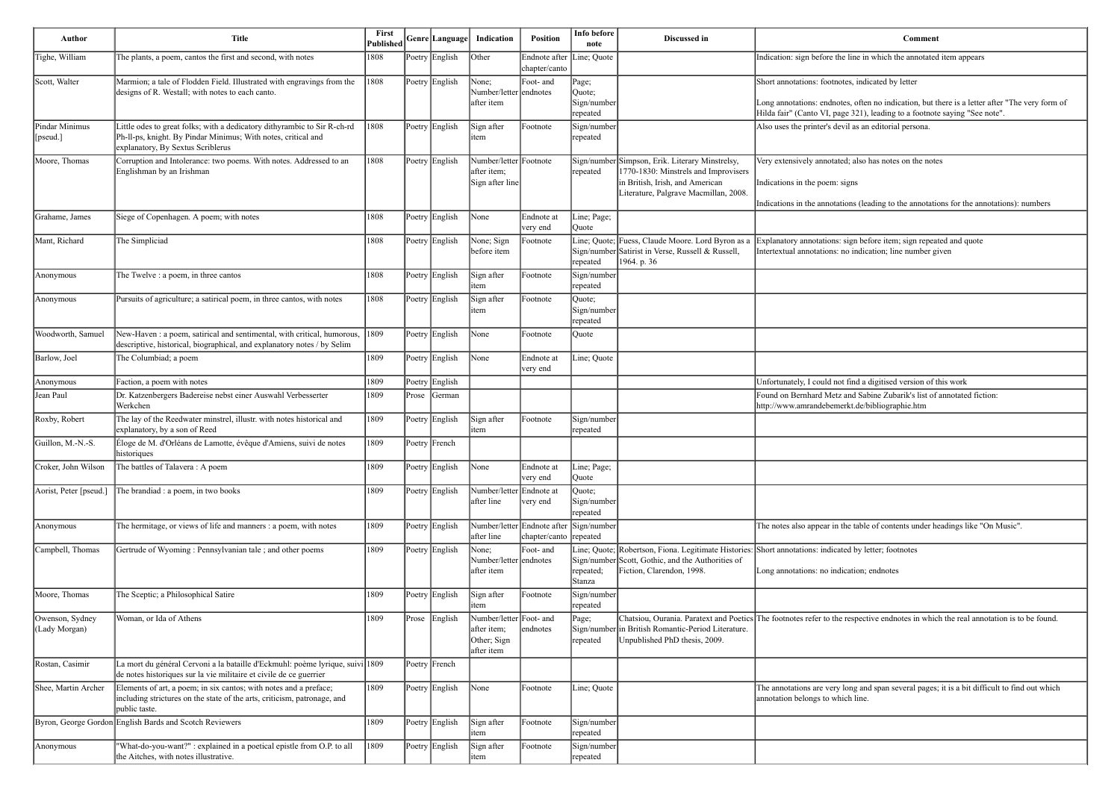e line in which the annotated item appears

tes, indicated by letter

les, often no indication, but there is a letter after "The very form of ge 321), leading to a footnote saying "See note". vil as an editorial persona.

ed; also has notes on the notes

signs

ions (leading to the annotations for the annotations): numbers

sign before item; sign repeated and quote no indication; line number given

If find a digitised version of this work

and Sabine Zubarik's list of annotated fiction: erkt.de/bibliographie.htm

the table of contents under headings like "On Music".

ted by letter; footnotes

cation; endnotes

respective endnotes in which the real annotation is to be found.

long and span several pages; it is a bit difficult to find out which ich line.

| Author                            | <b>Title</b>                                                                                                                                                                   | <b>First</b><br><b>Published</b> |       | Genre Language | Indication                                                          | Position                                                 | Info before<br>note                        | Discussed in                                                                                                                                                        |                                                                                          |
|-----------------------------------|--------------------------------------------------------------------------------------------------------------------------------------------------------------------------------|----------------------------------|-------|----------------|---------------------------------------------------------------------|----------------------------------------------------------|--------------------------------------------|---------------------------------------------------------------------------------------------------------------------------------------------------------------------|------------------------------------------------------------------------------------------|
| Tighe, William                    | The plants, a poem, cantos the first and second, with notes                                                                                                                    | 1808                             |       | Poetry English | Other                                                               | Endnote after<br>chapter/canto                           | Line; Quote                                |                                                                                                                                                                     | Indication: sign before the                                                              |
| Scott, Walter                     | Marmion; a tale of Flodden Field. Illustrated with engravings from the<br>designs of R. Westall; with notes to each canto.                                                     | 1808                             |       | Poetry English | None;<br>Number/letter endnotes<br>after item                       | Foot- and                                                | Page;<br>Quote;<br>Sign/number<br>repeated |                                                                                                                                                                     | Short annotations: footnot<br>Long annotations: endnote<br>Hilda fair" (Canto VI, pag    |
| Pindar Minimus<br>[ $ $ [pseud.]] | Little odes to great folks; with a dedicatory dithyrambic to Sir R-ch-rd<br>Ph-Il-ps, knight. By Pindar Minimus; With notes, critical and<br>explanatory, By Sextus Scriblerus | 1808                             |       | Poetry English | Sign after<br>item                                                  | Footnote                                                 | Sign/number<br>repeated                    |                                                                                                                                                                     | Also uses the printer's dev                                                              |
| Moore, Thomas                     | Corruption and Intolerance: two poems. With notes. Addressed to an<br>Englishman by an Irishman                                                                                | 1808                             |       | Poetry English | Number/letter Footnote<br>after item;<br>Sign after line            |                                                          | repeated                                   | Sign/number Simpson, Erik. Literary Minstrelsy,<br>1770-1830: Minstrels and Improvisers<br>in British, Irish, and American<br>Literature, Palgrave Macmillan, 2008. | Very extensively annotated<br>Indications in the poem: si<br>Indications in the annotati |
| Grahame, James                    | Siege of Copenhagen. A poem; with notes                                                                                                                                        | 1808                             |       | Poetry English | None                                                                | Endnote at<br>very end                                   | Line; Page;<br>Quote                       |                                                                                                                                                                     |                                                                                          |
| Mant, Richard                     | The Simpliciad                                                                                                                                                                 | 1808                             |       | Poetry English | None; Sign<br>before item                                           | Footnote                                                 | repeated                                   | Line; Quote; Fuess, Claude Moore. Lord Byron as a<br>Sign/number Satirist in Verse, Russell & Russell,<br>1964. p. 36                                               | Explanatory annotations: s<br>Intertextual annotations: n                                |
| Anonymous                         | The Twelve : a poem, in three cantos                                                                                                                                           | 1808                             |       | Poetry English | Sign after<br>item                                                  | Footnote                                                 | Sign/number<br>repeated                    |                                                                                                                                                                     |                                                                                          |
| Anonymous                         | Pursuits of agriculture; a satirical poem, in three cantos, with notes                                                                                                         | 1808                             |       | Poetry English | Sign after<br>item                                                  | Footnote                                                 | Quote;<br>Sign/number<br>repeated          |                                                                                                                                                                     |                                                                                          |
| Woodworth, Samuel                 | New-Haven : a poem, satirical and sentimental, with critical, humorous,<br>descriptive, historical, biographical, and explanatory notes / by Selim                             | $ 1809\rangle$                   |       | Poetry English | None                                                                | Footnote                                                 | Quote                                      |                                                                                                                                                                     |                                                                                          |
| Barlow, Joel                      | The Columbiad; a poem                                                                                                                                                          | 1809                             |       | Poetry English | None                                                                | Endnote at<br>very end                                   | Line; Quote                                |                                                                                                                                                                     |                                                                                          |
| Anonymous                         | Faction, a poem with notes                                                                                                                                                     | 1809                             |       | Poetry English |                                                                     |                                                          |                                            |                                                                                                                                                                     | Unfortunately, I could not                                                               |
| Jean Paul                         | Dr. Katzenbergers Badereise nebst einer Auswahl Verbesserter<br>Werkchen                                                                                                       | 1809                             | Prose | German         |                                                                     |                                                          |                                            |                                                                                                                                                                     | Found on Bernhard Metz a<br>http://www.amrandebemer                                      |
| Roxby, Robert                     | The lay of the Reedwater minstrel, illustr. with notes historical and<br>explanatory, by a son of Reed                                                                         | 1809                             |       | Poetry English | Sign after<br>item                                                  | Footnote                                                 | Sign/number<br>repeated                    |                                                                                                                                                                     |                                                                                          |
| Guillon, M.-N.-S.                 | Éloge de M. d'Orléans de Lamotte, évêque d'Amiens, suivi de notes<br>historiques                                                                                               | 1809                             |       | Poetry French  |                                                                     |                                                          |                                            |                                                                                                                                                                     |                                                                                          |
| Croker, John Wilson               | The battles of Talavera: A poem                                                                                                                                                | 1809                             |       | Poetry English | None                                                                | Endnote at<br>very end                                   | Line; Page;<br>Quote                       |                                                                                                                                                                     |                                                                                          |
| Aorist, Peter [pseud.]            | The brandiad : a poem, in two books                                                                                                                                            | 1809                             |       | Poetry English | Number/letter Endnote at<br>after line                              | very end                                                 | Quote;<br>Sign/number<br>repeated          |                                                                                                                                                                     |                                                                                          |
| Anonymous                         | The hermitage, or views of life and manners : a poem, with notes                                                                                                               | 1809                             |       | Poetry English | after line                                                          | Number/letter Endnote after Sign/number<br>chapter/canto | repeated                                   |                                                                                                                                                                     | The notes also appear in th                                                              |
| Campbell, Thomas                  | Gertrude of Wyoming: Pennsylvanian tale; and other poems                                                                                                                       | 1809                             |       | Poetry English | None;<br>Number/letter endnotes<br>after item                       | Foot- and                                                | repeated;<br>Stanza                        | Line; Quote; Robertson, Fiona. Legitimate Histories: Short annotations: indicate<br>Sign/number Scott, Gothic, and the Authorities of<br>Fiction, Clarendon, 1998.  | Long annotations: no indio                                                               |
| Moore, Thomas                     | The Sceptic; a Philosophical Satire                                                                                                                                            | 1809                             |       | Poetry English | Sign after<br>item                                                  | Footnote                                                 | Sign/number<br>repeated                    |                                                                                                                                                                     |                                                                                          |
| Owenson, Sydney<br>(Lady Morgan)  | Woman, or Ida of Athens                                                                                                                                                        | 1809                             | Prose | English        | Number/letter Foot- and<br>after item;<br>Other; Sign<br>after item | endnotes                                                 | Page;<br>repeated                          | Chatsiou, Ourania. Paratext and Poetics The footnotes refer to the<br>Sign/number in British Romantic-Period Literature.<br>Unpublished PhD thesis, 2009.           |                                                                                          |
| Rostan, Casimir                   | La mort du général Cervoni a la bataille d'Eckmuhl: poème lyrique, suivi 1809<br>de notes historiques sur la vie militaire et civile de ce guerrier                            |                                  |       | Poetry French  |                                                                     |                                                          |                                            |                                                                                                                                                                     |                                                                                          |
| Shee, Martin Archer               | Elements of art, a poem; in six cantos; with notes and a preface;<br>including strictures on the state of the arts, criticism, patronage, and<br>public taste.                 | 1809                             |       | Poetry English | None                                                                | Footnote                                                 | Line; Quote                                |                                                                                                                                                                     | The annotations are very l<br>annotation belongs to whio                                 |
|                                   | Byron, George Gordon English Bards and Scotch Reviewers                                                                                                                        | 1809                             |       | Poetry English | Sign after<br>item                                                  | Footnote                                                 | Sign/number<br>repeated                    |                                                                                                                                                                     |                                                                                          |
| Anonymous                         | 'What-do-you-want?" : explained in a poetical epistle from O.P. to all<br>the Aitches, with notes illustrative.                                                                | 1809                             |       | Poetry English | Sign after<br>item                                                  | Footnote                                                 | Sign/number<br>repeated                    |                                                                                                                                                                     |                                                                                          |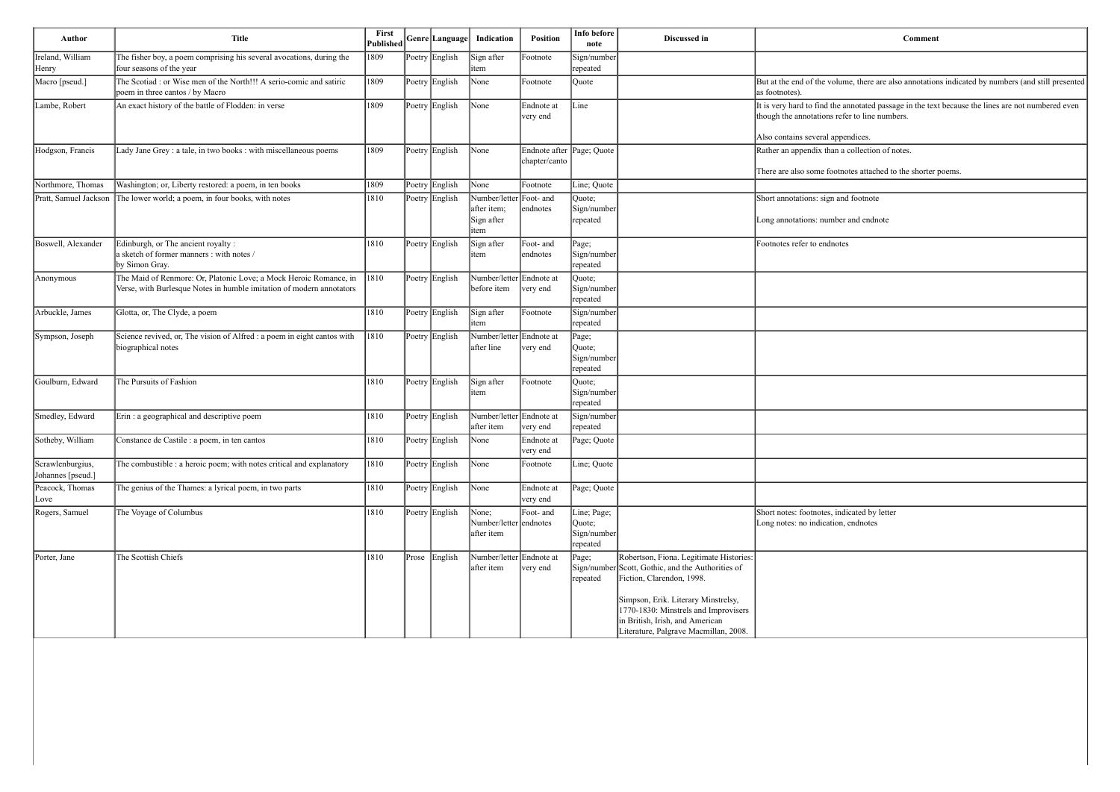| Comment                                                                                                                                            |
|----------------------------------------------------------------------------------------------------------------------------------------------------|
|                                                                                                                                                    |
| But at the end of the volume, there are also annotations indicated by numbers (and still presented<br>as footnotes).                               |
| It is very hard to find the annotated passage in the text because the lines are not numbered even<br>though the annotations refer to line numbers. |
| Also contains several appendices.                                                                                                                  |
| Rather an appendix than a collection of notes.                                                                                                     |
| There are also some footnotes attached to the shorter poems.                                                                                       |
|                                                                                                                                                    |
| Short annotations: sign and footnote                                                                                                               |
| Long annotations: number and endnote                                                                                                               |
| Footnotes refer to endnotes                                                                                                                        |
|                                                                                                                                                    |
|                                                                                                                                                    |
|                                                                                                                                                    |
|                                                                                                                                                    |
|                                                                                                                                                    |
|                                                                                                                                                    |
|                                                                                                                                                    |
|                                                                                                                                                    |
| Short notes: footnotes, indicated by letter<br>Long notes: no indication, endnotes                                                                 |
|                                                                                                                                                    |

| Author                                | <b>Title</b>                                                                                                                              | First<br>Published |                | Genre Language Indication                     | Position                                   | Info before<br>note                              | Discussed in                                                                                                                                                                                                                                                                         | Comment                                                                                                                                            |
|---------------------------------------|-------------------------------------------------------------------------------------------------------------------------------------------|--------------------|----------------|-----------------------------------------------|--------------------------------------------|--------------------------------------------------|--------------------------------------------------------------------------------------------------------------------------------------------------------------------------------------------------------------------------------------------------------------------------------------|----------------------------------------------------------------------------------------------------------------------------------------------------|
| Ireland, William<br>Henry             | The fisher boy, a poem comprising his several avocations, during the<br>four seasons of the year                                          | 1809               | Poetry English | Sign after<br>item                            | Footnote                                   | Sign/number<br>repeated                          |                                                                                                                                                                                                                                                                                      |                                                                                                                                                    |
| Macro [pseud.]                        | The Scotiad : or Wise men of the North!!! A serio-comic and satiric<br>poem in three cantos / by Macro                                    | 1809               | Poetry English | None                                          | Footnote                                   | Quote                                            |                                                                                                                                                                                                                                                                                      | But at the end of the volume, there are also annotations indicated by numbers (and still presented<br>as footnotes).                               |
| Lambe, Robert                         | An exact history of the battle of Flodden: in verse                                                                                       | 1809               | Poetry English | None                                          | Endnote at<br>very end                     | Line                                             |                                                                                                                                                                                                                                                                                      | It is very hard to find the annotated passage in the text because the lines are not numbered even<br>though the annotations refer to line numbers. |
|                                       |                                                                                                                                           |                    |                |                                               |                                            |                                                  |                                                                                                                                                                                                                                                                                      | Also contains several appendices.                                                                                                                  |
| Hodgson, Francis                      | Lady Jane Grey : a tale, in two books : with miscellaneous poems                                                                          | 1809               | Poetry English | None                                          | Endnote after Page; Quote<br>chapter/canto |                                                  |                                                                                                                                                                                                                                                                                      | Rather an appendix than a collection of notes.                                                                                                     |
|                                       |                                                                                                                                           |                    |                |                                               |                                            |                                                  |                                                                                                                                                                                                                                                                                      | There are also some footnotes attached to the shorter poems.                                                                                       |
| Northmore, Thomas                     | Washington; or, Liberty restored: a poem, in ten books                                                                                    | 1809               | Poetry English | None<br>Number/letter Foot- and               | Footnote                                   | Line; Quote                                      |                                                                                                                                                                                                                                                                                      |                                                                                                                                                    |
| Pratt, Samuel Jackson                 | The lower world; a poem, in four books, with notes                                                                                        | 1810               | Poetry English | after item;<br>Sign after<br>item             | endnotes                                   | Quote;<br>Sign/number<br>repeated                |                                                                                                                                                                                                                                                                                      | Short annotations: sign and footnote<br>Long annotations: number and endnote                                                                       |
| Boswell, Alexander                    | Edinburgh, or The ancient royalty :<br>a sketch of former manners : with notes /<br>by Simon Gray.                                        | 1810               | Poetry English | Sign after<br>item                            | Foot- and<br>endnotes                      | Page;<br>Sign/number<br>repeated                 |                                                                                                                                                                                                                                                                                      | Footnotes refer to endnotes                                                                                                                        |
| Anonymous                             | The Maid of Renmore: Or, Platonic Love; a Mock Heroic Romance, in<br>Verse, with Burlesque Notes in humble imitation of modern annotators | $ 1810\rangle$     | Poetry English | Number/letter Endnote at<br>before item       | very end                                   | Quote;<br>Sign/number<br>repeated                |                                                                                                                                                                                                                                                                                      |                                                                                                                                                    |
| Arbuckle, James                       | Glotta, or, The Clyde, a poem                                                                                                             | 1810               | Poetry English | Sign after<br>item                            | Footnote                                   | Sign/number<br>repeated                          |                                                                                                                                                                                                                                                                                      |                                                                                                                                                    |
| Sympson, Joseph                       | Science revived, or, The vision of Alfred : a poem in eight cantos with<br>biographical notes                                             | $ 1810\rangle$     | Poetry English | Number/letter Endnote at<br>after line        | very end                                   | Page;<br>Quote;<br>Sign/number<br>repeated       |                                                                                                                                                                                                                                                                                      |                                                                                                                                                    |
| Goulburn, Edward                      | The Pursuits of Fashion                                                                                                                   | 1810               | Poetry English | Sign after<br>item                            | Footnote                                   | Quote;<br>Sign/number<br>repeated                |                                                                                                                                                                                                                                                                                      |                                                                                                                                                    |
| Smedley, Edward                       | Erin : a geographical and descriptive poem                                                                                                | 1810               | Poetry English | Number/letter Endnote at<br>after item        | very end                                   | Sign/number<br>repeated                          |                                                                                                                                                                                                                                                                                      |                                                                                                                                                    |
| Sotheby, William                      | Constance de Castile : a poem, in ten cantos                                                                                              | 1810               | Poetry English | None                                          | Endnote at<br>∣very end                    | Page; Quote                                      |                                                                                                                                                                                                                                                                                      |                                                                                                                                                    |
| Scrawlenburgius,<br>Johannes [pseud.] | The combustible : a heroic poem; with notes critical and explanatory                                                                      | 1810               | Poetry English | None                                          | Footnote                                   | Line; Quote                                      |                                                                                                                                                                                                                                                                                      |                                                                                                                                                    |
| Peacock, Thomas<br> Love              | The genius of the Thames: a lyrical poem, in two parts                                                                                    | 1810               | Poetry English | None                                          | Endnote at<br>very end                     | Page; Quote                                      |                                                                                                                                                                                                                                                                                      |                                                                                                                                                    |
| Rogers, Samuel                        | The Voyage of Columbus                                                                                                                    | 1810               | Poetry English | None;<br>Number/letter endnotes<br>after item | Foot- and                                  | Line; Page;<br>Quote;<br>Sign/number<br>repeated |                                                                                                                                                                                                                                                                                      | Short notes: footnotes, indicated by letter<br>Long notes: no indication, endnotes                                                                 |
| Porter, Jane                          | The Scottish Chiefs                                                                                                                       | 1810               | Prose English  | Number/letter Endnote at<br>after item        | very end                                   | Page;<br>repeated                                | Robertson, Fiona. Legitimate Histories:<br>Sign/number Scott, Gothic, and the Authorities of<br>Fiction, Clarendon, 1998.<br>Simpson, Erik. Literary Minstrelsy,<br>1770-1830: Minstrels and Improvisers<br>in British, Irish, and American<br>Literature, Palgrave Macmillan, 2008. |                                                                                                                                                    |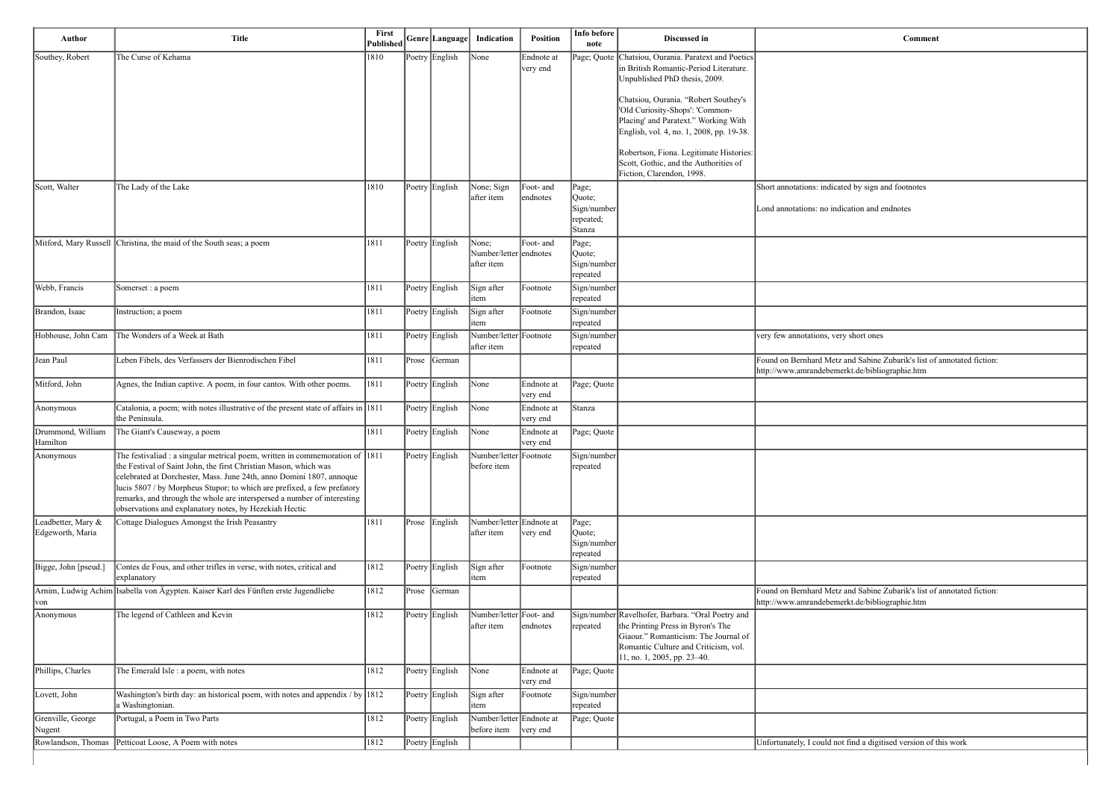| Author                                 | Title                                                                                                                                                                                                                                                                                                                                                                                                                                    | First<br>Published |           | Genre Language | Indication                                    | <b>Position</b>        | Info before<br>note                                   | Discussed in                                                                                                                                                                                          | Comment                                                                                                                  |
|----------------------------------------|------------------------------------------------------------------------------------------------------------------------------------------------------------------------------------------------------------------------------------------------------------------------------------------------------------------------------------------------------------------------------------------------------------------------------------------|--------------------|-----------|----------------|-----------------------------------------------|------------------------|-------------------------------------------------------|-------------------------------------------------------------------------------------------------------------------------------------------------------------------------------------------------------|--------------------------------------------------------------------------------------------------------------------------|
| Southey, Robert                        | The Curse of Kehama                                                                                                                                                                                                                                                                                                                                                                                                                      | 1810               |           | Poetry English | None                                          | Endnote at<br>very end |                                                       | Page; Quote   Chatsiou, Ourania. Paratext and Poetics<br>in British Romantic-Period Literature.<br>Unpublished PhD thesis, 2009.                                                                      |                                                                                                                          |
|                                        |                                                                                                                                                                                                                                                                                                                                                                                                                                          |                    |           |                |                                               |                        |                                                       | Chatsiou, Ourania. "Robert Southey's<br>'Old Curiosity-Shops': 'Common-<br>Placing' and Paratext." Working With<br>English, vol. 4, no. 1, 2008, pp. 19-38.                                           |                                                                                                                          |
|                                        |                                                                                                                                                                                                                                                                                                                                                                                                                                          |                    |           |                |                                               |                        |                                                       | Robertson, Fiona. Legitimate Histories:<br>Scott, Gothic, and the Authorities of<br>Fiction, Clarendon, 1998.                                                                                         |                                                                                                                          |
| Scott, Walter                          | The Lady of the Lake                                                                                                                                                                                                                                                                                                                                                                                                                     | 1810               |           | Poetry English | None; Sign<br>after item                      | Foot- and<br>endnotes  | Page;<br>Quote;<br>Sign/number<br>repeated;<br>Stanza |                                                                                                                                                                                                       | Short annotations: indicated by sign and footnotes<br>Lond annotations: no indication and endnotes                       |
|                                        | Mitford, Mary Russell Christina, the maid of the South seas; a poem                                                                                                                                                                                                                                                                                                                                                                      | 1811               |           | Poetry English | None;<br>Number/letter endnotes<br>after item | Foot- and              | Page;<br>Quote;<br>Sign/number<br>repeated            |                                                                                                                                                                                                       |                                                                                                                          |
| Webb, Francis                          | Somerset : a poem                                                                                                                                                                                                                                                                                                                                                                                                                        | 1811               |           | Poetry English | Sign after<br>item                            | Footnote               | Sign/number<br>repeated                               |                                                                                                                                                                                                       |                                                                                                                          |
| Brandon, Isaac                         | Instruction; a poem                                                                                                                                                                                                                                                                                                                                                                                                                      | 1811               |           | Poetry English | Sign after<br>item                            | Footnote               | Sign/number<br>repeated                               |                                                                                                                                                                                                       |                                                                                                                          |
| Hobhouse, John Cam                     | The Wonders of a Week at Bath                                                                                                                                                                                                                                                                                                                                                                                                            | 1811               |           | Poetry English | Number/letter Footnote<br>after item          |                        | Sign/number<br>repeated                               |                                                                                                                                                                                                       | very few annotations, very short ones                                                                                    |
| Jean Paul                              | Leben Fibels, des Verfassers der Bienrodischen Fibel                                                                                                                                                                                                                                                                                                                                                                                     | 1811               | $ $ Prose | <b>S</b> erman |                                               |                        |                                                       |                                                                                                                                                                                                       | Found on Bernhard Metz and Sabine Zubarik's list of annotated fiction:<br>http://www.amrandebemerkt.de/bibliographie.htm |
| Mitford, John                          | Agnes, the Indian captive. A poem, in four cantos. With other poems.                                                                                                                                                                                                                                                                                                                                                                     | 1811               |           | Poetry English | None                                          | Endnote at<br>very end | Page; Quote                                           |                                                                                                                                                                                                       |                                                                                                                          |
| Anonymous                              | Catalonia, a poem; with notes illustrative of the present state of affairs in 1811<br>the Peninsula.                                                                                                                                                                                                                                                                                                                                     |                    |           | Poetry English | None                                          | Endnote at<br>very end | Stanza                                                |                                                                                                                                                                                                       |                                                                                                                          |
| Drummond, William<br>Hamilton          | The Giant's Causeway, a poem                                                                                                                                                                                                                                                                                                                                                                                                             | 1811               |           | Poetry English | None                                          | Endnote at<br>very end | Page; Quote                                           |                                                                                                                                                                                                       |                                                                                                                          |
| Anonymous                              | The festivaliad : a singular metrical poem, written in commemoration of 1811<br>the Festival of Saint John, the first Christian Mason, which was<br>celebrated at Dorchester, Mass. June 24th, anno Domini 1807, annoque<br>lucis 5807 / by Morpheus Stupor; to which are prefixed, a few prefatory<br>remarks, and through the whole are interspersed a number of interesting<br>observations and explanatory notes, by Hezekiah Hectic |                    |           | Poetry English | Number/letter Footnote<br>before item         |                        | Sign/number<br>repeated                               |                                                                                                                                                                                                       |                                                                                                                          |
| Leadbetter, Mary &<br>Edgeworth, Maria | Cottage Dialogues Amongst the Irish Peasantry                                                                                                                                                                                                                                                                                                                                                                                            | 1811               |           | Prose English  | Number/letter Endnote at<br>after item        | very end               | Page;<br>Quote;<br>Sign/number<br>repeated            |                                                                                                                                                                                                       |                                                                                                                          |
| Bigge, John [pseud.]                   | Contes de Fous, and other trifles in verse, with notes, critical and<br>explanatory                                                                                                                                                                                                                                                                                                                                                      | 1812               |           | Poetry English | Sign after<br>item                            | Footnote               | Sign/number<br>repeated                               |                                                                                                                                                                                                       |                                                                                                                          |
| von                                    | Arnim, Ludwig Achim Isabella von Ägypten. Kaiser Karl des Fünften erste Jugendliebe                                                                                                                                                                                                                                                                                                                                                      | 1812               |           | Prose German   |                                               |                        |                                                       |                                                                                                                                                                                                       | Found on Bernhard Metz and Sabine Zubarik's list of annotated fiction:<br>http://www.amrandebemerkt.de/bibliographie.htm |
| Anonymous                              | The legend of Cathleen and Kevin                                                                                                                                                                                                                                                                                                                                                                                                         | 1812               |           | Poetry English | Number/letter Foot- and<br>after item         | endnotes               | repeated                                              | Sign/number Ravelhofer, Barbara. "Oral Poetry and<br>the Printing Press in Byron's The<br>Giaour." Romanticism: The Journal of<br>Romantic Culture and Criticism, vol.<br>11, no. 1, 2005, pp. 23–40. |                                                                                                                          |
| Phillips, Charles                      | The Emerald Isle : a poem, with notes                                                                                                                                                                                                                                                                                                                                                                                                    | 1812               |           | Poetry English | None                                          | Endnote at<br>very end | Page; Quote                                           |                                                                                                                                                                                                       |                                                                                                                          |
| Lovett, John                           | Washington's birth day: an historical poem, with notes and appendix / by $ 1812\rangle$<br>u Washingtonian.                                                                                                                                                                                                                                                                                                                              |                    |           | Poetry English | Sign after<br>item                            | Footnote               | Sign/number<br>repeated                               |                                                                                                                                                                                                       |                                                                                                                          |
| Grenville, George<br>Nugent            | Portugal, a Poem in Two Parts                                                                                                                                                                                                                                                                                                                                                                                                            | 1812               |           | Poetry English | Number/letter Endnote at<br>before item       | very end               | Page; Quote                                           |                                                                                                                                                                                                       |                                                                                                                          |
| Rowlandson, Thomas                     | Petticoat Loose, A Poem with notes                                                                                                                                                                                                                                                                                                                                                                                                       | 1812               |           | Poetry English |                                               |                        |                                                       |                                                                                                                                                                                                       | Unfortunately, I could not find a digitised version of this work                                                         |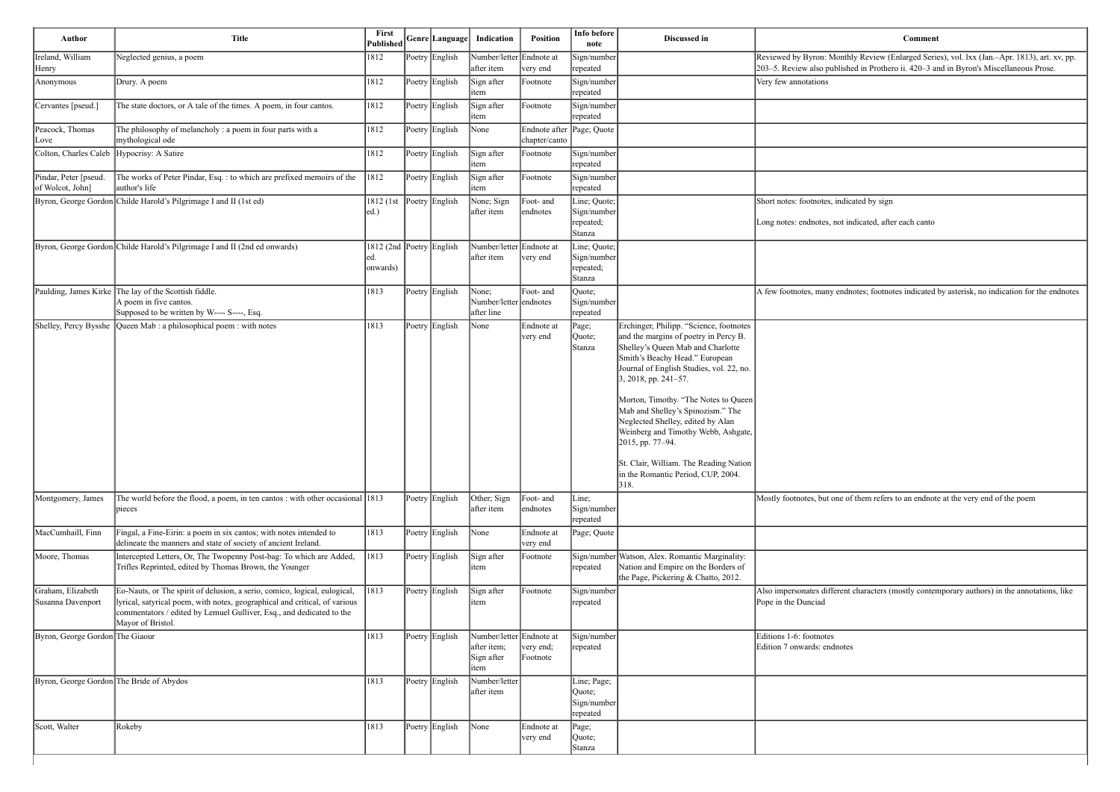Reviewed by Byron: Monthly Review (Enlarged Series), vol. lxx (Jan.–Apr. 1813), art. xv, pp. 203–5. Review also published in Prothero ii. 420–3 and in Byron's Miscellaneous Prose.

dnotes; footnotes indicated by asterisk, no indication for the endnotes

of them refers to an endnote at the very end of the poem

Int characters (mostly contemporary authors) in the annotations, like

| Author                                    | <b>Title</b>                                                                                                                                                                                                                                         | Published Genre Language                     |                | Indication                                                    | <b>Position</b>                            | Info before<br>note                                | Discussed in                                                                                                                                                                                                                                                                                                                                                                                                                                                                                     | Comment                                                                                                     |
|-------------------------------------------|------------------------------------------------------------------------------------------------------------------------------------------------------------------------------------------------------------------------------------------------------|----------------------------------------------|----------------|---------------------------------------------------------------|--------------------------------------------|----------------------------------------------------|--------------------------------------------------------------------------------------------------------------------------------------------------------------------------------------------------------------------------------------------------------------------------------------------------------------------------------------------------------------------------------------------------------------------------------------------------------------------------------------------------|-------------------------------------------------------------------------------------------------------------|
| Ireland, William<br>Henry                 | Neglected genius, a poem                                                                                                                                                                                                                             | 1812                                         | Poetry English | Number/letter Endnote at<br>after item                        | very end                                   | Sign/number<br>repeated                            |                                                                                                                                                                                                                                                                                                                                                                                                                                                                                                  | Reviewed by Byron: Monthly Review (Enlarged Serie<br>203-5. Review also published in Prothero ii. 420-3 and |
| Anonymous                                 | Drury. A poem                                                                                                                                                                                                                                        | 1812                                         | Poetry English | Sign after<br>tem                                             | Footnote                                   | Sign/number<br>repeated                            |                                                                                                                                                                                                                                                                                                                                                                                                                                                                                                  | Very few annotations                                                                                        |
| Cervantes [pseud.]                        | The state doctors, or A tale of the times. A poem, in four cantos.                                                                                                                                                                                   | 1812                                         | Poetry English | Sign after<br>item                                            | Footnote                                   | Sign/number<br>repeated                            |                                                                                                                                                                                                                                                                                                                                                                                                                                                                                                  |                                                                                                             |
| Peacock, Thomas<br>Love                   | The philosophy of melancholy : a poem in four parts with a<br>mythological ode                                                                                                                                                                       | 1812                                         | Poetry English | None                                                          | Endnote after Page; Quote<br>chapter/canto |                                                    |                                                                                                                                                                                                                                                                                                                                                                                                                                                                                                  |                                                                                                             |
| Colton, Charles Caleb Hypocrisy: A Satire |                                                                                                                                                                                                                                                      | 1812                                         | Poetry English | Sign after<br>item                                            | Footnote                                   | Sign/number<br>repeated                            |                                                                                                                                                                                                                                                                                                                                                                                                                                                                                                  |                                                                                                             |
| Pindar, Peter [pseud.<br>of Wolcot, John] | The works of Peter Pindar, Esq. : to which are prefixed memoirs of the<br>author's life                                                                                                                                                              | 1812                                         | Poetry English | Sign after<br>item                                            | Footnote                                   | Sign/number<br>repeated                            |                                                                                                                                                                                                                                                                                                                                                                                                                                                                                                  |                                                                                                             |
|                                           | Byron, George Gordon Childe Harold's Pilgrimage I and II (1st ed)                                                                                                                                                                                    | 1812 (1st Poetry English<br> ed.             |                | None; Sign<br>after item                                      | Foot- and<br>endnotes                      | Line; Quote;<br>Sign/number<br>repeated;<br>Stanza |                                                                                                                                                                                                                                                                                                                                                                                                                                                                                                  | Short notes: footnotes, indicated by sign<br>Long notes: endnotes, not indicated, after each canto          |
|                                           | Byron, George Gordon Childe Harold's Pilgrimage I and II (2nd ed onwards)                                                                                                                                                                            | 1812 (2nd Poetry English<br>led.<br>onwards) |                | Number/letter Endnote at<br>after item                        | very end                                   | Line; Quote;<br>Sign/number<br>repeated;<br>Stanza |                                                                                                                                                                                                                                                                                                                                                                                                                                                                                                  |                                                                                                             |
|                                           | Paulding, James Kirke The lay of the Scottish fiddle.<br>A poem in five cantos.<br>Supposed to be written by W---- S----, Esq.                                                                                                                       | 1813                                         | Poetry English | None;<br>Number/letter endnotes<br>after line                 | Foot- and                                  | Quote;<br>Sign/number<br>repeated                  |                                                                                                                                                                                                                                                                                                                                                                                                                                                                                                  | A few footnotes, many endnotes; footnotes indicated                                                         |
|                                           | Shelley, Percy Bysshe Queen Mab : a philosophical poem : with notes                                                                                                                                                                                  | 1813                                         | Poetry English | None                                                          | Endnote at<br>very end                     | Page;<br>Quote;<br>Stanza                          | Erchinger, Philipp. "Science, footnotes<br>and the margins of poetry in Percy B.<br>Shelley's Queen Mab and Charlotte<br>Smith's Beachy Head." European<br>Journal of English Studies, vol. 22, no.<br>3, 2018, pp. 241-57.<br>Morton, Timothy. "The Notes to Queen<br>Mab and Shelley's Spinozism." The<br>Neglected Shelley, edited by Alan<br>Weinberg and Timothy Webb, Ashgate,<br>2015, pp. 77-94.<br>St. Clair, William. The Reading Nation<br>in the Romantic Period, CUP, 2004.<br>318. |                                                                                                             |
| Montgomery, James                         | The world before the flood, a poem, in ten cantos: with other occasional $ 1813\rangle$<br>pieces                                                                                                                                                    |                                              | Poetry English | Other; Sign<br>after item                                     | Foot- and<br>endnotes                      | Line;<br>Sign/number<br>repeated                   |                                                                                                                                                                                                                                                                                                                                                                                                                                                                                                  | Mostly footnotes, but one of them refers to an endnote                                                      |
| MacCumhaill, Finn                         | Fingal, a Fine-Eirin: a poem in six cantos; with notes intended to<br>delineate the manners and state of society of ancient Ireland.                                                                                                                 | 1813                                         | Poetry English | None                                                          | Endnote at<br>very end                     | Page; Quote                                        |                                                                                                                                                                                                                                                                                                                                                                                                                                                                                                  |                                                                                                             |
| Moore, Thomas                             | Intercepted Letters, Or, The Twopenny Post-bag: To which are Added,<br>Trifles Reprinted, edited by Thomas Brown, the Younger                                                                                                                        | 1813                                         | Poetry English | Sign after<br>item                                            | Footnote                                   | repeated                                           | Sign/number Watson, Alex. Romantic Marginality:<br>Nation and Empire on the Borders of<br>the Page, Pickering & Chatto, 2012.                                                                                                                                                                                                                                                                                                                                                                    |                                                                                                             |
| Graham, Elizabeth<br>Susanna Davenport    | Eo-Nauts, or The spirit of delusion, a serio, comico, logical, eulogical,<br>lyrical, satyrical poem, with notes, geographical and critical, of various<br>commentators / edited by Lemuel Gulliver, Esq., and dedicated to the<br>Mayor of Bristol. | 1813                                         | Poetry English | Sign after<br>litem                                           | Footnote                                   | Sign/number<br>repeated                            |                                                                                                                                                                                                                                                                                                                                                                                                                                                                                                  | Also impersonates different characters (mostly conter<br>Pope in the Dunciad                                |
| Byron, George Gordon The Giaour           |                                                                                                                                                                                                                                                      | 1813                                         | Poetry English | Number/letter Endnote at<br>after item;<br>Sign after<br>item | very end;<br>Footnote                      | Sign/number<br>repeated                            |                                                                                                                                                                                                                                                                                                                                                                                                                                                                                                  | Editions 1-6: footnotes<br>Edition 7 onwards: endnotes                                                      |
| Byron, George Gordon The Bride of Abydos  |                                                                                                                                                                                                                                                      | 1813                                         | Poetry English | Number/letter<br>after item                                   |                                            | Line; Page;<br>Quote;<br>Sign/number<br>repeated   |                                                                                                                                                                                                                                                                                                                                                                                                                                                                                                  |                                                                                                             |
| Scott, Walter                             | Rokeby                                                                                                                                                                                                                                               | 1813                                         | Poetry English | None                                                          | Endnote at<br>very end                     | Page;<br>Quote;<br>Stanza                          |                                                                                                                                                                                                                                                                                                                                                                                                                                                                                                  |                                                                                                             |

| Comment |  |  |  |  |  |
|---------|--|--|--|--|--|
|---------|--|--|--|--|--|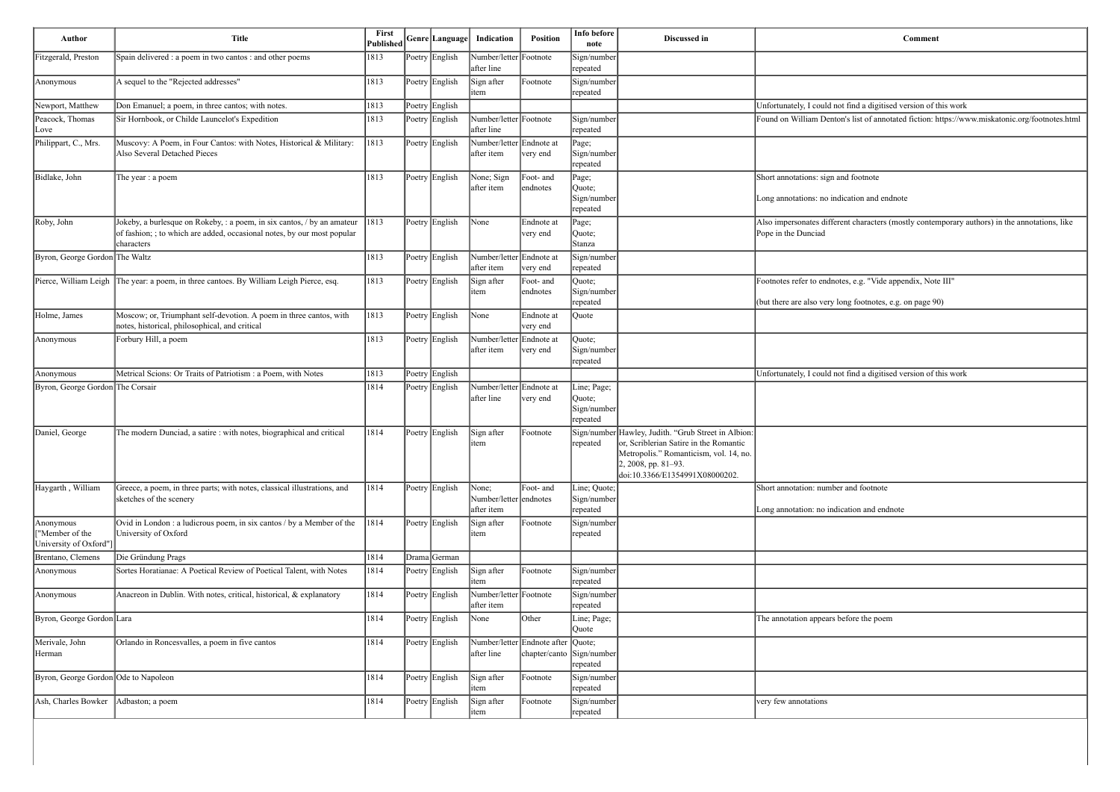t find a digitised version of this work

n's list of annotated fiction: https://www.miskatonic.org/footnotes.html

nd footnote

ication and endnote

ent characters (mostly contemporary authors) in the annotations, like

es, e.g. "Vide appendix, Note III"

ong footnotes, e.g. on page 90)

If find a digitised version of this work

r and footnote

cation and endnote

efore the poem

| Poetry English<br>Fitzgerald, Preston<br>Spain delivered : a poem in two cantos : and other poems<br>1813<br>Number/letter Footnote<br>Sign/number<br>after line<br>repeated<br>1813<br>Poetry English<br>Footnote<br>A sequel to the "Rejected addresses"<br>Sign after<br>Sign/number<br>Anonymous<br>repeated<br>item<br>1813<br>Poetry English<br>Don Emanuel; a poem, in three cantos; with notes.<br>1813<br>Poetry English<br>Number/letter Footnote<br>Peacock, Thomas<br>Sir Hornbook, or Childe Launcelot's Expedition<br>Sign/number<br>after line<br>repeated<br>Love<br>1813<br>Muscovy: A Poem, in Four Cantos: with Notes, Historical & Military:<br>Poetry English<br>Number/letter Endnote at<br>Philippart, C., Mrs.<br>Page;<br>Also Several Detached Pieces<br>after item<br>Sign/number<br>very end<br>repeated<br>Poetry English<br>Bidlake, John<br>1813<br>None; Sign<br>Foot- and<br>Page;<br>The year : a poem<br>after item<br>endnotes<br>Quote;<br>Sign/number<br>repeated<br>Jokeby, a burlesque on Rokeby, : a poem, in six cantos, / by an amateur<br> 1813<br>Poetry English<br>None<br>Roby, John<br>Endnote at<br>Page;<br>of fashion; ; to which are added, occasional notes, by our most popular<br>Pope in the Dunciad<br>very end<br>Quote;<br>characters<br>Stanza<br>Byron, George Gordon The Waltz<br>1813<br>Poetry English<br>Number/letter Endnote at<br>Sign/number<br>after item<br>very end<br>repeated<br>Pierce, William Leigh The year: a poem, in three cantoes. By William Leigh Pierce, esq.<br>1813<br>Poetry English<br>Sign after<br>Foot- and<br>Quote;<br>Sign/number<br>item<br> endnotes<br>repeated<br>Moscow; or, Triumphant self-devotion. A poem in three cantos, with<br>1813<br>Poetry English<br>None<br>Holme, James<br>Endnote at<br>Quote<br>notes, historical, philosophical, and critical<br>very end<br>Forbury Hill, a poem<br>1813<br>Poetry English<br>Number/letter Endnote at<br>Quote;<br>Anonymous<br>after item<br>Sign/number<br>very end<br>repeated<br>Poetry English<br>Metrical Scions: Or Traits of Patriotism : a Poem, with Notes<br>1813<br>Anonymous<br>Byron, George Gordon The Corsair<br>Number/letter Endnote at<br>1814<br>Poetry English<br>Line; Page;<br>after line<br>very end<br>Quote;<br>Sign/number<br>repeated<br>1814<br>Sign/number Hawley, Judith. "Grub Street in Albion:<br>Daniel, George<br>The modern Dunciad, a satire : with notes, biographical and critical<br>Poetry English<br>Sign after<br>Footnote<br>or, Scriblerian Satire in the Romantic<br>repeated<br>item<br>Metropolis." Romanticism, vol. 14, no.<br>2, 2008, pp. 81-93.<br>doi:10.3366/E1354991X08000202.<br>Poetry English<br>Haygarth, William<br>Greece, a poem, in three parts; with notes, classical illustrations, and<br>1814<br>None;<br>Foot- and<br>Line; Quote;<br>sketches of the scenery<br>Number/letter endnotes<br>Sign/number<br>after item<br>repeated<br>1814<br>Poetry English<br>Ovid in London : a ludicrous poem, in six cantos / by a Member of the<br>Sign after<br>Sign/number<br>Anonymous<br>Footnote<br>"Member of the<br>University of Oxford<br>repeated<br>item<br>University of Oxford"]<br>1814<br>Brentano, Clemens<br>Die Gründung Prags<br>Drama German<br>Sortes Horatianae: A Poetical Review of Poetical Talent, with Notes<br>1814<br>Poetry English<br>Sign after<br>Footnote<br>Anonymous<br>Sign/number<br>repeated<br>item<br>Anacreon in Dublin. With notes, critical, historical, & explanatory<br>1814<br>Poetry English<br>Number/letter Footnote<br>Sign/number<br>Anonymous<br>after item<br>repeated<br>Poetry English<br>Other<br>Byron, George Gordon Lara<br>1814<br>None<br>Line; Page;<br>Quote<br>Merivale, John<br>Poetry English<br>Number/letter Endnote after Quote;<br>Orlando in Roncesvalles, a poem in five cantos<br>1814<br>after line<br>chapter/canto<br>Herman<br>Sign/number<br>repeated<br>Byron, George Gordon Ode to Napoleon<br>1814<br>Poetry English<br>Sign after<br>Footnote<br>Sign/number<br>repeated<br>item<br>1814<br>Poetry English<br>Footnote<br>Ash, Charles Bowker<br>Adbaston; a poem<br>Sign after<br>Sign/number<br>very few annotations<br>repeated<br>item | Author           | <b>Title</b> | First<br><b>Published</b> | Genre Language | Indication | Position | Info before<br>note | Discussed in |                                                            |
|------------------------------------------------------------------------------------------------------------------------------------------------------------------------------------------------------------------------------------------------------------------------------------------------------------------------------------------------------------------------------------------------------------------------------------------------------------------------------------------------------------------------------------------------------------------------------------------------------------------------------------------------------------------------------------------------------------------------------------------------------------------------------------------------------------------------------------------------------------------------------------------------------------------------------------------------------------------------------------------------------------------------------------------------------------------------------------------------------------------------------------------------------------------------------------------------------------------------------------------------------------------------------------------------------------------------------------------------------------------------------------------------------------------------------------------------------------------------------------------------------------------------------------------------------------------------------------------------------------------------------------------------------------------------------------------------------------------------------------------------------------------------------------------------------------------------------------------------------------------------------------------------------------------------------------------------------------------------------------------------------------------------------------------------------------------------------------------------------------------------------------------------------------------------------------------------------------------------------------------------------------------------------------------------------------------------------------------------------------------------------------------------------------------------------------------------------------------------------------------------------------------------------------------------------------------------------------------------------------------------------------------------------------------------------------------------------------------------------------------------------------------------------------------------------------------------------------------------------------------------------------------------------------------------------------------------------------------------------------------------------------------------------------------------------------------------------------------------------------------------------------------------------------------------------------------------------------------------------------------------------------------------------------------------------------------------------------------------------------------------------------------------------------------------------------------------------------------------------------------------------------------------------------------------------------------------------------------------------------------------------------------------------------------------------------------------------------------------------------------------------------------------------------------------------------------------------------------------------------------------------------------------------------------------------------------------------------------------------------------------------------------------------------------------------------------------------------------------------------------------------------------------------------------------------------------------------------------------------------------------|------------------|--------------|---------------------------|----------------|------------|----------|---------------------|--------------|------------------------------------------------------------|
|                                                                                                                                                                                                                                                                                                                                                                                                                                                                                                                                                                                                                                                                                                                                                                                                                                                                                                                                                                                                                                                                                                                                                                                                                                                                                                                                                                                                                                                                                                                                                                                                                                                                                                                                                                                                                                                                                                                                                                                                                                                                                                                                                                                                                                                                                                                                                                                                                                                                                                                                                                                                                                                                                                                                                                                                                                                                                                                                                                                                                                                                                                                                                                                                                                                                                                                                                                                                                                                                                                                                                                                                                                                                                                                                                                                                                                                                                                                                                                                                                                                                                                                                                                                                                                                |                  |              |                           |                |            |          |                     |              |                                                            |
|                                                                                                                                                                                                                                                                                                                                                                                                                                                                                                                                                                                                                                                                                                                                                                                                                                                                                                                                                                                                                                                                                                                                                                                                                                                                                                                                                                                                                                                                                                                                                                                                                                                                                                                                                                                                                                                                                                                                                                                                                                                                                                                                                                                                                                                                                                                                                                                                                                                                                                                                                                                                                                                                                                                                                                                                                                                                                                                                                                                                                                                                                                                                                                                                                                                                                                                                                                                                                                                                                                                                                                                                                                                                                                                                                                                                                                                                                                                                                                                                                                                                                                                                                                                                                                                |                  |              |                           |                |            |          |                     |              |                                                            |
|                                                                                                                                                                                                                                                                                                                                                                                                                                                                                                                                                                                                                                                                                                                                                                                                                                                                                                                                                                                                                                                                                                                                                                                                                                                                                                                                                                                                                                                                                                                                                                                                                                                                                                                                                                                                                                                                                                                                                                                                                                                                                                                                                                                                                                                                                                                                                                                                                                                                                                                                                                                                                                                                                                                                                                                                                                                                                                                                                                                                                                                                                                                                                                                                                                                                                                                                                                                                                                                                                                                                                                                                                                                                                                                                                                                                                                                                                                                                                                                                                                                                                                                                                                                                                                                | Newport, Matthew |              |                           |                |            |          |                     |              | Unfortunately, I could not                                 |
|                                                                                                                                                                                                                                                                                                                                                                                                                                                                                                                                                                                                                                                                                                                                                                                                                                                                                                                                                                                                                                                                                                                                                                                                                                                                                                                                                                                                                                                                                                                                                                                                                                                                                                                                                                                                                                                                                                                                                                                                                                                                                                                                                                                                                                                                                                                                                                                                                                                                                                                                                                                                                                                                                                                                                                                                                                                                                                                                                                                                                                                                                                                                                                                                                                                                                                                                                                                                                                                                                                                                                                                                                                                                                                                                                                                                                                                                                                                                                                                                                                                                                                                                                                                                                                                |                  |              |                           |                |            |          |                     |              | Found on William Denton                                    |
|                                                                                                                                                                                                                                                                                                                                                                                                                                                                                                                                                                                                                                                                                                                                                                                                                                                                                                                                                                                                                                                                                                                                                                                                                                                                                                                                                                                                                                                                                                                                                                                                                                                                                                                                                                                                                                                                                                                                                                                                                                                                                                                                                                                                                                                                                                                                                                                                                                                                                                                                                                                                                                                                                                                                                                                                                                                                                                                                                                                                                                                                                                                                                                                                                                                                                                                                                                                                                                                                                                                                                                                                                                                                                                                                                                                                                                                                                                                                                                                                                                                                                                                                                                                                                                                |                  |              |                           |                |            |          |                     |              |                                                            |
|                                                                                                                                                                                                                                                                                                                                                                                                                                                                                                                                                                                                                                                                                                                                                                                                                                                                                                                                                                                                                                                                                                                                                                                                                                                                                                                                                                                                                                                                                                                                                                                                                                                                                                                                                                                                                                                                                                                                                                                                                                                                                                                                                                                                                                                                                                                                                                                                                                                                                                                                                                                                                                                                                                                                                                                                                                                                                                                                                                                                                                                                                                                                                                                                                                                                                                                                                                                                                                                                                                                                                                                                                                                                                                                                                                                                                                                                                                                                                                                                                                                                                                                                                                                                                                                |                  |              |                           |                |            |          |                     |              | Short annotations: sign an<br>Long annotations: no indio   |
|                                                                                                                                                                                                                                                                                                                                                                                                                                                                                                                                                                                                                                                                                                                                                                                                                                                                                                                                                                                                                                                                                                                                                                                                                                                                                                                                                                                                                                                                                                                                                                                                                                                                                                                                                                                                                                                                                                                                                                                                                                                                                                                                                                                                                                                                                                                                                                                                                                                                                                                                                                                                                                                                                                                                                                                                                                                                                                                                                                                                                                                                                                                                                                                                                                                                                                                                                                                                                                                                                                                                                                                                                                                                                                                                                                                                                                                                                                                                                                                                                                                                                                                                                                                                                                                |                  |              |                           |                |            |          |                     |              | Also impersonates differer                                 |
|                                                                                                                                                                                                                                                                                                                                                                                                                                                                                                                                                                                                                                                                                                                                                                                                                                                                                                                                                                                                                                                                                                                                                                                                                                                                                                                                                                                                                                                                                                                                                                                                                                                                                                                                                                                                                                                                                                                                                                                                                                                                                                                                                                                                                                                                                                                                                                                                                                                                                                                                                                                                                                                                                                                                                                                                                                                                                                                                                                                                                                                                                                                                                                                                                                                                                                                                                                                                                                                                                                                                                                                                                                                                                                                                                                                                                                                                                                                                                                                                                                                                                                                                                                                                                                                |                  |              |                           |                |            |          |                     |              |                                                            |
|                                                                                                                                                                                                                                                                                                                                                                                                                                                                                                                                                                                                                                                                                                                                                                                                                                                                                                                                                                                                                                                                                                                                                                                                                                                                                                                                                                                                                                                                                                                                                                                                                                                                                                                                                                                                                                                                                                                                                                                                                                                                                                                                                                                                                                                                                                                                                                                                                                                                                                                                                                                                                                                                                                                                                                                                                                                                                                                                                                                                                                                                                                                                                                                                                                                                                                                                                                                                                                                                                                                                                                                                                                                                                                                                                                                                                                                                                                                                                                                                                                                                                                                                                                                                                                                |                  |              |                           |                |            |          |                     |              | Footnotes refer to endnote<br>(but there are also very lor |
|                                                                                                                                                                                                                                                                                                                                                                                                                                                                                                                                                                                                                                                                                                                                                                                                                                                                                                                                                                                                                                                                                                                                                                                                                                                                                                                                                                                                                                                                                                                                                                                                                                                                                                                                                                                                                                                                                                                                                                                                                                                                                                                                                                                                                                                                                                                                                                                                                                                                                                                                                                                                                                                                                                                                                                                                                                                                                                                                                                                                                                                                                                                                                                                                                                                                                                                                                                                                                                                                                                                                                                                                                                                                                                                                                                                                                                                                                                                                                                                                                                                                                                                                                                                                                                                |                  |              |                           |                |            |          |                     |              |                                                            |
|                                                                                                                                                                                                                                                                                                                                                                                                                                                                                                                                                                                                                                                                                                                                                                                                                                                                                                                                                                                                                                                                                                                                                                                                                                                                                                                                                                                                                                                                                                                                                                                                                                                                                                                                                                                                                                                                                                                                                                                                                                                                                                                                                                                                                                                                                                                                                                                                                                                                                                                                                                                                                                                                                                                                                                                                                                                                                                                                                                                                                                                                                                                                                                                                                                                                                                                                                                                                                                                                                                                                                                                                                                                                                                                                                                                                                                                                                                                                                                                                                                                                                                                                                                                                                                                |                  |              |                           |                |            |          |                     |              |                                                            |
|                                                                                                                                                                                                                                                                                                                                                                                                                                                                                                                                                                                                                                                                                                                                                                                                                                                                                                                                                                                                                                                                                                                                                                                                                                                                                                                                                                                                                                                                                                                                                                                                                                                                                                                                                                                                                                                                                                                                                                                                                                                                                                                                                                                                                                                                                                                                                                                                                                                                                                                                                                                                                                                                                                                                                                                                                                                                                                                                                                                                                                                                                                                                                                                                                                                                                                                                                                                                                                                                                                                                                                                                                                                                                                                                                                                                                                                                                                                                                                                                                                                                                                                                                                                                                                                |                  |              |                           |                |            |          |                     |              | Unfortunately, I could not                                 |
|                                                                                                                                                                                                                                                                                                                                                                                                                                                                                                                                                                                                                                                                                                                                                                                                                                                                                                                                                                                                                                                                                                                                                                                                                                                                                                                                                                                                                                                                                                                                                                                                                                                                                                                                                                                                                                                                                                                                                                                                                                                                                                                                                                                                                                                                                                                                                                                                                                                                                                                                                                                                                                                                                                                                                                                                                                                                                                                                                                                                                                                                                                                                                                                                                                                                                                                                                                                                                                                                                                                                                                                                                                                                                                                                                                                                                                                                                                                                                                                                                                                                                                                                                                                                                                                |                  |              |                           |                |            |          |                     |              |                                                            |
|                                                                                                                                                                                                                                                                                                                                                                                                                                                                                                                                                                                                                                                                                                                                                                                                                                                                                                                                                                                                                                                                                                                                                                                                                                                                                                                                                                                                                                                                                                                                                                                                                                                                                                                                                                                                                                                                                                                                                                                                                                                                                                                                                                                                                                                                                                                                                                                                                                                                                                                                                                                                                                                                                                                                                                                                                                                                                                                                                                                                                                                                                                                                                                                                                                                                                                                                                                                                                                                                                                                                                                                                                                                                                                                                                                                                                                                                                                                                                                                                                                                                                                                                                                                                                                                |                  |              |                           |                |            |          |                     |              |                                                            |
|                                                                                                                                                                                                                                                                                                                                                                                                                                                                                                                                                                                                                                                                                                                                                                                                                                                                                                                                                                                                                                                                                                                                                                                                                                                                                                                                                                                                                                                                                                                                                                                                                                                                                                                                                                                                                                                                                                                                                                                                                                                                                                                                                                                                                                                                                                                                                                                                                                                                                                                                                                                                                                                                                                                                                                                                                                                                                                                                                                                                                                                                                                                                                                                                                                                                                                                                                                                                                                                                                                                                                                                                                                                                                                                                                                                                                                                                                                                                                                                                                                                                                                                                                                                                                                                |                  |              |                           |                |            |          |                     |              | Short annotation: number<br>Long annotation: no indic-     |
|                                                                                                                                                                                                                                                                                                                                                                                                                                                                                                                                                                                                                                                                                                                                                                                                                                                                                                                                                                                                                                                                                                                                                                                                                                                                                                                                                                                                                                                                                                                                                                                                                                                                                                                                                                                                                                                                                                                                                                                                                                                                                                                                                                                                                                                                                                                                                                                                                                                                                                                                                                                                                                                                                                                                                                                                                                                                                                                                                                                                                                                                                                                                                                                                                                                                                                                                                                                                                                                                                                                                                                                                                                                                                                                                                                                                                                                                                                                                                                                                                                                                                                                                                                                                                                                |                  |              |                           |                |            |          |                     |              |                                                            |
|                                                                                                                                                                                                                                                                                                                                                                                                                                                                                                                                                                                                                                                                                                                                                                                                                                                                                                                                                                                                                                                                                                                                                                                                                                                                                                                                                                                                                                                                                                                                                                                                                                                                                                                                                                                                                                                                                                                                                                                                                                                                                                                                                                                                                                                                                                                                                                                                                                                                                                                                                                                                                                                                                                                                                                                                                                                                                                                                                                                                                                                                                                                                                                                                                                                                                                                                                                                                                                                                                                                                                                                                                                                                                                                                                                                                                                                                                                                                                                                                                                                                                                                                                                                                                                                |                  |              |                           |                |            |          |                     |              |                                                            |
|                                                                                                                                                                                                                                                                                                                                                                                                                                                                                                                                                                                                                                                                                                                                                                                                                                                                                                                                                                                                                                                                                                                                                                                                                                                                                                                                                                                                                                                                                                                                                                                                                                                                                                                                                                                                                                                                                                                                                                                                                                                                                                                                                                                                                                                                                                                                                                                                                                                                                                                                                                                                                                                                                                                                                                                                                                                                                                                                                                                                                                                                                                                                                                                                                                                                                                                                                                                                                                                                                                                                                                                                                                                                                                                                                                                                                                                                                                                                                                                                                                                                                                                                                                                                                                                |                  |              |                           |                |            |          |                     |              |                                                            |
|                                                                                                                                                                                                                                                                                                                                                                                                                                                                                                                                                                                                                                                                                                                                                                                                                                                                                                                                                                                                                                                                                                                                                                                                                                                                                                                                                                                                                                                                                                                                                                                                                                                                                                                                                                                                                                                                                                                                                                                                                                                                                                                                                                                                                                                                                                                                                                                                                                                                                                                                                                                                                                                                                                                                                                                                                                                                                                                                                                                                                                                                                                                                                                                                                                                                                                                                                                                                                                                                                                                                                                                                                                                                                                                                                                                                                                                                                                                                                                                                                                                                                                                                                                                                                                                |                  |              |                           |                |            |          |                     |              |                                                            |
|                                                                                                                                                                                                                                                                                                                                                                                                                                                                                                                                                                                                                                                                                                                                                                                                                                                                                                                                                                                                                                                                                                                                                                                                                                                                                                                                                                                                                                                                                                                                                                                                                                                                                                                                                                                                                                                                                                                                                                                                                                                                                                                                                                                                                                                                                                                                                                                                                                                                                                                                                                                                                                                                                                                                                                                                                                                                                                                                                                                                                                                                                                                                                                                                                                                                                                                                                                                                                                                                                                                                                                                                                                                                                                                                                                                                                                                                                                                                                                                                                                                                                                                                                                                                                                                |                  |              |                           |                |            |          |                     |              | The annotation appears be                                  |
|                                                                                                                                                                                                                                                                                                                                                                                                                                                                                                                                                                                                                                                                                                                                                                                                                                                                                                                                                                                                                                                                                                                                                                                                                                                                                                                                                                                                                                                                                                                                                                                                                                                                                                                                                                                                                                                                                                                                                                                                                                                                                                                                                                                                                                                                                                                                                                                                                                                                                                                                                                                                                                                                                                                                                                                                                                                                                                                                                                                                                                                                                                                                                                                                                                                                                                                                                                                                                                                                                                                                                                                                                                                                                                                                                                                                                                                                                                                                                                                                                                                                                                                                                                                                                                                |                  |              |                           |                |            |          |                     |              |                                                            |
|                                                                                                                                                                                                                                                                                                                                                                                                                                                                                                                                                                                                                                                                                                                                                                                                                                                                                                                                                                                                                                                                                                                                                                                                                                                                                                                                                                                                                                                                                                                                                                                                                                                                                                                                                                                                                                                                                                                                                                                                                                                                                                                                                                                                                                                                                                                                                                                                                                                                                                                                                                                                                                                                                                                                                                                                                                                                                                                                                                                                                                                                                                                                                                                                                                                                                                                                                                                                                                                                                                                                                                                                                                                                                                                                                                                                                                                                                                                                                                                                                                                                                                                                                                                                                                                |                  |              |                           |                |            |          |                     |              |                                                            |
|                                                                                                                                                                                                                                                                                                                                                                                                                                                                                                                                                                                                                                                                                                                                                                                                                                                                                                                                                                                                                                                                                                                                                                                                                                                                                                                                                                                                                                                                                                                                                                                                                                                                                                                                                                                                                                                                                                                                                                                                                                                                                                                                                                                                                                                                                                                                                                                                                                                                                                                                                                                                                                                                                                                                                                                                                                                                                                                                                                                                                                                                                                                                                                                                                                                                                                                                                                                                                                                                                                                                                                                                                                                                                                                                                                                                                                                                                                                                                                                                                                                                                                                                                                                                                                                |                  |              |                           |                |            |          |                     |              |                                                            |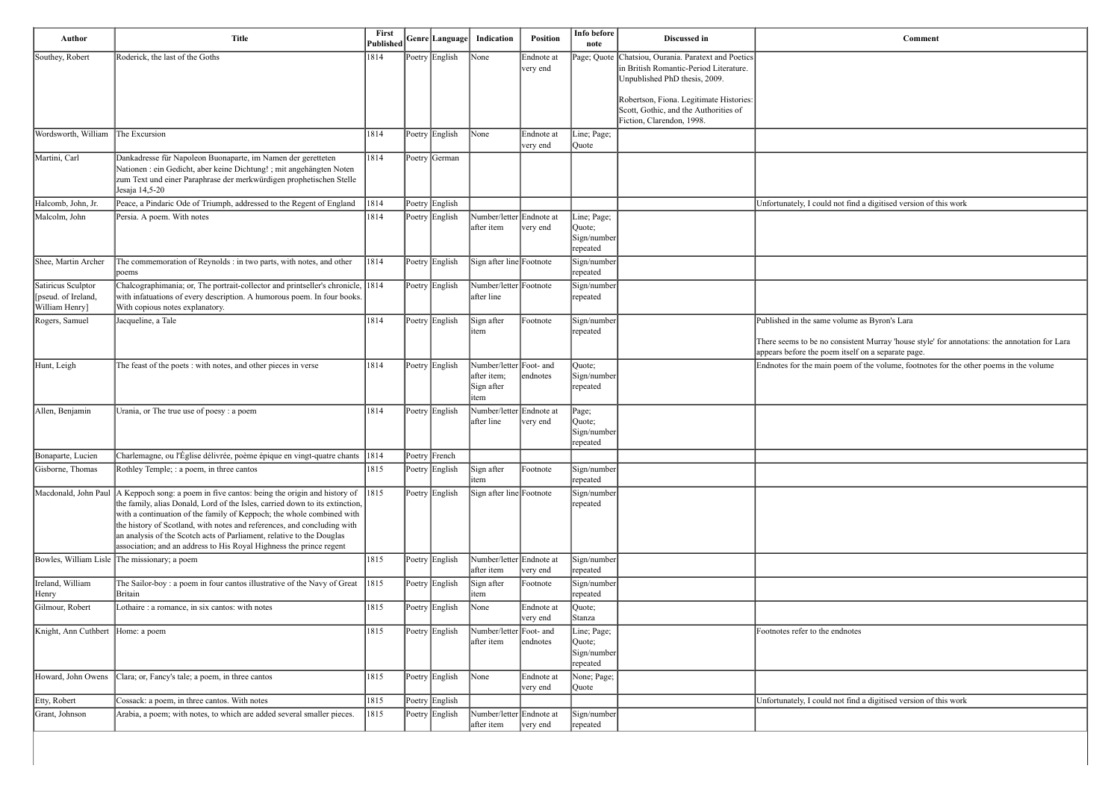| Comment                                                                                                                                             |
|-----------------------------------------------------------------------------------------------------------------------------------------------------|
|                                                                                                                                                     |
|                                                                                                                                                     |
|                                                                                                                                                     |
|                                                                                                                                                     |
|                                                                                                                                                     |
|                                                                                                                                                     |
| Unfortunately, I could not find a digitised version of this work                                                                                    |
|                                                                                                                                                     |
|                                                                                                                                                     |
|                                                                                                                                                     |
| Published in the same volume as Byron's Lara                                                                                                        |
| There seems to be no consistent Murray 'house style' for annotations: the annotation for Lara<br>appears before the poem itself on a separate page. |
| Endnotes for the main poem of the volume, footnotes for the other poems in the volume                                                               |
|                                                                                                                                                     |
|                                                                                                                                                     |
|                                                                                                                                                     |
|                                                                                                                                                     |
|                                                                                                                                                     |
|                                                                                                                                                     |
|                                                                                                                                                     |
|                                                                                                                                                     |
|                                                                                                                                                     |
|                                                                                                                                                     |
|                                                                                                                                                     |
| Footnotes refer to the endnotes                                                                                                                     |
|                                                                                                                                                     |
|                                                                                                                                                     |
| Unfortunately, I could not find a digitised version of this work                                                                                    |

| 1814<br>Poetry English<br>Page; Quote Chatsiou, Ourania. Paratext and Poetics<br>Southey, Robert<br>Roderick, the last of the Goths<br>$\sqrt{\frac{1}{1}}$ None<br>Endnote at<br>in British Romantic-Period Literature.<br>very end<br>Unpublished PhD thesis, 2009.<br>Robertson, Fiona. Legitimate Histories:<br>Scott, Gothic, and the Authorities of<br>Fiction, Clarendon, 1998.<br>Wordsworth, William<br>The Excursion<br>1814<br>Poetry English<br>None<br>Endnote at<br>Line; Page;<br>very end<br>Quote<br>Martini, Carl<br>1814<br>Dankadresse für Napoleon Buonaparte, im Namen der geretteten<br>Poetry German<br>Nationen : ein Gedicht, aber keine Dichtung! ; mit angehängten Noten<br>zum Text und einer Paraphrase der merkwürdigen prophetischen Stelle<br>Jesaja 14,5-20<br>Halcomb, John, Jr.<br>Peace, a Pindaric Ode of Triumph, addressed to the Regent of England<br> 1814<br>Poetry English<br>Malcolm, John<br>Persia. A poem. With notes<br>1814<br>Poetry English<br>Number/letter Endnote at<br>Line; Page;<br>after item<br>very end<br>Quote;<br>Sign/number<br>repeated<br>The commemoration of Reynolds : in two parts, with notes, and other<br>1814<br>Sign after line Footnote<br>Shee, Martin Archer<br>Poetry English<br>Sign/number<br>repeated<br>poems<br>Chalcographimania; or, The portrait-collector and printseller's chronicle, 1814<br>Number/letter Footnote<br>Satiricus Sculptor<br>Poetry English<br>Sign/number<br>with infatuations of every description. A humorous poem. In four books.<br>[pseud. of Ireland,<br>after line<br>repeated<br>William Henry]<br>With copious notes explanatory.<br>1814<br>Rogers, Samuel<br>Jacqueline, a Tale<br>Poetry English<br>Sign after<br>Sign/number<br>Published in the same volume as Byron's Lara<br>Footnote<br>litem<br>repeated<br>appears before the poem itself on a separate page.<br>1814<br>Hunt, Leigh<br>The feast of the poets : with notes, and other pieces in verse<br>Poetry English<br>Number/letter Foot- and<br>Quote;<br>Sign/number<br>after item;<br>endnotes<br>Sign after<br>repeated<br>item<br>Allen, Benjamin<br>1814<br>Poetry English<br>Number/letter Endnote at<br>Urania, or The true use of poesy : a poem<br>Page;<br>after line<br>very end<br>Quote;<br>Sign/number<br>repeated<br>Charlemagne, ou l'Église délivrée, poème épique en vingt-quatre chants 1814<br>Bonaparte, Lucien<br>Poetry French<br>Rothley Temple; : a poem, in three cantos<br>Gisborne, Thomas<br>1815<br>Poetry English<br>Sign after<br>Sign/number<br>Footnote<br>repeated<br>item<br>A Keppoch song: a poem in five cantos: being the origin and history of<br> 1815 <br>Poetry English<br>Sign after line Footnote<br>Macdonald, John Paul<br>Sign/number<br>the family, alias Donald, Lord of the Isles, carried down to its extinction,<br>repeated<br>with a continuation of the family of Keppoch; the whole combined with<br>the history of Scotland, with notes and references, and concluding with<br>an analysis of the Scotch acts of Parliament, relative to the Douglas<br>association; and an address to His Royal Highness the prince regent<br>Bowles, William Lisle The missionary; a poem<br>1815<br>Number/letter Endnote at<br>Poetry English<br>Sign/number<br>after item<br>repeated<br>very end<br>Ireland, William<br>The Sailor-boy : a poem in four cantos illustrative of the Navy of Great<br> 1815 <br>Poetry English<br>Sign after<br>Footnote<br>Sign/number<br>Henry<br>Britain<br>repeated<br>item<br>Gilmour, Robert<br>Lothaire : a romance, in six cantos: with notes<br>1815<br>Poetry English<br>None<br>Endnote at<br>Quote;<br>Stanza<br>very end<br>Number/letter Foot- and<br>Knight, Ann Cuthbert<br>1815<br>Poetry English<br>Line; Page;<br>Footnotes refer to the endnotes<br>Home: a poem<br>after item<br>endnotes<br>Quote;<br>Sign/number<br>repeated<br>$\sqrt{\frac{1}{2}}$<br>Howard, John Owens<br>Clara; or, Fancy's tale; a poem, in three cantos<br>1815<br>Poetry English<br>Endnote at<br>None; Page;<br>Quote<br>very end<br>Cossack: a poem, in three cantos. With notes<br>Etty, Robert<br>1815<br>Poetry English<br>Grant, Johnson<br>Arabia, a poem; with notes, to which are added several smaller pieces.<br>1815<br>Poetry English<br>Number/letter Endnote at<br>Sign/number<br>after item<br>very end<br>repeated | Author | <b>Title</b> | Published Genre Language |  | Indication | Position | Info before<br>note | Discussed in | <b>Comment</b>                                                   |
|---------------------------------------------------------------------------------------------------------------------------------------------------------------------------------------------------------------------------------------------------------------------------------------------------------------------------------------------------------------------------------------------------------------------------------------------------------------------------------------------------------------------------------------------------------------------------------------------------------------------------------------------------------------------------------------------------------------------------------------------------------------------------------------------------------------------------------------------------------------------------------------------------------------------------------------------------------------------------------------------------------------------------------------------------------------------------------------------------------------------------------------------------------------------------------------------------------------------------------------------------------------------------------------------------------------------------------------------------------------------------------------------------------------------------------------------------------------------------------------------------------------------------------------------------------------------------------------------------------------------------------------------------------------------------------------------------------------------------------------------------------------------------------------------------------------------------------------------------------------------------------------------------------------------------------------------------------------------------------------------------------------------------------------------------------------------------------------------------------------------------------------------------------------------------------------------------------------------------------------------------------------------------------------------------------------------------------------------------------------------------------------------------------------------------------------------------------------------------------------------------------------------------------------------------------------------------------------------------------------------------------------------------------------------------------------------------------------------------------------------------------------------------------------------------------------------------------------------------------------------------------------------------------------------------------------------------------------------------------------------------------------------------------------------------------------------------------------------------------------------------------------------------------------------------------------------------------------------------------------------------------------------------------------------------------------------------------------------------------------------------------------------------------------------------------------------------------------------------------------------------------------------------------------------------------------------------------------------------------------------------------------------------------------------------------------------------------------------------------------------------------------------------------------------------------------------------------------------------------------------------------------------------------------------------------------------------------------------------------------------------------------------------------------------------------------------------------------------------------------------------------------------------------------------------------------------------------------------------------------------------------------------------------------------------------------------------------------------------------------------------------------------------------|--------|--------------|--------------------------|--|------------|----------|---------------------|--------------|------------------------------------------------------------------|
|                                                                                                                                                                                                                                                                                                                                                                                                                                                                                                                                                                                                                                                                                                                                                                                                                                                                                                                                                                                                                                                                                                                                                                                                                                                                                                                                                                                                                                                                                                                                                                                                                                                                                                                                                                                                                                                                                                                                                                                                                                                                                                                                                                                                                                                                                                                                                                                                                                                                                                                                                                                                                                                                                                                                                                                                                                                                                                                                                                                                                                                                                                                                                                                                                                                                                                                                                                                                                                                                                                                                                                                                                                                                                                                                                                                                                                                                                                                                                                                                                                                                                                                                                                                                                                                                                                                                                                                                         |        |              |                          |  |            |          |                     |              |                                                                  |
|                                                                                                                                                                                                                                                                                                                                                                                                                                                                                                                                                                                                                                                                                                                                                                                                                                                                                                                                                                                                                                                                                                                                                                                                                                                                                                                                                                                                                                                                                                                                                                                                                                                                                                                                                                                                                                                                                                                                                                                                                                                                                                                                                                                                                                                                                                                                                                                                                                                                                                                                                                                                                                                                                                                                                                                                                                                                                                                                                                                                                                                                                                                                                                                                                                                                                                                                                                                                                                                                                                                                                                                                                                                                                                                                                                                                                                                                                                                                                                                                                                                                                                                                                                                                                                                                                                                                                                                                         |        |              |                          |  |            |          |                     |              |                                                                  |
|                                                                                                                                                                                                                                                                                                                                                                                                                                                                                                                                                                                                                                                                                                                                                                                                                                                                                                                                                                                                                                                                                                                                                                                                                                                                                                                                                                                                                                                                                                                                                                                                                                                                                                                                                                                                                                                                                                                                                                                                                                                                                                                                                                                                                                                                                                                                                                                                                                                                                                                                                                                                                                                                                                                                                                                                                                                                                                                                                                                                                                                                                                                                                                                                                                                                                                                                                                                                                                                                                                                                                                                                                                                                                                                                                                                                                                                                                                                                                                                                                                                                                                                                                                                                                                                                                                                                                                                                         |        |              |                          |  |            |          |                     |              |                                                                  |
|                                                                                                                                                                                                                                                                                                                                                                                                                                                                                                                                                                                                                                                                                                                                                                                                                                                                                                                                                                                                                                                                                                                                                                                                                                                                                                                                                                                                                                                                                                                                                                                                                                                                                                                                                                                                                                                                                                                                                                                                                                                                                                                                                                                                                                                                                                                                                                                                                                                                                                                                                                                                                                                                                                                                                                                                                                                                                                                                                                                                                                                                                                                                                                                                                                                                                                                                                                                                                                                                                                                                                                                                                                                                                                                                                                                                                                                                                                                                                                                                                                                                                                                                                                                                                                                                                                                                                                                                         |        |              |                          |  |            |          |                     |              |                                                                  |
|                                                                                                                                                                                                                                                                                                                                                                                                                                                                                                                                                                                                                                                                                                                                                                                                                                                                                                                                                                                                                                                                                                                                                                                                                                                                                                                                                                                                                                                                                                                                                                                                                                                                                                                                                                                                                                                                                                                                                                                                                                                                                                                                                                                                                                                                                                                                                                                                                                                                                                                                                                                                                                                                                                                                                                                                                                                                                                                                                                                                                                                                                                                                                                                                                                                                                                                                                                                                                                                                                                                                                                                                                                                                                                                                                                                                                                                                                                                                                                                                                                                                                                                                                                                                                                                                                                                                                                                                         |        |              |                          |  |            |          |                     |              | Unfortunately, I could not find a digitised version of this work |
|                                                                                                                                                                                                                                                                                                                                                                                                                                                                                                                                                                                                                                                                                                                                                                                                                                                                                                                                                                                                                                                                                                                                                                                                                                                                                                                                                                                                                                                                                                                                                                                                                                                                                                                                                                                                                                                                                                                                                                                                                                                                                                                                                                                                                                                                                                                                                                                                                                                                                                                                                                                                                                                                                                                                                                                                                                                                                                                                                                                                                                                                                                                                                                                                                                                                                                                                                                                                                                                                                                                                                                                                                                                                                                                                                                                                                                                                                                                                                                                                                                                                                                                                                                                                                                                                                                                                                                                                         |        |              |                          |  |            |          |                     |              |                                                                  |
|                                                                                                                                                                                                                                                                                                                                                                                                                                                                                                                                                                                                                                                                                                                                                                                                                                                                                                                                                                                                                                                                                                                                                                                                                                                                                                                                                                                                                                                                                                                                                                                                                                                                                                                                                                                                                                                                                                                                                                                                                                                                                                                                                                                                                                                                                                                                                                                                                                                                                                                                                                                                                                                                                                                                                                                                                                                                                                                                                                                                                                                                                                                                                                                                                                                                                                                                                                                                                                                                                                                                                                                                                                                                                                                                                                                                                                                                                                                                                                                                                                                                                                                                                                                                                                                                                                                                                                                                         |        |              |                          |  |            |          |                     |              |                                                                  |
|                                                                                                                                                                                                                                                                                                                                                                                                                                                                                                                                                                                                                                                                                                                                                                                                                                                                                                                                                                                                                                                                                                                                                                                                                                                                                                                                                                                                                                                                                                                                                                                                                                                                                                                                                                                                                                                                                                                                                                                                                                                                                                                                                                                                                                                                                                                                                                                                                                                                                                                                                                                                                                                                                                                                                                                                                                                                                                                                                                                                                                                                                                                                                                                                                                                                                                                                                                                                                                                                                                                                                                                                                                                                                                                                                                                                                                                                                                                                                                                                                                                                                                                                                                                                                                                                                                                                                                                                         |        |              |                          |  |            |          |                     |              |                                                                  |
|                                                                                                                                                                                                                                                                                                                                                                                                                                                                                                                                                                                                                                                                                                                                                                                                                                                                                                                                                                                                                                                                                                                                                                                                                                                                                                                                                                                                                                                                                                                                                                                                                                                                                                                                                                                                                                                                                                                                                                                                                                                                                                                                                                                                                                                                                                                                                                                                                                                                                                                                                                                                                                                                                                                                                                                                                                                                                                                                                                                                                                                                                                                                                                                                                                                                                                                                                                                                                                                                                                                                                                                                                                                                                                                                                                                                                                                                                                                                                                                                                                                                                                                                                                                                                                                                                                                                                                                                         |        |              |                          |  |            |          |                     |              | There seems to be no consistent Murray 'house style' for annot   |
|                                                                                                                                                                                                                                                                                                                                                                                                                                                                                                                                                                                                                                                                                                                                                                                                                                                                                                                                                                                                                                                                                                                                                                                                                                                                                                                                                                                                                                                                                                                                                                                                                                                                                                                                                                                                                                                                                                                                                                                                                                                                                                                                                                                                                                                                                                                                                                                                                                                                                                                                                                                                                                                                                                                                                                                                                                                                                                                                                                                                                                                                                                                                                                                                                                                                                                                                                                                                                                                                                                                                                                                                                                                                                                                                                                                                                                                                                                                                                                                                                                                                                                                                                                                                                                                                                                                                                                                                         |        |              |                          |  |            |          |                     |              | Endnotes for the main poem of the volume, footnotes for the o    |
|                                                                                                                                                                                                                                                                                                                                                                                                                                                                                                                                                                                                                                                                                                                                                                                                                                                                                                                                                                                                                                                                                                                                                                                                                                                                                                                                                                                                                                                                                                                                                                                                                                                                                                                                                                                                                                                                                                                                                                                                                                                                                                                                                                                                                                                                                                                                                                                                                                                                                                                                                                                                                                                                                                                                                                                                                                                                                                                                                                                                                                                                                                                                                                                                                                                                                                                                                                                                                                                                                                                                                                                                                                                                                                                                                                                                                                                                                                                                                                                                                                                                                                                                                                                                                                                                                                                                                                                                         |        |              |                          |  |            |          |                     |              |                                                                  |
|                                                                                                                                                                                                                                                                                                                                                                                                                                                                                                                                                                                                                                                                                                                                                                                                                                                                                                                                                                                                                                                                                                                                                                                                                                                                                                                                                                                                                                                                                                                                                                                                                                                                                                                                                                                                                                                                                                                                                                                                                                                                                                                                                                                                                                                                                                                                                                                                                                                                                                                                                                                                                                                                                                                                                                                                                                                                                                                                                                                                                                                                                                                                                                                                                                                                                                                                                                                                                                                                                                                                                                                                                                                                                                                                                                                                                                                                                                                                                                                                                                                                                                                                                                                                                                                                                                                                                                                                         |        |              |                          |  |            |          |                     |              |                                                                  |
|                                                                                                                                                                                                                                                                                                                                                                                                                                                                                                                                                                                                                                                                                                                                                                                                                                                                                                                                                                                                                                                                                                                                                                                                                                                                                                                                                                                                                                                                                                                                                                                                                                                                                                                                                                                                                                                                                                                                                                                                                                                                                                                                                                                                                                                                                                                                                                                                                                                                                                                                                                                                                                                                                                                                                                                                                                                                                                                                                                                                                                                                                                                                                                                                                                                                                                                                                                                                                                                                                                                                                                                                                                                                                                                                                                                                                                                                                                                                                                                                                                                                                                                                                                                                                                                                                                                                                                                                         |        |              |                          |  |            |          |                     |              |                                                                  |
|                                                                                                                                                                                                                                                                                                                                                                                                                                                                                                                                                                                                                                                                                                                                                                                                                                                                                                                                                                                                                                                                                                                                                                                                                                                                                                                                                                                                                                                                                                                                                                                                                                                                                                                                                                                                                                                                                                                                                                                                                                                                                                                                                                                                                                                                                                                                                                                                                                                                                                                                                                                                                                                                                                                                                                                                                                                                                                                                                                                                                                                                                                                                                                                                                                                                                                                                                                                                                                                                                                                                                                                                                                                                                                                                                                                                                                                                                                                                                                                                                                                                                                                                                                                                                                                                                                                                                                                                         |        |              |                          |  |            |          |                     |              |                                                                  |
|                                                                                                                                                                                                                                                                                                                                                                                                                                                                                                                                                                                                                                                                                                                                                                                                                                                                                                                                                                                                                                                                                                                                                                                                                                                                                                                                                                                                                                                                                                                                                                                                                                                                                                                                                                                                                                                                                                                                                                                                                                                                                                                                                                                                                                                                                                                                                                                                                                                                                                                                                                                                                                                                                                                                                                                                                                                                                                                                                                                                                                                                                                                                                                                                                                                                                                                                                                                                                                                                                                                                                                                                                                                                                                                                                                                                                                                                                                                                                                                                                                                                                                                                                                                                                                                                                                                                                                                                         |        |              |                          |  |            |          |                     |              |                                                                  |
|                                                                                                                                                                                                                                                                                                                                                                                                                                                                                                                                                                                                                                                                                                                                                                                                                                                                                                                                                                                                                                                                                                                                                                                                                                                                                                                                                                                                                                                                                                                                                                                                                                                                                                                                                                                                                                                                                                                                                                                                                                                                                                                                                                                                                                                                                                                                                                                                                                                                                                                                                                                                                                                                                                                                                                                                                                                                                                                                                                                                                                                                                                                                                                                                                                                                                                                                                                                                                                                                                                                                                                                                                                                                                                                                                                                                                                                                                                                                                                                                                                                                                                                                                                                                                                                                                                                                                                                                         |        |              |                          |  |            |          |                     |              |                                                                  |
|                                                                                                                                                                                                                                                                                                                                                                                                                                                                                                                                                                                                                                                                                                                                                                                                                                                                                                                                                                                                                                                                                                                                                                                                                                                                                                                                                                                                                                                                                                                                                                                                                                                                                                                                                                                                                                                                                                                                                                                                                                                                                                                                                                                                                                                                                                                                                                                                                                                                                                                                                                                                                                                                                                                                                                                                                                                                                                                                                                                                                                                                                                                                                                                                                                                                                                                                                                                                                                                                                                                                                                                                                                                                                                                                                                                                                                                                                                                                                                                                                                                                                                                                                                                                                                                                                                                                                                                                         |        |              |                          |  |            |          |                     |              |                                                                  |
|                                                                                                                                                                                                                                                                                                                                                                                                                                                                                                                                                                                                                                                                                                                                                                                                                                                                                                                                                                                                                                                                                                                                                                                                                                                                                                                                                                                                                                                                                                                                                                                                                                                                                                                                                                                                                                                                                                                                                                                                                                                                                                                                                                                                                                                                                                                                                                                                                                                                                                                                                                                                                                                                                                                                                                                                                                                                                                                                                                                                                                                                                                                                                                                                                                                                                                                                                                                                                                                                                                                                                                                                                                                                                                                                                                                                                                                                                                                                                                                                                                                                                                                                                                                                                                                                                                                                                                                                         |        |              |                          |  |            |          |                     |              |                                                                  |
|                                                                                                                                                                                                                                                                                                                                                                                                                                                                                                                                                                                                                                                                                                                                                                                                                                                                                                                                                                                                                                                                                                                                                                                                                                                                                                                                                                                                                                                                                                                                                                                                                                                                                                                                                                                                                                                                                                                                                                                                                                                                                                                                                                                                                                                                                                                                                                                                                                                                                                                                                                                                                                                                                                                                                                                                                                                                                                                                                                                                                                                                                                                                                                                                                                                                                                                                                                                                                                                                                                                                                                                                                                                                                                                                                                                                                                                                                                                                                                                                                                                                                                                                                                                                                                                                                                                                                                                                         |        |              |                          |  |            |          |                     |              |                                                                  |
|                                                                                                                                                                                                                                                                                                                                                                                                                                                                                                                                                                                                                                                                                                                                                                                                                                                                                                                                                                                                                                                                                                                                                                                                                                                                                                                                                                                                                                                                                                                                                                                                                                                                                                                                                                                                                                                                                                                                                                                                                                                                                                                                                                                                                                                                                                                                                                                                                                                                                                                                                                                                                                                                                                                                                                                                                                                                                                                                                                                                                                                                                                                                                                                                                                                                                                                                                                                                                                                                                                                                                                                                                                                                                                                                                                                                                                                                                                                                                                                                                                                                                                                                                                                                                                                                                                                                                                                                         |        |              |                          |  |            |          |                     |              | Unfortunately, I could not find a digitised version of this work |
|                                                                                                                                                                                                                                                                                                                                                                                                                                                                                                                                                                                                                                                                                                                                                                                                                                                                                                                                                                                                                                                                                                                                                                                                                                                                                                                                                                                                                                                                                                                                                                                                                                                                                                                                                                                                                                                                                                                                                                                                                                                                                                                                                                                                                                                                                                                                                                                                                                                                                                                                                                                                                                                                                                                                                                                                                                                                                                                                                                                                                                                                                                                                                                                                                                                                                                                                                                                                                                                                                                                                                                                                                                                                                                                                                                                                                                                                                                                                                                                                                                                                                                                                                                                                                                                                                                                                                                                                         |        |              |                          |  |            |          |                     |              |                                                                  |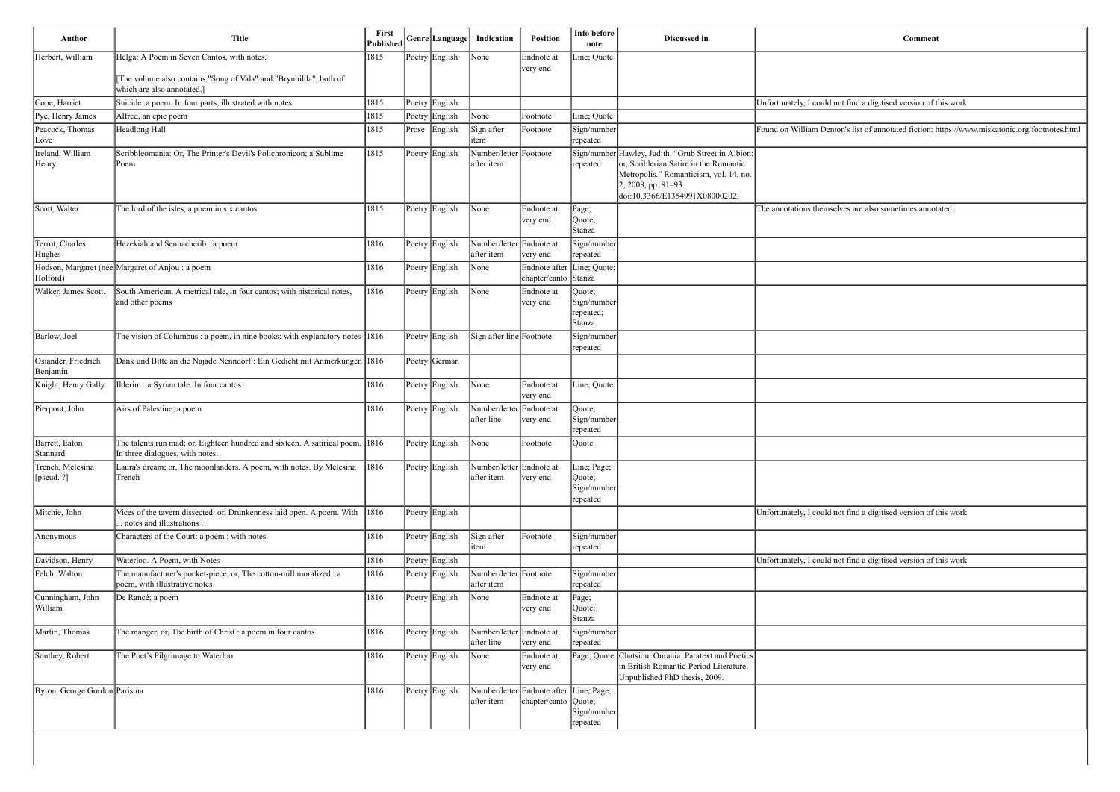| Comment                                                                                        |
|------------------------------------------------------------------------------------------------|
|                                                                                                |
|                                                                                                |
| Unfortunately, I could not find a digitised version of this work                               |
| Found on William Denton's list of annotated fiction: https://www.miskatonic.org/footnotes.html |
|                                                                                                |
|                                                                                                |
| The annotations themselves are also sometimes annotated.                                       |
|                                                                                                |
|                                                                                                |
|                                                                                                |
|                                                                                                |
|                                                                                                |
|                                                                                                |
|                                                                                                |
|                                                                                                |
|                                                                                                |
|                                                                                                |
| Unfortunately, I could not find a digitised version of this work                               |
|                                                                                                |
| Unfortunately, I could not find a digitised version of this work                               |
|                                                                                                |
|                                                                                                |
|                                                                                                |
|                                                                                                |
|                                                                                                |

| Helga: A Poem in Seven Cantos, with notes.<br>1815<br>Poetry English<br>Line; Quote<br>None<br>Endnote at<br>very end<br>[The volume also contains "Song of Vala" and "Brynhilda", both of<br>which are also annotated.]<br>Suicide: a poem. In four parts, illustrated with notes<br>1815<br>Unfortunately, I could not find a digitised version of this work<br>Poetry English<br>1815<br>Poetry English<br>Alfred, an epic poem<br>None<br>Line; Quote<br>Footnote<br>Found on William Denton's list of annotated fiction: https://wv<br>Headlong Hall<br>1815<br>Prose English<br>Sign after<br>Sign/number<br>Footnote<br>repeated<br>item<br>ove<br>Scribbleomania: Or, The Printer's Devil's Polichronicon; a Sublime<br>1815<br>Number/letter Footnote<br>Sign/number Hawley, Judith. "Grub Street in Albion:<br>Poetry English<br>or, Scriblerian Satire in the Romantic<br>after item<br>Poem<br>repeated<br>Metropolis." Romanticism, vol. 14, no.<br>$2, 2008$ , pp. 81–93.<br>doi:10.3366/E1354991X08000202.<br>The lord of the isles, a poem in six cantos<br>1815<br>Poetry English<br>None<br>Endnote at<br>Page;<br>very end<br> Quote;<br>Stanza<br>Hezekiah and Sennacherib : a poem<br>Number/letter Endnote at<br>1816<br>Poetry English<br>Sign/number<br>after item<br>very end<br>repeated<br>1816<br>Endnote after Line; Quote;<br>Poetry English<br>None<br>chapter/canto Stanza<br>South American. A metrical tale, in four cantos; with historical notes,<br>Poetry English<br> 1816<br>None<br>Endnote at<br>Quote;<br>and other poems<br>$\left {\rm Sign/number}\right $<br>very end<br>repeated;<br>Stanza<br>The vision of Columbus : a poem, in nine books; with explanatory notes 1816<br>Sign after line Footnote<br>Poetry English<br>$\left  \text{Sign/number} \right $<br>repeated<br>Dank und Bitte an die Najade Nenndorf : Ein Gedicht mit Anmerkungen 1816<br>Poetry German<br>Ilderim : a Syrian tale. In four cantos<br> 1816 <br>Poetry English<br>None<br>Endnote at<br>Line; Quote<br>very end<br>Number/letter Endnote at<br>Airs of Palestine; a poem<br>1816<br>Poetry English<br>Quote;<br>Sign/number<br>after line<br>very end<br>repeated<br>The talents run mad; or, Eighteen hundred and sixteen. A satirical poem. 1816<br>Poetry English None<br>Footnote<br>$\sqrt{\text{Quote}}$<br>In three dialogues, with notes.<br>Laura's dream; or, The moonlanders. A poem, with notes. By Melesina $\ 1816\ $<br>Poetry English<br>Number/letter Endnote at<br>Line; Page;<br>after item<br>Trench<br>very end<br>Quote;<br>$\left  \text{Sign/number} \right $<br>repeated<br>Vices of the tavern dissected: or, Drunkenness laid open. A poem. With 1816<br>Poetry English<br>. notes and illustrations<br>Characters of the Court: a poem : with notes.<br>1816<br>Sign after<br>Poetry English<br>Footnote<br>Sign/number<br>repeated<br>item<br>Waterloo. A Poem, with Notes<br> 1816 <br>Poetry English<br>The manufacturer's pocket-piece, or, The cotton-mill moralized : a<br>Number/letter Footnote<br> 1816 <br>Poetry English<br>Sign/number<br>poem, with illustrative notes<br>after item<br>repeated<br>De Rancé; a poem<br>1816<br>Poetry English<br>Endnote at<br>None<br>Page;<br>Quote;<br>very end<br>Stanza<br>The manger, or, The birth of Christ : a poem in four cantos<br> 1816<br>Poetry English<br>Number/letter Endnote at<br>Sign/number<br>after line<br>very end<br>repeated<br>Chatsiou, Ourania. Paratext and Poetics<br>The Poet's Pilgrimage to Waterloo<br> 1816<br>Poetry English<br>$\sqrt{\frac{1}{1}}$ None<br>Endnote at<br>Page; Quote<br>in British Romantic-Period Literature.<br>very end<br>Unpublished PhD thesis, 2009.<br>Number/letter Endnote after Line; Page;<br>1816<br>Poetry English<br>chapter/canto Quote;<br>after item<br>Sign/number | Author           | <b>Title</b> | First<br><b>Published</b> | Genre Language | Indication | <b>Position</b> | Info before<br>note | Discussed in | <b>Comment</b>                                                   |
|---------------------------------------------------------------------------------------------------------------------------------------------------------------------------------------------------------------------------------------------------------------------------------------------------------------------------------------------------------------------------------------------------------------------------------------------------------------------------------------------------------------------------------------------------------------------------------------------------------------------------------------------------------------------------------------------------------------------------------------------------------------------------------------------------------------------------------------------------------------------------------------------------------------------------------------------------------------------------------------------------------------------------------------------------------------------------------------------------------------------------------------------------------------------------------------------------------------------------------------------------------------------------------------------------------------------------------------------------------------------------------------------------------------------------------------------------------------------------------------------------------------------------------------------------------------------------------------------------------------------------------------------------------------------------------------------------------------------------------------------------------------------------------------------------------------------------------------------------------------------------------------------------------------------------------------------------------------------------------------------------------------------------------------------------------------------------------------------------------------------------------------------------------------------------------------------------------------------------------------------------------------------------------------------------------------------------------------------------------------------------------------------------------------------------------------------------------------------------------------------------------------------------------------------------------------------------------------------------------------------------------------------------------------------------------------------------------------------------------------------------------------------------------------------------------------------------------------------------------------------------------------------------------------------------------------------------------------------------------------------------------------------------------------------------------------------------------------------------------------------------------------------------------------------------------------------------------------------------------------------------------------------------------------------------------------------------------------------------------------------------------------------------------------------------------------------------------------------------------------------------------------------------------------------------------------------------------------------------------------------------------------------------------------------------------------------------------------------------------------------------------------------------------------------------------------------------------------------------------|------------------|--------------|---------------------------|----------------|------------|-----------------|---------------------|--------------|------------------------------------------------------------------|
| Cope, Harriet                                                                                                                                                                                                                                                                                                                                                                                                                                                                                                                                                                                                                                                                                                                                                                                                                                                                                                                                                                                                                                                                                                                                                                                                                                                                                                                                                                                                                                                                                                                                                                                                                                                                                                                                                                                                                                                                                                                                                                                                                                                                                                                                                                                                                                                                                                                                                                                                                                                                                                                                                                                                                                                                                                                                                                                                                                                                                                                                                                                                                                                                                                                                                                                                                                                                                                                                                                                                                                                                                                                                                                                                                                                                                                                                                                                                                                           | Herbert, William |              |                           |                |            |                 |                     |              |                                                                  |
| Pye, Henry James<br>Peacock, Thomas<br>Ireland, William<br>Henry<br>Scott, Walter<br>Terrot, Charles<br>Hughes<br>Hodson, Margaret (née Margaret of Anjou : a poem<br>Cunningham, John                                                                                                                                                                                                                                                                                                                                                                                                                                                                                                                                                                                                                                                                                                                                                                                                                                                                                                                                                                                                                                                                                                                                                                                                                                                                                                                                                                                                                                                                                                                                                                                                                                                                                                                                                                                                                                                                                                                                                                                                                                                                                                                                                                                                                                                                                                                                                                                                                                                                                                                                                                                                                                                                                                                                                                                                                                                                                                                                                                                                                                                                                                                                                                                                                                                                                                                                                                                                                                                                                                                                                                                                                                                                  |                  |              |                           |                |            |                 |                     |              |                                                                  |
|                                                                                                                                                                                                                                                                                                                                                                                                                                                                                                                                                                                                                                                                                                                                                                                                                                                                                                                                                                                                                                                                                                                                                                                                                                                                                                                                                                                                                                                                                                                                                                                                                                                                                                                                                                                                                                                                                                                                                                                                                                                                                                                                                                                                                                                                                                                                                                                                                                                                                                                                                                                                                                                                                                                                                                                                                                                                                                                                                                                                                                                                                                                                                                                                                                                                                                                                                                                                                                                                                                                                                                                                                                                                                                                                                                                                                                                         |                  |              |                           |                |            |                 |                     |              |                                                                  |
|                                                                                                                                                                                                                                                                                                                                                                                                                                                                                                                                                                                                                                                                                                                                                                                                                                                                                                                                                                                                                                                                                                                                                                                                                                                                                                                                                                                                                                                                                                                                                                                                                                                                                                                                                                                                                                                                                                                                                                                                                                                                                                                                                                                                                                                                                                                                                                                                                                                                                                                                                                                                                                                                                                                                                                                                                                                                                                                                                                                                                                                                                                                                                                                                                                                                                                                                                                                                                                                                                                                                                                                                                                                                                                                                                                                                                                                         |                  |              |                           |                |            |                 |                     |              |                                                                  |
|                                                                                                                                                                                                                                                                                                                                                                                                                                                                                                                                                                                                                                                                                                                                                                                                                                                                                                                                                                                                                                                                                                                                                                                                                                                                                                                                                                                                                                                                                                                                                                                                                                                                                                                                                                                                                                                                                                                                                                                                                                                                                                                                                                                                                                                                                                                                                                                                                                                                                                                                                                                                                                                                                                                                                                                                                                                                                                                                                                                                                                                                                                                                                                                                                                                                                                                                                                                                                                                                                                                                                                                                                                                                                                                                                                                                                                                         |                  |              |                           |                |            |                 |                     |              |                                                                  |
|                                                                                                                                                                                                                                                                                                                                                                                                                                                                                                                                                                                                                                                                                                                                                                                                                                                                                                                                                                                                                                                                                                                                                                                                                                                                                                                                                                                                                                                                                                                                                                                                                                                                                                                                                                                                                                                                                                                                                                                                                                                                                                                                                                                                                                                                                                                                                                                                                                                                                                                                                                                                                                                                                                                                                                                                                                                                                                                                                                                                                                                                                                                                                                                                                                                                                                                                                                                                                                                                                                                                                                                                                                                                                                                                                                                                                                                         |                  |              |                           |                |            |                 |                     |              |                                                                  |
|                                                                                                                                                                                                                                                                                                                                                                                                                                                                                                                                                                                                                                                                                                                                                                                                                                                                                                                                                                                                                                                                                                                                                                                                                                                                                                                                                                                                                                                                                                                                                                                                                                                                                                                                                                                                                                                                                                                                                                                                                                                                                                                                                                                                                                                                                                                                                                                                                                                                                                                                                                                                                                                                                                                                                                                                                                                                                                                                                                                                                                                                                                                                                                                                                                                                                                                                                                                                                                                                                                                                                                                                                                                                                                                                                                                                                                                         |                  |              |                           |                |            |                 |                     |              | The annotations themselves are also sometimes annotated.         |
|                                                                                                                                                                                                                                                                                                                                                                                                                                                                                                                                                                                                                                                                                                                                                                                                                                                                                                                                                                                                                                                                                                                                                                                                                                                                                                                                                                                                                                                                                                                                                                                                                                                                                                                                                                                                                                                                                                                                                                                                                                                                                                                                                                                                                                                                                                                                                                                                                                                                                                                                                                                                                                                                                                                                                                                                                                                                                                                                                                                                                                                                                                                                                                                                                                                                                                                                                                                                                                                                                                                                                                                                                                                                                                                                                                                                                                                         |                  |              |                           |                |            |                 |                     |              |                                                                  |
| Walker, James Scott.<br>Barlow, Joel<br>Osiander, Friedrich<br>Benjamin<br>Knight, Henry Gally<br>Pierpont, John<br>Barrett, Eaton<br>Stannard<br>Trench, Melesina<br>[pseud. ?]<br>Mitchie, John<br>Anonymous<br>Davidson, Henry<br>Felch, Walton<br>William<br>Martin, Thomas<br>Southey, Robert<br>Byron, George Gordon Parisina                                                                                                                                                                                                                                                                                                                                                                                                                                                                                                                                                                                                                                                                                                                                                                                                                                                                                                                                                                                                                                                                                                                                                                                                                                                                                                                                                                                                                                                                                                                                                                                                                                                                                                                                                                                                                                                                                                                                                                                                                                                                                                                                                                                                                                                                                                                                                                                                                                                                                                                                                                                                                                                                                                                                                                                                                                                                                                                                                                                                                                                                                                                                                                                                                                                                                                                                                                                                                                                                                                                     | Holford)         |              |                           |                |            |                 |                     |              |                                                                  |
|                                                                                                                                                                                                                                                                                                                                                                                                                                                                                                                                                                                                                                                                                                                                                                                                                                                                                                                                                                                                                                                                                                                                                                                                                                                                                                                                                                                                                                                                                                                                                                                                                                                                                                                                                                                                                                                                                                                                                                                                                                                                                                                                                                                                                                                                                                                                                                                                                                                                                                                                                                                                                                                                                                                                                                                                                                                                                                                                                                                                                                                                                                                                                                                                                                                                                                                                                                                                                                                                                                                                                                                                                                                                                                                                                                                                                                                         |                  |              |                           |                |            |                 |                     |              |                                                                  |
|                                                                                                                                                                                                                                                                                                                                                                                                                                                                                                                                                                                                                                                                                                                                                                                                                                                                                                                                                                                                                                                                                                                                                                                                                                                                                                                                                                                                                                                                                                                                                                                                                                                                                                                                                                                                                                                                                                                                                                                                                                                                                                                                                                                                                                                                                                                                                                                                                                                                                                                                                                                                                                                                                                                                                                                                                                                                                                                                                                                                                                                                                                                                                                                                                                                                                                                                                                                                                                                                                                                                                                                                                                                                                                                                                                                                                                                         |                  |              |                           |                |            |                 |                     |              |                                                                  |
|                                                                                                                                                                                                                                                                                                                                                                                                                                                                                                                                                                                                                                                                                                                                                                                                                                                                                                                                                                                                                                                                                                                                                                                                                                                                                                                                                                                                                                                                                                                                                                                                                                                                                                                                                                                                                                                                                                                                                                                                                                                                                                                                                                                                                                                                                                                                                                                                                                                                                                                                                                                                                                                                                                                                                                                                                                                                                                                                                                                                                                                                                                                                                                                                                                                                                                                                                                                                                                                                                                                                                                                                                                                                                                                                                                                                                                                         |                  |              |                           |                |            |                 |                     |              |                                                                  |
|                                                                                                                                                                                                                                                                                                                                                                                                                                                                                                                                                                                                                                                                                                                                                                                                                                                                                                                                                                                                                                                                                                                                                                                                                                                                                                                                                                                                                                                                                                                                                                                                                                                                                                                                                                                                                                                                                                                                                                                                                                                                                                                                                                                                                                                                                                                                                                                                                                                                                                                                                                                                                                                                                                                                                                                                                                                                                                                                                                                                                                                                                                                                                                                                                                                                                                                                                                                                                                                                                                                                                                                                                                                                                                                                                                                                                                                         |                  |              |                           |                |            |                 |                     |              |                                                                  |
|                                                                                                                                                                                                                                                                                                                                                                                                                                                                                                                                                                                                                                                                                                                                                                                                                                                                                                                                                                                                                                                                                                                                                                                                                                                                                                                                                                                                                                                                                                                                                                                                                                                                                                                                                                                                                                                                                                                                                                                                                                                                                                                                                                                                                                                                                                                                                                                                                                                                                                                                                                                                                                                                                                                                                                                                                                                                                                                                                                                                                                                                                                                                                                                                                                                                                                                                                                                                                                                                                                                                                                                                                                                                                                                                                                                                                                                         |                  |              |                           |                |            |                 |                     |              |                                                                  |
|                                                                                                                                                                                                                                                                                                                                                                                                                                                                                                                                                                                                                                                                                                                                                                                                                                                                                                                                                                                                                                                                                                                                                                                                                                                                                                                                                                                                                                                                                                                                                                                                                                                                                                                                                                                                                                                                                                                                                                                                                                                                                                                                                                                                                                                                                                                                                                                                                                                                                                                                                                                                                                                                                                                                                                                                                                                                                                                                                                                                                                                                                                                                                                                                                                                                                                                                                                                                                                                                                                                                                                                                                                                                                                                                                                                                                                                         |                  |              |                           |                |            |                 |                     |              |                                                                  |
|                                                                                                                                                                                                                                                                                                                                                                                                                                                                                                                                                                                                                                                                                                                                                                                                                                                                                                                                                                                                                                                                                                                                                                                                                                                                                                                                                                                                                                                                                                                                                                                                                                                                                                                                                                                                                                                                                                                                                                                                                                                                                                                                                                                                                                                                                                                                                                                                                                                                                                                                                                                                                                                                                                                                                                                                                                                                                                                                                                                                                                                                                                                                                                                                                                                                                                                                                                                                                                                                                                                                                                                                                                                                                                                                                                                                                                                         |                  |              |                           |                |            |                 |                     |              |                                                                  |
|                                                                                                                                                                                                                                                                                                                                                                                                                                                                                                                                                                                                                                                                                                                                                                                                                                                                                                                                                                                                                                                                                                                                                                                                                                                                                                                                                                                                                                                                                                                                                                                                                                                                                                                                                                                                                                                                                                                                                                                                                                                                                                                                                                                                                                                                                                                                                                                                                                                                                                                                                                                                                                                                                                                                                                                                                                                                                                                                                                                                                                                                                                                                                                                                                                                                                                                                                                                                                                                                                                                                                                                                                                                                                                                                                                                                                                                         |                  |              |                           |                |            |                 |                     |              | Unfortunately, I could not find a digitised version of this work |
|                                                                                                                                                                                                                                                                                                                                                                                                                                                                                                                                                                                                                                                                                                                                                                                                                                                                                                                                                                                                                                                                                                                                                                                                                                                                                                                                                                                                                                                                                                                                                                                                                                                                                                                                                                                                                                                                                                                                                                                                                                                                                                                                                                                                                                                                                                                                                                                                                                                                                                                                                                                                                                                                                                                                                                                                                                                                                                                                                                                                                                                                                                                                                                                                                                                                                                                                                                                                                                                                                                                                                                                                                                                                                                                                                                                                                                                         |                  |              |                           |                |            |                 |                     |              |                                                                  |
|                                                                                                                                                                                                                                                                                                                                                                                                                                                                                                                                                                                                                                                                                                                                                                                                                                                                                                                                                                                                                                                                                                                                                                                                                                                                                                                                                                                                                                                                                                                                                                                                                                                                                                                                                                                                                                                                                                                                                                                                                                                                                                                                                                                                                                                                                                                                                                                                                                                                                                                                                                                                                                                                                                                                                                                                                                                                                                                                                                                                                                                                                                                                                                                                                                                                                                                                                                                                                                                                                                                                                                                                                                                                                                                                                                                                                                                         |                  |              |                           |                |            |                 |                     |              | Unfortunately, I could not find a digitised version of this work |
|                                                                                                                                                                                                                                                                                                                                                                                                                                                                                                                                                                                                                                                                                                                                                                                                                                                                                                                                                                                                                                                                                                                                                                                                                                                                                                                                                                                                                                                                                                                                                                                                                                                                                                                                                                                                                                                                                                                                                                                                                                                                                                                                                                                                                                                                                                                                                                                                                                                                                                                                                                                                                                                                                                                                                                                                                                                                                                                                                                                                                                                                                                                                                                                                                                                                                                                                                                                                                                                                                                                                                                                                                                                                                                                                                                                                                                                         |                  |              |                           |                |            |                 |                     |              |                                                                  |
|                                                                                                                                                                                                                                                                                                                                                                                                                                                                                                                                                                                                                                                                                                                                                                                                                                                                                                                                                                                                                                                                                                                                                                                                                                                                                                                                                                                                                                                                                                                                                                                                                                                                                                                                                                                                                                                                                                                                                                                                                                                                                                                                                                                                                                                                                                                                                                                                                                                                                                                                                                                                                                                                                                                                                                                                                                                                                                                                                                                                                                                                                                                                                                                                                                                                                                                                                                                                                                                                                                                                                                                                                                                                                                                                                                                                                                                         |                  |              |                           |                |            |                 |                     |              |                                                                  |
|                                                                                                                                                                                                                                                                                                                                                                                                                                                                                                                                                                                                                                                                                                                                                                                                                                                                                                                                                                                                                                                                                                                                                                                                                                                                                                                                                                                                                                                                                                                                                                                                                                                                                                                                                                                                                                                                                                                                                                                                                                                                                                                                                                                                                                                                                                                                                                                                                                                                                                                                                                                                                                                                                                                                                                                                                                                                                                                                                                                                                                                                                                                                                                                                                                                                                                                                                                                                                                                                                                                                                                                                                                                                                                                                                                                                                                                         |                  |              |                           |                |            |                 |                     |              |                                                                  |
|                                                                                                                                                                                                                                                                                                                                                                                                                                                                                                                                                                                                                                                                                                                                                                                                                                                                                                                                                                                                                                                                                                                                                                                                                                                                                                                                                                                                                                                                                                                                                                                                                                                                                                                                                                                                                                                                                                                                                                                                                                                                                                                                                                                                                                                                                                                                                                                                                                                                                                                                                                                                                                                                                                                                                                                                                                                                                                                                                                                                                                                                                                                                                                                                                                                                                                                                                                                                                                                                                                                                                                                                                                                                                                                                                                                                                                                         |                  |              |                           |                |            |                 |                     |              |                                                                  |
|                                                                                                                                                                                                                                                                                                                                                                                                                                                                                                                                                                                                                                                                                                                                                                                                                                                                                                                                                                                                                                                                                                                                                                                                                                                                                                                                                                                                                                                                                                                                                                                                                                                                                                                                                                                                                                                                                                                                                                                                                                                                                                                                                                                                                                                                                                                                                                                                                                                                                                                                                                                                                                                                                                                                                                                                                                                                                                                                                                                                                                                                                                                                                                                                                                                                                                                                                                                                                                                                                                                                                                                                                                                                                                                                                                                                                                                         |                  |              |                           |                |            |                 | repeated            |              |                                                                  |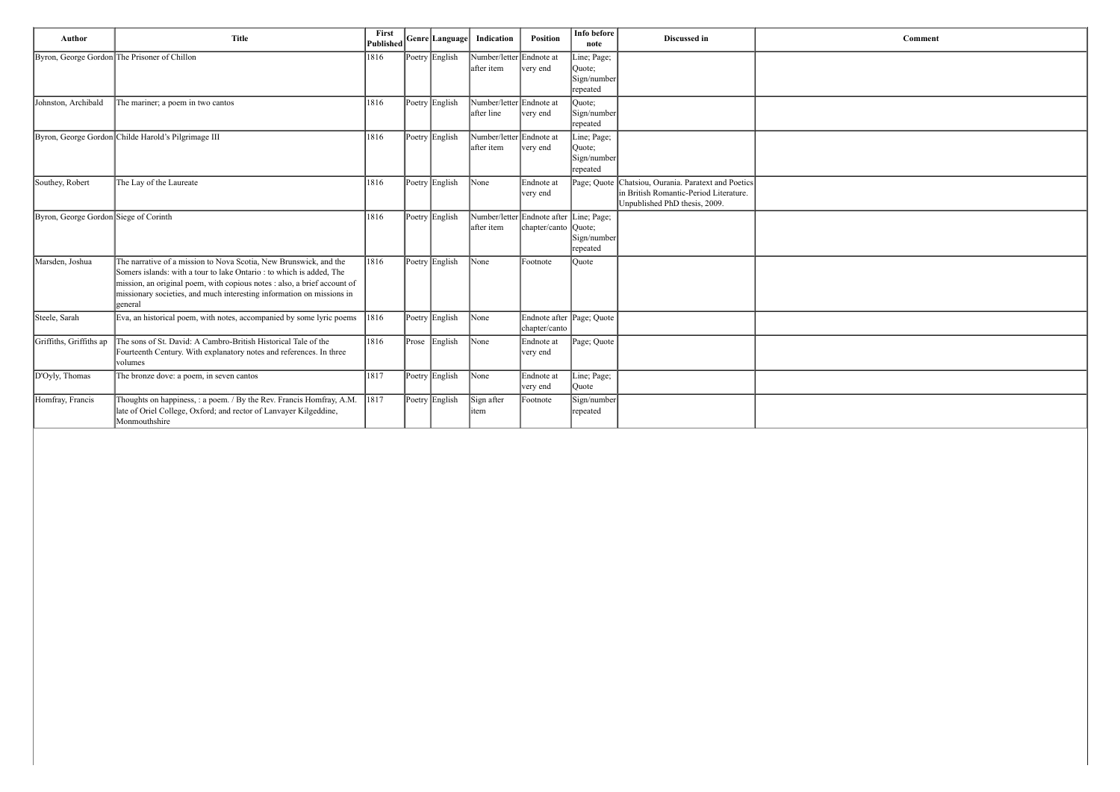| Comment |  |
|---------|--|
|         |  |
|         |  |
|         |  |
|         |  |
|         |  |
|         |  |
|         |  |
|         |  |
|         |  |
|         |  |
|         |  |
|         |  |
|         |  |
|         |  |
|         |  |
|         |  |
|         |  |
|         |  |
|         |  |
|         |  |
|         |  |
|         |  |
|         |  |
|         |  |
|         |  |

| Author                                | <b>Title</b>                                                                                                                                                                                                                                                                                              | First<br><b>Published</b> |       | Genre Language | Indication                             | Position                                                 | Info before<br>note                              | Discussed in                                                                                                       | <b>Comment</b> |
|---------------------------------------|-----------------------------------------------------------------------------------------------------------------------------------------------------------------------------------------------------------------------------------------------------------------------------------------------------------|---------------------------|-------|----------------|----------------------------------------|----------------------------------------------------------|--------------------------------------------------|--------------------------------------------------------------------------------------------------------------------|----------------|
|                                       | Byron, George Gordon The Prisoner of Chillon                                                                                                                                                                                                                                                              | 1816                      |       | Poetry English | Number/letter Endnote at<br>after item | very end                                                 | Line; Page;<br>Quote;<br>Sign/number<br>repeated |                                                                                                                    |                |
| Johnston, Archibald                   | The mariner; a poem in two cantos                                                                                                                                                                                                                                                                         | 1816                      |       | Poetry English | Number/letter Endnote at<br>after line | very end                                                 | Quote;<br>Sign/number<br>repeated                |                                                                                                                    |                |
|                                       | Byron, George Gordon Childe Harold's Pilgrimage III                                                                                                                                                                                                                                                       | 1816                      |       | Poetry English | Number/letter Endnote at<br>after item | very end                                                 | Line; Page;<br>Quote;<br>Sign/number<br>repeated |                                                                                                                    |                |
| Southey, Robert                       | The Lay of the Laureate                                                                                                                                                                                                                                                                                   | 1816                      |       | Poetry English | None                                   | Endnote at<br>very end                                   | Page; Quote                                      | Chatsiou, Ourania. Paratext and Poetics<br>in British Romantic-Period Literature.<br>Unpublished PhD thesis, 2009. |                |
| Byron, George Gordon Siege of Corinth |                                                                                                                                                                                                                                                                                                           | 1816                      |       | Poetry English | after item                             | Number/letter Endnote after Line; Page;<br>chapter/canto | Quote;<br>Sign/number<br>repeated                |                                                                                                                    |                |
| Marsden, Joshua                       | The narrative of a mission to Nova Scotia, New Brunswick, and the<br>Somers islands: with a tour to lake Ontario : to which is added, The<br>mission, an original poem, with copious notes : also, a brief account of<br>missionary societies, and much interesting information on missions in<br>general | 1816                      |       | Poetry English | $\sqrt{\frac{1}{2}}$                   | Footnote                                                 | Ouote                                            |                                                                                                                    |                |
| Steele, Sarah                         | Eva, an historical poem, with notes, accompanied by some lyric poems                                                                                                                                                                                                                                      | 1816                      |       | Poetry English | $\sqrt{\frac{1}{2}}$                   | Endnote after Page; Quote<br>chapter/canto               |                                                  |                                                                                                                    |                |
| Griffiths, Griffiths ap               | The sons of St. David: A Cambro-British Historical Tale of the<br>Fourteenth Century. With explanatory notes and references. In three<br>volumes                                                                                                                                                          | 1816                      | Prose | English        | None                                   | Endnote at<br>very end                                   | Page; Quote                                      |                                                                                                                    |                |
| D'Oyly, Thomas                        | The bronze dove: a poem, in seven cantos                                                                                                                                                                                                                                                                  | 1817                      |       | Poetry English | $\sqrt{\frac{1}{2}}$                   | Endnote at<br>very end                                   | Line; Page;<br>Quote                             |                                                                                                                    |                |
| Homfray, Francis                      | Thoughts on happiness, : a poem. / By the Rev. Francis Homfray, A.M.<br>late of Oriel College, Oxford; and rector of Lanvayer Kilgeddine,<br>Monmouthshire                                                                                                                                                | 1817                      |       | Poetry English | Sign after<br>litem                    | Footnote                                                 | Sign/number<br>repeated                          |                                                                                                                    |                |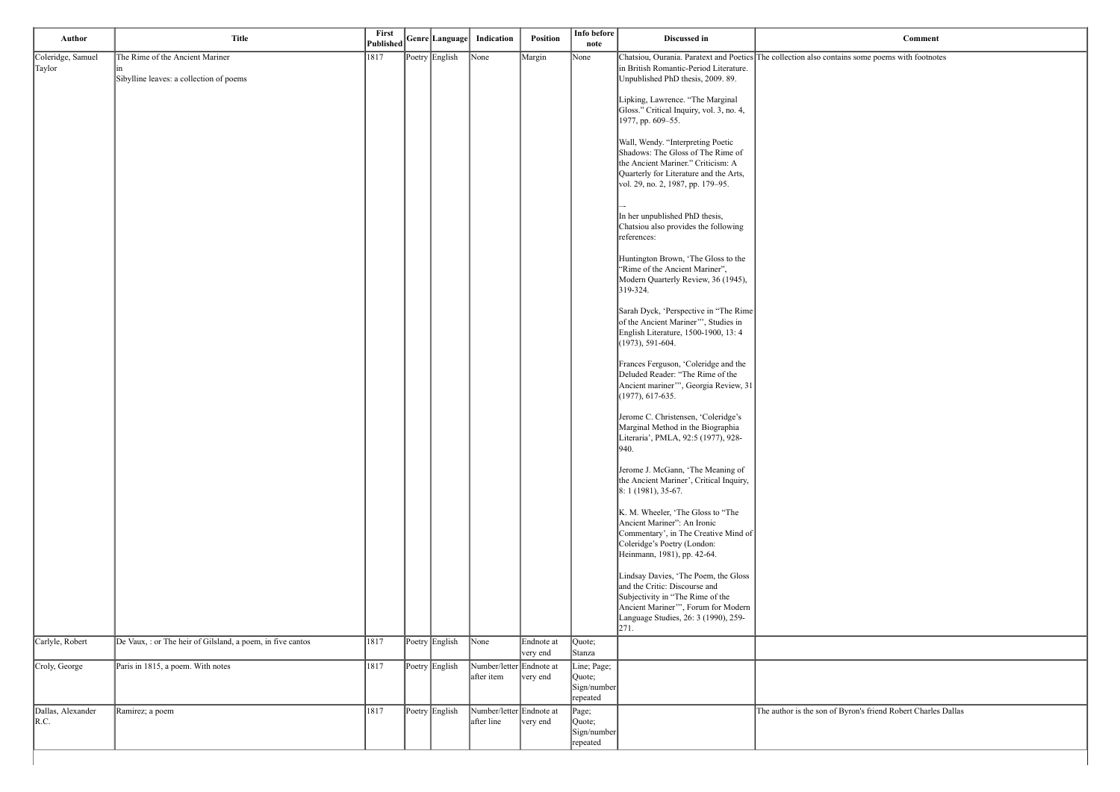ins some poems with footnotes

Byron's friend Robert Charles Dallas

| Author                                  | <b>Title</b>                                                               | First<br><b>Published</b> | Genre Language | Indication                             | Position               | Info before<br>note                              | Discussed in                                                                                                                                                                                      |                            |
|-----------------------------------------|----------------------------------------------------------------------------|---------------------------|----------------|----------------------------------------|------------------------|--------------------------------------------------|---------------------------------------------------------------------------------------------------------------------------------------------------------------------------------------------------|----------------------------|
| Coleridge, Samuel<br>Taylor             | The Rime of the Ancient Mariner<br>Sibylline leaves: a collection of poems | 1817                      | Poetry English | None                                   | Margin                 | None                                             | Chatsiou, Ourania. Paratext and Poetics The collection also contain<br>in British Romantic-Period Literature.<br>Unpublished PhD thesis, 2009. 89.                                                |                            |
|                                         |                                                                            |                           |                |                                        |                        |                                                  | Lipking, Lawrence. "The Marginal<br>Gloss." Critical Inquiry, vol. 3, no. 4,<br>1977, pp. 609-55.                                                                                                 |                            |
|                                         |                                                                            |                           |                |                                        |                        |                                                  | Wall, Wendy. "Interpreting Poetic<br>Shadows: The Gloss of The Rime of<br>the Ancient Mariner." Criticism: A<br>Quarterly for Literature and the Arts,<br>vol. 29, no. 2, 1987, pp. 179–95.       |                            |
|                                         |                                                                            |                           |                |                                        |                        |                                                  | In her unpublished PhD thesis,<br>Chatsiou also provides the following<br>references:                                                                                                             |                            |
|                                         |                                                                            |                           |                |                                        |                        |                                                  | Huntington Brown, 'The Gloss to the<br>"Rime of the Ancient Mariner",<br>Modern Quarterly Review, 36 (1945),<br>$319 - 324.$                                                                      |                            |
|                                         |                                                                            |                           |                |                                        |                        |                                                  | Sarah Dyck, 'Perspective in "The Rime<br>of the Ancient Mariner"', Studies in<br>English Literature, 1500-1900, 13: 4<br>$(1973), 591-604.$                                                       |                            |
|                                         |                                                                            |                           |                |                                        |                        |                                                  | Frances Ferguson, 'Coleridge and the<br>Deluded Reader: "The Rime of the<br>Ancient mariner"', Georgia Review, 31<br>$(1977), 617-635.$                                                           |                            |
|                                         |                                                                            |                           |                |                                        |                        |                                                  | Jerome C. Christensen, 'Coleridge's<br>Marginal Method in the Biographia<br>Literaria', PMLA, 92:5 (1977), 928-<br> 940.                                                                          |                            |
|                                         |                                                                            |                           |                |                                        |                        |                                                  | Jerome J. McGann, 'The Meaning of<br>the Ancient Mariner', Critical Inquiry,<br>$8: 1(1981), 35-67.$                                                                                              |                            |
|                                         |                                                                            |                           |                |                                        |                        |                                                  | K. M. Wheeler, 'The Gloss to "The<br>Ancient Mariner": An Ironic<br>Commentary', in The Creative Mind of<br>Coleridge's Poetry (London:<br>Heinmann, 1981), pp. 42-64.                            |                            |
|                                         |                                                                            |                           |                |                                        |                        |                                                  | Lindsay Davies, 'The Poem, the Gloss<br>and the Critic: Discourse and<br>Subjectivity in "The Rime of the<br>Ancient Mariner"", Forum for Modern<br>Language Studies, 26: 3 (1990), 259-<br> 271. |                            |
| Carlyle, Robert                         | De Vaux, : or The heir of Gilsland, a poem, in five cantos                 | 1817                      | Poetry English | None                                   | Endnote at<br>very end | Quote;<br> Stanza                                |                                                                                                                                                                                                   |                            |
| Croly, George                           | Paris in 1815, a poem. With notes                                          | 1817                      | Poetry English | Number/letter Endnote at<br>after item | very end               | Line; Page;<br>Quote;<br>Sign/number<br>repeated |                                                                                                                                                                                                   |                            |
| Dallas, Alexander<br>$\vert R.C. \vert$ | Ramirez; a poem                                                            | 1817                      | Poetry English | Number/letter Endnote at<br>after line | very end               | Page;<br>Quote;<br>Sign/number<br>repeated       |                                                                                                                                                                                                   | The author is the son of B |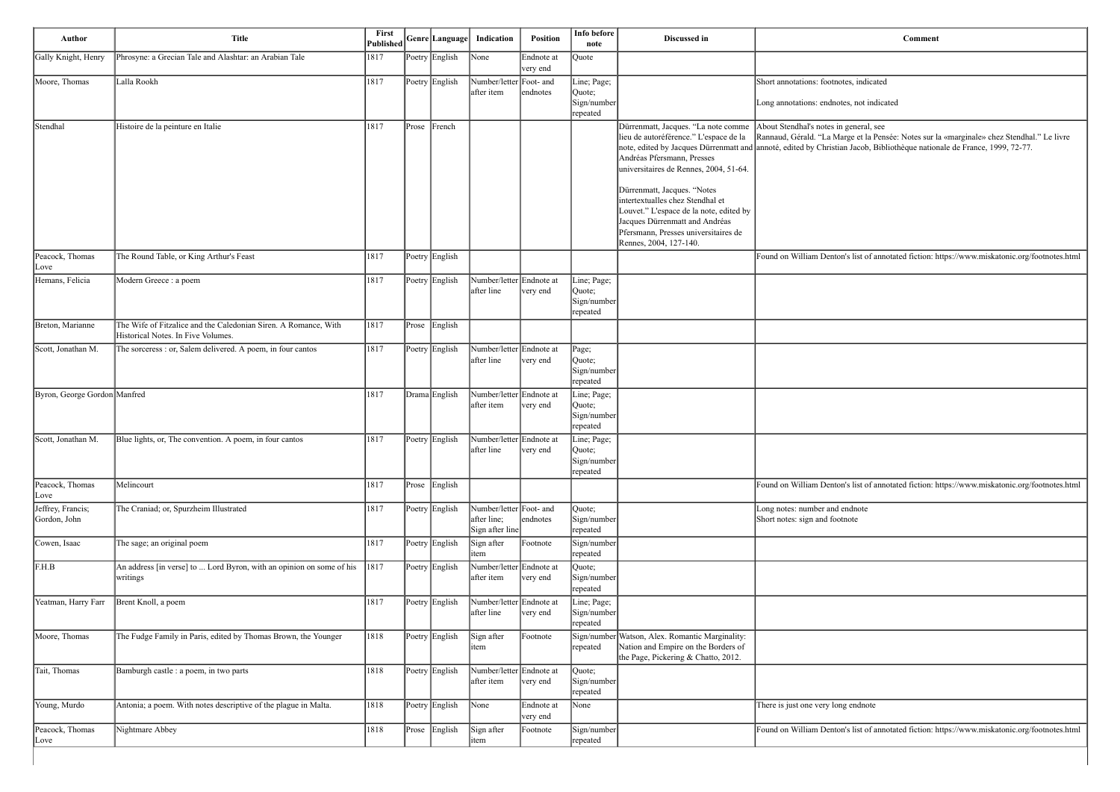| Author                            | <b>Title</b>                                                                                          | First<br>Published |       | Genre Language | Indication                                                | Position               | Info before<br>note                              | Discussed in                                                                                                                                                                                                                                                                                                                                                            | Comment                                                                                                                                                                                         |
|-----------------------------------|-------------------------------------------------------------------------------------------------------|--------------------|-------|----------------|-----------------------------------------------------------|------------------------|--------------------------------------------------|-------------------------------------------------------------------------------------------------------------------------------------------------------------------------------------------------------------------------------------------------------------------------------------------------------------------------------------------------------------------------|-------------------------------------------------------------------------------------------------------------------------------------------------------------------------------------------------|
| Gally Knight, Henry               | Phrosyne: a Grecian Tale and Alashtar: an Arabian Tale                                                | 1817               |       | Poetry English | None                                                      | Endnote at<br>very end | Quote                                            |                                                                                                                                                                                                                                                                                                                                                                         |                                                                                                                                                                                                 |
| Moore, Thomas                     | Lalla Rookh                                                                                           | 1817               |       | Poetry English | Number/letter Foot- and<br>after item                     | endnotes               | Line; Page;<br>Quote;<br>Sign/number<br>repeated |                                                                                                                                                                                                                                                                                                                                                                         | Short annotations: footnotes, indicated<br>Long annotations: endnotes, not indicated                                                                                                            |
| Stendhal                          | Histoire de la peinture en Italie                                                                     | 1817               | Prose | French         |                                                           |                        |                                                  | Dürrenmatt, Jacques. "La note comme<br>lieu de autoréférence." L'espace de la<br>Andréas Pfersmann, Presses<br>universitaires de Rennes, 2004, 51-64.<br>Dürrenmatt, Jacques. "Notes<br>intertextualles chez Stendhal et<br>Louvet." L'espace de la note, edited by<br>Jacques Dürrenmatt and Andréas<br>Pfersmann, Presses universitaires de<br>Rennes, 2004, 127-140. | About Stendhal's notes in general, see<br>Rannaud, Gérald. "La Marge et la Pensée: Notes sur l<br>note, edited by Jacques Dürrenmatt and annoté, edited by Christian Jacob, Bibliothèque natior |
| Peacock, Thomas<br>Love           | The Round Table, or King Arthur's Feast                                                               | 1817               |       | Poetry English |                                                           |                        |                                                  |                                                                                                                                                                                                                                                                                                                                                                         | Found on William Denton's list of annotated fiction: h                                                                                                                                          |
| Hemans, Felicia                   | Modern Greece : a poem                                                                                | 1817               |       | Poetry English | Number/letter Endnote at<br>after line                    | very end               | Line; Page;<br>Quote;<br>Sign/number<br>repeated |                                                                                                                                                                                                                                                                                                                                                                         |                                                                                                                                                                                                 |
| Breton, Marianne                  | The Wife of Fitzalice and the Caledonian Siren. A Romance, With<br>Historical Notes. In Five Volumes. | 1817               | Prose | English        |                                                           |                        |                                                  |                                                                                                                                                                                                                                                                                                                                                                         |                                                                                                                                                                                                 |
| Scott, Jonathan M.                | The sorceress : or, Salem delivered. A poem, in four cantos                                           | 1817               |       | Poetry English | Number/letter Endnote at<br>after line                    | very end               | Page;<br>Quote;<br>Sign/number<br>repeated       |                                                                                                                                                                                                                                                                                                                                                                         |                                                                                                                                                                                                 |
| Byron, George Gordon Manfred      |                                                                                                       | 1817               |       | Drama English  | Number/letter Endnote at<br>after item                    | very end               | Line; Page;<br>Quote;<br>Sign/number<br>repeated |                                                                                                                                                                                                                                                                                                                                                                         |                                                                                                                                                                                                 |
| Scott, Jonathan M.                | Blue lights, or, The convention. A poem, in four cantos                                               | 1817               |       | Poetry English | Number/letter Endnote at<br>after line                    | very end               | Line; Page;<br>Quote;<br>Sign/number<br>repeated |                                                                                                                                                                                                                                                                                                                                                                         |                                                                                                                                                                                                 |
| Peacock, Thomas<br>Love           | Melincourt                                                                                            | 1817               |       | Prose English  |                                                           |                        |                                                  |                                                                                                                                                                                                                                                                                                                                                                         | Found on William Denton's list of annotated fiction: h                                                                                                                                          |
| Jeffrey, Francis;<br>Gordon, John | The Craniad; or, Spurzheim Illustrated                                                                | 1817               |       | Poetry English | Number/letter Foot- and<br>after line;<br>Sign after line | endnotes               | Quote;<br>Sign/number<br>repeated                |                                                                                                                                                                                                                                                                                                                                                                         | Long notes: number and endnote<br>Short notes: sign and footnote                                                                                                                                |
| Cowen, Isaac                      | The sage; an original poem                                                                            | 1817               |       | Poetry English | Sign after<br>item                                        | Footnote               | Sign/number<br>repeated                          |                                                                                                                                                                                                                                                                                                                                                                         |                                                                                                                                                                                                 |
| F.H.B                             | An address [in verse] to  Lord Byron, with an opinion on some of his<br>writings                      | 1817               |       | Poetry English | Number/letter Endnote at<br>after item                    | very end               | Quote;<br>Sign/number<br>repeated                |                                                                                                                                                                                                                                                                                                                                                                         |                                                                                                                                                                                                 |
| Yeatman, Harry Farr               | Brent Knoll, a poem                                                                                   | 1817               |       | Poetry English | Number/letter Endnote at<br>after line                    | very end               | Line; Page;<br>Sign/number<br>repeated           |                                                                                                                                                                                                                                                                                                                                                                         |                                                                                                                                                                                                 |
| Moore, Thomas                     | The Fudge Family in Paris, edited by Thomas Brown, the Younger                                        | 1818               |       | Poetry English | Sign after<br>item                                        | Footnote               | repeated                                         | Sign/number Watson, Alex. Romantic Marginality:<br>Nation and Empire on the Borders of<br>the Page, Pickering & Chatto, 2012.                                                                                                                                                                                                                                           |                                                                                                                                                                                                 |
| Tait, Thomas                      | Bamburgh castle : a poem, in two parts                                                                | 1818               |       | Poetry English | Number/letter Endnote at<br>after item                    | very end               | Quote;<br>Sign/number<br>repeated                |                                                                                                                                                                                                                                                                                                                                                                         |                                                                                                                                                                                                 |
| Young, Murdo                      | Antonia; a poem. With notes descriptive of the plague in Malta.                                       | 1818               |       | Poetry English | None                                                      | Endnote at<br>very end | None                                             |                                                                                                                                                                                                                                                                                                                                                                         | There is just one very long endnote                                                                                                                                                             |
| Peacock, Thomas<br>Love           | Nightmare Abbey                                                                                       | 1818               | Prose | English        | Sign after<br>item                                        | Footnote               | Sign/number <br>repeated                         |                                                                                                                                                                                                                                                                                                                                                                         | Found on William Denton's list of annotated fiction: h                                                                                                                                          |

| Comment |  |
|---------|--|
|---------|--|

arge et la Pensée: Notes sur la «marginale» chez Stendhal." Le livre an Jacob, Bibliothèque nationale de France, 1999, 72-77.

n's list of annotated fiction: https://www.miskatonic.org/footnotes.html

n's list of annotated fiction: https://www.miskatonic.org/footnotes.html

n's list of annotated fiction: https://www.miskatonic.org/footnotes.html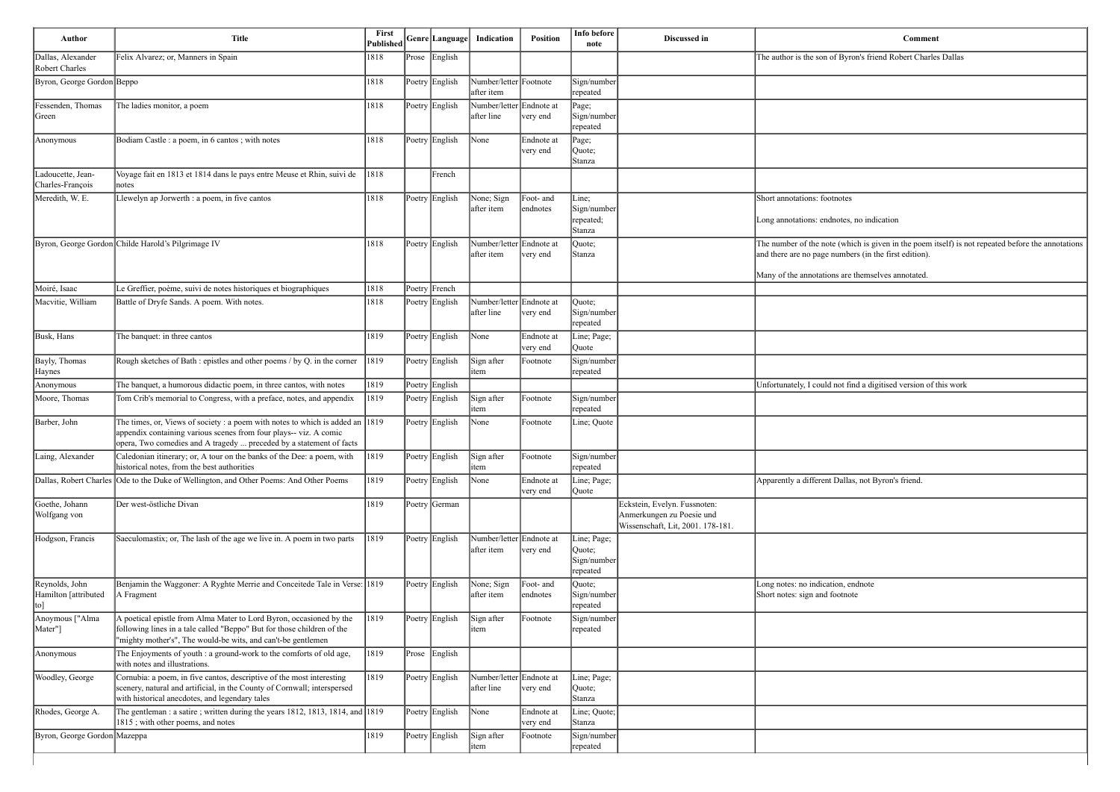| Comment                                                                                                                                                    |
|------------------------------------------------------------------------------------------------------------------------------------------------------------|
| The author is the son of Byron's friend Robert Charles Dallas                                                                                              |
|                                                                                                                                                            |
|                                                                                                                                                            |
|                                                                                                                                                            |
|                                                                                                                                                            |
|                                                                                                                                                            |
|                                                                                                                                                            |
|                                                                                                                                                            |
|                                                                                                                                                            |
| Short annotations: footnotes                                                                                                                               |
| Long annotations: endnotes, no indication                                                                                                                  |
|                                                                                                                                                            |
| The number of the note (which is given in the poem itself) is not repeated before the annotations<br>and there are no page numbers (in the first edition). |
|                                                                                                                                                            |
| Many of the annotations are themselves annotated.                                                                                                          |
|                                                                                                                                                            |
|                                                                                                                                                            |
|                                                                                                                                                            |
|                                                                                                                                                            |
|                                                                                                                                                            |
| Unfortunately, I could not find a digitised version of this work                                                                                           |
|                                                                                                                                                            |
|                                                                                                                                                            |
|                                                                                                                                                            |
|                                                                                                                                                            |
|                                                                                                                                                            |
| Apparently a different Dallas, not Byron's friend.                                                                                                         |
|                                                                                                                                                            |
|                                                                                                                                                            |
|                                                                                                                                                            |
|                                                                                                                                                            |
|                                                                                                                                                            |
| Long notes: no indication, endnote                                                                                                                         |
| Short notes: sign and footnote                                                                                                                             |
|                                                                                                                                                            |
|                                                                                                                                                            |
|                                                                                                                                                            |
|                                                                                                                                                            |
|                                                                                                                                                            |
|                                                                                                                                                            |
|                                                                                                                                                            |
|                                                                                                                                                            |
|                                                                                                                                                            |
|                                                                                                                                                            |
|                                                                                                                                                            |

| Author                                          | <b>Title</b>                                                                                                                                                                                                                        | First<br>$\vert \text{Published} \vert$ Genre Language |               |                | Indication                             | Position               | Info before<br>note                              | Discussed in                                                                                   | <b>Comment</b>                                                                                                                                                                |
|-------------------------------------------------|-------------------------------------------------------------------------------------------------------------------------------------------------------------------------------------------------------------------------------------|--------------------------------------------------------|---------------|----------------|----------------------------------------|------------------------|--------------------------------------------------|------------------------------------------------------------------------------------------------|-------------------------------------------------------------------------------------------------------------------------------------------------------------------------------|
| Dallas, Alexander<br>Robert Charles             | Felix Alvarez; or, Manners in Spain                                                                                                                                                                                                 | 1818                                                   | $\vert$ Prose | English        |                                        |                        |                                                  |                                                                                                | The author is the son of Byron's friend Robert Charles Dallas                                                                                                                 |
| Byron, George Gordon Beppo                      |                                                                                                                                                                                                                                     | 1818                                                   |               | Poetry English | Number/letter Footnote<br>after item   |                        | Sign/number<br>repeated                          |                                                                                                |                                                                                                                                                                               |
| Fessenden, Thomas<br>Green                      | The ladies monitor, a poem                                                                                                                                                                                                          | 1818                                                   |               | Poetry English | Number/letter Endnote at<br>after line | very end               | Page;<br>Sign/number<br>repeated                 |                                                                                                |                                                                                                                                                                               |
| Anonymous                                       | Bodiam Castle : a poem, in 6 cantos ; with notes                                                                                                                                                                                    | 1818                                                   |               | Poetry English | None                                   | Endnote at<br>very end | Page;<br>Quote;<br>Stanza                        |                                                                                                |                                                                                                                                                                               |
| Ladoucette, Jean-<br>Charles-François           | Voyage fait en 1813 et 1814 dans le pays entre Meuse et Rhin, suivi de<br>notes                                                                                                                                                     | $ 1818\rangle$                                         |               | French         |                                        |                        |                                                  |                                                                                                |                                                                                                                                                                               |
| Meredith, W. E.                                 | Llewelyn ap Jorwerth : a poem, in five cantos                                                                                                                                                                                       | 1818                                                   |               | Poetry English | None; Sign<br>after item               | Foot- and<br>endnotes  | Line;<br>Sign/number<br>repeated;<br>Stanza      |                                                                                                | Short annotations: footnotes<br>Long annotations: endnotes, no indication                                                                                                     |
|                                                 | Byron, George Gordon Childe Harold's Pilgrimage IV                                                                                                                                                                                  | 1818                                                   |               | Poetry English | Number/letter Endnote at<br>after item | very end               | Quote;<br>Stanza                                 |                                                                                                | The number of the note (which is given in the poem itself) is n<br>and there are no page numbers (in the first edition).<br>Many of the annotations are themselves annotated. |
| Moiré, Isaac                                    | Le Greffier, poème, suivi de notes historiques et biographiques                                                                                                                                                                     | 1818                                                   |               | Poetry French  |                                        |                        |                                                  |                                                                                                |                                                                                                                                                                               |
| Macvitie, William                               | Battle of Dryfe Sands. A poem. With notes.                                                                                                                                                                                          | 1818                                                   |               | Poetry English | Number/letter Endnote at<br>after line | very end               | Quote;<br>Sign/number<br>repeated                |                                                                                                |                                                                                                                                                                               |
| Busk, Hans                                      | The banquet: in three cantos                                                                                                                                                                                                        | 1819                                                   |               | Poetry English | None                                   | Endnote at<br>very end | Line; Page;<br>Quote                             |                                                                                                |                                                                                                                                                                               |
| Bayly, Thomas<br>Haynes                         | Rough sketches of Bath : epistles and other poems / by Q. in the corner                                                                                                                                                             | 1819                                                   |               | Poetry English | Sign after<br>item                     | Footnote               | Sign/number<br>repeated                          |                                                                                                |                                                                                                                                                                               |
| Anonymous                                       | The banquet, a humorous didactic poem, in three cantos, with notes                                                                                                                                                                  | 1819                                                   |               | Poetry English |                                        |                        |                                                  |                                                                                                | Unfortunately, I could not find a digitised version of this work                                                                                                              |
| Moore, Thomas                                   | Tom Crib's memorial to Congress, with a preface, notes, and appendix                                                                                                                                                                | 1819                                                   |               | Poetry English | Sign after<br>item                     | Footnote               | Sign/number<br>repeated                          |                                                                                                |                                                                                                                                                                               |
| Barber, John                                    | The times, or, Views of society : a poem with notes to which is added an $ 1819\rangle$<br>appendix containing various scenes from four plays-- viz. A comic<br>opera, Two comedies and A tragedy  preceded by a statement of facts |                                                        |               | Poetry English | None                                   | Footnote               | Line; Quote                                      |                                                                                                |                                                                                                                                                                               |
| Laing, Alexander                                | Caledonian itinerary; or, A tour on the banks of the Dee: a poem, with<br>historical notes, from the best authorities                                                                                                               | $ 1819\rangle$                                         |               | Poetry English | Sign after<br>item                     | Footnote               | Sign/number<br>repeated                          |                                                                                                |                                                                                                                                                                               |
|                                                 | Dallas, Robert Charles Ode to the Duke of Wellington, and Other Poems: And Other Poems                                                                                                                                              | 1819                                                   |               | Poetry English | None                                   | Endnote at<br>very end | Line; Page;<br>Quote                             |                                                                                                | Apparently a different Dallas, not Byron's friend.                                                                                                                            |
| Goethe, Johann<br>Wolfgang von                  | Der west-östliche Divan                                                                                                                                                                                                             | 1819                                                   |               | Poetry German  |                                        |                        |                                                  | Eckstein, Evelyn. Fussnoten:<br>Anmerkungen zu Poesie und<br>Wissenschaft, Lit, 2001. 178-181. |                                                                                                                                                                               |
| Hodgson, Francis                                | Saeculomastix; or, The lash of the age we live in. A poem in two parts                                                                                                                                                              | 1819                                                   |               | Poetry English | Number/letter Endnote at<br>after item | very end               | Line; Page;<br>Quote;<br>Sign/number<br>repeated |                                                                                                |                                                                                                                                                                               |
| Reynolds, John<br>Hamilton [attributed]<br>[to] | Benjamin the Waggoner: A Ryghte Merrie and Conceitede Tale in Verse: 1819<br>A Fragment                                                                                                                                             |                                                        |               | Poetry English | None; Sign<br>after item               | Foot- and<br>endnotes  | Quote;<br>Sign/number<br>repeated                |                                                                                                | Long notes: no indication, endnote<br>Short notes: sign and footnote                                                                                                          |
| Anoymous ["Alma<br>Mater"]                      | A poetical epistle from Alma Mater to Lord Byron, occasioned by the<br>following lines in a tale called "Beppo" But for those children of the<br>'mighty mother's", The would-be wits, and can't-be gentlemen                       | 1819                                                   |               | Poetry English | Sign after<br>litem                    | Footnote               | Sign/number<br>repeated                          |                                                                                                |                                                                                                                                                                               |
| Anonymous                                       | The Enjoyments of youth : a ground-work to the comforts of old age,<br>with notes and illustrations.                                                                                                                                | 1819                                                   | Prose         | English        |                                        |                        |                                                  |                                                                                                |                                                                                                                                                                               |
| Woodley, George                                 | Cornubia: a poem, in five cantos, descriptive of the most interesting<br>scenery, natural and artificial, in the County of Cornwall; interspersed<br>with historical anecdotes, and legendary tales                                 | 1819                                                   |               | Poetry English | Number/letter Endnote at<br>after line | very end               | Line; Page;<br>Quote;<br>Stanza                  |                                                                                                |                                                                                                                                                                               |
| Rhodes, George A.                               | The gentleman: a satire; written during the years 1812, 1813, 1814, and 1819<br>1815; with other poems, and notes                                                                                                                   |                                                        |               | Poetry English | None                                   | Endnote at<br>very end | Line; Quote;<br>Stanza                           |                                                                                                |                                                                                                                                                                               |
| Byron, George Gordon Mazeppa                    |                                                                                                                                                                                                                                     | 1819                                                   |               | Poetry English | Sign after<br>litem                    | Footnote               | Sign/number<br>repeated                          |                                                                                                |                                                                                                                                                                               |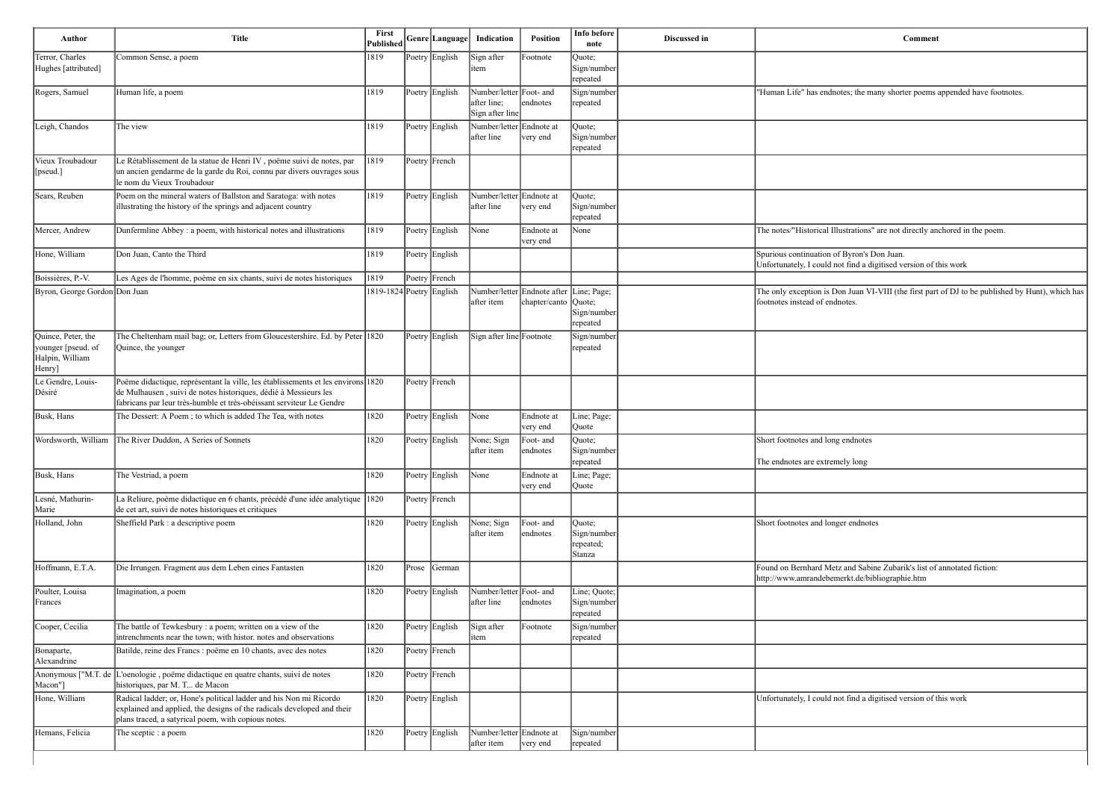| <b>Comment</b>                                                                                                                     |
|------------------------------------------------------------------------------------------------------------------------------------|
|                                                                                                                                    |
|                                                                                                                                    |
| "Human Life" has endnotes; the many shorter poems appended have footnotes.                                                         |
|                                                                                                                                    |
|                                                                                                                                    |
|                                                                                                                                    |
|                                                                                                                                    |
| The notes/"Historical Illustrations" are not directly anchored in the poem.                                                        |
| Spurious continuation of Byron's Don Juan.                                                                                         |
| Unfortunately, I could not find a digitised version of this work                                                                   |
| The only exception is Don Juan VI-VIII (the first part of DJ to be published by Hunt), which has<br>footnotes instead of endnotes. |
|                                                                                                                                    |
|                                                                                                                                    |
|                                                                                                                                    |
|                                                                                                                                    |
|                                                                                                                                    |
|                                                                                                                                    |
| Short footnotes and long endnotes                                                                                                  |
| The endnotes are extremely long                                                                                                    |
|                                                                                                                                    |
|                                                                                                                                    |
| Short footnotes and longer endnotes                                                                                                |
|                                                                                                                                    |
|                                                                                                                                    |
| Found on Bernhard Metz and Sabine Zubarik's list of annotated fiction:<br>http://www.amrandebemerkt.de/bibliographie.htm           |
|                                                                                                                                    |
|                                                                                                                                    |
|                                                                                                                                    |
|                                                                                                                                    |
|                                                                                                                                    |
|                                                                                                                                    |
| Unfortunately, I could not find a digitised version of this work                                                                   |
|                                                                                                                                    |
|                                                                                                                                    |

| Author                                                                | <b>Title</b>                                                                                                                                                                                                                | First<br>Published       |       | Genre Language | Indication                                                | Position                                                 | Info before<br>note                           | Discussed in | <b>Comment</b>                                                                                                           |
|-----------------------------------------------------------------------|-----------------------------------------------------------------------------------------------------------------------------------------------------------------------------------------------------------------------------|--------------------------|-------|----------------|-----------------------------------------------------------|----------------------------------------------------------|-----------------------------------------------|--------------|--------------------------------------------------------------------------------------------------------------------------|
| Terror, Charles<br>Hughes [attributed]                                | Common Sense, a poem                                                                                                                                                                                                        | 1819                     |       | Poetry English | Sign after<br>item                                        | Footnote                                                 | Quote;<br>Sign/number<br>repeated             |              |                                                                                                                          |
| Rogers, Samuel                                                        | Human life, a poem                                                                                                                                                                                                          | 1819                     |       | Poetry English | Number/letter Foot- and<br>after line;<br>Sign after line | endnotes                                                 | Sign/number<br>repeated                       |              | "Human Life" has endnotes; the many shorter poems appended have foot                                                     |
| Leigh, Chandos                                                        | The view                                                                                                                                                                                                                    | 1819                     |       | Poetry English | Number/letter<br>after line                               | Endnote at<br>very end                                   | Quote;<br>Sign/number<br>repeated             |              |                                                                                                                          |
| Vieux Troubadour<br>[pseud.]                                          | Le Rétablissement de la statue de Henri IV, poëme suivi de notes, par<br>un ancien gendarme de la garde du Roi, connu par divers ouvrages sous<br>le nom du Vieux Troubadour                                                | 1819                     |       | Poetry French  |                                                           |                                                          |                                               |              |                                                                                                                          |
| Sears, Reuben                                                         | Poem on the mineral waters of Ballston and Saratoga: with notes<br>illustrating the history of the springs and adjacent country                                                                                             | 1819                     |       | Poetry English | Number/letter Endnote at<br>after line                    | very end                                                 | Quote;<br>Sign/number<br>repeated             |              |                                                                                                                          |
| Mercer, Andrew                                                        | Dunfermline Abbey : a poem, with historical notes and illustrations                                                                                                                                                         | 1819                     |       | Poetry English | None                                                      | Endnote at<br>very end                                   | None                                          |              | The notes/"Historical Illustrations" are not directly anchored in the poem.                                              |
| Hone, William                                                         | Don Juan, Canto the Third                                                                                                                                                                                                   | 1819                     |       | Poetry English |                                                           |                                                          |                                               |              | Spurious continuation of Byron's Don Juan.<br>Unfortunately, I could not find a digitised version of this work           |
| Boissières, P.-V.                                                     | Les Ages de l'homme, poème en six chants, suivi de notes historiques                                                                                                                                                        | 1819                     |       | Poetry French  |                                                           |                                                          |                                               |              |                                                                                                                          |
| Byron, George Gordon Don Juan                                         |                                                                                                                                                                                                                             | 1819-1824 Poetry English |       |                | after item                                                | Number/letter Endnote after Line; Page;<br>chapter/canto | $\sqrt{$<br>Sign/number<br>repeated           |              | The only exception is Don Juan VI-VIII (the first part of DJ to be publish<br>footnotes instead of endnotes.             |
| Quince, Peter, the<br>younger [pseud. of<br>Halpin, William<br>Henry] | The Cheltenham mail bag; or, Letters from Gloucestershire. Ed. by Peter 1820<br>Quince, the younger                                                                                                                         |                          |       | Poetry English | Sign after line Footnote                                  |                                                          | Sign/number<br>repeated                       |              |                                                                                                                          |
| Le Gendre, Louis-<br>Désiré                                           | Poëme didactique, représentant la ville, les établissements et les environs 1820<br>de Mulhausen, suivi de notes historiques, dédié à Messieurs les<br>fabricans par leur très-humble et très-obéissant serviteur Le Gendre |                          |       | Poetry French  |                                                           |                                                          |                                               |              |                                                                                                                          |
| Busk, Hans                                                            | The Dessert: A Poem; to which is added The Tea, with notes                                                                                                                                                                  | 1820                     |       | Poetry English | None                                                      | Endnote at<br>very end                                   | Line; Page;<br>Quote                          |              |                                                                                                                          |
|                                                                       | Wordsworth, William The River Duddon, A Series of Sonnets                                                                                                                                                                   | 1820                     |       | Poetry English | None; Sign<br>after item                                  | Foot- and<br>endnotes                                    | Quote;<br>Sign/number<br>repeated             |              | Short footnotes and long endnotes<br>The endnotes are extremely long                                                     |
| Busk, Hans                                                            | The Vestriad, a poem                                                                                                                                                                                                        | 1820                     |       | Poetry English | None                                                      | Endnote at<br>very end                                   | Line; Page;<br>Quote                          |              |                                                                                                                          |
| Lesné, Mathurin-<br>Marie                                             | La Reliure, poème didactique en 6 chants, précédé d'une idée analytique 1820<br>de cet art, suivi de notes historiques et critiques                                                                                         |                          |       | Poetry French  |                                                           |                                                          |                                               |              |                                                                                                                          |
| Holland, John                                                         | Sheffield Park : a descriptive poem                                                                                                                                                                                         | 1820                     |       | Poetry English | None; Sign<br>after item                                  | Foot- and<br>endnotes                                    | Quote;<br>Sign/number<br>repeated;<br> Stanza |              | Short footnotes and longer endnotes                                                                                      |
| Hoffmann, E.T.A.                                                      | Die Irrungen. Fragment aus dem Leben eines Fantasten                                                                                                                                                                        | 1820                     | Prose | German         |                                                           |                                                          |                                               |              | Found on Bernhard Metz and Sabine Zubarik's list of annotated fiction:<br>http://www.amrandebemerkt.de/bibliographie.htm |
| Poulter, Louisa<br>Frances                                            | Imagination, a poem                                                                                                                                                                                                         | 1820                     |       | Poetry English | Number/letter Foot- and<br>after line                     | endnotes                                                 | Line; Quote;<br>Sign/number<br>repeated       |              |                                                                                                                          |
| Cooper, Cecilia                                                       | The battle of Tewkesbury : a poem; written on a view of the<br>intrenchments near the town; with histor. notes and observations                                                                                             | 1820                     |       | Poetry English | Sign after<br>item                                        | Footnote                                                 | Sign/number<br>repeated                       |              |                                                                                                                          |
| Bonaparte,<br>Alexandrine                                             | Batilde, reine des Francs : poëme en 10 chants, avec des notes                                                                                                                                                              | 1820                     |       | Poetry French  |                                                           |                                                          |                                               |              |                                                                                                                          |
| Anonymous ["M.T. de<br>Macon"]                                        | Joenologie, poëme didactique en quatre chants, suivi de notes<br>historiques, par M. T de Macon                                                                                                                             | 1820                     |       | Poetry French  |                                                           |                                                          |                                               |              |                                                                                                                          |
| Hone, William                                                         | Radical ladder; or, Hone's political ladder and his Non mi Ricordo<br>explained and applied, the designs of the radicals developed and their<br>plans traced, a satyrical poem, with copious notes.                         | 1820                     |       | Poetry English |                                                           |                                                          |                                               |              | Unfortunately, I could not find a digitised version of this work                                                         |
| Hemans, Felicia                                                       | The sceptic : a poem                                                                                                                                                                                                        | 1820                     |       | Poetry English | Number/letter Endnote at<br>after item                    | very end                                                 | Sign/number<br>repeated                       |              |                                                                                                                          |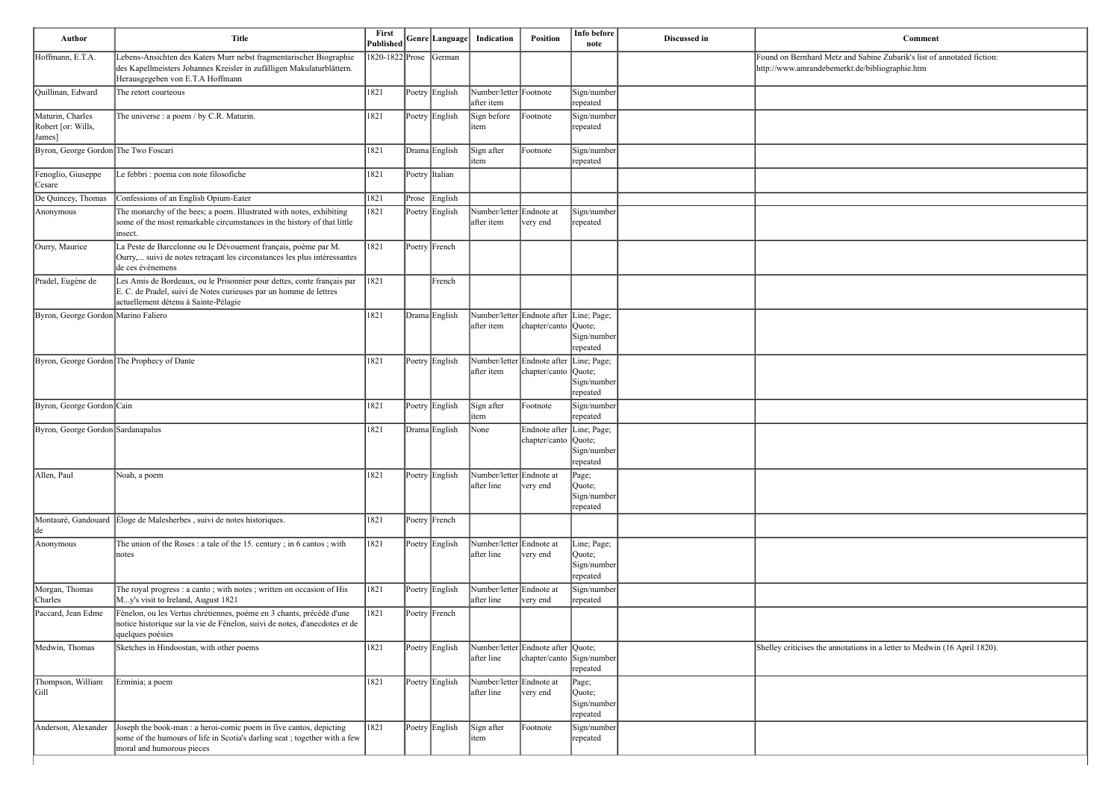| <b>Comment</b>                                                            |
|---------------------------------------------------------------------------|
| Found on Bernhard Metz and Sabine Zubarik's list of annotated fiction:    |
| http://www.amrandebemerkt.de/bibliographie.htm                            |
|                                                                           |
|                                                                           |
|                                                                           |
|                                                                           |
|                                                                           |
|                                                                           |
|                                                                           |
|                                                                           |
|                                                                           |
|                                                                           |
|                                                                           |
|                                                                           |
|                                                                           |
|                                                                           |
|                                                                           |
|                                                                           |
|                                                                           |
|                                                                           |
|                                                                           |
|                                                                           |
|                                                                           |
|                                                                           |
|                                                                           |
|                                                                           |
|                                                                           |
|                                                                           |
|                                                                           |
|                                                                           |
|                                                                           |
|                                                                           |
| Shelley criticises the annotations in a letter to Medwin (16 April 1820). |
|                                                                           |
|                                                                           |
|                                                                           |
|                                                                           |
|                                                                           |
|                                                                           |

| Author                                           | <b>Title</b>                                                                                                                                                                        | First<br>Published     |       | Genre Language | Indication                             | Position                                                        | Info before<br>note                              | Discussed in | Comment                                                                                                                  |
|--------------------------------------------------|-------------------------------------------------------------------------------------------------------------------------------------------------------------------------------------|------------------------|-------|----------------|----------------------------------------|-----------------------------------------------------------------|--------------------------------------------------|--------------|--------------------------------------------------------------------------------------------------------------------------|
| Hoffmann, E.T.A.                                 | Lebens-Ansichten des Katers Murr nebst fragmentarischer Biographie<br>des Kapellmeisters Johannes Kreisler in zufälligen Makulaturblättern.<br>Herausgegeben von E.T.A Hoffmann     | 1820-1822 Prose German |       |                |                                        |                                                                 |                                                  |              | Found on Bernhard Metz and Sabine Zubarik's list of annotated fiction:<br>http://www.amrandebemerkt.de/bibliographie.htm |
| Quillinan, Edward                                | The retort courteous                                                                                                                                                                | 1821                   |       | Poetry English | Number/letter Footnote<br>after item   |                                                                 | Sign/number<br>repeated                          |              |                                                                                                                          |
| Maturin, Charles<br>Robert [or: Wills,<br>James] | The universe : a poem / by C.R. Maturin.                                                                                                                                            | 1821                   |       | Poetry English | Sign before<br>item                    | Footnote                                                        | Sign/number<br>repeated                          |              |                                                                                                                          |
| Byron, George Gordon The Two Foscari             |                                                                                                                                                                                     | 1821                   |       | Drama English  | Sign after<br>item                     | Footnote                                                        | Sign/number<br>repeated                          |              |                                                                                                                          |
| Fenoglio, Giuseppe<br>Cesare                     | Le febbri : poema con note filosofiche                                                                                                                                              | 1821                   |       | Poetry Italian |                                        |                                                                 |                                                  |              |                                                                                                                          |
| De Quincey, Thomas                               | Confessions of an English Opium-Eater                                                                                                                                               | 1821                   | Prose | English        |                                        |                                                                 |                                                  |              |                                                                                                                          |
| Anonymous                                        | The monarchy of the bees; a poem. Illustrated with notes, exhibiting<br>some of the most remarkable circumstances in the history of that little<br>insect.                          | 1821                   |       | Poetry English | Number/letter Endnote at<br>after item | very end                                                        | Sign/number<br>repeated                          |              |                                                                                                                          |
| Ourry, Maurice                                   | La Peste de Barcelonne ou le Dévouement français, poème par M.<br>Ourry, suivi de notes retraçant les circonstances les plus intéressantes<br>de ces événemens                      | 1821                   |       | Poetry French  |                                        |                                                                 |                                                  |              |                                                                                                                          |
| Pradel, Eugène de                                | Les Amis de Bordeaux, ou le Prisonnier pour dettes, conte français par<br>E. C. de Pradel, suivi de Notes curieuses par un homme de lettres<br>actuellement détenu à Sainte-Pélagie | 1821                   |       | French         |                                        |                                                                 |                                                  |              |                                                                                                                          |
| Byron, George Gordon Marino Faliero              |                                                                                                                                                                                     | 1821                   |       | Drama English  | after item                             | Number/letter Endnote after Line; Page;<br>chapter/canto Quote; | Sign/number<br>repeated                          |              |                                                                                                                          |
|                                                  | Byron, George Gordon The Prophecy of Dante                                                                                                                                          | 1821                   |       | Poetry English | after item                             | Number/letter Endnote after Line; Page;<br>chapter/canto Quote; | Sign/number<br>repeated                          |              |                                                                                                                          |
| Byron, George Gordon Cain                        |                                                                                                                                                                                     | 1821                   |       | Poetry English | Sign after<br>item                     | Footnote                                                        | Sign/number<br>repeated                          |              |                                                                                                                          |
| Byron, George Gordon Sardanapalus                |                                                                                                                                                                                     | 1821                   |       | Drama English  | None                                   | Endnote after Line; Page;<br>chapter/canto Quote;               | Sign/number<br>repeated                          |              |                                                                                                                          |
| Allen, Paul                                      | Noah, a poem                                                                                                                                                                        | 1821                   |       | Poetry English | Number/letter Endnote at<br>after line | very end                                                        | Page;<br>Quote;<br>Sign/number<br>repeated       |              |                                                                                                                          |
| de                                               | Montauré, Gandouard Eloge de Malesherbes, suivi de notes historiques.                                                                                                               | 1821                   |       | Poetry French  |                                        |                                                                 |                                                  |              |                                                                                                                          |
| Anonymous                                        | The union of the Roses : a tale of the 15. century; in 6 cantos; with<br>notes                                                                                                      | 1821                   |       | Poetry English | Number/letter Endnote at<br>after line | very end                                                        | Line; Page;<br>Quote;<br>Sign/number<br>repeated |              |                                                                                                                          |
| Morgan, Thomas<br>Charles                        | The royal progress : a canto; with notes; written on occasion of His<br>My's visit to Ireland, August 1821                                                                          | 1821                   |       | Poetry English | Number/letter Endnote at<br>after line | very end                                                        | Sign/number<br>repeated                          |              |                                                                                                                          |
| Paccard, Jean Edme                               | Fénelon, ou les Vertus chrétiennes, poème en 3 chants, précédé d'une<br>notice historique sur la vie de Fénelon, suivi de notes, d'anecdotes et de<br>quelques poésies              | 1821                   |       | Poetry French  |                                        |                                                                 |                                                  |              |                                                                                                                          |
| Medwin, Thomas                                   | Sketches in Hindoostan, with other poems                                                                                                                                            | 1821                   |       | Poetry English | after line                             | Number/letter Endnote after Quote;<br>chapter/canto Sign/number | repeated                                         |              | Shelley criticises the annotations in a letter to Medwin (16 April 1820).                                                |
| Thompson, William<br> Gill                       | Erminia; a poem                                                                                                                                                                     | 1821                   |       | Poetry English | Number/letter Endnote at<br>after line | very end                                                        | Page;<br>Quote;<br>Sign/number<br>repeated       |              |                                                                                                                          |
| Anderson, Alexander                              | Joseph the book-man : a heroi-comic poem in five cantos, depicting<br>some of the humours of life in Scotia's darling seat; together with a few<br>moral and humorous pieces        | 1821                   |       | Poetry English | Sign after<br>item                     | Footnote                                                        | Sign/number<br>repeated                          |              |                                                                                                                          |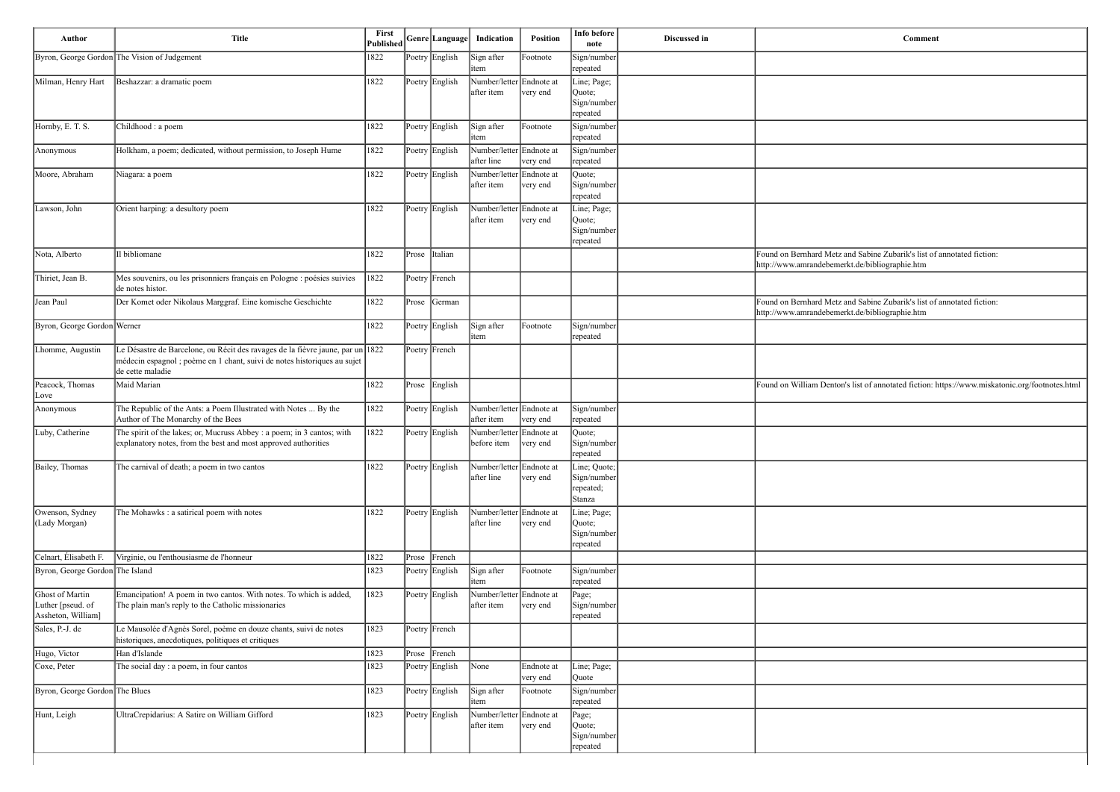| Author                                                     | <b>Title</b>                                                                                                                                                                   | First<br>Published |                | Genre Language Indication               | <b>Position</b>        | Info before<br>note                                | Discussed in | Comment                                                                                                                  |
|------------------------------------------------------------|--------------------------------------------------------------------------------------------------------------------------------------------------------------------------------|--------------------|----------------|-----------------------------------------|------------------------|----------------------------------------------------|--------------|--------------------------------------------------------------------------------------------------------------------------|
|                                                            | Byron, George Gordon The Vision of Judgement                                                                                                                                   | 1822               | Poetry English | Sign after<br>item                      | Footnote               | Sign/number<br>repeated                            |              |                                                                                                                          |
| Milman, Henry Hart                                         | Beshazzar: a dramatic poem                                                                                                                                                     | 1822               | Poetry English | Number/letter Endnote at<br>after item  | very end               | Line; Page;<br>Quote;<br>Sign/number<br>repeated   |              |                                                                                                                          |
| Hornby, E. T. S.                                           | Childhood : a poem                                                                                                                                                             | 1822               | Poetry English | Sign after<br>item                      | Footnote               | Sign/number<br>repeated                            |              |                                                                                                                          |
| Anonymous                                                  | Holkham, a poem; dedicated, without permission, to Joseph Hume                                                                                                                 | 1822               | Poetry English | Number/letter Endnote at<br>after line  | very end               | Sign/number<br>repeated                            |              |                                                                                                                          |
| Moore, Abraham                                             | Niagara: a poem                                                                                                                                                                | 1822               | Poetry English | Number/letter Endnote at<br>after item  | very end               | Quote;<br>Sign/number<br>repeated                  |              |                                                                                                                          |
| Lawson, John                                               | Orient harping: a desultory poem                                                                                                                                               | 1822               | Poetry English | Number/letter Endnote at<br>after item  | very end               | Line; Page;<br>Quote;<br>Sign/number<br>repeated   |              |                                                                                                                          |
| Nota, Alberto                                              | Il bibliomane                                                                                                                                                                  | 1822               | Prose Italian  |                                         |                        |                                                    |              | Found on Bernhard Metz and Sabine Zubarik's list of annotated fiction:<br>http://www.amrandebemerkt.de/bibliographie.htm |
| Thiriet, Jean B.                                           | Mes souvenirs, ou les prisonniers français en Pologne : poésies suivies<br>de notes histor.                                                                                    | 1822               | Poetry French  |                                         |                        |                                                    |              |                                                                                                                          |
| Jean Paul                                                  | Der Komet oder Nikolaus Marggraf. Eine komische Geschichte                                                                                                                     | 1822               | Prose German   |                                         |                        |                                                    |              | Found on Bernhard Metz and Sabine Zubarik's list of annotated fiction:<br>http://www.amrandebemerkt.de/bibliographie.htm |
| Byron, George Gordon Werner                                |                                                                                                                                                                                | 1822               | Poetry English | Sign after<br>item                      | Footnote               | Sign/number<br>repeated                            |              |                                                                                                                          |
| Lhomme, Augustin                                           | Le Désastre de Barcelone, ou Récit des ravages de la fièvre jaune, par un 1822<br>médecin espagnol ; poème en 1 chant, suivi de notes historiques au sujet<br>de cette maladie |                    | Poetry French  |                                         |                        |                                                    |              |                                                                                                                          |
| Peacock, Thomas<br>Love                                    | Maid Marian                                                                                                                                                                    | 1822               | Prose English  |                                         |                        |                                                    |              | Found on William Denton's list of annotated fiction: https://www.miskatonic.org/footnotes.html                           |
| Anonymous                                                  | The Republic of the Ants: a Poem Illustrated with Notes  By the<br>Author of The Monarchy of the Bees                                                                          | 1822               | Poetry English | Number/letter Endnote at<br>after item  | very end               | Sign/number<br>repeated                            |              |                                                                                                                          |
| Luby, Catherine                                            | The spirit of the lakes; or, Mucruss Abbey : a poem; in 3 cantos; with<br>explanatory notes, from the best and most approved authorities                                       | 1822               | Poetry English | Number/letter Endnote at<br>before item | very end               | Quote;<br>Sign/number<br>repeated                  |              |                                                                                                                          |
| Bailey, Thomas                                             | The carnival of death; a poem in two cantos                                                                                                                                    | 1822               | Poetry English | Number/letter Endnote at<br>after line  | very end               | Line; Quote;<br>Sign/number<br>repeated;<br>Stanza |              |                                                                                                                          |
| Owenson, Sydney<br>(Lady Morgan)                           | The Mohawks : a satirical poem with notes                                                                                                                                      | 1822               | Poetry English | Number/letter Endnote at<br>after line  | very end               | Line; Page;<br>Quote;<br>Sign/number<br>repeated   |              |                                                                                                                          |
| Celnart, Élisabeth F.                                      | Virginie, ou l'enthousiasme de l'honneur                                                                                                                                       | 1822               | Prose French   |                                         |                        |                                                    |              |                                                                                                                          |
| Byron, George Gordon The Island                            |                                                                                                                                                                                | 1823               | Poetry English | Sign after<br>item                      | Footnote               | Sign/number<br>repeated                            |              |                                                                                                                          |
| Ghost of Martin<br>Luther [pseud. of<br>Assheton, William] | Emancipation! A poem in two cantos. With notes. To which is added,<br>The plain man's reply to the Catholic missionaries                                                       | 1823               | Poetry English | Number/letter Endnote at<br>after item  | very end               | Page;<br>Sign/number<br>repeated                   |              |                                                                                                                          |
| Sales, P.-J. de                                            | Le Mausolée d'Agnès Sorel, poème en douze chants, suivi de notes<br>historiques, anecdotiques, politiques et critiques                                                         | 1823               | Poetry French  |                                         |                        |                                                    |              |                                                                                                                          |
| Hugo, Victor                                               | Han d'Islande                                                                                                                                                                  | 1823               | Prose French   |                                         |                        |                                                    |              |                                                                                                                          |
| Coxe, Peter                                                | The social day : a poem, in four cantos                                                                                                                                        | 1823               | Poetry English | None                                    | Endnote at<br>very end | Line; Page;<br>Quote                               |              |                                                                                                                          |
| Byron, George Gordon The Blues                             |                                                                                                                                                                                | 1823               | Poetry English | Sign after<br>item                      | Footnote               | Sign/number<br>repeated                            |              |                                                                                                                          |
| Hunt, Leigh                                                | UltraCrepidarius: A Satire on William Gifford                                                                                                                                  | 1823               | Poetry English | Number/letter Endnote at<br>after item  | very end               | Page;<br>Quote;<br>Sign/number<br>repeated         |              |                                                                                                                          |

| <b>Comment</b>                                                              |
|-----------------------------------------------------------------------------|
|                                                                             |
|                                                                             |
|                                                                             |
|                                                                             |
|                                                                             |
|                                                                             |
|                                                                             |
|                                                                             |
|                                                                             |
|                                                                             |
| and Sabine Zubarik's list of annotated fiction:<br>rkt.de/bibliographie.htm |
|                                                                             |
| and Sabine Zubarik's list of annotated fiction:<br>rkt.de/bibliographie.htm |
|                                                                             |
|                                                                             |
|                                                                             |
| 's list of annotated fiction: https://www.miskatonic.org/footnotes.html     |
|                                                                             |
|                                                                             |
|                                                                             |
|                                                                             |
|                                                                             |
|                                                                             |
|                                                                             |
|                                                                             |
|                                                                             |
|                                                                             |
|                                                                             |
|                                                                             |
|                                                                             |
|                                                                             |
|                                                                             |
|                                                                             |
|                                                                             |
|                                                                             |
|                                                                             |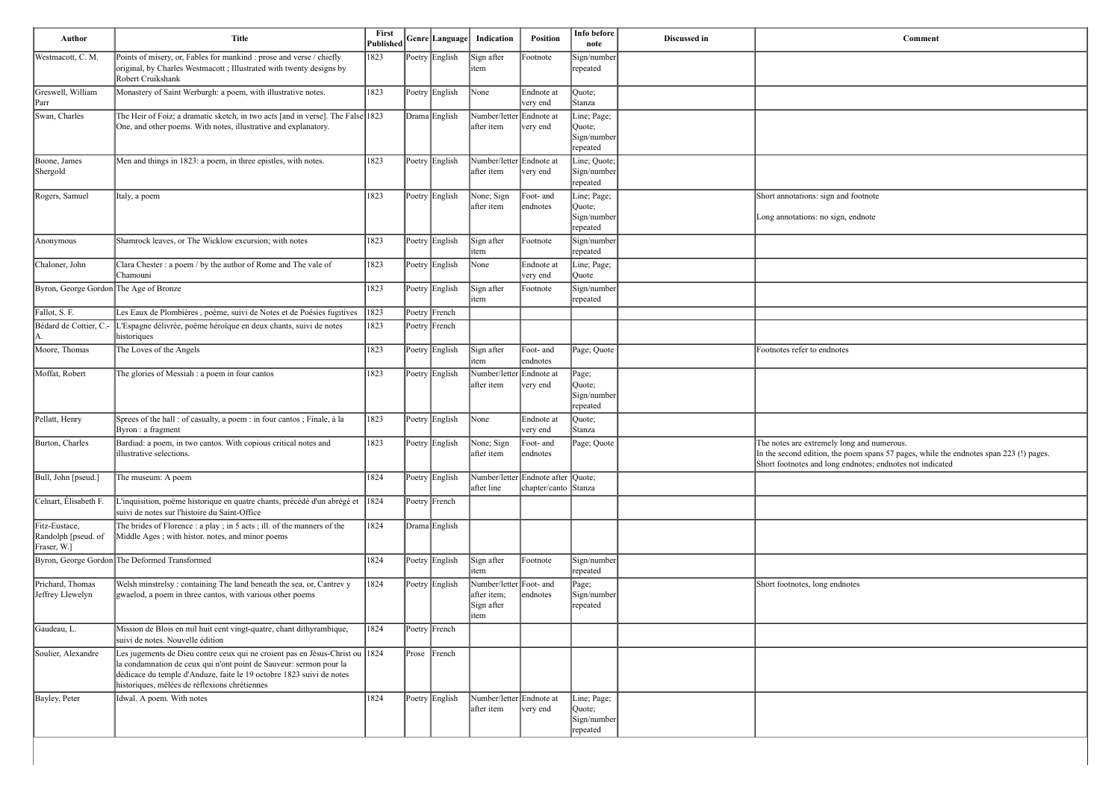| Author                                              | <b>Title</b>                                                                                                                                                                                                                                                                | First<br>Published |       | Genre Language | Indication                                                   | Position                                                   | Info before<br>note                              | Discussed in | Comment                                                                                                                                                      |
|-----------------------------------------------------|-----------------------------------------------------------------------------------------------------------------------------------------------------------------------------------------------------------------------------------------------------------------------------|--------------------|-------|----------------|--------------------------------------------------------------|------------------------------------------------------------|--------------------------------------------------|--------------|--------------------------------------------------------------------------------------------------------------------------------------------------------------|
| Westmacott, C. M.                                   | Points of misery, or, Fables for mankind : prose and verse / chiefly<br>original, by Charles Westmacott; Illustrated with twenty designs by<br>Robert Cruikshank                                                                                                            | 1823               |       | Poetry English | Sign after<br>item                                           | Footnote                                                   | Sign/number<br>repeated                          |              |                                                                                                                                                              |
| Greswell, William<br>Parr                           | Monastery of Saint Werburgh: a poem, with illustrative notes.                                                                                                                                                                                                               | 1823               |       | Poetry English | None                                                         | Endnote at<br>very end                                     | Quote;<br>Stanza                                 |              |                                                                                                                                                              |
| Swan, Charles                                       | The Heir of Foiz; a dramatic sketch, in two acts [and in verse]. The False 1823<br>One, and other poems. With notes, illustrative and explanatory.                                                                                                                          |                    |       | Drama English  | Number/letter Endnote at<br>after item                       | very end                                                   | Line; Page;<br>Quote;<br>Sign/number<br>repeated |              |                                                                                                                                                              |
| Boone, James<br>Shergold                            | Men and things in 1823: a poem, in three epistles, with notes.                                                                                                                                                                                                              | 1823               |       | Poetry English | Number/letter Endnote at<br>after item                       | very end                                                   | Line; Quote;<br>Sign/number<br>repeated          |              |                                                                                                                                                              |
| Rogers, Samuel                                      | Italy, a poem                                                                                                                                                                                                                                                               | 1823               |       | Poetry English | None; Sign<br>after item                                     | Foot- and<br>endnotes                                      | Line; Page;<br>Quote;<br>Sign/number<br>repeated |              | Short annotations: sign and footnote<br>Long annotations: no sign, endnote                                                                                   |
| Anonymous                                           | Shamrock leaves, or The Wicklow excursion; with notes                                                                                                                                                                                                                       | 1823               |       | Poetry English | Sign after<br>item                                           | Footnote                                                   | Sign/number<br>repeated                          |              |                                                                                                                                                              |
| Chaloner, John                                      | Clara Chester : a poem / by the author of Rome and The vale of<br>Chamouni                                                                                                                                                                                                  | 1823               |       | Poetry English | None                                                         | Endnote at<br>very end                                     | Line; Page;<br>Quote                             |              |                                                                                                                                                              |
| Byron, George Gordon The Age of Bronze              |                                                                                                                                                                                                                                                                             | 1823               |       | Poetry English | Sign after<br>item                                           | Footnote                                                   | Sign/number<br>repeated                          |              |                                                                                                                                                              |
| Fallot, S. F.                                       | Les Eaux de Plombières, poème, suivi de Notes et de Poésies fugitives                                                                                                                                                                                                       | 1823               |       | Poetry French  |                                                              |                                                            |                                                  |              |                                                                                                                                                              |
| Bédard de Cottier, C.-<br>А.                        | L'Espagne délivrée, poëme héroïque en deux chants, suivi de notes<br>historiques                                                                                                                                                                                            | 1823               |       | Poetry French  |                                                              |                                                            |                                                  |              |                                                                                                                                                              |
| Moore, Thomas                                       | The Loves of the Angels                                                                                                                                                                                                                                                     | 1823               |       | Poetry English | Sign after<br>item                                           | Foot- and<br>endnotes                                      | Page; Quote                                      |              | Footnotes refer to endnotes                                                                                                                                  |
| Moffat, Robert                                      | The glories of Messiah : a poem in four cantos                                                                                                                                                                                                                              | 1823               |       | Poetry English | Number/letter<br>after item                                  | Endnote at<br>very end                                     | Page;<br>Quote;<br>Sign/number<br>repeated       |              |                                                                                                                                                              |
| Pellatt, Henry                                      | Sprees of the hall : of casualty, a poem : in four cantos ; Finale, à la<br>Byron : a fragment                                                                                                                                                                              | 1823               |       | Poetry English | None                                                         | Endnote at<br>very end                                     | Quote;<br>Stanza                                 |              |                                                                                                                                                              |
| Burton, Charles                                     | Bardiad: a poem, in two cantos. With copious critical notes and<br>illustrative selections.                                                                                                                                                                                 | 1823               |       | Poetry English | None; Sign<br>after item                                     | Foot- and<br>endnotes                                      | Page; Quote                                      |              | The notes are extremely long and numerous.<br>In the second edition, the poem spans 57 pages, while<br>Short footnotes and long endnotes; endnotes not indic |
| Bull, John [pseud.]                                 | The museum: A poem                                                                                                                                                                                                                                                          | 1824               |       | Poetry English | after line                                                   | Number/letter Endnote after Quote;<br>chapter/canto Stanza |                                                  |              |                                                                                                                                                              |
| Celnart, Élisabeth F.                               | L'inquisition, poëme historique en quatre chants, précédé d'un abrégé et 1824<br>suivi de notes sur l'histoire du Saint-Office                                                                                                                                              |                    |       | Poetry French  |                                                              |                                                            |                                                  |              |                                                                                                                                                              |
| Fitz-Eustace,<br>Randolph [pseud. of<br>Fraser, W.] | The brides of Florence : a play ; in 5 acts ; ill. of the manners of the<br>Middle Ages ; with histor. notes, and minor poems                                                                                                                                               | 1824               |       | Drama English  |                                                              |                                                            |                                                  |              |                                                                                                                                                              |
|                                                     | Byron, George Gordon The Deformed Transformed                                                                                                                                                                                                                               | 1824               |       | Poetry English | Sign after<br>item                                           | Footnote                                                   | Sign/number<br>repeated                          |              |                                                                                                                                                              |
| Prichard, Thomas<br>Jeffrey Llewelyn                | Welsh minstrelsy: containing The land beneath the sea, or, Cantrev y<br>gwaelod, a poem in three cantos, with various other poems                                                                                                                                           | 1824               |       | Poetry English | Number/letter Foot- and<br>after item;<br>Sign after<br>item | endnotes                                                   | Page;<br>Sign/number<br>repeated                 |              | Short footnotes, long endnotes                                                                                                                               |
| Gaudeau, L.                                         | Mission de Blois en mil huit cent vingt-quatre, chant dithyrambique,<br>suivi de notes. Nouvelle édition                                                                                                                                                                    | 1824               |       | Poetry French  |                                                              |                                                            |                                                  |              |                                                                                                                                                              |
| Soulier, Alexandre                                  | Les jugements de Dieu contre ceux qui ne croient pas en Jésus-Christ ou 1824<br>la condamnation de ceux qui n'ont point de Sauveur: sermon pour la<br>dédicace du temple d'Anduze, faite le 19 octobre 1823 suivi de notes<br>historiques, mêlées de réflexions chrétiennes |                    | Prose | French         |                                                              |                                                            |                                                  |              |                                                                                                                                                              |
| Bayley, Peter                                       | Idwal. A poem. With notes                                                                                                                                                                                                                                                   | 1824               |       | Poetry English | Number/letter Endnote at<br>after item                       | very end                                                   | Line; Page;<br>Quote;<br>Sign/number<br>repeated |              |                                                                                                                                                              |

| Comment                                                                                                                                             |
|-----------------------------------------------------------------------------------------------------------------------------------------------------|
|                                                                                                                                                     |
|                                                                                                                                                     |
|                                                                                                                                                     |
|                                                                                                                                                     |
|                                                                                                                                                     |
|                                                                                                                                                     |
|                                                                                                                                                     |
| Short annotations: sign and footnote                                                                                                                |
| Long annotations: no sign, endnote                                                                                                                  |
|                                                                                                                                                     |
|                                                                                                                                                     |
|                                                                                                                                                     |
|                                                                                                                                                     |
|                                                                                                                                                     |
| Footnotes refer to endnotes                                                                                                                         |
|                                                                                                                                                     |
|                                                                                                                                                     |
|                                                                                                                                                     |
| The notes are extremely long and numerous.                                                                                                          |
| In the second edition, the poem spans 57 pages, while the endnotes span 223 (!) pages.<br>Short footnotes and long endnotes; endnotes not indicated |
|                                                                                                                                                     |
|                                                                                                                                                     |
|                                                                                                                                                     |
|                                                                                                                                                     |
|                                                                                                                                                     |
| Short footnotes, long endnotes                                                                                                                      |
|                                                                                                                                                     |
|                                                                                                                                                     |
|                                                                                                                                                     |
|                                                                                                                                                     |
|                                                                                                                                                     |
|                                                                                                                                                     |
|                                                                                                                                                     |
|                                                                                                                                                     |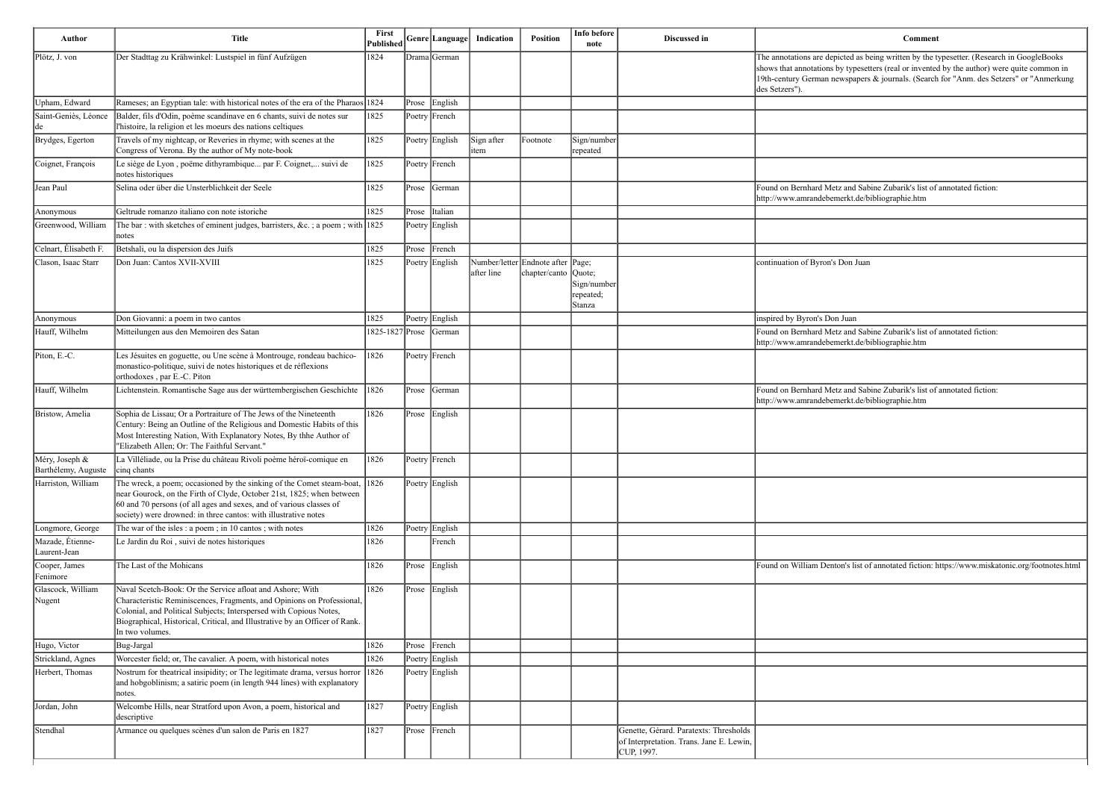n's list of annotated fiction: https://www.miskatonic.org/footnotes.html

| Author                                | <b>Title</b>                                                                                                                                                                                                                                                                                               | First<br>Published     | Genre Language | Indication          | Position                                                  | Info before<br>note                | Discussed in                                                                                     | Comment                                                                                                                                                                                                                                                                                            |
|---------------------------------------|------------------------------------------------------------------------------------------------------------------------------------------------------------------------------------------------------------------------------------------------------------------------------------------------------------|------------------------|----------------|---------------------|-----------------------------------------------------------|------------------------------------|--------------------------------------------------------------------------------------------------|----------------------------------------------------------------------------------------------------------------------------------------------------------------------------------------------------------------------------------------------------------------------------------------------------|
| Plötz, J. von                         | Der Stadttag zu Krähwinkel: Lustspiel in fünf Aufzügen                                                                                                                                                                                                                                                     | 1824                   | Drama German   |                     |                                                           |                                    |                                                                                                  | The annotations are depicted as being written by the typesetter. (Research in GoogleBooks<br>shows that annotations by typesetters (real or invented by the author) were quite common i<br>19th-century German newspapers & journals. (Search for "Anm. des Setzers" or "Anmerki<br>des Setzers"). |
| Upham, Edward                         | Rameses; an Egyptian tale: with historical notes of the era of the Pharaos 1824                                                                                                                                                                                                                            |                        | Prose English  |                     |                                                           |                                    |                                                                                                  |                                                                                                                                                                                                                                                                                                    |
| Saint-Geniès, Léonce                  | Balder, fils d'Odin, poème scandinave en 6 chants, suivi de notes sur<br>l'histoire, la religion et les moeurs des nations celtiques                                                                                                                                                                       | 1825                   | Poetry French  |                     |                                                           |                                    |                                                                                                  |                                                                                                                                                                                                                                                                                                    |
| Brydges, Egerton                      | Travels of my nightcap, or Reveries in rhyme; with scenes at the<br>Congress of Verona. By the author of My note-book                                                                                                                                                                                      | 1825                   | Poetry English | Sign after<br>litem | Footnote                                                  | Sign/number<br>repeated            |                                                                                                  |                                                                                                                                                                                                                                                                                                    |
| Coignet, François                     | Le siège de Lyon, poëme dithyrambique par F. Coignet, suivi de<br>notes historiques                                                                                                                                                                                                                        | 1825                   | Poetry French  |                     |                                                           |                                    |                                                                                                  |                                                                                                                                                                                                                                                                                                    |
| Jean Paul                             | Selina oder über die Unsterblichkeit der Seele                                                                                                                                                                                                                                                             | 1825                   | Prose German   |                     |                                                           |                                    |                                                                                                  | Found on Bernhard Metz and Sabine Zubarik's list of annotated fiction:<br>http://www.amrandebemerkt.de/bibliographie.htm                                                                                                                                                                           |
| Anonymous                             | Geltrude romanzo italiano con note istoriche                                                                                                                                                                                                                                                               | 1825                   | Prose Italian  |                     |                                                           |                                    |                                                                                                  |                                                                                                                                                                                                                                                                                                    |
| Greenwood, William                    | The bar: with sketches of eminent judges, barristers, &c. a poem; with 1825<br>notes                                                                                                                                                                                                                       |                        | Poetry English |                     |                                                           |                                    |                                                                                                  |                                                                                                                                                                                                                                                                                                    |
| Celnart, Élisabeth F.                 | Betshali, ou la dispersion des Juifs                                                                                                                                                                                                                                                                       | 1825                   | Prose French   |                     |                                                           |                                    |                                                                                                  |                                                                                                                                                                                                                                                                                                    |
| Clason, Isaac Starr                   | Don Juan: Cantos XVII-XVIII                                                                                                                                                                                                                                                                                | 1825                   | Poetry English | after line          | Number/letter Endnote after Page;<br>chapter/canto Quote; | Sign/number<br>repeated;<br>Stanza |                                                                                                  | continuation of Byron's Don Juan                                                                                                                                                                                                                                                                   |
| Anonymous                             | Don Giovanni: a poem in two cantos                                                                                                                                                                                                                                                                         | 1825                   | Poetry English |                     |                                                           |                                    |                                                                                                  | inspired by Byron's Don Juan                                                                                                                                                                                                                                                                       |
| Hauff, Wilhelm                        | Mitteilungen aus den Memoiren des Satan                                                                                                                                                                                                                                                                    | 1825-1827 Prose German |                |                     |                                                           |                                    |                                                                                                  | Found on Bernhard Metz and Sabine Zubarik's list of annotated fiction:<br>http://www.amrandebemerkt.de/bibliographie.htm                                                                                                                                                                           |
| Piton, E.-C.                          | Les Jésuites en goguette, ou Une scène à Montrouge, rondeau bachico-<br>monastico-politique, suivi de notes historiques et de réflexions<br>orthodoxes, par E.-C. Piton                                                                                                                                    | 1826                   | Poetry French  |                     |                                                           |                                    |                                                                                                  |                                                                                                                                                                                                                                                                                                    |
| Hauff, Wilhelm                        | Lichtenstein. Romantische Sage aus der württembergischen Geschichte                                                                                                                                                                                                                                        | 1826                   | Prose German   |                     |                                                           |                                    |                                                                                                  | Found on Bernhard Metz and Sabine Zubarik's list of annotated fiction:<br>http://www.amrandebemerkt.de/bibliographie.htm                                                                                                                                                                           |
| Bristow, Amelia                       | Sophia de Lissau; Or a Portraiture of The Jews of the Nineteenth<br>Century: Being an Outline of the Religious and Domestic Habits of this<br>Most Interesting Nation, With Explanatory Notes, By thhe Author of<br>"Elizabeth Allen; Or: The Faithful Servant."                                           | 1826                   | Prose English  |                     |                                                           |                                    |                                                                                                  |                                                                                                                                                                                                                                                                                                    |
| Méry, Joseph &<br>Barthélemy, Auguste | La Villéliade, ou la Prise du château Rivoli poème héroï-comique en<br>cinq chants                                                                                                                                                                                                                         | 1826                   | Poetry French  |                     |                                                           |                                    |                                                                                                  |                                                                                                                                                                                                                                                                                                    |
| Harriston, William                    | The wreck, a poem; occasioned by the sinking of the Comet steam-boat, 1826<br>near Gourock, on the Firth of Clyde, October 21st, 1825; when between<br>60 and 70 persons (of all ages and sexes, and of various classes of<br>society) were drowned: in three cantos: with illustrative notes              |                        | Poetry English |                     |                                                           |                                    |                                                                                                  |                                                                                                                                                                                                                                                                                                    |
| Longmore, George                      | The war of the isles: a poem; in 10 cantos; with notes                                                                                                                                                                                                                                                     | 1826                   | Poetry English |                     |                                                           |                                    |                                                                                                  |                                                                                                                                                                                                                                                                                                    |
| Mazade, Étienne-<br>Laurent-Jean      | Le Jardin du Roi, suivi de notes historiques                                                                                                                                                                                                                                                               | 1826                   | French         |                     |                                                           |                                    |                                                                                                  |                                                                                                                                                                                                                                                                                                    |
| Cooper, James<br>Fenimore             | The Last of the Mohicans                                                                                                                                                                                                                                                                                   | 1826                   | Prose English  |                     |                                                           |                                    |                                                                                                  | Found on William Denton's list of annotated fiction: https://www.miskatonic.org/footnotes                                                                                                                                                                                                          |
| Glascock, William<br>Nugent           | Naval Scetch-Book: Or the Service afloat and Ashore; With<br>Characteristic Reminiscences, Fragments, and Opinions on Professional<br>Colonial, and Political Subjects; Interspersed with Copious Notes,<br>Biographical, Historical, Critical, and Illustrative by an Officer of Rank.<br>In two volumes. | 1826                   | Prose English  |                     |                                                           |                                    |                                                                                                  |                                                                                                                                                                                                                                                                                                    |
| Hugo, Victor                          | Bug-Jargal                                                                                                                                                                                                                                                                                                 | 1826                   | Prose French   |                     |                                                           |                                    |                                                                                                  |                                                                                                                                                                                                                                                                                                    |
| Strickland, Agnes                     | Worcester field; or, The cavalier. A poem, with historical notes                                                                                                                                                                                                                                           | 1826                   | Poetry English |                     |                                                           |                                    |                                                                                                  |                                                                                                                                                                                                                                                                                                    |
| Herbert, Thomas                       | Nostrum for theatrical insipidity; or The legitimate drama, versus horror 1826<br>and hobgoblinism; a satiric poem (in length 944 lines) with explanatory<br>notes.                                                                                                                                        |                        | Poetry English |                     |                                                           |                                    |                                                                                                  |                                                                                                                                                                                                                                                                                                    |
| Jordan, John                          | Welcombe Hills, near Stratford upon Avon, a poem, historical and<br>descriptive                                                                                                                                                                                                                            | 1827                   | Poetry English |                     |                                                           |                                    |                                                                                                  |                                                                                                                                                                                                                                                                                                    |
| Stendhal                              | Armance ou quelques scènes d'un salon de Paris en 1827                                                                                                                                                                                                                                                     | 1827                   | Prose French   |                     |                                                           |                                    | Genette, Gérard. Paratexts: Thresholds<br>of Interpretation. Trans. Jane E. Lewin,<br>CUP, 1997. |                                                                                                                                                                                                                                                                                                    |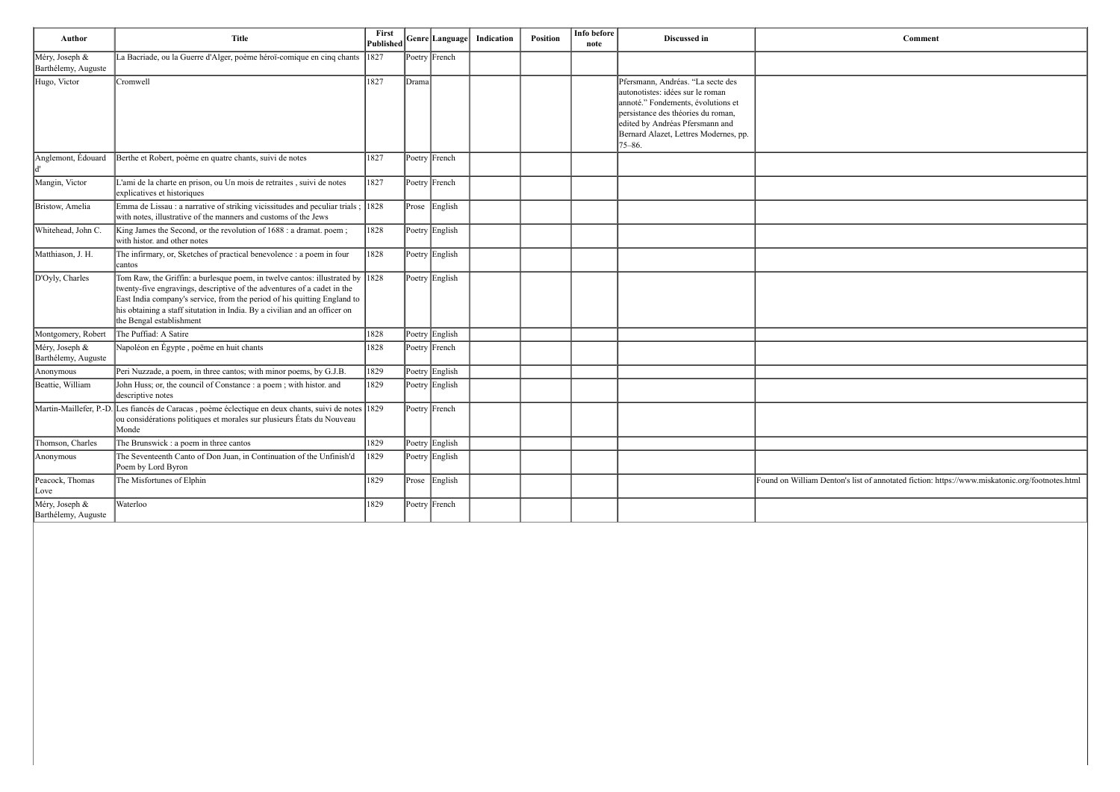| <b>Author</b>                         | <b>Title</b>                                                                                                                                                                                                                                                                                                                                   | First<br>Published |       | Genre Language                        | Indication | <b>Position</b> | Info before<br>note | Discussed in                                                                                                                                                                                                                                | Comment                                                |
|---------------------------------------|------------------------------------------------------------------------------------------------------------------------------------------------------------------------------------------------------------------------------------------------------------------------------------------------------------------------------------------------|--------------------|-------|---------------------------------------|------------|-----------------|---------------------|---------------------------------------------------------------------------------------------------------------------------------------------------------------------------------------------------------------------------------------------|--------------------------------------------------------|
| Méry, Joseph &<br>Barthélemy, Auguste | La Bacriade, ou la Guerre d'Alger, poème héroï-comique en cinq chants                                                                                                                                                                                                                                                                          | 1827               |       | Poetry French                         |            |                 |                     |                                                                                                                                                                                                                                             |                                                        |
| Hugo, Victor                          | Cromwell                                                                                                                                                                                                                                                                                                                                       | 1827               | Drama |                                       |            |                 |                     | Pfersmann, Andréas. "La secte des<br>autonotistes: idées sur le roman<br>annoté." Fondements, évolutions et<br>persistance des théories du roman,<br>edited by Andréas Pfersmann and<br>Bernard Alazet, Lettres Modernes, pp.<br>$75 - 86.$ |                                                        |
| Anglemont, Édouard                    | Berthe et Robert, poème en quatre chants, suivi de notes                                                                                                                                                                                                                                                                                       | 1827               |       | Poetry French                         |            |                 |                     |                                                                                                                                                                                                                                             |                                                        |
| Mangin, Victor                        | L'ami de la charte en prison, ou Un mois de retraites, suivi de notes<br>explicatives et historiques                                                                                                                                                                                                                                           | 1827               |       | Poetry French                         |            |                 |                     |                                                                                                                                                                                                                                             |                                                        |
| Bristow, Amelia                       | Emma de Lissau : a narrative of striking vicissitudes and peculiar trials;<br>with notes, illustrative of the manners and customs of the Jews                                                                                                                                                                                                  | $ 1828\rangle$     |       | Prose English                         |            |                 |                     |                                                                                                                                                                                                                                             |                                                        |
| Whitehead, John C.                    | King James the Second, or the revolution of 1688 : a dramat. poem;<br>with histor. and other notes                                                                                                                                                                                                                                             | 1828               |       | Poetry English                        |            |                 |                     |                                                                                                                                                                                                                                             |                                                        |
| Matthiason, J. H.                     | The infirmary, or, Sketches of practical benevolence : a poem in four<br>∣cantos                                                                                                                                                                                                                                                               | 1828               |       | Poetry English                        |            |                 |                     |                                                                                                                                                                                                                                             |                                                        |
| D'Oyly, Charles                       | Tom Raw, the Griffin: a burlesque poem, in twelve cantos: illustrated by 1828<br>twenty-five engravings, descriptive of the adventures of a cadet in the<br>East India company's service, from the period of his quitting England to<br>his obtaining a staff situtation in India. By a civilian and an officer on<br>the Bengal establishment |                    |       | Poetry English                        |            |                 |                     |                                                                                                                                                                                                                                             |                                                        |
| Montgomery, Robert                    | The Puffiad: A Satire                                                                                                                                                                                                                                                                                                                          | 1828               |       | Poetry English                        |            |                 |                     |                                                                                                                                                                                                                                             |                                                        |
| Méry, Joseph &<br>Barthélemy, Auguste | Napoléon en Égypte, poëme en huit chants                                                                                                                                                                                                                                                                                                       | 1828               |       | Poetry French                         |            |                 |                     |                                                                                                                                                                                                                                             |                                                        |
| Anonymous                             | Peri Nuzzade, a poem, in three cantos; with minor poems, by G.J.B.                                                                                                                                                                                                                                                                             | 1829               |       | Poetry English                        |            |                 |                     |                                                                                                                                                                                                                                             |                                                        |
| Beattie, William                      | John Huss; or, the council of Constance : a poem ; with histor. and<br>descriptive notes                                                                                                                                                                                                                                                       | 1829               |       | Poetry English                        |            |                 |                     |                                                                                                                                                                                                                                             |                                                        |
| Martin-Maillefer, P.-D                | Les fiancés de Caracas, poème éclectique en deux chants, suivi de notes 1829<br>ou considérations politiques et morales sur plusieurs États du Nouveau<br>Monde                                                                                                                                                                                |                    |       | Poetry French                         |            |                 |                     |                                                                                                                                                                                                                                             |                                                        |
| Thomson, Charles                      | The Brunswick : a poem in three cantos                                                                                                                                                                                                                                                                                                         | 1829               |       | Poetry English                        |            |                 |                     |                                                                                                                                                                                                                                             |                                                        |
| Anonymous                             | The Seventeenth Canto of Don Juan, in Continuation of the Unfinish'd<br>Poem by Lord Byron                                                                                                                                                                                                                                                     | 1829               |       | Poetry English                        |            |                 |                     |                                                                                                                                                                                                                                             |                                                        |
| Peacock, Thomas<br>Love               | The Misfortunes of Elphin                                                                                                                                                                                                                                                                                                                      | 1829               |       | Prose English                         |            |                 |                     |                                                                                                                                                                                                                                             | Found on William Denton's list of annotated fiction: h |
| Méry, Joseph &<br>Barthélemy, Auguste | Waterloo                                                                                                                                                                                                                                                                                                                                       | 1829               |       | $\left  \text{Poetry} \right $ French |            |                 |                     |                                                                                                                                                                                                                                             |                                                        |

|     | ${\bf Comment}$                                                                                |
|-----|------------------------------------------------------------------------------------------------|
|     |                                                                                                |
|     |                                                                                                |
|     |                                                                                                |
| pp. |                                                                                                |
|     |                                                                                                |
|     |                                                                                                |
|     |                                                                                                |
|     |                                                                                                |
|     |                                                                                                |
|     |                                                                                                |
|     |                                                                                                |
|     |                                                                                                |
|     |                                                                                                |
|     |                                                                                                |
|     |                                                                                                |
|     |                                                                                                |
|     |                                                                                                |
|     |                                                                                                |
|     |                                                                                                |
|     | Found on William Denton's list of annotated fiction: https://www.miskatonic.org/footnotes.html |
|     |                                                                                                |
|     |                                                                                                |
|     |                                                                                                |
|     |                                                                                                |
|     |                                                                                                |
|     |                                                                                                |
|     |                                                                                                |
|     |                                                                                                |
|     |                                                                                                |
|     |                                                                                                |
|     |                                                                                                |
|     |                                                                                                |
|     |                                                                                                |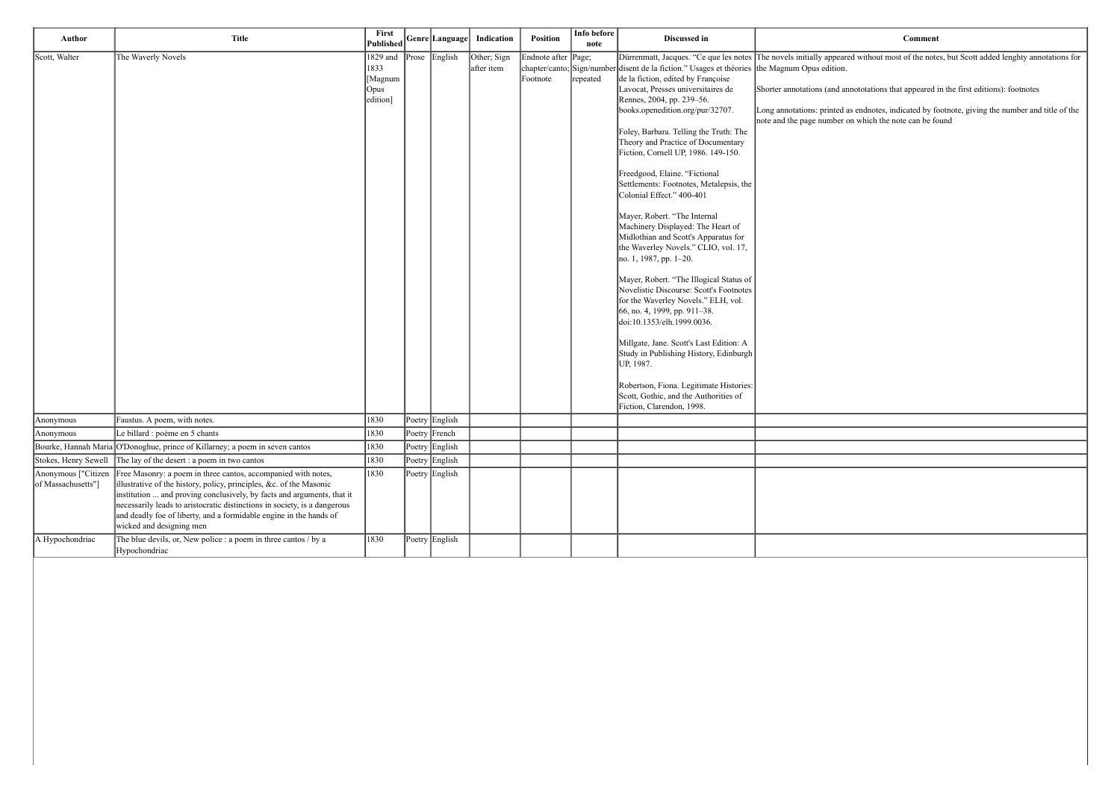ared without most of the notes, but Scott added lenghty annotations for

annototations that appeared in the first editions): footnotes

| Author                                    | <b>Title</b>                                                                                                                                                                                                                                                                                                                                                                                  | First<br><b>Published</b>                       |           | Genre Language | Indication                | Position                        | Info before<br>note | Discussed in                                                                                                                                                                                                                                                                                                                                                                                                                                                                                                                                                                                                                                                                                                                                                                                                                                                                                                                                                                                                                                                                                                         |                                                                                                                  |
|-------------------------------------------|-----------------------------------------------------------------------------------------------------------------------------------------------------------------------------------------------------------------------------------------------------------------------------------------------------------------------------------------------------------------------------------------------|-------------------------------------------------|-----------|----------------|---------------------------|---------------------------------|---------------------|----------------------------------------------------------------------------------------------------------------------------------------------------------------------------------------------------------------------------------------------------------------------------------------------------------------------------------------------------------------------------------------------------------------------------------------------------------------------------------------------------------------------------------------------------------------------------------------------------------------------------------------------------------------------------------------------------------------------------------------------------------------------------------------------------------------------------------------------------------------------------------------------------------------------------------------------------------------------------------------------------------------------------------------------------------------------------------------------------------------------|------------------------------------------------------------------------------------------------------------------|
| Scott, Walter                             | The Waverly Novels                                                                                                                                                                                                                                                                                                                                                                            | 1829 and<br>1833<br>[Magnum<br>Opus<br>edition] | $ $ Prose | English        | Other; Sign<br>after item | Endnote after Page;<br>Footnote | repeated            | Dürrenmatt, Jacques. "Ce que les notes The novels initially appear<br>chapter/canto; Sign/number disent de la fiction." Usages et théories<br>de la fiction, edited by Françoise<br>Lavocat, Presses universitaires de<br>Rennes, 2004, pp. 239–56.<br>books.openedition.org/pur/32707.<br>Foley, Barbara. Telling the Truth: The<br>Theory and Practice of Documentary<br>Fiction, Cornell UP, 1986. 149-150.<br>Freedgood, Elaine. "Fictional<br>Settlements: Footnotes, Metalepsis, the<br>Colonial Effect." 400-401<br>Mayer, Robert. "The Internal<br>Machinery Displayed: The Heart of<br>Midlothian and Scott's Apparatus for<br>the Waverley Novels." CLIO, vol. 17,<br>no. 1, 1987, pp. 1-20.<br>Mayer, Robert. "The Illogical Status of<br>Novelistic Discourse: Scott's Footnotes<br>for the Waverley Novels." ELH, vol.<br>66, no. 4, 1999, pp. 911-38.<br>doi:10.1353/elh.1999.0036.<br>Millgate, Jane. Scott's Last Edition: A<br>Study in Publishing History, Edinburgh<br>UP, 1987.<br>Robertson, Fiona. Legitimate Histories:<br>Scott, Gothic, and the Authorities of<br>Fiction, Clarendon, 1998. | the Magnum Opus edition.<br>Shorter annotations (and an<br>Long annotations: printed<br>note and the page number |
| Anonymous                                 | Faustus. A poem, with notes.                                                                                                                                                                                                                                                                                                                                                                  | 1830                                            |           | Poetry English |                           |                                 |                     |                                                                                                                                                                                                                                                                                                                                                                                                                                                                                                                                                                                                                                                                                                                                                                                                                                                                                                                                                                                                                                                                                                                      |                                                                                                                  |
| Anonymous                                 | Le billard : poème en 5 chants                                                                                                                                                                                                                                                                                                                                                                | 1830                                            |           | Poetry French  |                           |                                 |                     |                                                                                                                                                                                                                                                                                                                                                                                                                                                                                                                                                                                                                                                                                                                                                                                                                                                                                                                                                                                                                                                                                                                      |                                                                                                                  |
|                                           | Bourke, Hannah Maria O'Donoghue, prince of Killarney; a poem in seven cantos                                                                                                                                                                                                                                                                                                                  | 1830                                            |           | Poetry English |                           |                                 |                     |                                                                                                                                                                                                                                                                                                                                                                                                                                                                                                                                                                                                                                                                                                                                                                                                                                                                                                                                                                                                                                                                                                                      |                                                                                                                  |
| Stokes, Henry Sewell                      | The lay of the desert : a poem in two cantos                                                                                                                                                                                                                                                                                                                                                  | 1830                                            |           | Poetry English |                           |                                 |                     |                                                                                                                                                                                                                                                                                                                                                                                                                                                                                                                                                                                                                                                                                                                                                                                                                                                                                                                                                                                                                                                                                                                      |                                                                                                                  |
| Anonymous ["Citizen<br>of Massachusetts"] | Free Masonry: a poem in three cantos, accompanied with notes,<br>illustrative of the history, policy, principles, &c. of the Masonic<br>institution  and proving conclusively, by facts and arguments, that it<br>necessarily leads to aristocratic distinctions in society, is a dangerous<br>and deadly foe of liberty, and a formidable engine in the hands of<br>wicked and designing men | 1830                                            |           | Poetry English |                           |                                 |                     |                                                                                                                                                                                                                                                                                                                                                                                                                                                                                                                                                                                                                                                                                                                                                                                                                                                                                                                                                                                                                                                                                                                      |                                                                                                                  |
| A Hypochondriac                           | The blue devils, or, New police : a poem in three cantos / by a<br>Hypochondriac                                                                                                                                                                                                                                                                                                              | 1830                                            |           | Poetry English |                           |                                 |                     |                                                                                                                                                                                                                                                                                                                                                                                                                                                                                                                                                                                                                                                                                                                                                                                                                                                                                                                                                                                                                                                                                                                      |                                                                                                                  |

Long annotations: printed as endnotes, indicated by footnote, giving the number and title of the note and the page number on which the note can be found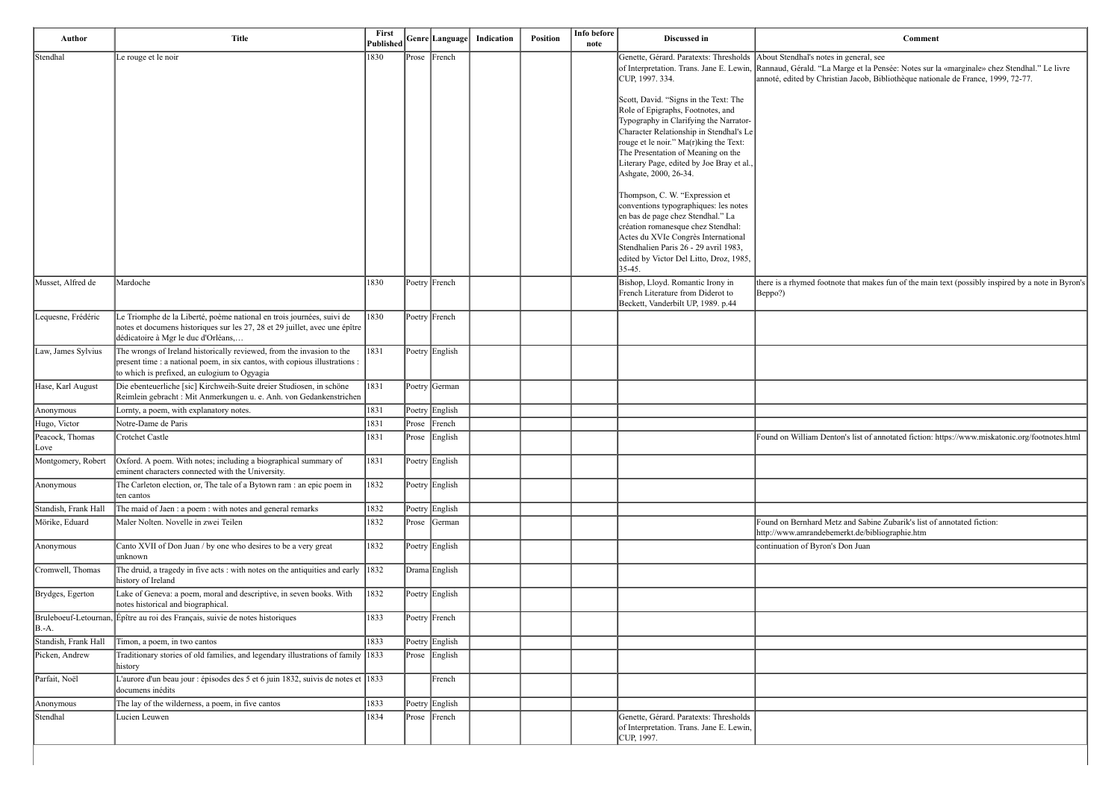a general, see Rannaud, Gérald. "La Marge et la Pensée: Notes sur la «marginale» chez Stendhal." Le livre annoté, edited by Christian Jacob, Bibliothèque nationale de France, 1999, 72-77.

e that makes fun of the main text (possibly inspired by a note in Byron's

n's list of annotated fiction: https://www.miskatonic.org/footnotes.html

| Author                  | <b>Title</b>                                                                                                                                                                                         | First<br>Published |       | Genre Language | Indication | Position | Info before<br>note | Discussed in                                                                                                                                                                                                                                                                                                   | Comment                                                                                                                                                                                   |
|-------------------------|------------------------------------------------------------------------------------------------------------------------------------------------------------------------------------------------------|--------------------|-------|----------------|------------|----------|---------------------|----------------------------------------------------------------------------------------------------------------------------------------------------------------------------------------------------------------------------------------------------------------------------------------------------------------|-------------------------------------------------------------------------------------------------------------------------------------------------------------------------------------------|
| Stendhal                | Le rouge et le noir                                                                                                                                                                                  | 1830               | Prose | French         |            |          |                     | Genette, Gérard. Paratexts: Thresholds   About Stendhal's notes in general, see<br>CUP, 1997. 334.<br>Scott, David. "Signs in the Text: The                                                                                                                                                                    | of Interpretation. Trans. Jane E. Lewin, Rannaud, Gérald. "La Marge et la Pensée: Notes sur la «marginale» che<br>annoté, edited by Christian Jacob, Bibliothèque nationale de France, 19 |
|                         |                                                                                                                                                                                                      |                    |       |                |            |          |                     | Role of Epigraphs, Footnotes, and<br>Typography in Clarifying the Narrator-<br>Character Relationship in Stendhal's Le<br>rouge et le noir." Ma(r)king the Text:<br>The Presentation of Meaning on the<br>Literary Page, edited by Joe Bray et al.,<br>Ashgate, 2000, 26-34.<br>Thompson, C. W. "Expression et |                                                                                                                                                                                           |
|                         |                                                                                                                                                                                                      |                    |       |                |            |          |                     | conventions typographiques: les notes<br>en bas de page chez Stendhal." La<br>création romanesque chez Stendhal:<br>Actes du XVIe Congrès International<br>Stendhalien Paris 26 - 29 avril 1983,<br>edited by Victor Del Litto, Droz, 1985,<br>35-45.                                                          |                                                                                                                                                                                           |
| Musset, Alfred de       | Mardoche                                                                                                                                                                                             | 1830               |       | Poetry French  |            |          |                     | Bishop, Lloyd. Romantic Irony in<br>French Literature from Diderot to<br>Beckett, Vanderbilt UP, 1989. p.44                                                                                                                                                                                                    | there is a rhymed footnote that makes fun of the main text (possibly ins<br>Beppo?)                                                                                                       |
| Lequesne, Frédéric      | Le Triomphe de la Liberté, poème national en trois journées, suivi de<br>notes et documens historiques sur les 27, 28 et 29 juillet, avec une épître<br>dédicatoire à Mgr le duc d'Orléans,          | 1830               |       | Poetry French  |            |          |                     |                                                                                                                                                                                                                                                                                                                |                                                                                                                                                                                           |
| Law, James Sylvius      | The wrongs of Ireland historically reviewed, from the invasion to the<br>present time : a national poem, in six cantos, with copious illustrations :<br>to which is prefixed, an eulogium to Ogyagia | 1831               |       | Poetry English |            |          |                     |                                                                                                                                                                                                                                                                                                                |                                                                                                                                                                                           |
| Hase, Karl August       | Die ebenteuerliche [sic] Kirchweih-Suite dreier Studiosen, in schöne<br>Reimlein gebracht : Mit Anmerkungen u. e. Anh. von Gedankenstrichen                                                          | 1831               |       | Poetry German  |            |          |                     |                                                                                                                                                                                                                                                                                                                |                                                                                                                                                                                           |
| Anonymous               | Lornty, a poem, with explanatory notes.                                                                                                                                                              | 1831               |       | Poetry English |            |          |                     |                                                                                                                                                                                                                                                                                                                |                                                                                                                                                                                           |
| Hugo, Victor            | Notre-Dame de Paris                                                                                                                                                                                  | 1831               | Prose | French         |            |          |                     |                                                                                                                                                                                                                                                                                                                |                                                                                                                                                                                           |
| Peacock, Thomas<br>Love | Crotchet Castle                                                                                                                                                                                      | 1831               | Prose | English        |            |          |                     |                                                                                                                                                                                                                                                                                                                | Found on William Denton's list of annotated fiction: https://www.miska                                                                                                                    |
| Montgomery, Robert      | Oxford. A poem. With notes; including a biographical summary of<br>eminent characters connected with the University.                                                                                 | 1831               |       | Poetry English |            |          |                     |                                                                                                                                                                                                                                                                                                                |                                                                                                                                                                                           |
| Anonymous               | The Carleton election, or, The tale of a Bytown ram : an epic poem in<br>ten cantos                                                                                                                  | 1832               |       | Poetry English |            |          |                     |                                                                                                                                                                                                                                                                                                                |                                                                                                                                                                                           |
| Standish, Frank Hall    | The maid of Jaen : a poem : with notes and general remarks                                                                                                                                           | 1832               |       | Poetry English |            |          |                     |                                                                                                                                                                                                                                                                                                                |                                                                                                                                                                                           |
| Mörike, Eduard          | Maler Nolten. Novelle in zwei Teilen                                                                                                                                                                 | 1832               | Prose | German         |            |          |                     |                                                                                                                                                                                                                                                                                                                | Found on Bernhard Metz and Sabine Zubarik's list of annotated fiction:<br>http://www.amrandebemerkt.de/bibliographie.htm                                                                  |
| Anonymous               | Canto XVII of Don Juan / by one who desires to be a very great<br> unknown                                                                                                                           | 1832               |       | Poetry English |            |          |                     |                                                                                                                                                                                                                                                                                                                | continuation of Byron's Don Juan                                                                                                                                                          |
| Cromwell, Thomas        | The druid, a tragedy in five acts : with notes on the antiquities and early $\left  \right $ 1832<br>history of Ireland                                                                              |                    |       | Drama English  |            |          |                     |                                                                                                                                                                                                                                                                                                                |                                                                                                                                                                                           |
| Brydges, Egerton        | Lake of Geneva: a poem, moral and descriptive, in seven books. With<br>notes historical and biographical.                                                                                            | 1832               |       | Poetry English |            |          |                     |                                                                                                                                                                                                                                                                                                                |                                                                                                                                                                                           |
| B.-A.                   | Bruleboeuf-Letournan, Épître au roi des Français, suivie de notes historiques                                                                                                                        | 1833               |       | Poetry French  |            |          |                     |                                                                                                                                                                                                                                                                                                                |                                                                                                                                                                                           |
| Standish, Frank Hall    | Timon, a poem, in two cantos                                                                                                                                                                         | 1833               |       | Poetry English |            |          |                     |                                                                                                                                                                                                                                                                                                                |                                                                                                                                                                                           |
| Picken, Andrew          | Traditionary stories of old families, and legendary illustrations of family 1833<br>history                                                                                                          |                    |       | Prose English  |            |          |                     |                                                                                                                                                                                                                                                                                                                |                                                                                                                                                                                           |
| Parfait, Noël           | L'aurore d'un beau jour : épisodes des 5 et 6 juin 1832, suivis de notes et 1833<br>documens inédits                                                                                                 |                    |       | French         |            |          |                     |                                                                                                                                                                                                                                                                                                                |                                                                                                                                                                                           |
| Anonymous               | The lay of the wilderness, a poem, in five cantos                                                                                                                                                    | 1833               |       | Poetry English |            |          |                     |                                                                                                                                                                                                                                                                                                                |                                                                                                                                                                                           |
| Stendhal                | Lucien Leuwen                                                                                                                                                                                        | 1834               | Prose | French         |            |          |                     | Genette, Gérard. Paratexts: Thresholds<br>of Interpretation. Trans. Jane E. Lewin,<br>CUP, 1997.                                                                                                                                                                                                               |                                                                                                                                                                                           |

| <b>Comment</b> |  |
|----------------|--|
|----------------|--|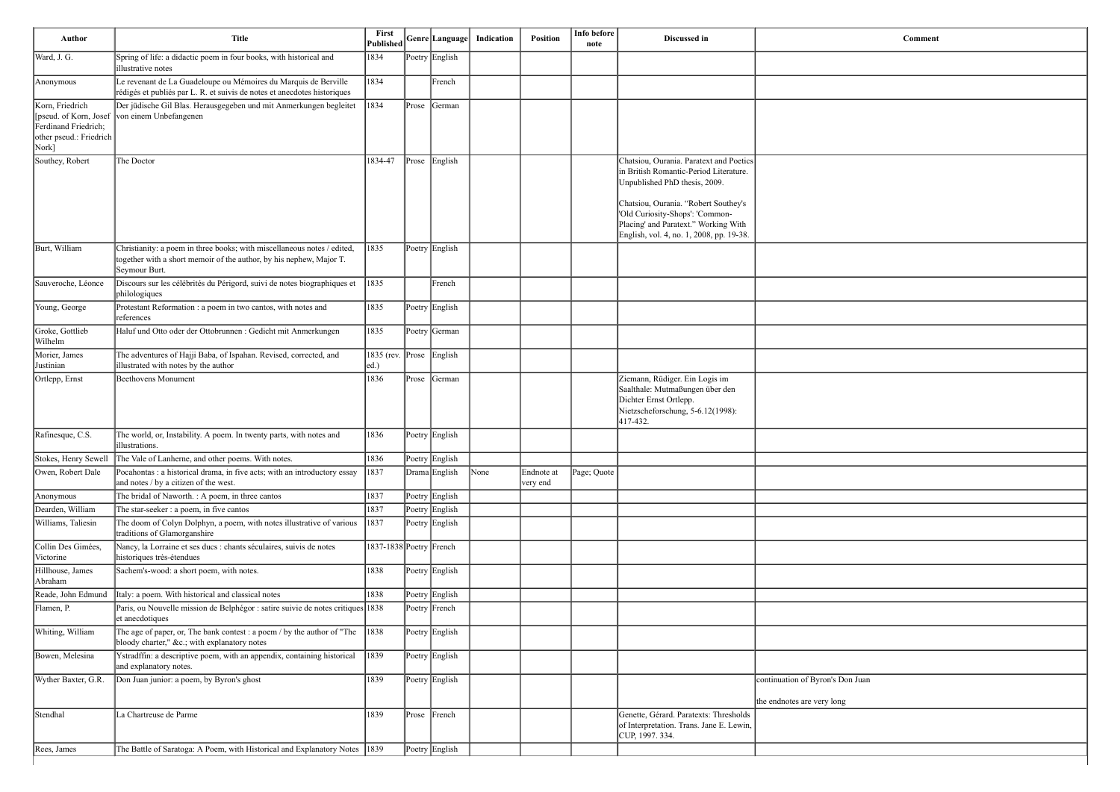| Ward, J. G.<br>Anonymous<br>Korn, Friedrich<br>Ferdinand Friedrich;<br>other pseud.: Friedrich<br>Nork]<br>Southey, Robert<br>Burt, William<br>Sauveroche, Léonce<br>Young, George | Spring of life: a didactic poem in four books, with historical and<br>illustrative notes<br>Le revenant de La Guadeloupe ou Mémoires du Marquis de Berville<br>rédigés et publiés par L. R. et suivis de notes et anecdotes historiques | 1834                             |       | Poetry English |      |                        |             |                                                                                                                                                                                                                                                                                   |                                                                |
|------------------------------------------------------------------------------------------------------------------------------------------------------------------------------------|-----------------------------------------------------------------------------------------------------------------------------------------------------------------------------------------------------------------------------------------|----------------------------------|-------|----------------|------|------------------------|-------------|-----------------------------------------------------------------------------------------------------------------------------------------------------------------------------------------------------------------------------------------------------------------------------------|----------------------------------------------------------------|
|                                                                                                                                                                                    |                                                                                                                                                                                                                                         |                                  |       |                |      |                        |             |                                                                                                                                                                                                                                                                                   |                                                                |
|                                                                                                                                                                                    |                                                                                                                                                                                                                                         | 1834                             |       | French         |      |                        |             |                                                                                                                                                                                                                                                                                   |                                                                |
|                                                                                                                                                                                    | Der jüdische Gil Blas. Herausgegeben und mit Anmerkungen begleitet<br>[pseud. of Korn, Josef von einem Unbefangenen]                                                                                                                    | 1834                             |       | Prose   German |      |                        |             |                                                                                                                                                                                                                                                                                   |                                                                |
|                                                                                                                                                                                    | The Doctor                                                                                                                                                                                                                              | 1834-47                          |       | Prose English  |      |                        |             | Chatsiou, Ourania. Paratext and Poetics<br>in British Romantic-Period Literature.<br>Unpublished PhD thesis, 2009.<br>Chatsiou, Ourania. "Robert Southey's<br>'Old Curiosity-Shops': 'Common-<br>Placing' and Paratext." Working With<br>English, vol. 4, no. 1, 2008, pp. 19-38. |                                                                |
|                                                                                                                                                                                    | Christianity: a poem in three books; with miscellaneous notes / edited,<br>together with a short memoir of the author, by his nephew, Major T.<br>Seymour Burt.                                                                         | 1835                             |       | Poetry English |      |                        |             |                                                                                                                                                                                                                                                                                   |                                                                |
|                                                                                                                                                                                    | Discours sur les célébrités du Périgord, suivi de notes biographiques et<br>philologiques                                                                                                                                               | 1835                             |       | French         |      |                        |             |                                                                                                                                                                                                                                                                                   |                                                                |
|                                                                                                                                                                                    | Protestant Reformation : a poem in two cantos, with notes and<br>references                                                                                                                                                             | 1835                             |       | Poetry English |      |                        |             |                                                                                                                                                                                                                                                                                   |                                                                |
| Groke, Gottlieb<br>Wilhelm                                                                                                                                                         | Haluf und Otto oder der Ottobrunnen : Gedicht mit Anmerkungen                                                                                                                                                                           | 1835                             |       | Poetry German  |      |                        |             |                                                                                                                                                                                                                                                                                   |                                                                |
| Morier, James<br>Justinian                                                                                                                                                         | The adventures of Hajji Baba, of Ispahan. Revised, corrected, and<br>illustrated with notes by the author                                                                                                                               | 1835 (rev. Prose English<br> ed. |       |                |      |                        |             |                                                                                                                                                                                                                                                                                   |                                                                |
| Ortlepp, Ernst                                                                                                                                                                     | Beethovens Monument                                                                                                                                                                                                                     | 1836                             | Prose | German         |      |                        |             | Ziemann, Rüdiger. Ein Logis im<br>Saalthale: Mutmaßungen über den<br>Dichter Ernst Ortlepp.<br>Nietzscheforschung, 5-6.12(1998):<br>417-432.                                                                                                                                      |                                                                |
| Rafinesque, C.S.                                                                                                                                                                   | The world, or, Instability. A poem. In twenty parts, with notes and<br>illustrations.                                                                                                                                                   | 1836                             |       | Poetry English |      |                        |             |                                                                                                                                                                                                                                                                                   |                                                                |
| Stokes, Henry Sewell                                                                                                                                                               | The Vale of Lanherne, and other poems. With notes.                                                                                                                                                                                      | 1836                             |       | Poetry English |      |                        |             |                                                                                                                                                                                                                                                                                   |                                                                |
| Owen, Robert Dale                                                                                                                                                                  | Pocahontas : a historical drama, in five acts; with an introductory essay<br>and notes / by a citizen of the west.                                                                                                                      | 1837                             |       | Drama English  | None | Endnote at<br>very end | Page; Quote |                                                                                                                                                                                                                                                                                   |                                                                |
| Anonymous                                                                                                                                                                          | The bridal of Naworth. : A poem, in three cantos                                                                                                                                                                                        | 1837                             |       | Poetry English |      |                        |             |                                                                                                                                                                                                                                                                                   |                                                                |
| Dearden, William                                                                                                                                                                   | The star-seeker : a poem, in five cantos                                                                                                                                                                                                | 1837                             |       | Poetry English |      |                        |             |                                                                                                                                                                                                                                                                                   |                                                                |
| Williams, Taliesin                                                                                                                                                                 | The doom of Colyn Dolphyn, a poem, with notes illustrative of various<br>traditions of Glamorganshire                                                                                                                                   | 1837                             |       | Poetry English |      |                        |             |                                                                                                                                                                                                                                                                                   |                                                                |
| Collin Des Gimées,<br>Victorine                                                                                                                                                    | Nancy, la Lorraine et ses ducs : chants séculaires, suivis de notes<br>historiques très-étendues                                                                                                                                        | 1837-1838 Poetry French          |       |                |      |                        |             |                                                                                                                                                                                                                                                                                   |                                                                |
| Hillhouse, James<br>Abraham                                                                                                                                                        | Sachem's-wood: a short poem, with notes.                                                                                                                                                                                                | 1838                             |       | Poetry English |      |                        |             |                                                                                                                                                                                                                                                                                   |                                                                |
| Reade, John Edmund                                                                                                                                                                 | Italy: a poem. With historical and classical notes                                                                                                                                                                                      | 1838                             |       | Poetry English |      |                        |             |                                                                                                                                                                                                                                                                                   |                                                                |
| Flamen, P.                                                                                                                                                                         | Paris, ou Nouvelle mission de Belphégor : satire suivie de notes critiques 1838<br>et anecdotiques                                                                                                                                      |                                  |       | Poetry French  |      |                        |             |                                                                                                                                                                                                                                                                                   |                                                                |
| Whiting, William                                                                                                                                                                   | The age of paper, or, The bank contest : a poem / by the author of "The<br>bloody charter," &c. with explanatory notes                                                                                                                  | 1838                             |       | Poetry English |      |                        |             |                                                                                                                                                                                                                                                                                   |                                                                |
| Bowen, Melesina                                                                                                                                                                    | Ystradffin: a descriptive poem, with an appendix, containing historical<br>and explanatory notes.                                                                                                                                       | 1839                             |       | Poetry English |      |                        |             |                                                                                                                                                                                                                                                                                   |                                                                |
| Wyther Baxter, G.R.                                                                                                                                                                | Don Juan junior: a poem, by Byron's ghost                                                                                                                                                                                               | 1839                             |       | Poetry English |      |                        |             |                                                                                                                                                                                                                                                                                   | continuation of Byron's Don Juan<br>the endnotes are very long |
| Stendhal                                                                                                                                                                           | La Chartreuse de Parme                                                                                                                                                                                                                  | 1839                             | Prose | French         |      |                        |             | Genette, Gérard. Paratexts: Thresholds<br>of Interpretation. Trans. Jane E. Lewin,                                                                                                                                                                                                |                                                                |
| The Battle of Saratoga: A Poem, with Historical and Explanatory Notes<br>Rees, James                                                                                               |                                                                                                                                                                                                                                         |                                  |       |                |      |                        |             | CUP, 1997. 334.                                                                                                                                                                                                                                                                   |                                                                |

| Comment       |  |
|---------------|--|
|               |  |
|               |  |
|               |  |
|               |  |
|               |  |
|               |  |
|               |  |
|               |  |
|               |  |
|               |  |
|               |  |
|               |  |
|               |  |
|               |  |
|               |  |
|               |  |
|               |  |
|               |  |
|               |  |
|               |  |
|               |  |
|               |  |
|               |  |
|               |  |
|               |  |
|               |  |
|               |  |
|               |  |
|               |  |
| on Juan       |  |
| $\frac{2}{2}$ |  |
|               |  |
|               |  |
|               |  |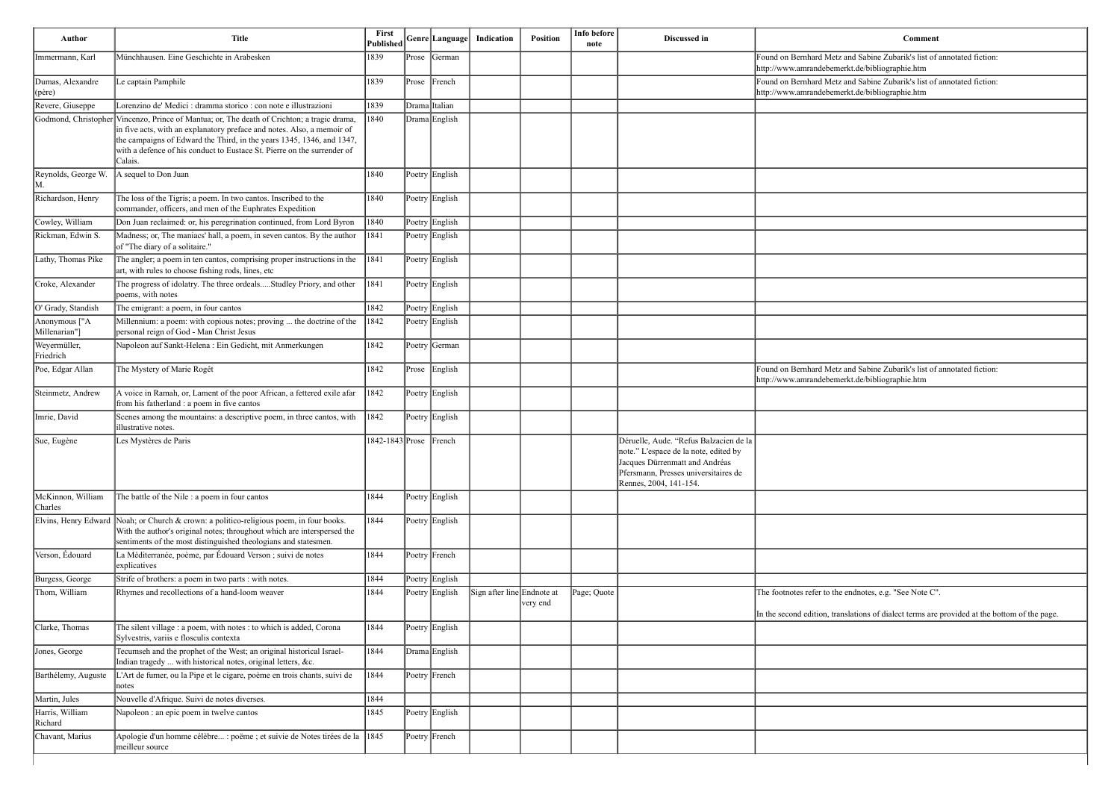| Author                         | <b>Title</b>                                                                                                                                                                                                                                                                                                                         | First<br><b>Published</b> |       | Genre Language | Indication                 | <b>Position</b> | Info before<br>note | Discussed in                                                                                                                                                                        | Comment                                                                                                                  |
|--------------------------------|--------------------------------------------------------------------------------------------------------------------------------------------------------------------------------------------------------------------------------------------------------------------------------------------------------------------------------------|---------------------------|-------|----------------|----------------------------|-----------------|---------------------|-------------------------------------------------------------------------------------------------------------------------------------------------------------------------------------|--------------------------------------------------------------------------------------------------------------------------|
| Immermann, Karl                | Münchhausen. Eine Geschichte in Arabesken                                                                                                                                                                                                                                                                                            | 1839                      | Prose | German         |                            |                 |                     |                                                                                                                                                                                     | Found on Bernhard Metz and Sabine Zubarik's list of annotated fiction:<br>http://www.amrandebemerkt.de/bibliographie.htm |
| Dumas, Alexandre<br>(père)     | Le captain Pamphile                                                                                                                                                                                                                                                                                                                  | 1839                      | Prose | $ $ French     |                            |                 |                     |                                                                                                                                                                                     | Found on Bernhard Metz and Sabine Zubarik's list of annotated fiction:<br>http://www.amrandebemerkt.de/bibliographie.htm |
| Revere, Giuseppe               | Lorenzino de' Medici : dramma storico : con note e illustrazioni                                                                                                                                                                                                                                                                     | 1839                      |       | Drama Italian  |                            |                 |                     |                                                                                                                                                                                     |                                                                                                                          |
|                                | Godmond, Christopher Vincenzo, Prince of Mantua; or, The death of Crichton; a tragic drama,<br>in five acts, with an explanatory preface and notes. Also, a memoir of<br>the campaigns of Edward the Third, in the years 1345, 1346, and 1347,<br>with a defence of his conduct to Eustace St. Pierre on the surrender of<br>Calais. | 1840                      |       | Drama English  |                            |                 |                     |                                                                                                                                                                                     |                                                                                                                          |
| Reynolds, George W.<br>M.      | A sequel to Don Juan                                                                                                                                                                                                                                                                                                                 | 1840                      |       | Poetry English |                            |                 |                     |                                                                                                                                                                                     |                                                                                                                          |
| Richardson, Henry              | The loss of the Tigris; a poem. In two cantos. Inscribed to the<br>commander, officers, and men of the Euphrates Expedition                                                                                                                                                                                                          | 1840                      |       | Poetry English |                            |                 |                     |                                                                                                                                                                                     |                                                                                                                          |
| Cowley, William                | Don Juan reclaimed: or, his peregrination continued, from Lord Byron                                                                                                                                                                                                                                                                 | 1840                      |       | Poetry English |                            |                 |                     |                                                                                                                                                                                     |                                                                                                                          |
| Rickman, Edwin S.              | Madness; or, The maniacs' hall, a poem, in seven cantos. By the author<br>of "The diary of a solitaire."                                                                                                                                                                                                                             | 1841                      |       | Poetry English |                            |                 |                     |                                                                                                                                                                                     |                                                                                                                          |
| Lathy, Thomas Pike             | The angler; a poem in ten cantos, comprising proper instructions in the<br>art, with rules to choose fishing rods, lines, etc                                                                                                                                                                                                        | 1841                      |       | Poetry English |                            |                 |                     |                                                                                                                                                                                     |                                                                                                                          |
| Croke, Alexander               | The progress of idolatry. The three ordealsStudley Priory, and other<br>poems, with notes                                                                                                                                                                                                                                            | 1841                      |       | Poetry English |                            |                 |                     |                                                                                                                                                                                     |                                                                                                                          |
| O' Grady, Standish             | The emigrant: a poem, in four cantos                                                                                                                                                                                                                                                                                                 | 1842                      |       | Poetry English |                            |                 |                     |                                                                                                                                                                                     |                                                                                                                          |
| Anonymous ["A<br>Millenarian"] | Millennium: a poem: with copious notes; proving  the doctrine of the<br>personal reign of God - Man Christ Jesus                                                                                                                                                                                                                     | 1842                      |       | Poetry English |                            |                 |                     |                                                                                                                                                                                     |                                                                                                                          |
| Weyermüller,<br>Friedrich      | Napoleon auf Sankt-Helena : Ein Gedicht, mit Anmerkungen                                                                                                                                                                                                                                                                             | 1842                      |       | Poetry German  |                            |                 |                     |                                                                                                                                                                                     |                                                                                                                          |
| Poe, Edgar Allan               | The Mystery of Marie Rogêt                                                                                                                                                                                                                                                                                                           | 1842                      |       | Prose English  |                            |                 |                     |                                                                                                                                                                                     | Found on Bernhard Metz and Sabine Zubarik's list of annotated fiction:<br>http://www.amrandebemerkt.de/bibliographie.htm |
| Steinmetz, Andrew              | A voice in Ramah, or, Lament of the poor African, a fettered exile afar<br>from his fatherland : a poem in five cantos                                                                                                                                                                                                               | 1842                      |       | Poetry English |                            |                 |                     |                                                                                                                                                                                     |                                                                                                                          |
| Imrie, David                   | Scenes among the mountains: a descriptive poem, in three cantos, with<br>illustrative notes.                                                                                                                                                                                                                                         | 1842                      |       | Poetry English |                            |                 |                     |                                                                                                                                                                                     |                                                                                                                          |
| Sue, Eugène                    | Les Mystères de Paris                                                                                                                                                                                                                                                                                                                | 1842-1843 Prose French    |       |                |                            |                 |                     | Déruelle, Aude. "Refus Balzacien de la<br>note." L'espace de la note, edited by<br>Jacques Dürrenmatt and Andréas<br>Pfersmann, Presses universitaires de<br>Rennes, 2004, 141-154. |                                                                                                                          |
| McKinnon, William<br>Charles   | The battle of the Nile : a poem in four cantos                                                                                                                                                                                                                                                                                       | 1844                      |       | Poetry English |                            |                 |                     |                                                                                                                                                                                     |                                                                                                                          |
|                                | Elvins, Henry Edward Noah; or Church & crown: a politico-religious poem, in four books.<br>With the author's original notes; throughout which are interspersed the<br>sentiments of the most distinguished theologians and statesmen.                                                                                                | 1844                      |       | Poetry English |                            |                 |                     |                                                                                                                                                                                     |                                                                                                                          |
| Verson, Édouard                | La Méditerranée, poème, par Édouard Verson ; suivi de notes<br>explicatives                                                                                                                                                                                                                                                          | 1844                      |       | Poetry French  |                            |                 |                     |                                                                                                                                                                                     |                                                                                                                          |
| Burgess, George                | Strife of brothers: a poem in two parts : with notes.                                                                                                                                                                                                                                                                                | 1844                      |       | Poetry English |                            |                 |                     |                                                                                                                                                                                     |                                                                                                                          |
| Thom, William                  | Rhymes and recollections of a hand-loom weaver                                                                                                                                                                                                                                                                                       | 1844                      |       | Poetry English | Sign after line Endnote at | very end        | Page; Quote         |                                                                                                                                                                                     | The footnotes refer to the endnotes, e.g. "See Note C".                                                                  |
|                                |                                                                                                                                                                                                                                                                                                                                      |                           |       |                |                            |                 |                     |                                                                                                                                                                                     | In the second edition, translations of dialect terms are provided at the b                                               |
| Clarke, Thomas                 | The silent village : a poem, with notes : to which is added, Corona<br>Sylvestris, variis e flosculis contexta                                                                                                                                                                                                                       | 1844                      |       | Poetry English |                            |                 |                     |                                                                                                                                                                                     |                                                                                                                          |
| Jones, George                  | Tecumseh and the prophet of the West; an original historical Israel-<br>Indian tragedy  with historical notes, original letters, &c.                                                                                                                                                                                                 | 1844                      |       | Drama English  |                            |                 |                     |                                                                                                                                                                                     |                                                                                                                          |
| Barthélemy, Auguste            | L'Art de fumer, ou la Pipe et le cigare, poème en trois chants, suivi de<br>notes                                                                                                                                                                                                                                                    | 1844                      |       | Poetry French  |                            |                 |                     |                                                                                                                                                                                     |                                                                                                                          |
| Martin, Jules                  | Nouvelle d'Afrique. Suivi de notes diverses.                                                                                                                                                                                                                                                                                         | 1844                      |       |                |                            |                 |                     |                                                                                                                                                                                     |                                                                                                                          |
| Harris, William<br>Richard     | Napoleon : an epic poem in twelve cantos                                                                                                                                                                                                                                                                                             | 1845                      |       | Poetry English |                            |                 |                     |                                                                                                                                                                                     |                                                                                                                          |
| Chavant, Marius                | Apologie d'un homme célèbre : poëme ; et suivie de Notes tirées de la 1845<br>meilleur source                                                                                                                                                                                                                                        |                           |       | Poetry French  |                            |                 |                     |                                                                                                                                                                                     |                                                                                                                          |

| Comment                                                                                                                  |
|--------------------------------------------------------------------------------------------------------------------------|
| Found on Bernhard Metz and Sabine Zubarik's list of annotated fiction:                                                   |
| http://www.amrandebemerkt.de/bibliographie.htm<br>Found on Bernhard Metz and Sabine Zubarik's list of annotated fiction: |
| http://www.amrandebemerkt.de/bibliographie.htm                                                                           |
|                                                                                                                          |
|                                                                                                                          |
|                                                                                                                          |
|                                                                                                                          |
|                                                                                                                          |
|                                                                                                                          |
|                                                                                                                          |
|                                                                                                                          |
|                                                                                                                          |
|                                                                                                                          |
|                                                                                                                          |
|                                                                                                                          |
|                                                                                                                          |
|                                                                                                                          |
| Found on Bernhard Metz and Sabine Zubarik's list of annotated fiction:                                                   |
| http://www.amrandebemerkt.de/bibliographie.htm                                                                           |
|                                                                                                                          |
|                                                                                                                          |
|                                                                                                                          |
|                                                                                                                          |
|                                                                                                                          |
|                                                                                                                          |
|                                                                                                                          |
|                                                                                                                          |
|                                                                                                                          |
|                                                                                                                          |
|                                                                                                                          |
| The footnotes refer to the endnotes, e.g. "See Note C".                                                                  |
| In the second edition, translations of dialect terms are provided at the bottom of the page.                             |
|                                                                                                                          |
|                                                                                                                          |
|                                                                                                                          |
|                                                                                                                          |
|                                                                                                                          |
|                                                                                                                          |
|                                                                                                                          |
|                                                                                                                          |
|                                                                                                                          |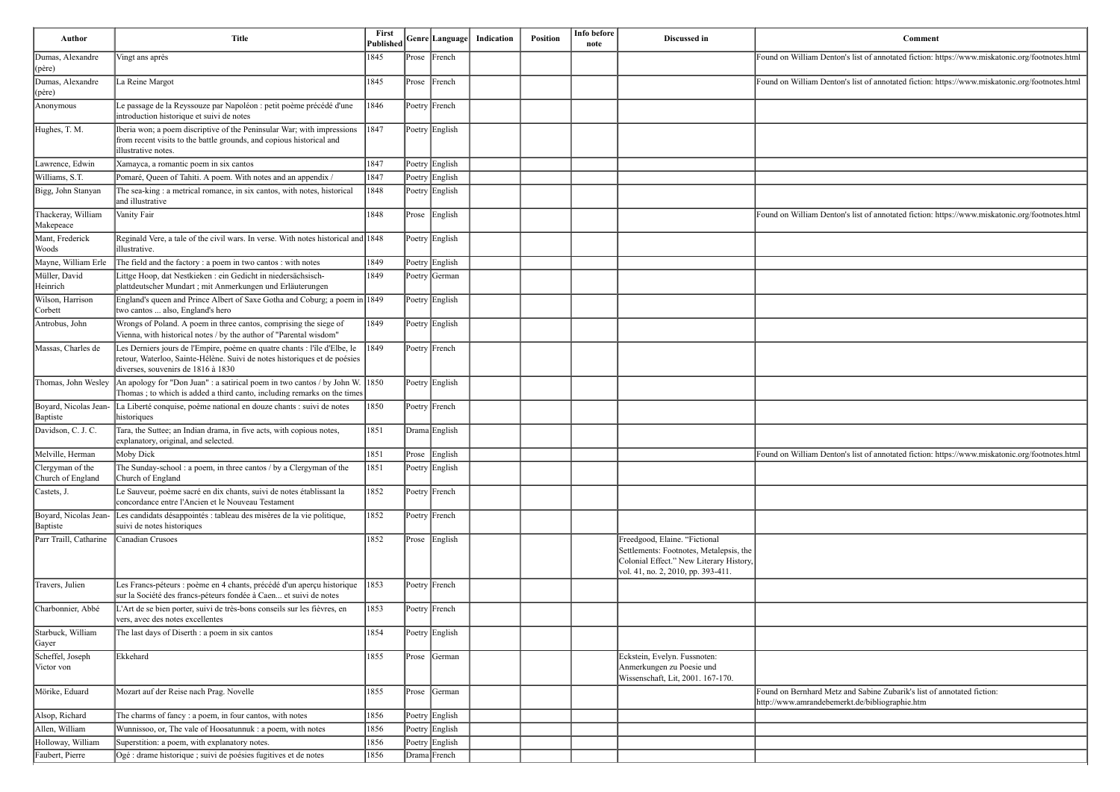| Author                                | <b>Title</b>                                                                                                                                                                                 | First<br>Published |       | Genre Language | Indication | Position | Info before<br>note | Discussed in                                                                                                                                              | Comment                                                                                                                  |
|---------------------------------------|----------------------------------------------------------------------------------------------------------------------------------------------------------------------------------------------|--------------------|-------|----------------|------------|----------|---------------------|-----------------------------------------------------------------------------------------------------------------------------------------------------------|--------------------------------------------------------------------------------------------------------------------------|
| Dumas, Alexandre<br>(père)            | Vingt ans après                                                                                                                                                                              | 1845               |       | Prose French   |            |          |                     |                                                                                                                                                           | Found on William Denton's list of annotated fiction: https://www.miskatonic.org/footnotes.html                           |
| Dumas, Alexandre<br>(père)            | La Reine Margot                                                                                                                                                                              | 1845               |       | Prose French   |            |          |                     |                                                                                                                                                           | Found on William Denton's list of annotated fiction: https://www.miskatonic.org/footnotes.html                           |
| Anonymous                             | Le passage de la Reyssouze par Napoléon : petit poème précédé d'une<br>introduction historique et suivi de notes                                                                             | 1846               |       | Poetry French  |            |          |                     |                                                                                                                                                           |                                                                                                                          |
| Hughes, T. M.                         | Iberia won; a poem discriptive of the Peninsular War; with impressions<br>from recent visits to the battle grounds, and copious historical and<br>illustrative notes.                        | 1847               |       | Poetry English |            |          |                     |                                                                                                                                                           |                                                                                                                          |
| Lawrence, Edwin                       | Xamayca, a romantic poem in six cantos                                                                                                                                                       | 1847               |       | Poetry English |            |          |                     |                                                                                                                                                           |                                                                                                                          |
| Williams, S.T.                        | Pomaré, Queen of Tahiti. A poem. With notes and an appendix /                                                                                                                                | 1847               |       | Poetry English |            |          |                     |                                                                                                                                                           |                                                                                                                          |
| Bigg, John Stanyan                    | The sea-king : a metrical romance, in six cantos, with notes, historical<br>and illustrative                                                                                                 | 1848               |       | Poetry English |            |          |                     |                                                                                                                                                           |                                                                                                                          |
| Thackeray, William<br>Makepeace       | Vanity Fair                                                                                                                                                                                  | 1848               |       | Prose English  |            |          |                     |                                                                                                                                                           | Found on William Denton's list of annotated fiction: https://www.miskatonic.org/footnotes.html                           |
| Mant, Frederick<br>Woods              | Reginald Vere, a tale of the civil wars. In verse. With notes historical and 1848<br>illustrative.                                                                                           |                    |       | Poetry English |            |          |                     |                                                                                                                                                           |                                                                                                                          |
| Mayne, William Erle                   | The field and the factory : a poem in two cantos : with notes                                                                                                                                | 1849               |       | Poetry English |            |          |                     |                                                                                                                                                           |                                                                                                                          |
| Müller, David<br>Heinrich             | Littge Hoop, dat Nestkieken : ein Gedicht in niedersächsisch-<br>plattdeutscher Mundart ; mit Anmerkungen und Erläuterungen                                                                  | 1849               |       | Poetry German  |            |          |                     |                                                                                                                                                           |                                                                                                                          |
| Wilson, Harrison<br>Corbett           | England's queen and Prince Albert of Saxe Gotha and Coburg; a poem in 1849<br>two cantos  also, England's hero                                                                               |                    |       | Poetry English |            |          |                     |                                                                                                                                                           |                                                                                                                          |
| Antrobus, John                        | Wrongs of Poland. A poem in three cantos, comprising the siege of<br>Vienna, with historical notes / by the author of "Parental wisdom"                                                      | 1849               |       | Poetry English |            |          |                     |                                                                                                                                                           |                                                                                                                          |
| Massas, Charles de                    | Les Derniers jours de l'Empire, poème en quatre chants : l'île d'Elbe, le<br>retour, Waterloo, Sainte-Hélène. Suivi de notes historiques et de poésies<br>diverses, souvenirs de 1816 à 1830 | 1849               |       | Poetry French  |            |          |                     |                                                                                                                                                           |                                                                                                                          |
|                                       | Thomas, John Wesley $\vert$ An apology for "Don Juan" : a satirical poem in two cantos / by John W. 1850<br>Thomas; to which is added a third canto, including remarks on the times          |                    |       | Poetry English |            |          |                     |                                                                                                                                                           |                                                                                                                          |
| Baptiste                              | Boyard, Nicolas Jean- La Liberté conquise, poème national en douze chants : suivi de notes<br>historiques                                                                                    | 1850               |       | Poetry French  |            |          |                     |                                                                                                                                                           |                                                                                                                          |
| Davidson, C. J. C.                    | Tara, the Suttee; an Indian drama, in five acts, with copious notes,<br>explanatory, original, and selected.                                                                                 | 1851               |       | Drama English  |            |          |                     |                                                                                                                                                           |                                                                                                                          |
| Melville, Herman                      | Moby Dick                                                                                                                                                                                    | 1851               |       | Prose English  |            |          |                     |                                                                                                                                                           | Found on William Denton's list of annotated fiction: https://www.miskatonic.org/footnotes.html                           |
| Clergyman of the<br>Church of England | The Sunday-school: a poem, in three cantos / by a Clergyman of the<br>Church of England                                                                                                      | 1851               |       | Poetry English |            |          |                     |                                                                                                                                                           |                                                                                                                          |
| Castets, J.                           | Le Sauveur, poème sacré en dix chants, suivi de notes établissant la<br>concordance entre l'Ancien et le Nouveau Testament                                                                   | 1852               |       | Poetry French  |            |          |                     |                                                                                                                                                           |                                                                                                                          |
| Boyard, Nicolas Jean-<br>Baptiste     | Les candidats désappointés : tableau des misères de la vie politique,<br>suivi de notes historiques                                                                                          | 1852               |       | Poetry French  |            |          |                     |                                                                                                                                                           |                                                                                                                          |
| Parr Traill, Catharine                | Canadian Crusoes                                                                                                                                                                             | 1852               |       | Prose English  |            |          |                     | Freedgood, Elaine. "Fictional<br>Settlements: Footnotes, Metalepsis, the<br>Colonial Effect." New Literary History,<br>vol. 41, no. 2, 2010, pp. 393-411. |                                                                                                                          |
| Travers, Julien                       | Les Francs-péteurs : poème en 4 chants, précédé d'un aperçu historique<br>sur la Société des francs-péteurs fondée à Caen et suivi de notes                                                  | 1853               |       | Poetry French  |            |          |                     |                                                                                                                                                           |                                                                                                                          |
| Charbonnier, Abbé                     | L'Art de se bien porter, suivi de très-bons conseils sur les fièvres, en<br>vers, avec des notes excellentes                                                                                 | 1853               |       | Poetry French  |            |          |                     |                                                                                                                                                           |                                                                                                                          |
| Starbuck, William<br>Gayer            | The last days of Diserth : a poem in six cantos                                                                                                                                              | 1854               |       | Poetry English |            |          |                     |                                                                                                                                                           |                                                                                                                          |
| Scheffel, Joseph<br>Victor von        | Ekkehard                                                                                                                                                                                     | 1855               | Prose | German         |            |          |                     | Eckstein, Evelyn. Fussnoten:<br>Anmerkungen zu Poesie und<br>Wissenschaft, Lit, 2001. 167-170.                                                            |                                                                                                                          |
| Mörike, Eduard                        | Mozart auf der Reise nach Prag. Novelle                                                                                                                                                      | 1855               | Prose | German         |            |          |                     |                                                                                                                                                           | Found on Bernhard Metz and Sabine Zubarik's list of annotated fiction:<br>http://www.amrandebemerkt.de/bibliographie.htm |
| Alsop, Richard                        | The charms of fancy : a poem, in four cantos, with notes                                                                                                                                     | 1856               |       | Poetry English |            |          |                     |                                                                                                                                                           |                                                                                                                          |
| Allen, William                        | Wunnissoo, or, The vale of Hoosatunnuk : a poem, with notes                                                                                                                                  | 1856               |       | Poetry English |            |          |                     |                                                                                                                                                           |                                                                                                                          |
| Holloway, William                     | Superstition: a poem, with explanatory notes.                                                                                                                                                | 1856               |       | Poetry English |            |          |                     |                                                                                                                                                           |                                                                                                                          |
| Faubert, Pierre                       | Ogé : drame historique ; suivi de poésies fugitives et de notes                                                                                                                              | 1856               |       | Drama French   |            |          |                     |                                                                                                                                                           |                                                                                                                          |

| Comment                                                                     |
|-----------------------------------------------------------------------------|
| 's list of annotated fiction: https://www.miskatonic.org/footnotes.html     |
| 's list of annotated fiction: https://www.miskatonic.org/footnotes.html     |
|                                                                             |
|                                                                             |
|                                                                             |
|                                                                             |
|                                                                             |
| 's list of annotated fiction: https://www.miskatonic.org/footnotes.html     |
|                                                                             |
|                                                                             |
|                                                                             |
|                                                                             |
|                                                                             |
|                                                                             |
|                                                                             |
|                                                                             |
|                                                                             |
| 's list of annotated fiction: https://www.miskatonic.org/footnotes.html     |
|                                                                             |
|                                                                             |
|                                                                             |
|                                                                             |
|                                                                             |
|                                                                             |
|                                                                             |
|                                                                             |
|                                                                             |
|                                                                             |
| and Sabine Zubarik's list of annotated fiction:<br>rkt.de/bibliographie.htm |
|                                                                             |
|                                                                             |
|                                                                             |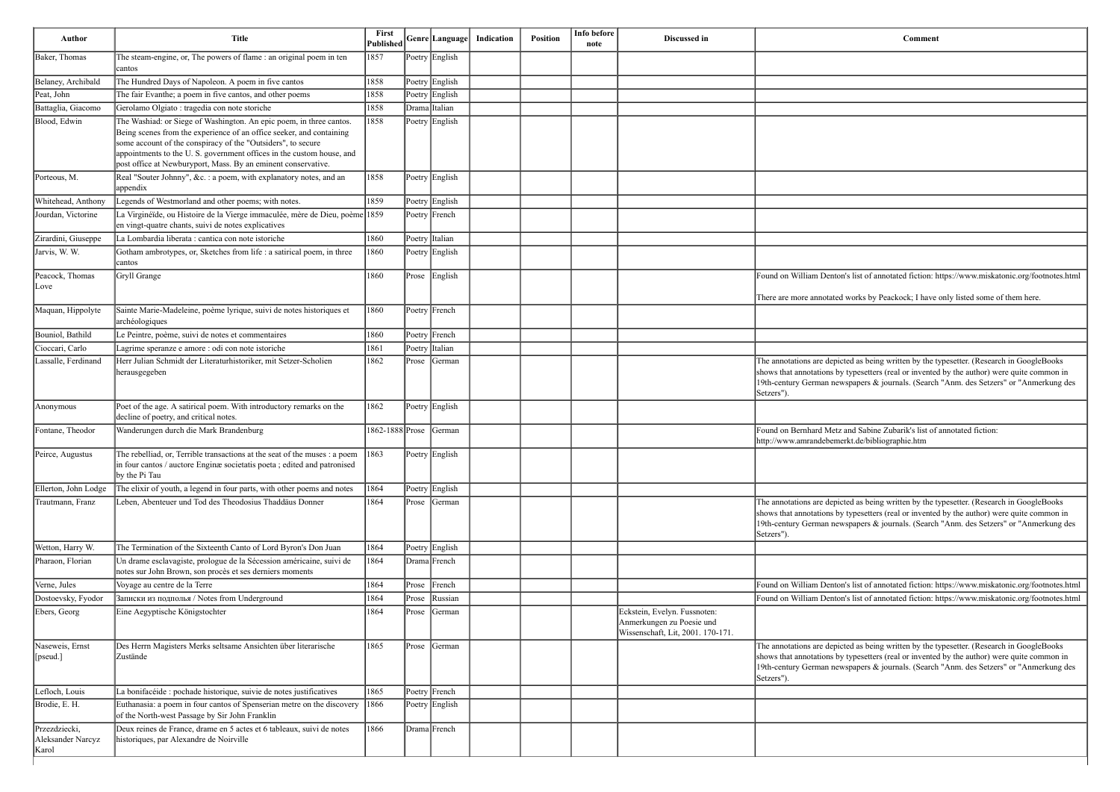| Comment                                                                                                                                                                                  |
|------------------------------------------------------------------------------------------------------------------------------------------------------------------------------------------|
|                                                                                                                                                                                          |
|                                                                                                                                                                                          |
|                                                                                                                                                                                          |
|                                                                                                                                                                                          |
|                                                                                                                                                                                          |
|                                                                                                                                                                                          |
|                                                                                                                                                                                          |
|                                                                                                                                                                                          |
|                                                                                                                                                                                          |
|                                                                                                                                                                                          |
|                                                                                                                                                                                          |
|                                                                                                                                                                                          |
|                                                                                                                                                                                          |
|                                                                                                                                                                                          |
| Found on William Denton's list of annotated fiction: https://www.miskatonic.org/footnotes.html                                                                                           |
| There are more annotated works by Peackock; I have only listed some of them here.                                                                                                        |
|                                                                                                                                                                                          |
|                                                                                                                                                                                          |
|                                                                                                                                                                                          |
| The annotations are depicted as being written by the typesetter. (Research in GoogleBooks<br>shows that annotations by typesetters (real or invented by the author) were quite common in |
| 19th-century German newspapers & journals. (Search "Anm. des Setzers" or "Anmerkung des<br>Setzers").                                                                                    |
|                                                                                                                                                                                          |
| Found on Bernhard Metz and Sabine Zubarik's list of annotated fiction:                                                                                                                   |
| http://www.amrandebemerkt.de/bibliographie.htm                                                                                                                                           |
|                                                                                                                                                                                          |
|                                                                                                                                                                                          |
|                                                                                                                                                                                          |
| The annotations are depicted as being written by the typesetter. (Research in GoogleBooks                                                                                                |
| shows that annotations by typesetters (real or invented by the author) were quite common in<br>19th-century German newspapers & journals. (Search "Anm. des Setzers" or "Anmerkung des   |
| Setzers").                                                                                                                                                                               |
|                                                                                                                                                                                          |
|                                                                                                                                                                                          |
| Found on William Denton's list of annotated fiction: https://www.miskatonic.org/footnotes.html                                                                                           |
| Found on William Denton's list of annotated fiction: https://www.miskatonic.org/footnotes.html                                                                                           |

| Author                                      | <b>Title</b>                                                                                                                                                                                                                                                                                                                                         | First<br>Published     |           | Genre  Language | Indication | Position | Info before<br>note | Discussed in                                                                                   | Comment                                                                                                                                                                                                                                                                                           |
|---------------------------------------------|------------------------------------------------------------------------------------------------------------------------------------------------------------------------------------------------------------------------------------------------------------------------------------------------------------------------------------------------------|------------------------|-----------|-----------------|------------|----------|---------------------|------------------------------------------------------------------------------------------------|---------------------------------------------------------------------------------------------------------------------------------------------------------------------------------------------------------------------------------------------------------------------------------------------------|
| Baker, Thomas                               | The steam-engine, or, The powers of flame : an original poem in ten<br>cantos                                                                                                                                                                                                                                                                        | 1857                   |           | Poetry English  |            |          |                     |                                                                                                |                                                                                                                                                                                                                                                                                                   |
| Belaney, Archibald                          | The Hundred Days of Napoleon. A poem in five cantos                                                                                                                                                                                                                                                                                                  | 1858                   |           | Poetry English  |            |          |                     |                                                                                                |                                                                                                                                                                                                                                                                                                   |
| Peat, John                                  | The fair Evanthe; a poem in five cantos, and other poems                                                                                                                                                                                                                                                                                             | 1858                   |           | Poetry English  |            |          |                     |                                                                                                |                                                                                                                                                                                                                                                                                                   |
| Battaglia, Giacomo                          | Gerolamo Olgiato : tragedia con note storiche                                                                                                                                                                                                                                                                                                        | 1858                   |           | Drama Italian   |            |          |                     |                                                                                                |                                                                                                                                                                                                                                                                                                   |
| Blood, Edwin                                | The Washiad: or Siege of Washington. An epic poem, in three cantos.<br>Being scenes from the experience of an office seeker, and containing<br>some account of the conspiracy of the "Outsiders", to secure<br>appointments to the U.S. government offices in the custom house, and<br>post office at Newburyport, Mass. By an eminent conservative. | 1858                   |           | Poetry English  |            |          |                     |                                                                                                |                                                                                                                                                                                                                                                                                                   |
| Porteous, M.                                | Real "Souter Johnny", &c.: a poem, with explanatory notes, and an<br>appendix                                                                                                                                                                                                                                                                        | 1858                   |           | Poetry English  |            |          |                     |                                                                                                |                                                                                                                                                                                                                                                                                                   |
| Whitehead, Anthony                          | Legends of Westmorland and other poems; with notes.                                                                                                                                                                                                                                                                                                  | 1859                   |           | Poetry English  |            |          |                     |                                                                                                |                                                                                                                                                                                                                                                                                                   |
| Jourdan, Victorine                          | La Virginéïde, ou Histoire de la Vierge immaculée, mère de Dieu, poème 1859<br>en vingt-quatre chants, suivi de notes explicatives                                                                                                                                                                                                                   |                        |           | Poetry French   |            |          |                     |                                                                                                |                                                                                                                                                                                                                                                                                                   |
| Zirardini, Giuseppe                         | La Lombardia liberata : cantica con note istoriche                                                                                                                                                                                                                                                                                                   | 1860                   |           | Poetry Italian  |            |          |                     |                                                                                                |                                                                                                                                                                                                                                                                                                   |
| Jarvis, W. W.                               | Gotham ambrotypes, or, Sketches from life : a satirical poem, in three<br>cantos                                                                                                                                                                                                                                                                     | 1860                   |           | Poetry English  |            |          |                     |                                                                                                |                                                                                                                                                                                                                                                                                                   |
| Peacock, Thomas<br> Love                    | Gryll Grange                                                                                                                                                                                                                                                                                                                                         | 1860                   |           | Prose English   |            |          |                     |                                                                                                | Found on William Denton's list of annotated fiction: https://www.miskatonic.org/footnotes.html<br>There are more annotated works by Peackock; I have only listed some of them here.                                                                                                               |
| Maquan, Hippolyte                           | Sainte Marie-Madeleine, poème lyrique, suivi de notes historiques et<br>archéologiques                                                                                                                                                                                                                                                               | 1860                   |           | Poetry French   |            |          |                     |                                                                                                |                                                                                                                                                                                                                                                                                                   |
| Bouniol, Bathild                            | Le Peintre, poème, suivi de notes et commentaires                                                                                                                                                                                                                                                                                                    | 1860                   |           | Poetry French   |            |          |                     |                                                                                                |                                                                                                                                                                                                                                                                                                   |
| Cioccari, Carlo                             | Lagrime speranze e amore : odi con note istoriche                                                                                                                                                                                                                                                                                                    | 1861                   |           | Poetry Italian  |            |          |                     |                                                                                                |                                                                                                                                                                                                                                                                                                   |
| Lassalle, Ferdinand                         | Herr Julian Schmidt der Literaturhistoriker, mit Setzer-Scholien<br>herausgegeben                                                                                                                                                                                                                                                                    | 1862                   | Prose     | German          |            |          |                     |                                                                                                | The annotations are depicted as being written by the typesetter. (Research in GoogleBooks<br>shows that annotations by typesetters (real or invented by the author) were quite common in<br>19th-century German newspapers & journals. (Search "Anm. des Setzers" or "Anmerkung des<br>Setzers")  |
| Anonymous                                   | Poet of the age. A satirical poem. With introductory remarks on the<br>decline of poetry, and critical notes.                                                                                                                                                                                                                                        | 1862                   |           | Poetry English  |            |          |                     |                                                                                                |                                                                                                                                                                                                                                                                                                   |
| Fontane, Theodor                            | Wanderungen durch die Mark Brandenburg                                                                                                                                                                                                                                                                                                               | 1862-1888 Prose German |           |                 |            |          |                     |                                                                                                | Found on Bernhard Metz and Sabine Zubarik's list of annotated fiction:<br>http://www.amrandebemerkt.de/bibliographie.htm                                                                                                                                                                          |
| Peirce, Augustus                            | The rebelliad, or, Terrible transactions at the seat of the muses : a poem<br>in four cantos / auctore Enginæ societatis poeta ; edited and patronised<br>by the Pi Tau                                                                                                                                                                              | 1863                   |           | Poetry English  |            |          |                     |                                                                                                |                                                                                                                                                                                                                                                                                                   |
| Ellerton, John Lodge                        | The elixir of youth, a legend in four parts, with other poems and notes                                                                                                                                                                                                                                                                              | 1864                   |           | Poetry English  |            |          |                     |                                                                                                |                                                                                                                                                                                                                                                                                                   |
| Trautmann, Franz                            | Leben, Abenteuer und Tod des Theodosius Thaddäus Donner                                                                                                                                                                                                                                                                                              | 1864                   | Prose     | German          |            |          |                     |                                                                                                | The annotations are depicted as being written by the typesetter. (Research in GoogleBooks<br>shows that annotations by typesetters (real or invented by the author) were quite common in<br>19th-century German newspapers & journals. (Search "Anm. des Setzers" or "Anmerkung des<br>Setzers"). |
| Wetton, Harry W.                            | The Termination of the Sixteenth Canto of Lord Byron's Don Juan                                                                                                                                                                                                                                                                                      | 1864                   |           | Poetry English  |            |          |                     |                                                                                                |                                                                                                                                                                                                                                                                                                   |
| Pharaon, Florian                            | Un drame esclavagiste, prologue de la Sécession américaine, suivi de<br>notes sur John Brown, son procès et ses derniers moments                                                                                                                                                                                                                     | 1864                   |           | Drama French    |            |          |                     |                                                                                                |                                                                                                                                                                                                                                                                                                   |
| Verne, Jules                                | Voyage au centre de la Terre                                                                                                                                                                                                                                                                                                                         | 1864                   | $ $ Prose | French          |            |          |                     |                                                                                                | Found on William Denton's list of annotated fiction: https://www.miskatonic.org/footnotes.html                                                                                                                                                                                                    |
| Dostoevsky, Fyodor                          | Записки из подполья / Notes from Underground                                                                                                                                                                                                                                                                                                         | 1864                   | Prose     | Russian         |            |          |                     |                                                                                                | Found on William Denton's list of annotated fiction: https://www.miskatonic.org/footnotes.html                                                                                                                                                                                                    |
| Ebers, Georg                                | Eine Aegyptische Königstochter                                                                                                                                                                                                                                                                                                                       | 1864                   | Prose     | German          |            |          |                     | Eckstein, Evelyn. Fussnoten:<br>Anmerkungen zu Poesie und<br>Wissenschaft, Lit, 2001. 170-171. |                                                                                                                                                                                                                                                                                                   |
| Naseweis, Ernst<br>[[pseud.]                | Des Herrn Magisters Merks seltsame Ansichten über literarische<br>Zustände                                                                                                                                                                                                                                                                           | 1865                   | Prose     | German          |            |          |                     |                                                                                                | The annotations are depicted as being written by the typesetter. (Research in GoogleBooks<br>shows that annotations by typesetters (real or invented by the author) were quite common in<br>19th-century German newspapers & journals. (Search "Anm. des Setzers" or "Anmerkung des<br>Setzers"). |
| Lefloch, Louis                              | La bonifacéide : pochade historique, suivie de notes justificatives                                                                                                                                                                                                                                                                                  | 1865                   |           | Poetry French   |            |          |                     |                                                                                                |                                                                                                                                                                                                                                                                                                   |
| Brodie, E. H.                               | Euthanasia: a poem in four cantos of Spenserian metre on the discovery<br>of the North-west Passage by Sir John Franklin                                                                                                                                                                                                                             | 1866                   |           | Poetry English  |            |          |                     |                                                                                                |                                                                                                                                                                                                                                                                                                   |
| Przezdziecki,<br>Aleksander Narcyz<br>Karol | Deux reines de France, drame en 5 actes et 6 tableaux, suivi de notes<br>historiques, par Alexandre de Noirville                                                                                                                                                                                                                                     | 1866                   |           | Drama French    |            |          |                     |                                                                                                |                                                                                                                                                                                                                                                                                                   |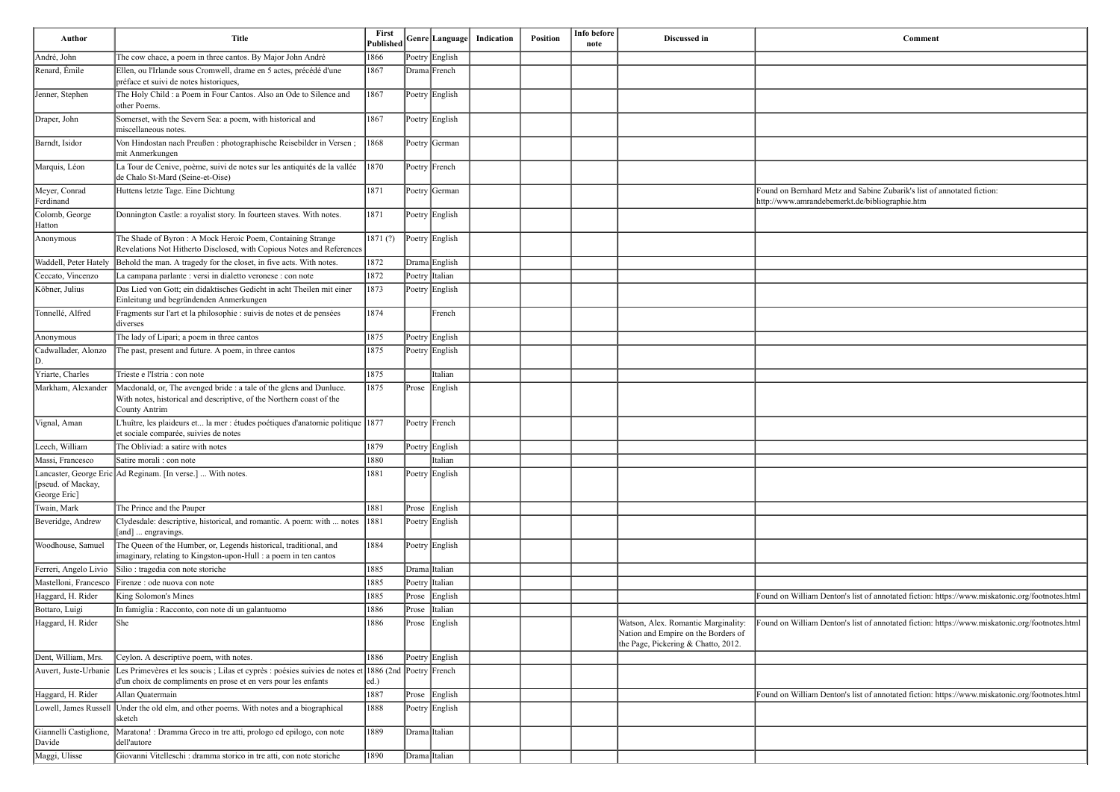| <b>Author</b>                      | <b>Title</b>                                                                                                                                                                                 | First<br>Published |       | Genre Language | Indication | Position | Info before<br>note | Discussed in                                                                                                      | Comment                                                                                                                  |
|------------------------------------|----------------------------------------------------------------------------------------------------------------------------------------------------------------------------------------------|--------------------|-------|----------------|------------|----------|---------------------|-------------------------------------------------------------------------------------------------------------------|--------------------------------------------------------------------------------------------------------------------------|
| André, John                        | The cow chace, a poem in three cantos. By Major John André                                                                                                                                   | 1866               |       | Poetry English |            |          |                     |                                                                                                                   |                                                                                                                          |
| Renard, Émile                      | Ellen, ou l'Irlande sous Cromwell, drame en 5 actes, précédé d'une<br>préface et suivi de notes historiques,                                                                                 | 1867               |       | Drama French   |            |          |                     |                                                                                                                   |                                                                                                                          |
| Jenner, Stephen                    | The Holy Child : a Poem in Four Cantos. Also an Ode to Silence and<br>other Poems.                                                                                                           | 1867               |       | Poetry English |            |          |                     |                                                                                                                   |                                                                                                                          |
| Draper, John                       | Somerset, with the Severn Sea: a poem, with historical and<br>miscellaneous notes.                                                                                                           | 1867               |       | Poetry English |            |          |                     |                                                                                                                   |                                                                                                                          |
| Barndt, Isidor                     | Von Hindostan nach Preußen : photographische Reisebilder in Versen;<br>mit Anmerkungen                                                                                                       | 1868               |       | Poetry German  |            |          |                     |                                                                                                                   |                                                                                                                          |
| Marquis, Léon                      | La Tour de Cenive, poème, suivi de notes sur les antiquités de la vallée<br>de Chalo St-Mard (Seine-et-Oise)                                                                                 | 1870               |       | Poetry French  |            |          |                     |                                                                                                                   |                                                                                                                          |
| Meyer, Conrad<br>Ferdinand         | Huttens letzte Tage. Eine Dichtung                                                                                                                                                           | 1871               |       | Poetry German  |            |          |                     |                                                                                                                   | Found on Bernhard Metz and Sabine Zubarik's list of annotated fiction:<br>http://www.amrandebemerkt.de/bibliographie.htm |
| Colomb, George<br>Hatton           | Donnington Castle: a royalist story. In fourteen staves. With notes.                                                                                                                         | 1871               |       | Poetry English |            |          |                     |                                                                                                                   |                                                                                                                          |
| Anonymous                          | The Shade of Byron: A Mock Heroic Poem, Containing Strange<br>Revelations Not Hitherto Disclosed, with Copious Notes and References                                                          | 1871(?)            |       | Poetry English |            |          |                     |                                                                                                                   |                                                                                                                          |
| Waddell, Peter Hately              | Behold the man. A tragedy for the closet, in five acts. With notes.                                                                                                                          | 1872               |       | Drama English  |            |          |                     |                                                                                                                   |                                                                                                                          |
| Ceccato, Vincenzo                  | La campana parlante : versi in dialetto veronese : con note                                                                                                                                  | 1872               |       | Poetry Italian |            |          |                     |                                                                                                                   |                                                                                                                          |
| Köbner, Julius                     | Das Lied von Gott; ein didaktisches Gedicht in acht Theilen mit einer<br>Einleitung und begründenden Anmerkungen                                                                             | 1873               |       | Poetry English |            |          |                     |                                                                                                                   |                                                                                                                          |
| Tonnellé, Alfred                   | Fragments sur l'art et la philosophie : suivis de notes et de pensées<br>diverses                                                                                                            | 1874               |       | French         |            |          |                     |                                                                                                                   |                                                                                                                          |
| Anonymous                          | The lady of Lipari; a poem in three cantos                                                                                                                                                   | 1875               |       | Poetry English |            |          |                     |                                                                                                                   |                                                                                                                          |
| Cadwallader, Alonzo                | The past, present and future. A poem, in three cantos                                                                                                                                        | 1875               |       | Poetry English |            |          |                     |                                                                                                                   |                                                                                                                          |
| Yriarte, Charles                   | Trieste e l'Istria : con note                                                                                                                                                                | 1875               |       | Italian        |            |          |                     |                                                                                                                   |                                                                                                                          |
| Markham, Alexander                 | Macdonald, or, The avenged bride : a tale of the glens and Dunluce.<br>With notes, historical and descriptive, of the Northern coast of the<br>County Antrim                                 | 1875               |       | Prose English  |            |          |                     |                                                                                                                   |                                                                                                                          |
| Vignal, Aman                       | L'huître, les plaideurs et la mer : études poétiques d'anatomie politique 1877<br>et sociale comparée, suivies de notes                                                                      |                    |       | Poetry French  |            |          |                     |                                                                                                                   |                                                                                                                          |
| Leech, William                     | The Obliviad: a satire with notes                                                                                                                                                            | 1879               |       | Poetry English |            |          |                     |                                                                                                                   |                                                                                                                          |
| Massi, Francesco                   | Satire morali : con note                                                                                                                                                                     | 1880               |       | Italian        |            |          |                     |                                                                                                                   |                                                                                                                          |
| [pseud. of Mackay,<br>George Eric] | Lancaster, George Eric Ad Reginam. [In verse.]  With notes.                                                                                                                                  | 1881               |       | Poetry English |            |          |                     |                                                                                                                   |                                                                                                                          |
| Twain, Mark                        | The Prince and the Pauper                                                                                                                                                                    | 1881               |       | Prose English  |            |          |                     |                                                                                                                   |                                                                                                                          |
| Beveridge, Andrew                  | Clydesdale: descriptive, historical, and romantic. A poem: with  notes<br>[[and]  engravings.                                                                                                | 1881               |       | Poetry English |            |          |                     |                                                                                                                   |                                                                                                                          |
| Woodhouse, Samuel                  | The Queen of the Humber, or, Legends historical, traditional, and<br>imaginary, relating to Kingston-upon-Hull : a poem in ten cantos                                                        | 1884               |       | Poetry English |            |          |                     |                                                                                                                   |                                                                                                                          |
| Ferreri, Angelo Livio              | Silio : tragedia con note storiche                                                                                                                                                           | 1885               |       | Drama Italian  |            |          |                     |                                                                                                                   |                                                                                                                          |
| Mastelloni, Francesco              | Firenze : ode nuova con note                                                                                                                                                                 | 1885               |       | Poetry Italian |            |          |                     |                                                                                                                   |                                                                                                                          |
| Haggard, H. Rider                  | King Solomon's Mines                                                                                                                                                                         | 1885               |       | Prose English  |            |          |                     |                                                                                                                   | Found on William Denton's list of annotated fiction: https://www.miskatonic.org/footnotes.html                           |
| Bottaro, Luigi                     | In famiglia : Racconto, con note di un galantuomo                                                                                                                                            | 1886               |       | Prose Italian  |            |          |                     |                                                                                                                   |                                                                                                                          |
| Haggard, H. Rider                  | <b>She</b>                                                                                                                                                                                   | 1886               | Prose | English        |            |          |                     | Watson, Alex. Romantic Marginality:<br>Nation and Empire on the Borders of<br>the Page, Pickering & Chatto, 2012. | Found on William Denton's list of annotated fiction: https://www.miskatonic.org/footnotes.html                           |
| Dent, William, Mrs.                | Ceylon. A descriptive poem, with notes.                                                                                                                                                      | 1886               |       | Poetry English |            |          |                     |                                                                                                                   |                                                                                                                          |
|                                    | Auvert, Juste-Urbanie Les Primevères et les soucis ; Lilas et cyprès : poésies suivies de notes et 1886 (2nd Poetry French<br>d'un choix de compliments en prose et en vers pour les enfants | ed.                |       |                |            |          |                     |                                                                                                                   |                                                                                                                          |
| Haggard, H. Rider                  | Allan Quatermain                                                                                                                                                                             | 1887               |       | Prose English  |            |          |                     |                                                                                                                   | Found on William Denton's list of annotated fiction: https://www.miskatonic.org/footnotes.html                           |
| Lowell, James Russell              | Under the old elm, and other poems. With notes and a biographical<br>sketch                                                                                                                  | 1888               |       | Poetry English |            |          |                     |                                                                                                                   |                                                                                                                          |
| Giannelli Castiglione,<br>Davide   | Maratona! : Dramma Greco in tre atti, prologo ed epilogo, con note<br>dell'autore                                                                                                            | 1889               |       | Drama Italian  |            |          |                     |                                                                                                                   |                                                                                                                          |
| Maggi, Ulisse                      | Giovanni Vitelleschi : dramma storico in tre atti, con note storiche                                                                                                                         | 1890               |       | Drama Italian  |            |          |                     |                                                                                                                   |                                                                                                                          |

| <b>Comment</b>                                                                                 |
|------------------------------------------------------------------------------------------------|
|                                                                                                |
|                                                                                                |
|                                                                                                |
|                                                                                                |
|                                                                                                |
| Found on Bernhard Metz and Sabine Zubarik's list of annotated fiction:                         |
| http://www.amrandebemerkt.de/bibliographie.htm                                                 |
|                                                                                                |
|                                                                                                |
|                                                                                                |
|                                                                                                |
|                                                                                                |
|                                                                                                |
|                                                                                                |
|                                                                                                |
|                                                                                                |
|                                                                                                |
|                                                                                                |
|                                                                                                |
|                                                                                                |
|                                                                                                |
|                                                                                                |
| Found on William Denton's list of annotated fiction: https://www.miskatonic.org/footnotes.html |
| Found on William Denton's list of annotated fiction: https://www.miskatonic.org/footnotes.html |
|                                                                                                |
|                                                                                                |
| Found on William Denton's list of annotated fiction: https://www.miskatonic.org/footnotes.html |
|                                                                                                |
|                                                                                                |